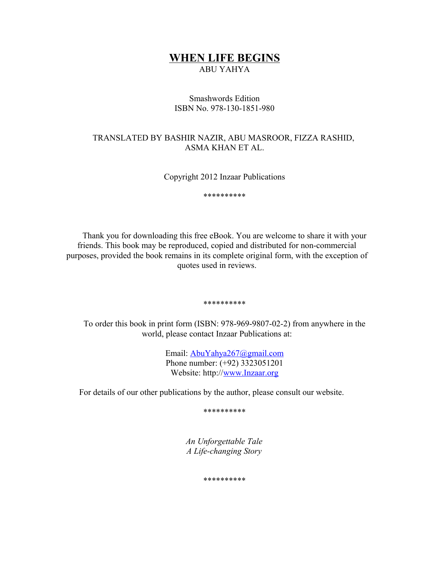# **WHEN LIFE BEGINS** ABU YAHYA

#### Smashwords Edition ISBN No. 978-130-1851-980

### TRANSLATED BY BASHIR NAZIR, ABU MASROOR, FIZZA RASHID, ASMA KHAN ET AL.

Copyright 2012 Inzaar Publications

\*\*\*\*\*\*\*\*\*\*

Thank you for downloading this free eBook. You are welcome to share it with your friends. This book may be reproduced, copied and distributed for non-commercial purposes, provided the book remains in its complete original form, with the exception of quotes used in reviews.

\*\*\*\*\*\*\*\*\*\*

To order this book in print form (ISBN: 978-969-9807-02-2) from anywhere in the world, please contact Inzaar Publications at:

> Email: [AbuYahya267@gmail.com](mailto:AbuYahya267@gmail.com) Phone number: (+92) 3323051201 Website: http:/[/www.Inzaar.org](http://www.Inzaar.org/)

For details of our other publications by the author, please consult our website.

\*\*\*\*\*\*\*\*\*\*

*An Unforgettable Tale A Life-changing Story*

\*\*\*\*\*\*\*\*\*\*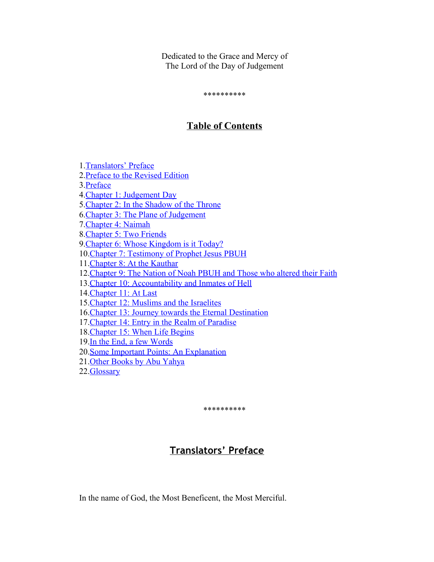Dedicated to the Grace and Mercy of The Lord of the Day of Judgement

\*\*\*\*\*\*\*\*\*\*

# <span id="page-1-1"></span>**Table of Contents**

[.Translators' Preface](#page-1-0) [.Preface to the Revised Edition](#page-4-0) [.Preface](#page-6-0) [.Chapter 1: Judgement Day](#page-8-0) [.Chapter 2: In the Shadow of the Throne](#page-18-0) [.Chapter 3: The Plane of Judgement](#page-24-0) [.Chapter 4: Naimah](#page-36-0) [.Chapter 5: Two Friends](#page-45-0) [.Chapter 6: Whose Kingdom is it Today?](#page-54-0) [.Chapter 7: Testimony of Prophet Jesus PBUH](#page-60-0) [.Chapter 8: At the Kauthar](#page-70-0) 12. Chapter 9: The Nation of Noah PBUH and Those who altered their Faith [.Chapter 10: Accountability and Inmates of Hell](#page-84-0) [.Chapter 11: At Last](#page-95-0) [.Chapter 12: Muslims and the Israelites](#page-103-0) [.Chapter 13: Journey towards the Eternal Destination](#page-112-0) 17. Chapter 14: Entry in the Realm of Paradise [.Chapter 15: When Life Begins](#page-130-0) [.In the End, a few Words](#page-143-0) [.Some Important Points: An Explanation](#page-144-0) [.Other Books by Abu Yahya](#page-148-0) [.Glossary](#page-149-0)

\*\*\*\*\*\*\*\*\*\*

# <span id="page-1-0"></span>**Translators' Preface**

In the name of God, the Most Beneficent, the Most Merciful.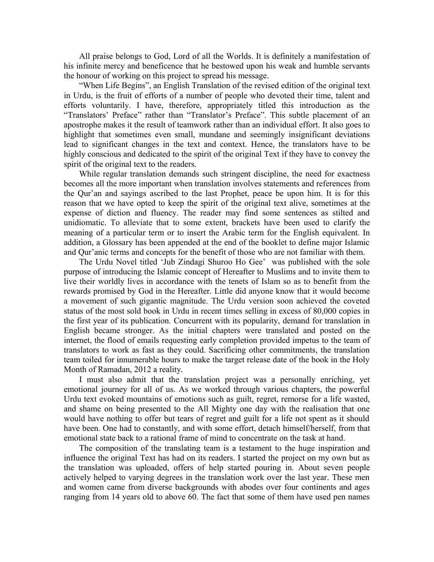All praise belongs to God, Lord of all the Worlds. It is definitely a manifestation of his infinite mercy and beneficence that he bestowed upon his weak and humble servants the honour of working on this project to spread his message.

"When Life Begins", an English Translation of the revised edition of the original text in Urdu, is the fruit of efforts of a number of people who devoted their time, talent and efforts voluntarily. I have, therefore, appropriately titled this introduction as the "Translators' Preface" rather than "Translator's Preface". This subtle placement of an apostrophe makes it the result of teamwork rather than an individual effort. It also goes to highlight that sometimes even small, mundane and seemingly insignificant deviations lead to significant changes in the text and context. Hence, the translators have to be highly conscious and dedicated to the spirit of the original Text if they have to convey the spirit of the original text to the readers.

While regular translation demands such stringent discipline, the need for exactness becomes all the more important when translation involves statements and references from the Qur'an and sayings ascribed to the last Prophet, peace be upon him. It is for this reason that we have opted to keep the spirit of the original text alive, sometimes at the expense of diction and fluency. The reader may find some sentences as stilted and unidiomatic. To alleviate that to some extent, brackets have been used to clarify the meaning of a particular term or to insert the Arabic term for the English equivalent. In addition, a Glossary has been appended at the end of the booklet to define major Islamic and Qur'anic terms and concepts for the benefit of those who are not familiar with them.

The Urdu Novel titled 'Jub Zindagi Shuroo Ho Gee' was published with the sole purpose of introducing the Islamic concept of Hereafter to Muslims and to invite them to live their worldly lives in accordance with the tenets of Islam so as to benefit from the rewards promised by God in the Hereafter. Little did anyone know that it would become a movement of such gigantic magnitude. The Urdu version soon achieved the coveted status of the most sold book in Urdu in recent times selling in excess of 80,000 copies in the first year of its publication. Concurrent with its popularity, demand for translation in English became stronger. As the initial chapters were translated and posted on the internet, the flood of emails requesting early completion provided impetus to the team of translators to work as fast as they could. Sacrificing other commitments, the translation team toiled for innumerable hours to make the target release date of the book in the Holy Month of Ramadan, 2012 a reality.

I must also admit that the translation project was a personally enriching, yet emotional journey for all of us. As we worked through various chapters, the powerful Urdu text evoked mountains of emotions such as guilt, regret, remorse for a life wasted, and shame on being presented to the All Mighty one day with the realisation that one would have nothing to offer but tears of regret and guilt for a life not spent as it should have been. One had to constantly, and with some effort, detach himself/herself, from that emotional state back to a rational frame of mind to concentrate on the task at hand.

The composition of the translating team is a testament to the huge inspiration and influence the original Text has had on its readers. I started the project on my own but as the translation was uploaded, offers of help started pouring in. About seven people actively helped to varying degrees in the translation work over the last year. These men and women came from diverse backgrounds with abodes over four continents and ages ranging from 14 years old to above 60. The fact that some of them have used pen names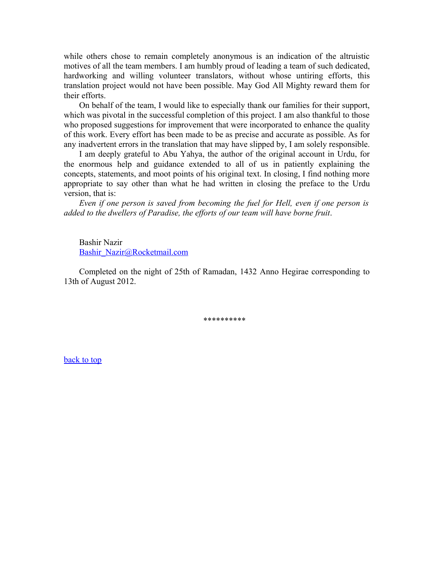while others chose to remain completely anonymous is an indication of the altruistic motives of all the team members. I am humbly proud of leading a team of such dedicated, hardworking and willing volunteer translators, without whose untiring efforts, this translation project would not have been possible. May God All Mighty reward them for their efforts.

On behalf of the team, I would like to especially thank our families for their support, which was pivotal in the successful completion of this project. I am also thankful to those who proposed suggestions for improvement that were incorporated to enhance the quality of this work. Every effort has been made to be as precise and accurate as possible. As for any inadvertent errors in the translation that may have slipped by, I am solely responsible.

I am deeply grateful to Abu Yahya, the author of the original account in Urdu, for the enormous help and guidance extended to all of us in patiently explaining the concepts, statements, and moot points of his original text. In closing, I find nothing more appropriate to say other than what he had written in closing the preface to the Urdu version, that is:

*Even if one person is saved from becoming the fuel for Hell, even if one person is added to the dwellers of Paradise, the efforts of our team will have borne fruit*.

Bashir Nazir [Bashir\\_Nazir@Rocketmail.com](mailto:Bashir_Nazir@Rocketmail.com)

Completed on the night of 25th of Ramadan, 1432 Anno Hegirae corresponding to 13th of August 2012.

\*\*\*\*\*\*\*\*\*\*

[back to top](#page-1-1)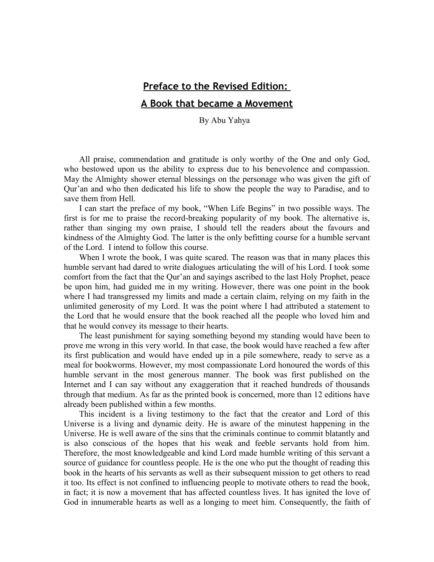# <span id="page-4-0"></span>**Preface to the Revised Edition:**

# **A Book that became a Movement**

By Abu Yahya

All praise, commendation and gratitude is only worthy of the One and only God, who bestowed upon us the ability to express due to his benevolence and compassion. May the Almighty shower eternal blessings on the personage who was given the gift of Qur'an and who then dedicated his life to show the people the way to Paradise, and to save them from Hell.

I can start the preface of my book, "When Life Begins" in two possible ways. The first is for me to praise the record-breaking popularity of my book. The alternative is, rather than singing my own praise, I should tell the readers about the favours and kindness of the Almighty God. The latter is the only befitting course for a humble servant of the Lord. I intend to follow this course.

When I wrote the book, I was quite scared. The reason was that in many places this humble servant had dared to write dialogues articulating the will of his Lord. I took some comfort from the fact that the Qur'an and sayings ascribed to the last Holy Prophet, peace be upon him, had guided me in my writing. However, there was one point in the book where I had transgressed my limits and made a certain claim, relying on my faith in the unlimited generosity of my Lord. It was the point where I had attributed a statement to the Lord that he would ensure that the book reached all the people who loved him and that he would convey its message to their hearts.

The least punishment for saying something beyond my standing would have been to prove me wrong in this very world. In that case, the book would have reached a few after its first publication and would have ended up in a pile somewhere, ready to serve as a meal for bookworms. However, my most compassionate Lord honoured the words of this humble servant in the most generous manner. The book was first published on the Internet and I can say without any exaggeration that it reached hundreds of thousands through that medium. As far as the printed book is concerned, more than 12 editions have already been published within a few months.

This incident is a living testimony to the fact that the creator and Lord of this Universe is a living and dynamic deity. He is aware of the minutest happening in the Universe. He is well aware of the sins that the criminals continue to commit blatantly and is also conscious of the hopes that his weak and feeble servants hold from him. Therefore, the most knowledgeable and kind Lord made humble writing of this servant a source of guidance for countless people. He is the one who put the thought of reading this book in the hearts of his servants as well as their subsequent mission to get others to read it too. Its effect is not confined to influencing people to motivate others to read the book, in fact; it is now a movement that has affected countless lives. It has ignited the love of God in innumerable hearts as well as a longing to meet him. Consequently, the faith of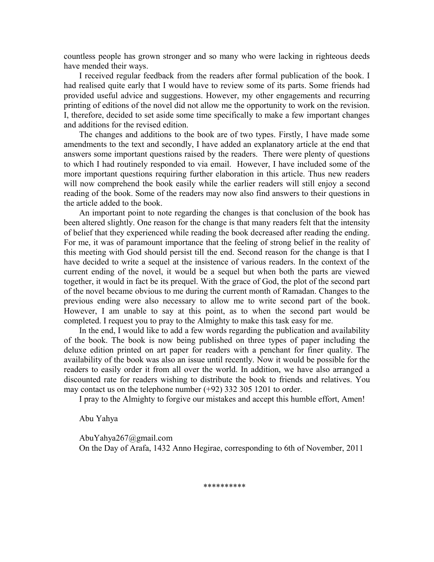countless people has grown stronger and so many who were lacking in righteous deeds have mended their ways.

I received regular feedback from the readers after formal publication of the book. I had realised quite early that I would have to review some of its parts. Some friends had provided useful advice and suggestions. However, my other engagements and recurring printing of editions of the novel did not allow me the opportunity to work on the revision. I, therefore, decided to set aside some time specifically to make a few important changes and additions for the revised edition.

The changes and additions to the book are of two types. Firstly, I have made some amendments to the text and secondly, I have added an explanatory article at the end that answers some important questions raised by the readers. There were plenty of questions to which I had routinely responded to via email. However, I have included some of the more important questions requiring further elaboration in this article. Thus new readers will now comprehend the book easily while the earlier readers will still enjoy a second reading of the book. Some of the readers may now also find answers to their questions in the article added to the book.

An important point to note regarding the changes is that conclusion of the book has been altered slightly. One reason for the change is that many readers felt that the intensity of belief that they experienced while reading the book decreased after reading the ending. For me, it was of paramount importance that the feeling of strong belief in the reality of this meeting with God should persist till the end. Second reason for the change is that I have decided to write a sequel at the insistence of various readers. In the context of the current ending of the novel, it would be a sequel but when both the parts are viewed together, it would in fact be its prequel. With the grace of God, the plot of the second part of the novel became obvious to me during the current month of Ramadan. Changes to the previous ending were also necessary to allow me to write second part of the book. However, I am unable to say at this point, as to when the second part would be completed. I request you to pray to the Almighty to make this task easy for me.

In the end, I would like to add a few words regarding the publication and availability of the book. The book is now being published on three types of paper including the deluxe edition printed on art paper for readers with a penchant for finer quality. The availability of the book was also an issue until recently. Now it would be possible for the readers to easily order it from all over the world. In addition, we have also arranged a discounted rate for readers wishing to distribute the book to friends and relatives. You may contact us on the telephone number (+92) 332 305 1201 to order.

I pray to the Almighty to forgive our mistakes and accept this humble effort, Amen!

Abu Yahya

AbuYahya267@gmail.com On the Day of Arafa, 1432 Anno Hegirae, corresponding to 6th of November, 2011

\*\*\*\*\*\*\*\*\*\*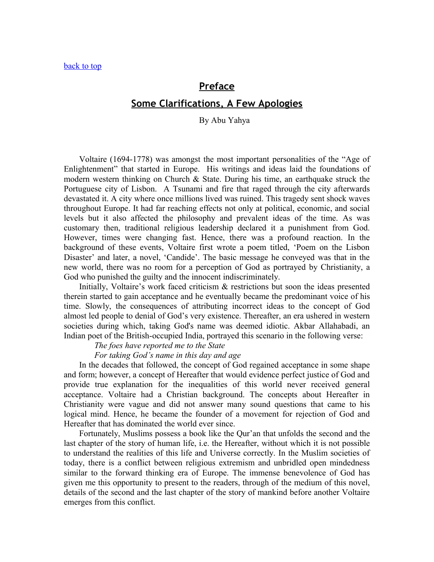# **Preface Some Clarifications, A Few Apologies**

#### <span id="page-6-0"></span>By Abu Yahya

Voltaire (1694-1778) was amongst the most important personalities of the "Age of Enlightenment" that started in Europe. His writings and ideas laid the foundations of modern western thinking on Church & State. During his time, an earthquake struck the Portuguese city of Lisbon. A Tsunami and fire that raged through the city afterwards devastated it. A city where once millions lived was ruined. This tragedy sent shock waves throughout Europe. It had far reaching effects not only at political, economic, and social levels but it also affected the philosophy and prevalent ideas of the time. As was customary then, traditional religious leadership declared it a punishment from God. However, times were changing fast. Hence, there was a profound reaction. In the background of these events, Voltaire first wrote a poem titled, 'Poem on the Lisbon Disaster' and later, a novel, 'Candide'. The basic message he conveyed was that in the new world, there was no room for a perception of God as portrayed by Christianity, a God who punished the guilty and the innocent indiscriminately.

Initially, Voltaire's work faced criticism & restrictions but soon the ideas presented therein started to gain acceptance and he eventually became the predominant voice of his time. Slowly, the consequences of attributing incorrect ideas to the concept of God almost led people to denial of God's very existence. Thereafter, an era ushered in western societies during which, taking God's name was deemed idiotic. Akbar Allahabadi, an Indian poet of the British-occupied India, portrayed this scenario in the following verse:

#### *The foes have reported me to the State*

#### *For taking God's name in this day and age*

In the decades that followed, the concept of God regained acceptance in some shape and form; however, a concept of Hereafter that would evidence perfect justice of God and provide true explanation for the inequalities of this world never received general acceptance. Voltaire had a Christian background. The concepts about Hereafter in Christianity were vague and did not answer many sound questions that came to his logical mind. Hence, he became the founder of a movement for rejection of God and Hereafter that has dominated the world ever since.

Fortunately, Muslims possess a book like the Qur'an that unfolds the second and the last chapter of the story of human life, i.e. the Hereafter, without which it is not possible to understand the realities of this life and Universe correctly. In the Muslim societies of today, there is a conflict between religious extremism and unbridled open mindedness similar to the forward thinking era of Europe. The immense benevolence of God has given me this opportunity to present to the readers, through of the medium of this novel, details of the second and the last chapter of the story of mankind before another Voltaire emerges from this conflict.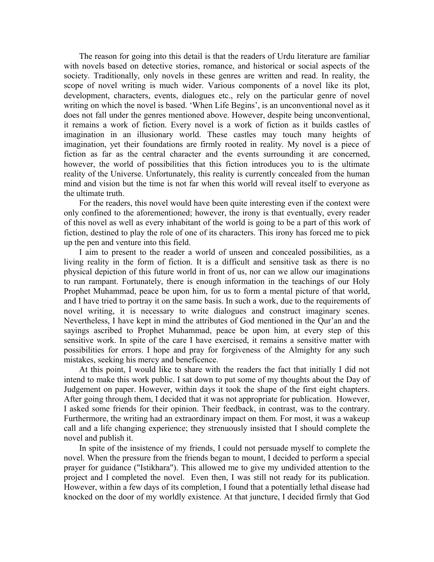The reason for going into this detail is that the readers of Urdu literature are familiar with novels based on detective stories, romance, and historical or social aspects of the society. Traditionally, only novels in these genres are written and read. In reality, the scope of novel writing is much wider. Various components of a novel like its plot, development, characters, events, dialogues etc., rely on the particular genre of novel writing on which the novel is based. 'When Life Begins', is an unconventional novel as it does not fall under the genres mentioned above. However, despite being unconventional, it remains a work of fiction. Every novel is a work of fiction as it builds castles of imagination in an illusionary world. These castles may touch many heights of imagination, yet their foundations are firmly rooted in reality. My novel is a piece of fiction as far as the central character and the events surrounding it are concerned, however, the world of possibilities that this fiction introduces you to is the ultimate reality of the Universe. Unfortunately, this reality is currently concealed from the human mind and vision but the time is not far when this world will reveal itself to everyone as the ultimate truth.

For the readers, this novel would have been quite interesting even if the context were only confined to the aforementioned; however, the irony is that eventually, every reader of this novel as well as every inhabitant of the world is going to be a part of this work of fiction, destined to play the role of one of its characters. This irony has forced me to pick up the pen and venture into this field.

I aim to present to the reader a world of unseen and concealed possibilities, as a living reality in the form of fiction. It is a difficult and sensitive task as there is no physical depiction of this future world in front of us, nor can we allow our imaginations to run rampant. Fortunately, there is enough information in the teachings of our Holy Prophet Muhammad, peace be upon him, for us to form a mental picture of that world, and I have tried to portray it on the same basis. In such a work, due to the requirements of novel writing, it is necessary to write dialogues and construct imaginary scenes. Nevertheless, I have kept in mind the attributes of God mentioned in the Qur'an and the sayings ascribed to Prophet Muhammad, peace be upon him, at every step of this sensitive work. In spite of the care I have exercised, it remains a sensitive matter with possibilities for errors. I hope and pray for forgiveness of the Almighty for any such mistakes, seeking his mercy and beneficence.

At this point, I would like to share with the readers the fact that initially I did not intend to make this work public. I sat down to put some of my thoughts about the Day of Judgement on paper. However, within days it took the shape of the first eight chapters. After going through them, I decided that it was not appropriate for publication. However, I asked some friends for their opinion. Their feedback, in contrast, was to the contrary. Furthermore, the writing had an extraordinary impact on them. For most, it was a wakeup call and a life changing experience; they strenuously insisted that I should complete the novel and publish it.

In spite of the insistence of my friends, I could not persuade myself to complete the novel. When the pressure from the friends began to mount, I decided to perform a special prayer for guidance ("Istikhara"). This allowed me to give my undivided attention to the project and I completed the novel. Even then, I was still not ready for its publication. However, within a few days of its completion, I found that a potentially lethal disease had knocked on the door of my worldly existence. At that juncture, I decided firmly that God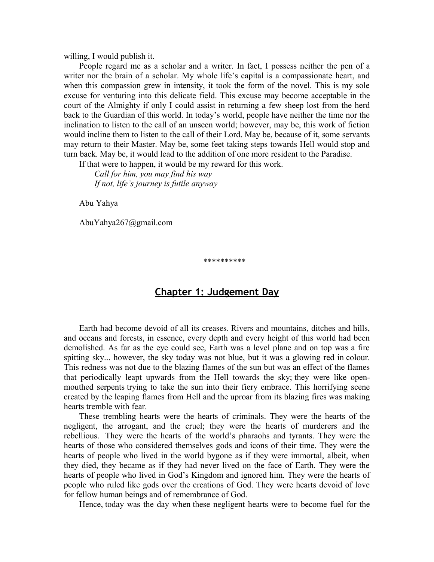willing, I would publish it.

People regard me as a scholar and a writer. In fact, I possess neither the pen of a writer nor the brain of a scholar. My whole life's capital is a compassionate heart, and when this compassion grew in intensity, it took the form of the novel. This is my sole excuse for venturing into this delicate field. This excuse may become acceptable in the court of the Almighty if only I could assist in returning a few sheep lost from the herd back to the Guardian of this world. In today's world, people have neither the time nor the inclination to listen to the call of an unseen world; however, may be, this work of fiction would incline them to listen to the call of their Lord. May be, because of it, some servants may return to their Master. May be, some feet taking steps towards Hell would stop and turn back. May be, it would lead to the addition of one more resident to the Paradise.

If that were to happen, it would be my reward for this work.

*Call for him, you may find his way If not, life's journey is futile anyway*

Abu Yahya

AbuYahya267@gmail.com

\*\*\*\*\*\*\*\*\*\*

# <span id="page-8-0"></span>**Chapter 1: Judgement Day**

Earth had become devoid of all its creases. Rivers and mountains, ditches and hills, and oceans and forests, in essence, every depth and every height of this world had been demolished. As far as the eye could see, Earth was a level plane and on top was a fire spitting sky... however, the sky today was not blue, but it was a glowing red in colour. This redness was not due to the blazing flames of the sun but was an effect of the flames that periodically leapt upwards from the Hell towards the sky; they were like openmouthed serpents trying to take the sun into their fiery embrace. This horrifying scene created by the leaping flames from Hell and the uproar from its blazing fires was making hearts tremble with fear.

These trembling hearts were the hearts of criminals. They were the hearts of the negligent, the arrogant, and the cruel; they were the hearts of murderers and the rebellious. They were the hearts of the world's pharaohs and tyrants. They were the hearts of those who considered themselves gods and icons of their time. They were the hearts of people who lived in the world bygone as if they were immortal, albeit, when they died, they became as if they had never lived on the face of Earth. They were the hearts of people who lived in God's Kingdom and ignored him. They were the hearts of people who ruled like gods over the creations of God. They were hearts devoid of love for fellow human beings and of remembrance of God.

Hence, today was the day when these negligent hearts were to become fuel for the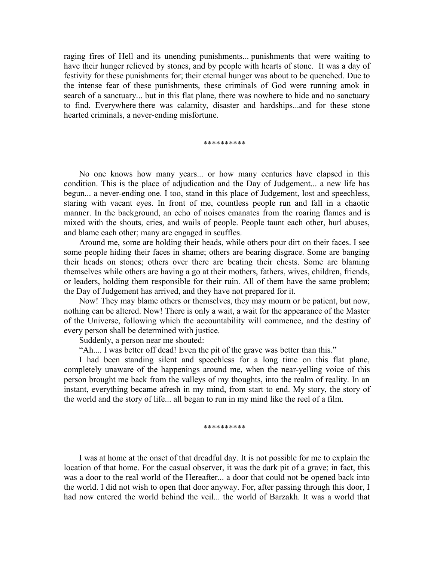raging fires of Hell and its unending punishments... punishments that were waiting to have their hunger relieved by stones, and by people with hearts of stone. It was a day of festivity for these punishments for; their eternal hunger was about to be quenched. Due to the intense fear of these punishments, these criminals of God were running amok in search of a sanctuary... but in this flat plane, there was nowhere to hide and no sanctuary to find. Everywhere there was calamity, disaster and hardships...and for these stone hearted criminals, a never-ending misfortune.

\*\*\*\*\*\*\*\*\*\*

No one knows how many years... or how many centuries have elapsed in this condition. This is the place of adjudication and the Day of Judgement... a new life has begun... a never-ending one. I too, stand in this place of Judgement, lost and speechless, staring with vacant eyes. In front of me, countless people run and fall in a chaotic manner. In the background, an echo of noises emanates from the roaring flames and is mixed with the shouts, cries, and wails of people. People taunt each other, hurl abuses, and blame each other; many are engaged in scuffles.

Around me, some are holding their heads, while others pour dirt on their faces. I see some people hiding their faces in shame; others are bearing disgrace. Some are banging their heads on stones; others over there are beating their chests. Some are blaming themselves while others are having a go at their mothers, fathers, wives, children, friends, or leaders, holding them responsible for their ruin. All of them have the same problem; the Day of Judgement has arrived, and they have not prepared for it.

Now! They may blame others or themselves, they may mourn or be patient, but now, nothing can be altered. Now! There is only a wait, a wait for the appearance of the Master of the Universe, following which the accountability will commence, and the destiny of every person shall be determined with justice.

Suddenly, a person near me shouted:

"Ah.... I was better off dead! Even the pit of the grave was better than this."

I had been standing silent and speechless for a long time on this flat plane, completely unaware of the happenings around me, when the near-yelling voice of this person brought me back from the valleys of my thoughts, into the realm of reality. In an instant, everything became afresh in my mind, from start to end. My story, the story of the world and the story of life... all began to run in my mind like the reel of a film.

\*\*\*\*\*\*\*\*\*

I was at home at the onset of that dreadful day. It is not possible for me to explain the location of that home. For the casual observer, it was the dark pit of a grave; in fact, this was a door to the real world of the Hereafter... a door that could not be opened back into the world. I did not wish to open that door anyway. For, after passing through this door, I had now entered the world behind the veil... the world of Barzakh. It was a world that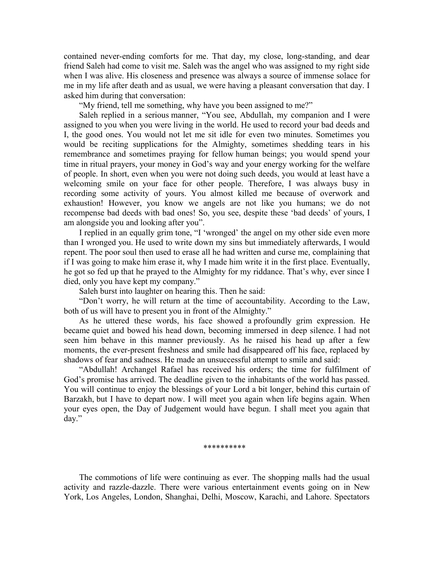contained never-ending comforts for me. That day, my close, long-standing, and dear friend Saleh had come to visit me. Saleh was the angel who was assigned to my right side when I was alive. His closeness and presence was always a source of immense solace for me in my life after death and as usual, we were having a pleasant conversation that day. I asked him during that conversation:

"My friend, tell me something, why have you been assigned to me?"

Saleh replied in a serious manner, "You see, Abdullah, my companion and I were assigned to you when you were living in the world. He used to record your bad deeds and I, the good ones. You would not let me sit idle for even two minutes. Sometimes you would be reciting supplications for the Almighty, sometimes shedding tears in his remembrance and sometimes praying for fellow human beings; you would spend your time in ritual prayers, your money in God's way and your energy working for the welfare of people. In short, even when you were not doing such deeds, you would at least have a welcoming smile on your face for other people. Therefore, I was always busy in recording some activity of yours. You almost killed me because of overwork and exhaustion! However, you know we angels are not like you humans; we do not recompense bad deeds with bad ones! So, you see, despite these 'bad deeds' of yours, I am alongside you and looking after you".

I replied in an equally grim tone, "I 'wronged' the angel on my other side even more than I wronged you. He used to write down my sins but immediately afterwards, I would repent. The poor soul then used to erase all he had written and curse me, complaining that if I was going to make him erase it, why I made him write it in the first place. Eventually, he got so fed up that he prayed to the Almighty for my riddance. That's why, ever since I died, only you have kept my company."

Saleh burst into laughter on hearing this. Then he said:

"Don't worry, he will return at the time of accountability. According to the Law, both of us will have to present you in front of the Almighty."

As he uttered these words, his face showed a profoundly grim expression. He became quiet and bowed his head down, becoming immersed in deep silence. I had not seen him behave in this manner previously. As he raised his head up after a few moments, the ever-present freshness and smile had disappeared off his face, replaced by shadows of fear and sadness. He made an unsuccessful attempt to smile and said:

"Abdullah! Archangel Rafael has received his orders; the time for fulfilment of God's promise has arrived. The deadline given to the inhabitants of the world has passed. You will continue to enjoy the blessings of your Lord a bit longer, behind this curtain of Barzakh, but I have to depart now. I will meet you again when life begins again. When your eyes open, the Day of Judgement would have begun. I shall meet you again that day."

#### \*\*\*\*\*\*\*\*\*\*

The commotions of life were continuing as ever. The shopping malls had the usual activity and razzle-dazzle. There were various entertainment events going on in New York, Los Angeles, London, Shanghai, Delhi, Moscow, Karachi, and Lahore. Spectators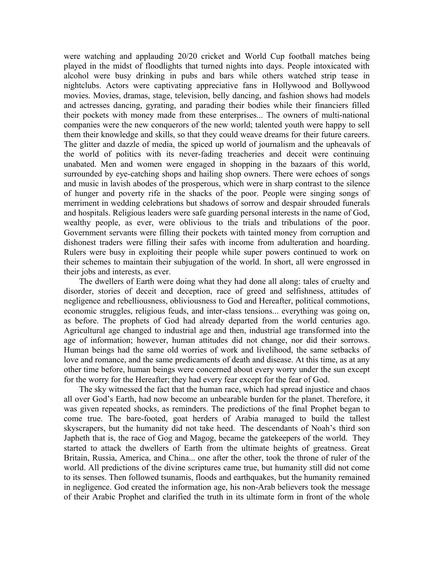were watching and applauding 20/20 cricket and World Cup football matches being played in the midst of floodlights that turned nights into days. People intoxicated with alcohol were busy drinking in pubs and bars while others watched strip tease in nightclubs. Actors were captivating appreciative fans in Hollywood and Bollywood movies. Movies, dramas, stage, television, belly dancing, and fashion shows had models and actresses dancing, gyrating, and parading their bodies while their financiers filled their pockets with money made from these enterprises... The owners of multi-national companies were the new conquerors of the new world; talented youth were happy to sell them their knowledge and skills, so that they could weave dreams for their future careers. The glitter and dazzle of media, the spiced up world of journalism and the upheavals of the world of politics with its never-fading treacheries and deceit were continuing unabated. Men and women were engaged in shopping in the bazaars of this world, surrounded by eye-catching shops and hailing shop owners. There were echoes of songs and music in lavish abodes of the prosperous, which were in sharp contrast to the silence of hunger and poverty rife in the shacks of the poor. People were singing songs of merriment in wedding celebrations but shadows of sorrow and despair shrouded funerals and hospitals. Religious leaders were safe guarding personal interests in the name of God, wealthy people, as ever, were oblivious to the trials and tribulations of the poor. Government servants were filling their pockets with tainted money from corruption and dishonest traders were filling their safes with income from adulteration and hoarding. Rulers were busy in exploiting their people while super powers continued to work on their schemes to maintain their subjugation of the world. In short, all were engrossed in their jobs and interests, as ever.

The dwellers of Earth were doing what they had done all along: tales of cruelty and disorder, stories of deceit and deception, race of greed and selfishness, attitudes of negligence and rebelliousness, obliviousness to God and Hereafter, political commotions, economic struggles, religious feuds, and inter-class tensions... everything was going on, as before. The prophets of God had already departed from the world centuries ago. Agricultural age changed to industrial age and then, industrial age transformed into the age of information; however, human attitudes did not change, nor did their sorrows. Human beings had the same old worries of work and livelihood, the same setbacks of love and romance, and the same predicaments of death and disease. At this time, as at any other time before, human beings were concerned about every worry under the sun except for the worry for the Hereafter; they had every fear except for the fear of God.

The sky witnessed the fact that the human race, which had spread injustice and chaos all over God's Earth, had now become an unbearable burden for the planet. Therefore, it was given repeated shocks, as reminders. The predictions of the final Prophet began to come true. The bare-footed, goat herders of Arabia managed to build the tallest skyscrapers, but the humanity did not take heed. The descendants of Noah's third son Japheth that is, the race of Gog and Magog, became the gatekeepers of the world. They started to attack the dwellers of Earth from the ultimate heights of greatness. Great Britain, Russia, America, and China... one after the other, took the throne of ruler of the world. All predictions of the divine scriptures came true, but humanity still did not come to its senses. Then followed tsunamis, floods and earthquakes, but the humanity remained in negligence. God created the information age, his non-Arab believers took the message of their Arabic Prophet and clarified the truth in its ultimate form in front of the whole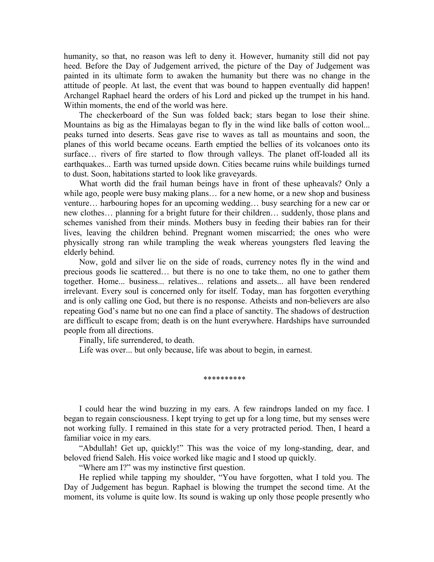humanity, so that, no reason was left to deny it. However, humanity still did not pay heed. Before the Day of Judgement arrived, the picture of the Day of Judgement was painted in its ultimate form to awaken the humanity but there was no change in the attitude of people. At last, the event that was bound to happen eventually did happen! Archangel Raphael heard the orders of his Lord and picked up the trumpet in his hand. Within moments, the end of the world was here.

The checkerboard of the Sun was folded back; stars began to lose their shine. Mountains as big as the Himalayas began to fly in the wind like balls of cotton wool... peaks turned into deserts. Seas gave rise to waves as tall as mountains and soon, the planes of this world became oceans. Earth emptied the bellies of its volcanoes onto its surface... rivers of fire started to flow through valleys. The planet off-loaded all its earthquakes... Earth was turned upside down. Cities became ruins while buildings turned to dust. Soon, habitations started to look like graveyards.

What worth did the frail human beings have in front of these upheavals? Only a while ago, people were busy making plans... for a new home, or a new shop and business venture… harbouring hopes for an upcoming wedding… busy searching for a new car or new clothes… planning for a bright future for their children… suddenly, those plans and schemes vanished from their minds. Mothers busy in feeding their babies ran for their lives, leaving the children behind. Pregnant women miscarried; the ones who were physically strong ran while trampling the weak whereas youngsters fled leaving the elderly behind.

Now, gold and silver lie on the side of roads, currency notes fly in the wind and precious goods lie scattered… but there is no one to take them, no one to gather them together. Home... business... relatives... relations and assets... all have been rendered irrelevant. Every soul is concerned only for itself. Today, man has forgotten everything and is only calling one God, but there is no response. Atheists and non-believers are also repeating God's name but no one can find a place of sanctity. The shadows of destruction are difficult to escape from; death is on the hunt everywhere. Hardships have surrounded people from all directions.

Finally, life surrendered, to death.

Life was over... but only because, life was about to begin, in earnest.

\*\*\*\*\*\*\*\*\*\*

I could hear the wind buzzing in my ears. A few raindrops landed on my face. I began to regain consciousness. I kept trying to get up for a long time, but my senses were not working fully. I remained in this state for a very protracted period. Then, I heard a familiar voice in my ears.

"Abdullah! Get up, quickly!" This was the voice of my long-standing, dear, and beloved friend Saleh. His voice worked like magic and I stood up quickly.

"Where am I?" was my instinctive first question.

He replied while tapping my shoulder, "You have forgotten, what I told you. The Day of Judgement has begun. Raphael is blowing the trumpet the second time. At the moment, its volume is quite low. Its sound is waking up only those people presently who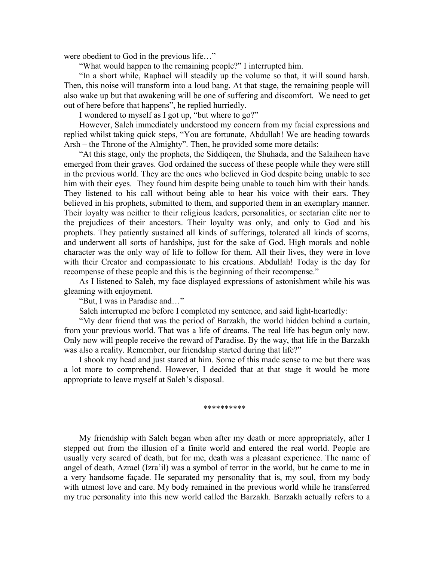were obedient to God in the previous life…"

"What would happen to the remaining people?" I interrupted him.

"In a short while, Raphael will steadily up the volume so that, it will sound harsh. Then, this noise will transform into a loud bang. At that stage, the remaining people will also wake up but that awakening will be one of suffering and discomfort. We need to get out of here before that happens", he replied hurriedly.

I wondered to myself as I got up, "but where to go?"

However, Saleh immediately understood my concern from my facial expressions and replied whilst taking quick steps, "You are fortunate, Abdullah! We are heading towards Arsh – the Throne of the Almighty". Then, he provided some more details:

"At this stage, only the prophets, the Siddiqeen, the Shuhada, and the Salaiheen have emerged from their graves. God ordained the success of these people while they were still in the previous world. They are the ones who believed in God despite being unable to see him with their eyes. They found him despite being unable to touch him with their hands. They listened to his call without being able to hear his voice with their ears. They believed in his prophets, submitted to them, and supported them in an exemplary manner. Their loyalty was neither to their religious leaders, personalities, or sectarian elite nor to the prejudices of their ancestors. Their loyalty was only, and only to God and his prophets. They patiently sustained all kinds of sufferings, tolerated all kinds of scorns, and underwent all sorts of hardships, just for the sake of God. High morals and noble character was the only way of life to follow for them. All their lives, they were in love with their Creator and compassionate to his creations. Abdullah! Today is the day for recompense of these people and this is the beginning of their recompense."

As I listened to Saleh, my face displayed expressions of astonishment while his was gleaming with enjoyment.

"But, I was in Paradise and…"

Saleh interrupted me before I completed my sentence, and said light-heartedly:

"My dear friend that was the period of Barzakh, the world hidden behind a curtain, from your previous world. That was a life of dreams. The real life has begun only now. Only now will people receive the reward of Paradise. By the way, that life in the Barzakh was also a reality. Remember, our friendship started during that life?"

I shook my head and just stared at him. Some of this made sense to me but there was a lot more to comprehend. However, I decided that at that stage it would be more appropriate to leave myself at Saleh's disposal.

\*\*\*\*\*\*\*\*\*\*

My friendship with Saleh began when after my death or more appropriately, after I stepped out from the illusion of a finite world and entered the real world. People are usually very scared of death, but for me, death was a pleasant experience. The name of angel of death, Azrael (Izra'il) was a symbol of terror in the world, but he came to me in a very handsome façade. He separated my personality that is, my soul, from my body with utmost love and care. My body remained in the previous world while he transferred my true personality into this new world called the Barzakh. Barzakh actually refers to a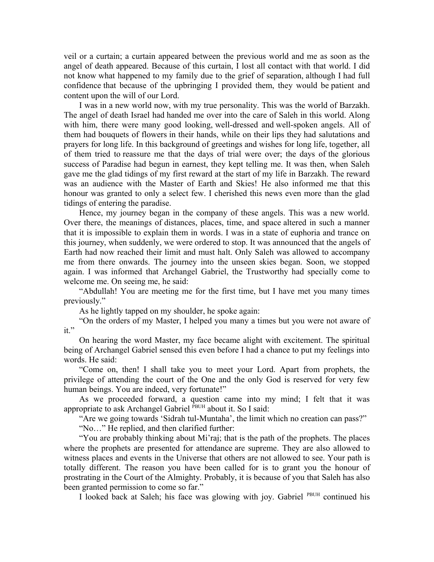veil or a curtain; a curtain appeared between the previous world and me as soon as the angel of death appeared. Because of this curtain, I lost all contact with that world. I did not know what happened to my family due to the grief of separation, although I had full confidence that because of the upbringing I provided them, they would be patient and content upon the will of our Lord.

I was in a new world now, with my true personality. This was the world of Barzakh. The angel of death Israel had handed me over into the care of Saleh in this world. Along with him, there were many good looking, well-dressed and well-spoken angels. All of them had bouquets of flowers in their hands, while on their lips they had salutations and prayers for long life. In this background of greetings and wishes for long life, together, all of them tried to reassure me that the days of trial were over; the days of the glorious success of Paradise had begun in earnest, they kept telling me. It was then, when Saleh gave me the glad tidings of my first reward at the start of my life in Barzakh. The reward was an audience with the Master of Earth and Skies! He also informed me that this honour was granted to only a select few. I cherished this news even more than the glad tidings of entering the paradise.

Hence, my journey began in the company of these angels. This was a new world. Over there, the meanings of distances, places, time, and space altered in such a manner that it is impossible to explain them in words. I was in a state of euphoria and trance on this journey, when suddenly, we were ordered to stop. It was announced that the angels of Earth had now reached their limit and must halt. Only Saleh was allowed to accompany me from there onwards. The journey into the unseen skies began. Soon, we stopped again. I was informed that Archangel Gabriel, the Trustworthy had specially come to welcome me. On seeing me, he said:

"Abdullah! You are meeting me for the first time, but I have met you many times previously."

As he lightly tapped on my shoulder, he spoke again:

"On the orders of my Master, I helped you many a times but you were not aware of  $it"$ 

On hearing the word Master, my face became alight with excitement. The spiritual being of Archangel Gabriel sensed this even before I had a chance to put my feelings into words. He said:

"Come on, then! I shall take you to meet your Lord. Apart from prophets, the privilege of attending the court of the One and the only God is reserved for very few human beings. You are indeed, very fortunate!"

As we proceeded forward, a question came into my mind; I felt that it was appropriate to ask Archangel Gabriel PBUH about it. So I said:

"Are we going towards 'Sidrah tul-Muntaha', the limit which no creation can pass?" "No…" He replied, and then clarified further:

"You are probably thinking about Mi'raj; that is the path of the prophets. The places where the prophets are presented for attendance are supreme. They are also allowed to witness places and events in the Universe that others are not allowed to see. Your path is totally different. The reason you have been called for is to grant you the honour of prostrating in the Court of the Almighty. Probably, it is because of you that Saleh has also been granted permission to come so far."

I looked back at Saleh; his face was glowing with joy. Gabriel PBUH continued his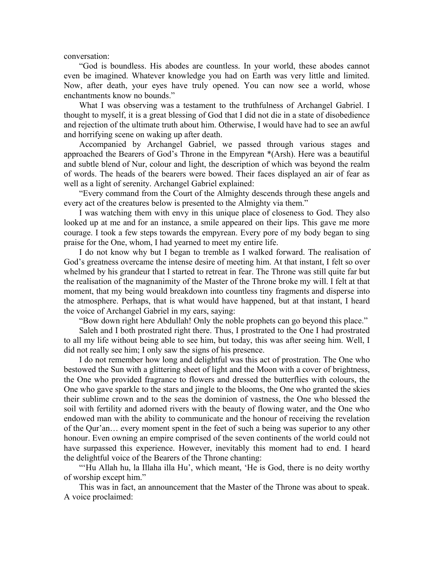conversation:

"God is boundless. His abodes are countless. In your world, these abodes cannot even be imagined. Whatever knowledge you had on Earth was very little and limited. Now, after death, your eyes have truly opened. You can now see a world, whose enchantments know no bounds."

What I was observing was a testament to the truthfulness of Archangel Gabriel. I thought to myself, it is a great blessing of God that I did not die in a state of disobedience and rejection of the ultimate truth about him. Otherwise, I would have had to see an awful and horrifying scene on waking up after death.

Accompanied by Archangel Gabriel, we passed through various stages and approached the Bearers of God's Throne in the Empyrean \*(Arsh). Here was a beautiful and subtle blend of Nur, colour and light, the description of which was beyond the realm of words. The heads of the bearers were bowed. Their faces displayed an air of fear as well as a light of serenity. Archangel Gabriel explained:

"Every command from the Court of the Almighty descends through these angels and every act of the creatures below is presented to the Almighty via them."

I was watching them with envy in this unique place of closeness to God. They also looked up at me and for an instance, a smile appeared on their lips. This gave me more courage. I took a few steps towards the empyrean. Every pore of my body began to sing praise for the One, whom, I had yearned to meet my entire life.

I do not know why but I began to tremble as I walked forward. The realisation of God's greatness overcame the intense desire of meeting him. At that instant, I felt so over whelmed by his grandeur that I started to retreat in fear. The Throne was still quite far but the realisation of the magnanimity of the Master of the Throne broke my will. I felt at that moment, that my being would breakdown into countless tiny fragments and disperse into the atmosphere. Perhaps, that is what would have happened, but at that instant, I heard the voice of Archangel Gabriel in my ears, saying:

"Bow down right here Abdullah! Only the noble prophets can go beyond this place."

Saleh and I both prostrated right there. Thus, I prostrated to the One I had prostrated to all my life without being able to see him, but today, this was after seeing him. Well, I did not really see him; I only saw the signs of his presence.

I do not remember how long and delightful was this act of prostration. The One who bestowed the Sun with a glittering sheet of light and the Moon with a cover of brightness, the One who provided fragrance to flowers and dressed the butterflies with colours, the One who gave sparkle to the stars and jingle to the blooms, the One who granted the skies their sublime crown and to the seas the dominion of vastness, the One who blessed the soil with fertility and adorned rivers with the beauty of flowing water, and the One who endowed man with the ability to communicate and the honour of receiving the revelation of the Qur'an… every moment spent in the feet of such a being was superior to any other honour. Even owning an empire comprised of the seven continents of the world could not have surpassed this experience. However, inevitably this moment had to end. I heard the delightful voice of the Bearers of the Throne chanting:

"'Hu Allah hu, la Illaha illa Hu', which meant, 'He is God, there is no deity worthy of worship except him."

This was in fact, an announcement that the Master of the Throne was about to speak. A voice proclaimed: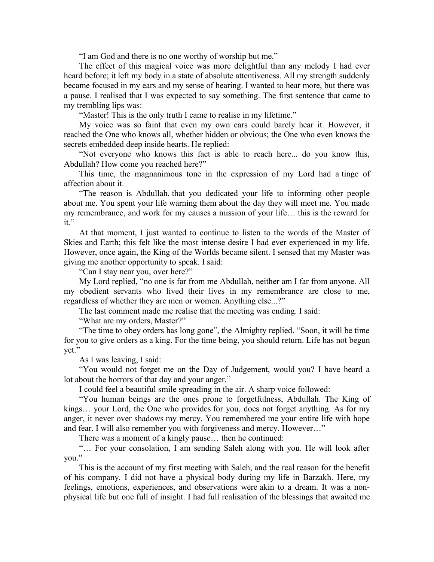"I am God and there is no one worthy of worship but me."

The effect of this magical voice was more delightful than any melody I had ever heard before; it left my body in a state of absolute attentiveness. All my strength suddenly became focused in my ears and my sense of hearing. I wanted to hear more, but there was a pause. I realised that I was expected to say something. The first sentence that came to my trembling lips was:

"Master! This is the only truth I came to realise in my lifetime."

My voice was so faint that even my own ears could barely hear it. However, it reached the One who knows all, whether hidden or obvious; the One who even knows the secrets embedded deep inside hearts. He replied:

"Not everyone who knows this fact is able to reach here... do you know this, Abdullah? How come you reached here?"

This time, the magnanimous tone in the expression of my Lord had a tinge of affection about it.

"The reason is Abdullah, that you dedicated your life to informing other people about me. You spent your life warning them about the day they will meet me. You made my remembrance, and work for my causes a mission of your life… this is the reward for it."

At that moment, I just wanted to continue to listen to the words of the Master of Skies and Earth; this felt like the most intense desire I had ever experienced in my life. However, once again, the King of the Worlds became silent. I sensed that my Master was giving me another opportunity to speak. I said:

"Can I stay near you, over here?"

My Lord replied, "no one is far from me Abdullah, neither am I far from anyone. All my obedient servants who lived their lives in my remembrance are close to me, regardless of whether they are men or women. Anything else...?"

The last comment made me realise that the meeting was ending. I said:

"What are my orders, Master?"

"The time to obey orders has long gone", the Almighty replied. "Soon, it will be time for you to give orders as a king. For the time being, you should return. Life has not begun yet."

As I was leaving, I said:

"You would not forget me on the Day of Judgement, would you? I have heard a lot about the horrors of that day and your anger."

I could feel a beautiful smile spreading in the air. A sharp voice followed:

"You human beings are the ones prone to forgetfulness, Abdullah. The King of kings… your Lord, the One who provides for you, does not forget anything. As for my anger, it never over shadows my mercy. You remembered me your entire life with hope and fear. I will also remember you with forgiveness and mercy. However…"

There was a moment of a kingly pause… then he continued:

"… For your consolation, I am sending Saleh along with you. He will look after you."

This is the account of my first meeting with Saleh, and the real reason for the benefit of his company. I did not have a physical body during my life in Barzakh. Here, my feelings, emotions, experiences, and observations were akin to a dream. It was a nonphysical life but one full of insight. I had full realisation of the blessings that awaited me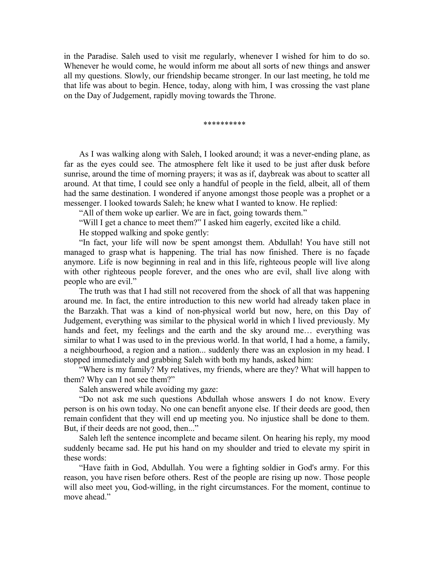in the Paradise. Saleh used to visit me regularly, whenever I wished for him to do so. Whenever he would come, he would inform me about all sorts of new things and answer all my questions. Slowly, our friendship became stronger. In our last meeting, he told me that life was about to begin. Hence, today, along with him, I was crossing the vast plane on the Day of Judgement, rapidly moving towards the Throne.

\*\*\*\*\*\*\*\*\*\*

As I was walking along with Saleh, I looked around; it was a never-ending plane, as far as the eyes could see. The atmosphere felt like it used to be just after dusk before sunrise, around the time of morning prayers; it was as if, daybreak was about to scatter all around. At that time, I could see only a handful of people in the field, albeit, all of them had the same destination. I wondered if anyone amongst those people was a prophet or a messenger. I looked towards Saleh; he knew what I wanted to know. He replied:

"All of them woke up earlier. We are in fact, going towards them."

"Will I get a chance to meet them?" I asked him eagerly, excited like a child.

He stopped walking and spoke gently:

"In fact, your life will now be spent amongst them. Abdullah! You have still not managed to grasp what is happening. The trial has now finished. There is no façade anymore. Life is now beginning in real and in this life, righteous people will live along with other righteous people forever, and the ones who are evil, shall live along with people who are evil."

The truth was that I had still not recovered from the shock of all that was happening around me. In fact, the entire introduction to this new world had already taken place in the Barzakh. That was a kind of non-physical world but now, here, on this Day of Judgement, everything was similar to the physical world in which I lived previously. My hands and feet, my feelings and the earth and the sky around me... everything was similar to what I was used to in the previous world. In that world, I had a home, a family, a neighbourhood, a region and a nation... suddenly there was an explosion in my head. I stopped immediately and grabbing Saleh with both my hands, asked him:

"Where is my family? My relatives, my friends, where are they? What will happen to them? Why can I not see them?"

Saleh answered while avoiding my gaze:

"Do not ask me such questions Abdullah whose answers I do not know. Every person is on his own today. No one can benefit anyone else. If their deeds are good, then remain confident that they will end up meeting you. No injustice shall be done to them. But, if their deeds are not good, then..."

Saleh left the sentence incomplete and became silent. On hearing his reply, my mood suddenly became sad. He put his hand on my shoulder and tried to elevate my spirit in these words:

"Have faith in God, Abdullah. You were a fighting soldier in God's army. For this reason, you have risen before others. Rest of the people are rising up now. Those people will also meet you, God-willing, in the right circumstances. For the moment, continue to move ahead."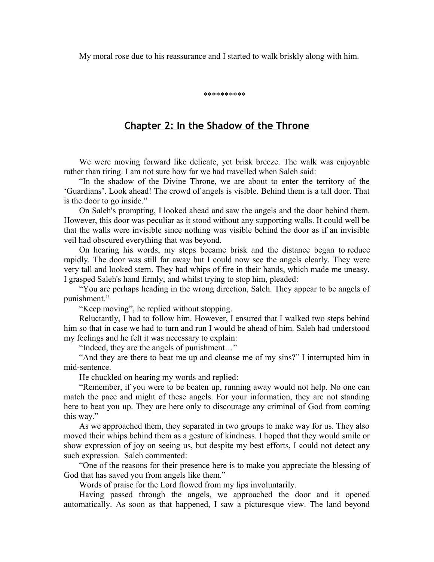My moral rose due to his reassurance and I started to walk briskly along with him.

\*\*\*\*\*\*\*\*\*\*

# <span id="page-18-0"></span>**Chapter 2: In the Shadow of the Throne**

We were moving forward like delicate, yet brisk breeze. The walk was enjoyable rather than tiring. I am not sure how far we had travelled when Saleh said:

"In the shadow of the Divine Throne, we are about to enter the territory of the 'Guardians'. Look ahead! The crowd of angels is visible. Behind them is a tall door. That is the door to go inside."

On Saleh's prompting, I looked ahead and saw the angels and the door behind them. However, this door was peculiar as it stood without any supporting walls. It could well be that the walls were invisible since nothing was visible behind the door as if an invisible veil had obscured everything that was beyond.

On hearing his words, my steps became brisk and the distance began to reduce rapidly. The door was still far away but I could now see the angels clearly. They were very tall and looked stern. They had whips of fire in their hands, which made me uneasy. I grasped Saleh's hand firmly, and whilst trying to stop him, pleaded:

"You are perhaps heading in the wrong direction, Saleh. They appear to be angels of punishment."

"Keep moving", he replied without stopping.

Reluctantly, I had to follow him. However, I ensured that I walked two steps behind him so that in case we had to turn and run I would be ahead of him. Saleh had understood my feelings and he felt it was necessary to explain:

"Indeed, they are the angels of punishment…"

"And they are there to beat me up and cleanse me of my sins?" I interrupted him in mid-sentence.

He chuckled on hearing my words and replied:

"Remember, if you were to be beaten up, running away would not help. No one can match the pace and might of these angels. For your information, they are not standing here to beat you up. They are here only to discourage any criminal of God from coming this way."

As we approached them, they separated in two groups to make way for us. They also moved their whips behind them as a gesture of kindness. I hoped that they would smile or show expression of joy on seeing us, but despite my best efforts, I could not detect any such expression. Saleh commented:

"One of the reasons for their presence here is to make you appreciate the blessing of God that has saved you from angels like them."

Words of praise for the Lord flowed from my lips involuntarily.

Having passed through the angels, we approached the door and it opened automatically. As soon as that happened, I saw a picturesque view. The land beyond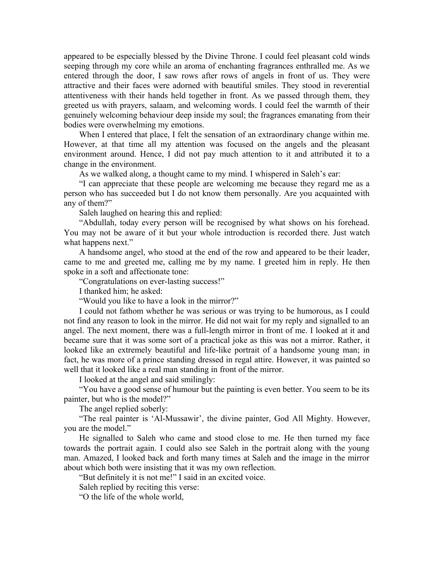appeared to be especially blessed by the Divine Throne. I could feel pleasant cold winds seeping through my core while an aroma of enchanting fragrances enthralled me. As we entered through the door, I saw rows after rows of angels in front of us. They were attractive and their faces were adorned with beautiful smiles. They stood in reverential attentiveness with their hands held together in front. As we passed through them, they greeted us with prayers, salaam, and welcoming words. I could feel the warmth of their genuinely welcoming behaviour deep inside my soul; the fragrances emanating from their bodies were overwhelming my emotions.

When I entered that place, I felt the sensation of an extraordinary change within me. However, at that time all my attention was focused on the angels and the pleasant environment around. Hence, I did not pay much attention to it and attributed it to a change in the environment.

As we walked along, a thought came to my mind. I whispered in Saleh's ear:

"I can appreciate that these people are welcoming me because they regard me as a person who has succeeded but I do not know them personally. Are you acquainted with any of them?"

Saleh laughed on hearing this and replied:

"Abdullah, today every person will be recognised by what shows on his forehead. You may not be aware of it but your whole introduction is recorded there. Just watch what happens next."

A handsome angel, who stood at the end of the row and appeared to be their leader, came to me and greeted me, calling me by my name. I greeted him in reply. He then spoke in a soft and affectionate tone:

"Congratulations on ever-lasting success!"

I thanked him; he asked:

"Would you like to have a look in the mirror?"

I could not fathom whether he was serious or was trying to be humorous, as I could not find any reason to look in the mirror. He did not wait for my reply and signalled to an angel. The next moment, there was a full-length mirror in front of me. I looked at it and became sure that it was some sort of a practical joke as this was not a mirror. Rather, it looked like an extremely beautiful and life-like portrait of a handsome young man; in fact, he was more of a prince standing dressed in regal attire. However, it was painted so well that it looked like a real man standing in front of the mirror.

I looked at the angel and said smilingly:

"You have a good sense of humour but the painting is even better. You seem to be its painter, but who is the model?"

The angel replied soberly:

"The real painter is 'Al-Mussawir', the divine painter, God All Mighty. However, you are the model."

He signalled to Saleh who came and stood close to me. He then turned my face towards the portrait again. I could also see Saleh in the portrait along with the young man. Amazed, I looked back and forth many times at Saleh and the image in the mirror about which both were insisting that it was my own reflection.

"But definitely it is not me!" I said in an excited voice.

Saleh replied by reciting this verse:

"O the life of the whole world,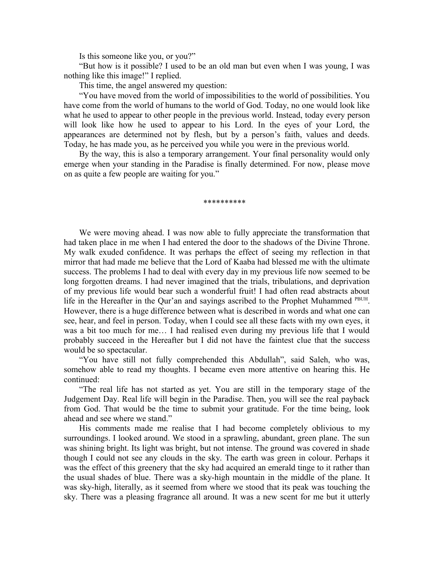Is this someone like you, or you?"

"But how is it possible? I used to be an old man but even when I was young, I was nothing like this image!" I replied.

This time, the angel answered my question:

"You have moved from the world of impossibilities to the world of possibilities. You have come from the world of humans to the world of God. Today, no one would look like what he used to appear to other people in the previous world. Instead, today every person will look like how he used to appear to his Lord. In the eyes of your Lord, the appearances are determined not by flesh, but by a person's faith, values and deeds. Today, he has made you, as he perceived you while you were in the previous world.

By the way, this is also a temporary arrangement. Your final personality would only emerge when your standing in the Paradise is finally determined. For now, please move on as quite a few people are waiting for you."

\*\*\*\*\*\*\*\*\*

We were moving ahead. I was now able to fully appreciate the transformation that had taken place in me when I had entered the door to the shadows of the Divine Throne. My walk exuded confidence. It was perhaps the effect of seeing my reflection in that mirror that had made me believe that the Lord of Kaaba had blessed me with the ultimate success. The problems I had to deal with every day in my previous life now seemed to be long forgotten dreams. I had never imagined that the trials, tribulations, and deprivation of my previous life would bear such a wonderful fruit! I had often read abstracts about life in the Hereafter in the Qur'an and sayings ascribed to the Prophet Muhammed <sup>PBUH</sup>. However, there is a huge difference between what is described in words and what one can see, hear, and feel in person. Today, when I could see all these facts with my own eyes, it was a bit too much for me… I had realised even during my previous life that I would probably succeed in the Hereafter but I did not have the faintest clue that the success would be so spectacular.

"You have still not fully comprehended this Abdullah", said Saleh, who was, somehow able to read my thoughts. I became even more attentive on hearing this. He continued:

"The real life has not started as yet. You are still in the temporary stage of the Judgement Day. Real life will begin in the Paradise. Then, you will see the real payback from God. That would be the time to submit your gratitude. For the time being, look ahead and see where we stand."

His comments made me realise that I had become completely oblivious to my surroundings. I looked around. We stood in a sprawling, abundant, green plane. The sun was shining bright. Its light was bright, but not intense. The ground was covered in shade though I could not see any clouds in the sky. The earth was green in colour. Perhaps it was the effect of this greenery that the sky had acquired an emerald tinge to it rather than the usual shades of blue. There was a sky-high mountain in the middle of the plane. It was sky-high, literally, as it seemed from where we stood that its peak was touching the sky. There was a pleasing fragrance all around. It was a new scent for me but it utterly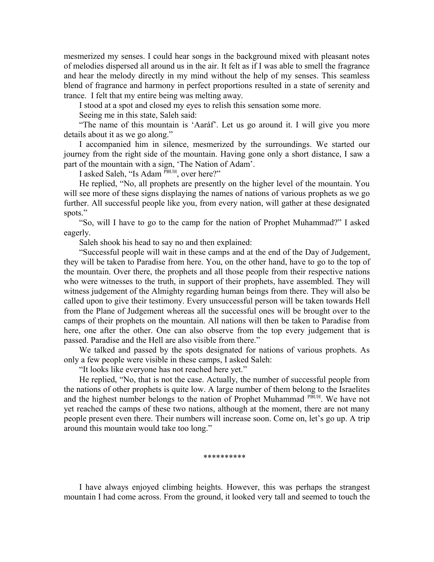mesmerized my senses. I could hear songs in the background mixed with pleasant notes of melodies dispersed all around us in the air. It felt as if I was able to smell the fragrance and hear the melody directly in my mind without the help of my senses. This seamless blend of fragrance and harmony in perfect proportions resulted in a state of serenity and trance. I felt that my entire being was melting away.

I stood at a spot and closed my eyes to relish this sensation some more.

Seeing me in this state, Saleh said:

"The name of this mountain is 'Aaráf'. Let us go around it. I will give you more details about it as we go along."

I accompanied him in silence, mesmerized by the surroundings. We started our journey from the right side of the mountain. Having gone only a short distance, I saw a part of the mountain with a sign, 'The Nation of Adam'.

I asked Saleh, "Is Adam <sup>PBUH</sup>, over here?"

He replied, "No, all prophets are presently on the higher level of the mountain. You will see more of these signs displaying the names of nations of various prophets as we go further. All successful people like you, from every nation, will gather at these designated spots."

"So, will I have to go to the camp for the nation of Prophet Muhammad?" I asked eagerly.

Saleh shook his head to say no and then explained:

"Successful people will wait in these camps and at the end of the Day of Judgement, they will be taken to Paradise from here. You, on the other hand, have to go to the top of the mountain. Over there, the prophets and all those people from their respective nations who were witnesses to the truth, in support of their prophets, have assembled. They will witness judgement of the Almighty regarding human beings from there. They will also be called upon to give their testimony. Every unsuccessful person will be taken towards Hell from the Plane of Judgement whereas all the successful ones will be brought over to the camps of their prophets on the mountain. All nations will then be taken to Paradise from here, one after the other. One can also observe from the top every judgement that is passed. Paradise and the Hell are also visible from there."

We talked and passed by the spots designated for nations of various prophets. As only a few people were visible in these camps, I asked Saleh:

"It looks like everyone has not reached here yet."

He replied, "No, that is not the case. Actually, the number of successful people from the nations of other prophets is quite low. A large number of them belong to the Israelites and the highest number belongs to the nation of Prophet Muhammad <sup>PBUH</sup>. We have not yet reached the camps of these two nations, although at the moment, there are not many people present even there. Their numbers will increase soon. Come on, let's go up. A trip around this mountain would take too long."

#### \*\*\*\*\*\*\*\*\*\*

I have always enjoyed climbing heights. However, this was perhaps the strangest mountain I had come across. From the ground, it looked very tall and seemed to touch the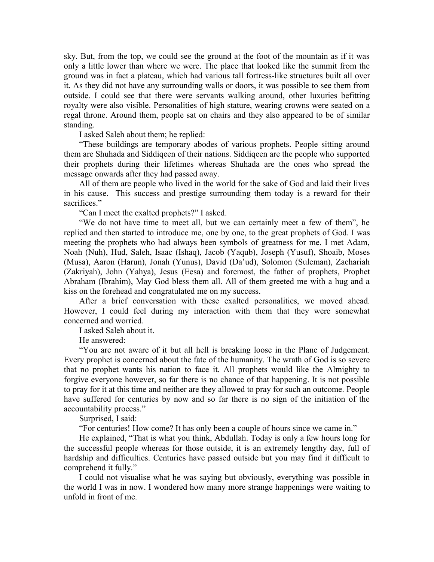sky. But, from the top, we could see the ground at the foot of the mountain as if it was only a little lower than where we were. The place that looked like the summit from the ground was in fact a plateau, which had various tall fortress-like structures built all over it. As they did not have any surrounding walls or doors, it was possible to see them from outside. I could see that there were servants walking around, other luxuries befitting royalty were also visible. Personalities of high stature, wearing crowns were seated on a regal throne. Around them, people sat on chairs and they also appeared to be of similar standing.

I asked Saleh about them; he replied:

"These buildings are temporary abodes of various prophets. People sitting around them are Shuhada and Siddiqeen of their nations. Siddiqeen are the people who supported their prophets during their lifetimes whereas Shuhada are the ones who spread the message onwards after they had passed away.

All of them are people who lived in the world for the sake of God and laid their lives in his cause. This success and prestige surrounding them today is a reward for their sacrifices."

"Can I meet the exalted prophets?" I asked.

"We do not have time to meet all, but we can certainly meet a few of them", he replied and then started to introduce me, one by one, to the great prophets of God. I was meeting the prophets who had always been symbols of greatness for me. I met Adam, Noah (Nuh), Hud, Saleh, Isaac (Ishaq), Jacob (Yaqub), Joseph (Yusuf), Shoaib, Moses (Musa), Aaron (Harun), Jonah (Yunus), David (Da'ud), Solomon (Suleman), Zachariah (Zakriyah), John (Yahya), Jesus (Eesa) and foremost, the father of prophets, Prophet Abraham (Ibrahim), May God bless them all. All of them greeted me with a hug and a kiss on the forehead and congratulated me on my success.

After a brief conversation with these exalted personalities, we moved ahead. However, I could feel during my interaction with them that they were somewhat concerned and worried.

I asked Saleh about it.

He answered:

"You are not aware of it but all hell is breaking loose in the Plane of Judgement. Every prophet is concerned about the fate of the humanity. The wrath of God is so severe that no prophet wants his nation to face it. All prophets would like the Almighty to forgive everyone however, so far there is no chance of that happening. It is not possible to pray for it at this time and neither are they allowed to pray for such an outcome. People have suffered for centuries by now and so far there is no sign of the initiation of the accountability process."

Surprised, I said:

"For centuries! How come? It has only been a couple of hours since we came in."

He explained, "That is what you think, Abdullah. Today is only a few hours long for the successful people whereas for those outside, it is an extremely lengthy day, full of hardship and difficulties. Centuries have passed outside but you may find it difficult to comprehend it fully."

I could not visualise what he was saying but obviously, everything was possible in the world I was in now. I wondered how many more strange happenings were waiting to unfold in front of me.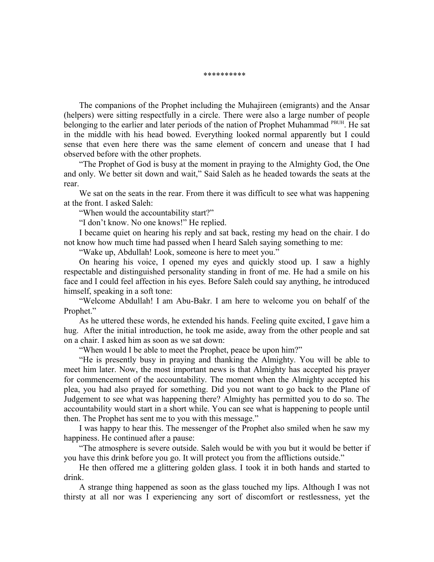#### \*\*\*\*\*\*\*\*\*\*

The companions of the Prophet including the Muhajireen (emigrants) and the Ansar (helpers) were sitting respectfully in a circle. There were also a large number of people belonging to the earlier and later periods of the nation of Prophet Muhammad <sup>PBUH</sup>. He sat in the middle with his head bowed. Everything looked normal apparently but I could sense that even here there was the same element of concern and unease that I had observed before with the other prophets.

"The Prophet of God is busy at the moment in praying to the Almighty God, the One and only. We better sit down and wait," Said Saleh as he headed towards the seats at the rear.

We sat on the seats in the rear. From there it was difficult to see what was happening at the front. I asked Saleh:

"When would the accountability start?"

"I don't know. No one knows!" He replied.

I became quiet on hearing his reply and sat back, resting my head on the chair. I do not know how much time had passed when I heard Saleh saying something to me:

"Wake up, Abdullah! Look, someone is here to meet you."

On hearing his voice, I opened my eyes and quickly stood up. I saw a highly respectable and distinguished personality standing in front of me. He had a smile on his face and I could feel affection in his eyes. Before Saleh could say anything, he introduced himself, speaking in a soft tone:

"Welcome Abdullah! I am Abu-Bakr. I am here to welcome you on behalf of the Prophet."

As he uttered these words, he extended his hands. Feeling quite excited, I gave him a hug. After the initial introduction, he took me aside, away from the other people and sat on a chair. I asked him as soon as we sat down:

"When would I be able to meet the Prophet, peace be upon him?"

"He is presently busy in praying and thanking the Almighty. You will be able to meet him later. Now, the most important news is that Almighty has accepted his prayer for commencement of the accountability. The moment when the Almighty accepted his plea, you had also prayed for something. Did you not want to go back to the Plane of Judgement to see what was happening there? Almighty has permitted you to do so. The accountability would start in a short while. You can see what is happening to people until then. The Prophet has sent me to you with this message."

I was happy to hear this. The messenger of the Prophet also smiled when he saw my happiness. He continued after a pause:

"The atmosphere is severe outside. Saleh would be with you but it would be better if you have this drink before you go. It will protect you from the afflictions outside."

He then offered me a glittering golden glass. I took it in both hands and started to drink.

A strange thing happened as soon as the glass touched my lips. Although I was not thirsty at all nor was I experiencing any sort of discomfort or restlessness, yet the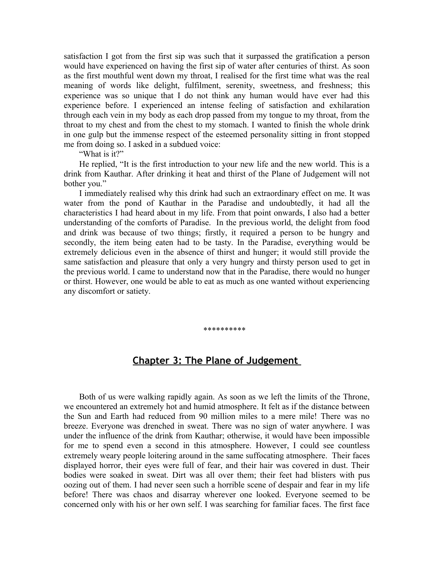satisfaction I got from the first sip was such that it surpassed the gratification a person would have experienced on having the first sip of water after centuries of thirst. As soon as the first mouthful went down my throat, I realised for the first time what was the real meaning of words like delight, fulfilment, serenity, sweetness, and freshness; this experience was so unique that I do not think any human would have ever had this experience before. I experienced an intense feeling of satisfaction and exhilaration through each vein in my body as each drop passed from my tongue to my throat, from the throat to my chest and from the chest to my stomach. I wanted to finish the whole drink in one gulp but the immense respect of the esteemed personality sitting in front stopped me from doing so. I asked in a subdued voice:

"What is it?"

He replied, "It is the first introduction to your new life and the new world. This is a drink from Kauthar. After drinking it heat and thirst of the Plane of Judgement will not bother you."

I immediately realised why this drink had such an extraordinary effect on me. It was water from the pond of Kauthar in the Paradise and undoubtedly, it had all the characteristics I had heard about in my life. From that point onwards, I also had a better understanding of the comforts of Paradise. In the previous world, the delight from food and drink was because of two things; firstly, it required a person to be hungry and secondly, the item being eaten had to be tasty. In the Paradise, everything would be extremely delicious even in the absence of thirst and hunger; it would still provide the same satisfaction and pleasure that only a very hungry and thirsty person used to get in the previous world. I came to understand now that in the Paradise, there would no hunger or thirst. However, one would be able to eat as much as one wanted without experiencing any discomfort or satiety.

\*\*\*\*\*\*\*\*\*\*

# <span id="page-24-0"></span>**Chapter 3: The Plane of Judgement**

Both of us were walking rapidly again. As soon as we left the limits of the Throne, we encountered an extremely hot and humid atmosphere. It felt as if the distance between the Sun and Earth had reduced from 90 million miles to a mere mile! There was no breeze. Everyone was drenched in sweat. There was no sign of water anywhere. I was under the influence of the drink from Kauthar; otherwise, it would have been impossible for me to spend even a second in this atmosphere. However, I could see countless extremely weary people loitering around in the same suffocating atmosphere. Their faces displayed horror, their eyes were full of fear, and their hair was covered in dust. Their bodies were soaked in sweat. Dirt was all over them; their feet had blisters with pus oozing out of them. I had never seen such a horrible scene of despair and fear in my life before! There was chaos and disarray wherever one looked. Everyone seemed to be concerned only with his or her own self. I was searching for familiar faces. The first face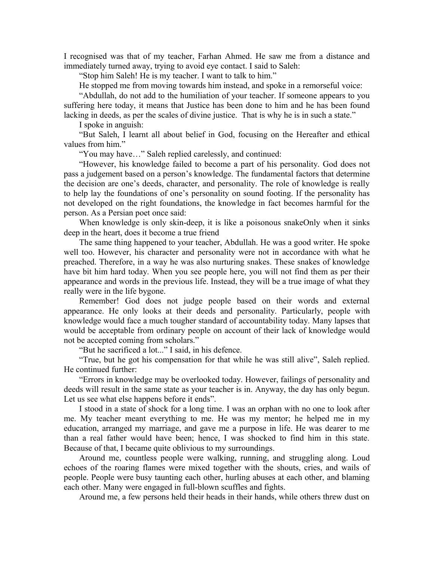I recognised was that of my teacher, Farhan Ahmed. He saw me from a distance and immediately turned away, trying to avoid eye contact. I said to Saleh:

"Stop him Saleh! He is my teacher. I want to talk to him."

He stopped me from moving towards him instead, and spoke in a remorseful voice:

"Abdullah, do not add to the humiliation of your teacher. If someone appears to you suffering here today, it means that Justice has been done to him and he has been found lacking in deeds, as per the scales of divine justice. That is why he is in such a state."

I spoke in anguish:

"But Saleh, I learnt all about belief in God, focusing on the Hereafter and ethical values from him."

"You may have…" Saleh replied carelessly, and continued:

"However, his knowledge failed to become a part of his personality. God does not pass a judgement based on a person's knowledge. The fundamental factors that determine the decision are one's deeds, character, and personality. The role of knowledge is really to help lay the foundations of one's personality on sound footing. If the personality has not developed on the right foundations, the knowledge in fact becomes harmful for the person. As a Persian poet once said:

When knowledge is only skin-deep, it is like a poisonous snakeOnly when it sinks deep in the heart, does it become a true friend

The same thing happened to your teacher, Abdullah. He was a good writer. He spoke well too. However, his character and personality were not in accordance with what he preached. Therefore, in a way he was also nurturing snakes. These snakes of knowledge have bit him hard today. When you see people here, you will not find them as per their appearance and words in the previous life. Instead, they will be a true image of what they really were in the life bygone.

Remember! God does not judge people based on their words and external appearance. He only looks at their deeds and personality. Particularly, people with knowledge would face a much tougher standard of accountability today. Many lapses that would be acceptable from ordinary people on account of their lack of knowledge would not be accepted coming from scholars."

"But he sacrificed a lot..." I said, in his defence.

"True, but he got his compensation for that while he was still alive", Saleh replied. He continued further:

"Errors in knowledge may be overlooked today. However, failings of personality and deeds will result in the same state as your teacher is in. Anyway, the day has only begun. Let us see what else happens before it ends".

I stood in a state of shock for a long time. I was an orphan with no one to look after me. My teacher meant everything to me. He was my mentor; he helped me in my education, arranged my marriage, and gave me a purpose in life. He was dearer to me than a real father would have been; hence, I was shocked to find him in this state. Because of that, I became quite oblivious to my surroundings.

Around me, countless people were walking, running, and struggling along. Loud echoes of the roaring flames were mixed together with the shouts, cries, and wails of people. People were busy taunting each other, hurling abuses at each other, and blaming each other. Many were engaged in full-blown scuffles and fights.

Around me, a few persons held their heads in their hands, while others threw dust on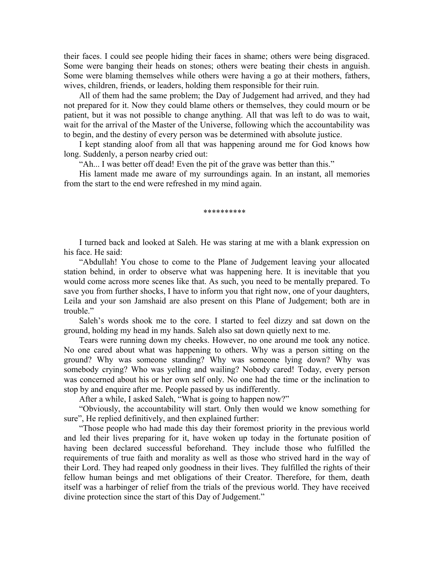their faces. I could see people hiding their faces in shame; others were being disgraced. Some were banging their heads on stones; others were beating their chests in anguish. Some were blaming themselves while others were having a go at their mothers, fathers, wives, children, friends, or leaders, holding them responsible for their ruin.

All of them had the same problem; the Day of Judgement had arrived, and they had not prepared for it. Now they could blame others or themselves, they could mourn or be patient, but it was not possible to change anything. All that was left to do was to wait, wait for the arrival of the Master of the Universe, following which the accountability was to begin, and the destiny of every person was be determined with absolute justice.

I kept standing aloof from all that was happening around me for God knows how long. Suddenly, a person nearby cried out:

"Ah... I was better off dead! Even the pit of the grave was better than this."

His lament made me aware of my surroundings again. In an instant, all memories from the start to the end were refreshed in my mind again.

\*\*\*\*\*\*\*\*\*\*

I turned back and looked at Saleh. He was staring at me with a blank expression on his face. He said:

"Abdullah! You chose to come to the Plane of Judgement leaving your allocated station behind, in order to observe what was happening here. It is inevitable that you would come across more scenes like that. As such, you need to be mentally prepared. To save you from further shocks, I have to inform you that right now, one of your daughters, Leila and your son Jamshaid are also present on this Plane of Judgement; both are in trouble."

Saleh's words shook me to the core. I started to feel dizzy and sat down on the ground, holding my head in my hands. Saleh also sat down quietly next to me.

Tears were running down my cheeks. However, no one around me took any notice. No one cared about what was happening to others. Why was a person sitting on the ground? Why was someone standing? Why was someone lying down? Why was somebody crying? Who was yelling and wailing? Nobody cared! Today, every person was concerned about his or her own self only. No one had the time or the inclination to stop by and enquire after me. People passed by us indifferently.

After a while, I asked Saleh, "What is going to happen now?"

"Obviously, the accountability will start. Only then would we know something for sure", He replied definitively, and then explained further:

"Those people who had made this day their foremost priority in the previous world and led their lives preparing for it, have woken up today in the fortunate position of having been declared successful beforehand. They include those who fulfilled the requirements of true faith and morality as well as those who strived hard in the way of their Lord. They had reaped only goodness in their lives. They fulfilled the rights of their fellow human beings and met obligations of their Creator. Therefore, for them, death itself was a harbinger of relief from the trials of the previous world. They have received divine protection since the start of this Day of Judgement."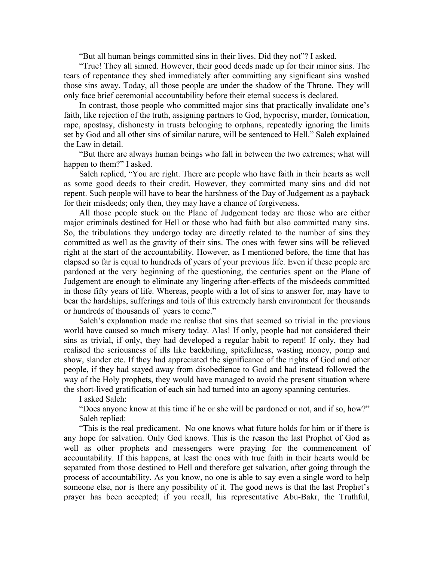"But all human beings committed sins in their lives. Did they not"? I asked.

"True! They all sinned. However, their good deeds made up for their minor sins. The tears of repentance they shed immediately after committing any significant sins washed those sins away. Today, all those people are under the shadow of the Throne. They will only face brief ceremonial accountability before their eternal success is declared.

In contrast, those people who committed major sins that practically invalidate one's faith, like rejection of the truth, assigning partners to God, hypocrisy, murder, fornication, rape, apostasy, dishonesty in trusts belonging to orphans, repeatedly ignoring the limits set by God and all other sins of similar nature, will be sentenced to Hell." Saleh explained the Law in detail.

"But there are always human beings who fall in between the two extremes; what will happen to them?" I asked.

Saleh replied, "You are right. There are people who have faith in their hearts as well as some good deeds to their credit. However, they committed many sins and did not repent. Such people will have to bear the harshness of the Day of Judgement as a payback for their misdeeds; only then, they may have a chance of forgiveness.

All those people stuck on the Plane of Judgement today are those who are either major criminals destined for Hell or those who had faith but also committed many sins. So, the tribulations they undergo today are directly related to the number of sins they committed as well as the gravity of their sins. The ones with fewer sins will be relieved right at the start of the accountability. However, as I mentioned before, the time that has elapsed so far is equal to hundreds of years of your previous life. Even if these people are pardoned at the very beginning of the questioning, the centuries spent on the Plane of Judgement are enough to eliminate any lingering after-effects of the misdeeds committed in those fifty years of life. Whereas, people with a lot of sins to answer for, may have to bear the hardships, sufferings and toils of this extremely harsh environment for thousands or hundreds of thousands of years to come."

Saleh's explanation made me realise that sins that seemed so trivial in the previous world have caused so much misery today. Alas! If only, people had not considered their sins as trivial, if only, they had developed a regular habit to repent! If only, they had realised the seriousness of ills like backbiting, spitefulness, wasting money, pomp and show, slander etc. If they had appreciated the significance of the rights of God and other people, if they had stayed away from disobedience to God and had instead followed the way of the Holy prophets, they would have managed to avoid the present situation where the short-lived gratification of each sin had turned into an agony spanning centuries.

I asked Saleh:

"Does anyone know at this time if he or she will be pardoned or not, and if so, how?" Saleh replied:

"This is the real predicament. No one knows what future holds for him or if there is any hope for salvation. Only God knows. This is the reason the last Prophet of God as well as other prophets and messengers were praying for the commencement of accountability. If this happens, at least the ones with true faith in their hearts would be separated from those destined to Hell and therefore get salvation, after going through the process of accountability. As you know, no one is able to say even a single word to help someone else, nor is there any possibility of it. The good news is that the last Prophet's prayer has been accepted; if you recall, his representative Abu-Bakr, the Truthful,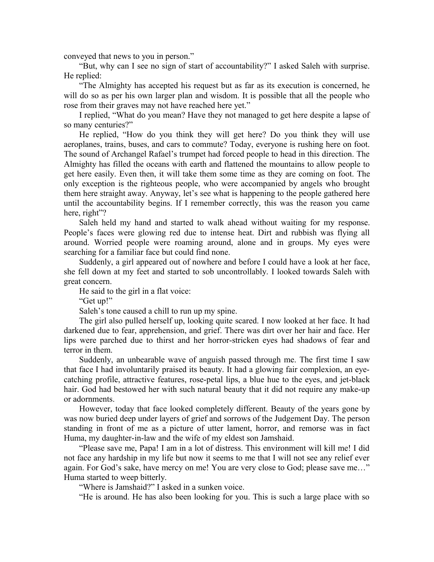conveyed that news to you in person."

"But, why can I see no sign of start of accountability?" I asked Saleh with surprise. He replied:

"The Almighty has accepted his request but as far as its execution is concerned, he will do so as per his own larger plan and wisdom. It is possible that all the people who rose from their graves may not have reached here yet."

I replied, "What do you mean? Have they not managed to get here despite a lapse of so many centuries?"

He replied, "How do you think they will get here? Do you think they will use aeroplanes, trains, buses, and cars to commute? Today, everyone is rushing here on foot. The sound of Archangel Rafael's trumpet had forced people to head in this direction. The Almighty has filled the oceans with earth and flattened the mountains to allow people to get here easily. Even then, it will take them some time as they are coming on foot. The only exception is the righteous people, who were accompanied by angels who brought them here straight away. Anyway, let's see what is happening to the people gathered here until the accountability begins. If I remember correctly, this was the reason you came here, right"?

Saleh held my hand and started to walk ahead without waiting for my response. People's faces were glowing red due to intense heat. Dirt and rubbish was flying all around. Worried people were roaming around, alone and in groups. My eyes were searching for a familiar face but could find none.

Suddenly, a girl appeared out of nowhere and before I could have a look at her face, she fell down at my feet and started to sob uncontrollably. I looked towards Saleh with great concern.

He said to the girl in a flat voice:

"Get up!"

Saleh's tone caused a chill to run up my spine.

The girl also pulled herself up, looking quite scared. I now looked at her face. It had darkened due to fear, apprehension, and grief. There was dirt over her hair and face. Her lips were parched due to thirst and her horror-stricken eyes had shadows of fear and terror in them.

Suddenly, an unbearable wave of anguish passed through me. The first time I saw that face I had involuntarily praised its beauty. It had a glowing fair complexion, an eyecatching profile, attractive features, rose-petal lips, a blue hue to the eyes, and jet-black hair. God had bestowed her with such natural beauty that it did not require any make-up or adornments.

However, today that face looked completely different. Beauty of the years gone by was now buried deep under layers of grief and sorrows of the Judgement Day. The person standing in front of me as a picture of utter lament, horror, and remorse was in fact Huma, my daughter-in-law and the wife of my eldest son Jamshaid.

"Please save me, Papa! I am in a lot of distress. This environment will kill me! I did not face any hardship in my life but now it seems to me that I will not see any relief ever again. For God's sake, have mercy on me! You are very close to God; please save me…" Huma started to weep bitterly.

"Where is Jamshaid?" I asked in a sunken voice.

"He is around. He has also been looking for you. This is such a large place with so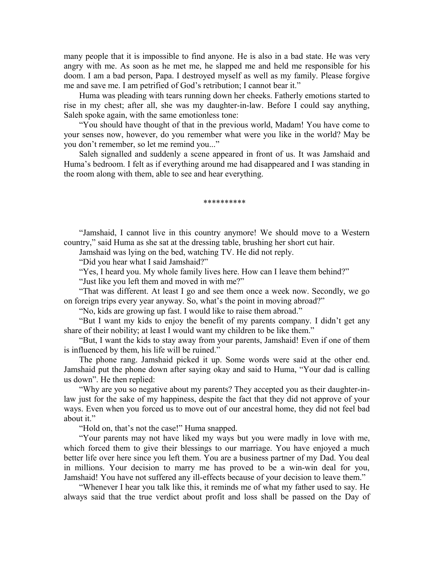many people that it is impossible to find anyone. He is also in a bad state. He was very angry with me. As soon as he met me, he slapped me and held me responsible for his doom. I am a bad person, Papa. I destroyed myself as well as my family. Please forgive me and save me. I am petrified of God's retribution; I cannot bear it."

Huma was pleading with tears running down her cheeks. Fatherly emotions started to rise in my chest; after all, she was my daughter-in-law. Before I could say anything, Saleh spoke again, with the same emotionless tone:

"You should have thought of that in the previous world, Madam! You have come to your senses now, however, do you remember what were you like in the world? May be you don't remember, so let me remind you..."

Saleh signalled and suddenly a scene appeared in front of us. It was Jamshaid and Huma's bedroom. I felt as if everything around me had disappeared and I was standing in the room along with them, able to see and hear everything.

\*\*\*\*\*\*\*\*\*

"Jamshaid, I cannot live in this country anymore! We should move to a Western country," said Huma as she sat at the dressing table, brushing her short cut hair.

Jamshaid was lying on the bed, watching TV. He did not reply.

"Did you hear what I said Jamshaid?"

"Yes, I heard you. My whole family lives here. How can I leave them behind?"

"Just like you left them and moved in with me?"

"That was different. At least I go and see them once a week now. Secondly, we go on foreign trips every year anyway. So, what's the point in moving abroad?"

"No, kids are growing up fast. I would like to raise them abroad."

"But I want my kids to enjoy the benefit of my parents company. I didn't get any share of their nobility; at least I would want my children to be like them."

"But, I want the kids to stay away from your parents, Jamshaid! Even if one of them is influenced by them, his life will be ruined."

The phone rang. Jamshaid picked it up. Some words were said at the other end. Jamshaid put the phone down after saying okay and said to Huma, "Your dad is calling us down". He then replied:

"Why are you so negative about my parents? They accepted you as their daughter-inlaw just for the sake of my happiness, despite the fact that they did not approve of your ways. Even when you forced us to move out of our ancestral home, they did not feel bad about it."

"Hold on, that's not the case!" Huma snapped.

"Your parents may not have liked my ways but you were madly in love with me, which forced them to give their blessings to our marriage. You have enjoyed a much better life over here since you left them. You are a business partner of my Dad. You deal in millions. Your decision to marry me has proved to be a win-win deal for you, Jamshaid! You have not suffered any ill-effects because of your decision to leave them."

"Whenever I hear you talk like this, it reminds me of what my father used to say. He always said that the true verdict about profit and loss shall be passed on the Day of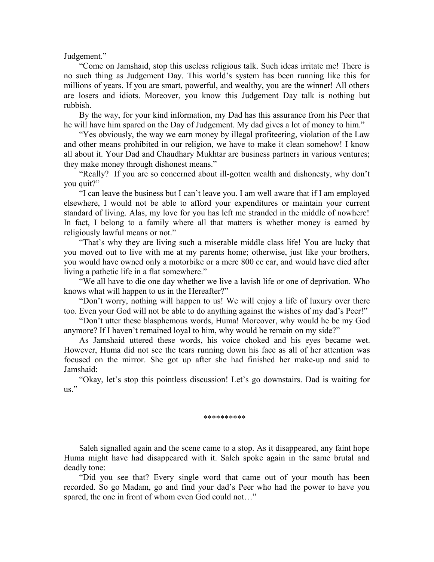Judgement."

"Come on Jamshaid, stop this useless religious talk. Such ideas irritate me! There is no such thing as Judgement Day. This world's system has been running like this for millions of years. If you are smart, powerful, and wealthy, you are the winner! All others are losers and idiots. Moreover, you know this Judgement Day talk is nothing but rubbish.

By the way, for your kind information, my Dad has this assurance from his Peer that he will have him spared on the Day of Judgement. My dad gives a lot of money to him."

"Yes obviously, the way we earn money by illegal profiteering, violation of the Law and other means prohibited in our religion, we have to make it clean somehow! I know all about it. Your Dad and Chaudhary Mukhtar are business partners in various ventures; they make money through dishonest means."

"Really? If you are so concerned about ill-gotten wealth and dishonesty, why don't you quit?"

"I can leave the business but I can't leave you. I am well aware that if I am employed elsewhere, I would not be able to afford your expenditures or maintain your current standard of living. Alas, my love for you has left me stranded in the middle of nowhere! In fact, I belong to a family where all that matters is whether money is earned by religiously lawful means or not."

"That's why they are living such a miserable middle class life! You are lucky that you moved out to live with me at my parents home; otherwise, just like your brothers, you would have owned only a motorbike or a mere 800 cc car, and would have died after living a pathetic life in a flat somewhere."

"We all have to die one day whether we live a lavish life or one of deprivation. Who knows what will happen to us in the Hereafter?"

"Don't worry, nothing will happen to us! We will enjoy a life of luxury over there too. Even your God will not be able to do anything against the wishes of my dad's Peer!"

"Don't utter these blasphemous words, Huma! Moreover, why would he be my God anymore? If I haven't remained loyal to him, why would he remain on my side?"

As Jamshaid uttered these words, his voice choked and his eyes became wet. However, Huma did not see the tears running down his face as all of her attention was focused on the mirror. She got up after she had finished her make-up and said to Jamshaid:

"Okay, let's stop this pointless discussion! Let's go downstairs. Dad is waiting for us."

\*\*\*\*\*\*\*\*\*\*

Saleh signalled again and the scene came to a stop. As it disappeared, any faint hope Huma might have had disappeared with it. Saleh spoke again in the same brutal and deadly tone:

"Did you see that? Every single word that came out of your mouth has been recorded. So go Madam, go and find your dad's Peer who had the power to have you spared, the one in front of whom even God could not…"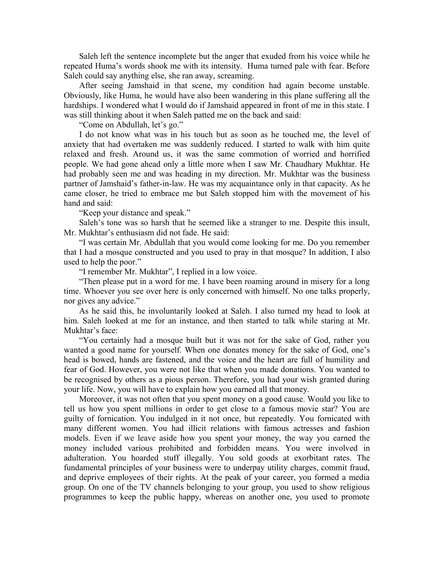Saleh left the sentence incomplete but the anger that exuded from his voice while he repeated Huma's words shook me with its intensity. Huma turned pale with fear. Before Saleh could say anything else, she ran away, screaming.

After seeing Jamshaid in that scene, my condition had again become unstable. Obviously, like Huma, he would have also been wandering in this plane suffering all the hardships. I wondered what I would do if Jamshaid appeared in front of me in this state. I was still thinking about it when Saleh patted me on the back and said:

"Come on Abdullah, let's go."

I do not know what was in his touch but as soon as he touched me, the level of anxiety that had overtaken me was suddenly reduced. I started to walk with him quite relaxed and fresh. Around us, it was the same commotion of worried and horrified people. We had gone ahead only a little more when I saw Mr. Chaudhary Mukhtar. He had probably seen me and was heading in my direction. Mr. Mukhtar was the business partner of Jamshaid's father-in-law. He was my acquaintance only in that capacity. As he came closer, he tried to embrace me but Saleh stopped him with the movement of his hand and said:

"Keep your distance and speak."

Saleh's tone was so harsh that he seemed like a stranger to me. Despite this insult, Mr. Mukhtar's enthusiasm did not fade. He said:

"I was certain Mr. Abdullah that you would come looking for me. Do you remember that I had a mosque constructed and you used to pray in that mosque? In addition, I also used to help the poor."

"I remember Mr. Mukhtar", I replied in a low voice.

"Then please put in a word for me. I have been roaming around in misery for a long time. Whoever you see over here is only concerned with himself. No one talks properly, nor gives any advice."

As he said this, he involuntarily looked at Saleh. I also turned my head to look at him. Saleh looked at me for an instance, and then started to talk while staring at Mr. Mukhtar's face:

"You certainly had a mosque built but it was not for the sake of God, rather you wanted a good name for yourself. When one donates money for the sake of God, one's head is bowed, hands are fastened, and the voice and the heart are full of humility and fear of God. However, you were not like that when you made donations. You wanted to be recognised by others as a pious person. Therefore, you had your wish granted during your life. Now, you will have to explain how you earned all that money.

Moreover, it was not often that you spent money on a good cause. Would you like to tell us how you spent millions in order to get close to a famous movie star? You are guilty of fornication. You indulged in it not once, but repeatedly. You fornicated with many different women. You had illicit relations with famous actresses and fashion models. Even if we leave aside how you spent your money, the way you earned the money included various prohibited and forbidden means. You were involved in adulteration. You hoarded stuff illegally. You sold goods at exorbitant rates. The fundamental principles of your business were to underpay utility charges, commit fraud, and deprive employees of their rights. At the peak of your career, you formed a media group. On one of the TV channels belonging to your group, you used to show religious programmes to keep the public happy, whereas on another one, you used to promote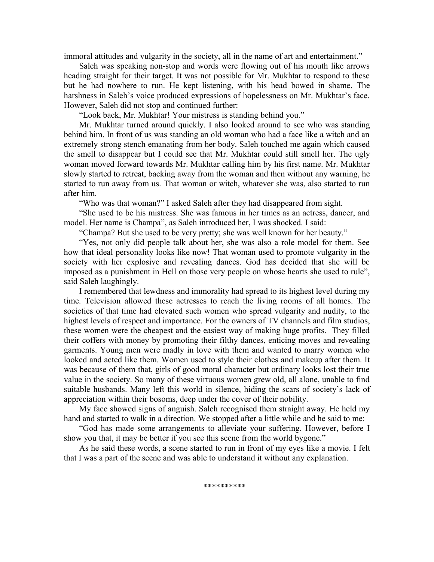immoral attitudes and vulgarity in the society, all in the name of art and entertainment."

Saleh was speaking non-stop and words were flowing out of his mouth like arrows heading straight for their target. It was not possible for Mr. Mukhtar to respond to these but he had nowhere to run. He kept listening, with his head bowed in shame. The harshness in Saleh's voice produced expressions of hopelessness on Mr. Mukhtar's face. However, Saleh did not stop and continued further:

"Look back, Mr. Mukhtar! Your mistress is standing behind you."

Mr. Mukhtar turned around quickly. I also looked around to see who was standing behind him. In front of us was standing an old woman who had a face like a witch and an extremely strong stench emanating from her body. Saleh touched me again which caused the smell to disappear but I could see that Mr. Mukhtar could still smell her. The ugly woman moved forward towards Mr. Mukhtar calling him by his first name. Mr. Mukhtar slowly started to retreat, backing away from the woman and then without any warning, he started to run away from us. That woman or witch, whatever she was, also started to run after him.

"Who was that woman?" I asked Saleh after they had disappeared from sight.

"She used to be his mistress. She was famous in her times as an actress, dancer, and model. Her name is Champa", as Saleh introduced her, I was shocked. I said:

"Champa? But she used to be very pretty; she was well known for her beauty."

"Yes, not only did people talk about her, she was also a role model for them. See how that ideal personality looks like now! That woman used to promote vulgarity in the society with her explosive and revealing dances. God has decided that she will be imposed as a punishment in Hell on those very people on whose hearts she used to rule", said Saleh laughingly.

I remembered that lewdness and immorality had spread to its highest level during my time. Television allowed these actresses to reach the living rooms of all homes. The societies of that time had elevated such women who spread vulgarity and nudity, to the highest levels of respect and importance. For the owners of TV channels and film studios, these women were the cheapest and the easiest way of making huge profits. They filled their coffers with money by promoting their filthy dances, enticing moves and revealing garments. Young men were madly in love with them and wanted to marry women who looked and acted like them. Women used to style their clothes and makeup after them. It was because of them that, girls of good moral character but ordinary looks lost their true value in the society. So many of these virtuous women grew old, all alone, unable to find suitable husbands. Many left this world in silence, hiding the scars of society's lack of appreciation within their bosoms, deep under the cover of their nobility.

My face showed signs of anguish. Saleh recognised them straight away. He held my hand and started to walk in a direction. We stopped after a little while and he said to me:

"God has made some arrangements to alleviate your suffering. However, before I show you that, it may be better if you see this scene from the world bygone."

As he said these words, a scene started to run in front of my eyes like a movie. I felt that I was a part of the scene and was able to understand it without any explanation.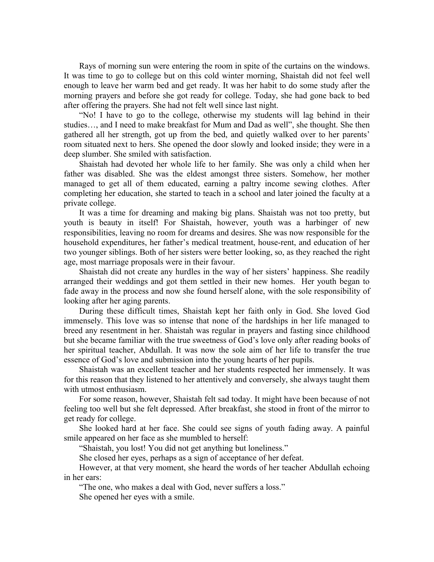Rays of morning sun were entering the room in spite of the curtains on the windows. It was time to go to college but on this cold winter morning, Shaistah did not feel well enough to leave her warm bed and get ready. It was her habit to do some study after the morning prayers and before she got ready for college. Today, she had gone back to bed after offering the prayers. She had not felt well since last night.

"No! I have to go to the college, otherwise my students will lag behind in their studies…, and I need to make breakfast for Mum and Dad as well", she thought. She then gathered all her strength, got up from the bed, and quietly walked over to her parents' room situated next to hers. She opened the door slowly and looked inside; they were in a deep slumber. She smiled with satisfaction.

Shaistah had devoted her whole life to her family. She was only a child when her father was disabled. She was the eldest amongst three sisters. Somehow, her mother managed to get all of them educated, earning a paltry income sewing clothes. After completing her education, she started to teach in a school and later joined the faculty at a private college.

It was a time for dreaming and making big plans. Shaistah was not too pretty, but youth is beauty in itself! For Shaistah, however, youth was a harbinger of new responsibilities, leaving no room for dreams and desires. She was now responsible for the household expenditures, her father's medical treatment, house-rent, and education of her two younger siblings. Both of her sisters were better looking, so, as they reached the right age, most marriage proposals were in their favour.

Shaistah did not create any hurdles in the way of her sisters' happiness. She readily arranged their weddings and got them settled in their new homes. Her youth began to fade away in the process and now she found herself alone, with the sole responsibility of looking after her aging parents.

During these difficult times, Shaistah kept her faith only in God. She loved God immensely. This love was so intense that none of the hardships in her life managed to breed any resentment in her. Shaistah was regular in prayers and fasting since childhood but she became familiar with the true sweetness of God's love only after reading books of her spiritual teacher, Abdullah. It was now the sole aim of her life to transfer the true essence of God's love and submission into the young hearts of her pupils.

Shaistah was an excellent teacher and her students respected her immensely. It was for this reason that they listened to her attentively and conversely, she always taught them with utmost enthusiasm.

For some reason, however, Shaistah felt sad today. It might have been because of not feeling too well but she felt depressed. After breakfast, she stood in front of the mirror to get ready for college.

She looked hard at her face. She could see signs of youth fading away. A painful smile appeared on her face as she mumbled to herself:

"Shaistah, you lost! You did not get anything but loneliness."

She closed her eyes, perhaps as a sign of acceptance of her defeat.

However, at that very moment, she heard the words of her teacher Abdullah echoing in her ears:

"The one, who makes a deal with God, never suffers a loss."

She opened her eyes with a smile.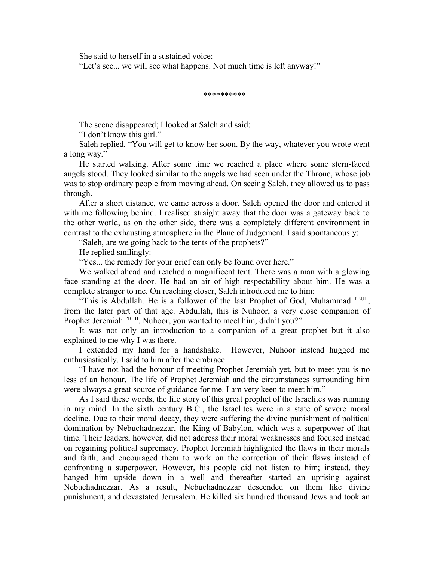She said to herself in a sustained voice:

"Let's see... we will see what happens. Not much time is left anyway!"

\*\*\*\*\*\*\*\*\*\*

The scene disappeared; I looked at Saleh and said:

"I don't know this girl."

Saleh replied, "You will get to know her soon. By the way, whatever you wrote went a long way."

He started walking. After some time we reached a place where some stern-faced angels stood. They looked similar to the angels we had seen under the Throne, whose job was to stop ordinary people from moving ahead. On seeing Saleh, they allowed us to pass through.

After a short distance, we came across a door. Saleh opened the door and entered it with me following behind. I realised straight away that the door was a gateway back to the other world, as on the other side, there was a completely different environment in contrast to the exhausting atmosphere in the Plane of Judgement. I said spontaneously:

"Saleh, are we going back to the tents of the prophets?"

He replied smilingly:

"Yes... the remedy for your grief can only be found over here."

We walked ahead and reached a magnificent tent. There was a man with a glowing face standing at the door. He had an air of high respectability about him. He was a complete stranger to me. On reaching closer, Saleh introduced me to him:

"This is Abdullah. He is a follower of the last Prophet of God, Muhammad PBUH, from the later part of that age. Abdullah, this is Nuhoor, a very close companion of Prophet Jeremiah PBUH. Nuhoor, you wanted to meet him, didn't you?"

It was not only an introduction to a companion of a great prophet but it also explained to me why I was there.

I extended my hand for a handshake. However, Nuhoor instead hugged me enthusiastically. I said to him after the embrace:

"I have not had the honour of meeting Prophet Jeremiah yet, but to meet you is no less of an honour. The life of Prophet Jeremiah and the circumstances surrounding him were always a great source of guidance for me. I am very keen to meet him."

As I said these words, the life story of this great prophet of the Israelites was running in my mind. In the sixth century B.C., the Israelites were in a state of severe moral decline. Due to their moral decay, they were suffering the divine punishment of political domination by Nebuchadnezzar, the King of Babylon, which was a superpower of that time. Their leaders, however, did not address their moral weaknesses and focused instead on regaining political supremacy. Prophet Jeremiah highlighted the flaws in their morals and faith, and encouraged them to work on the correction of their flaws instead of confronting a superpower. However, his people did not listen to him; instead, they hanged him upside down in a well and thereafter started an uprising against Nebuchadnezzar. As a result, Nebuchadnezzar descended on them like divine punishment, and devastated Jerusalem. He killed six hundred thousand Jews and took an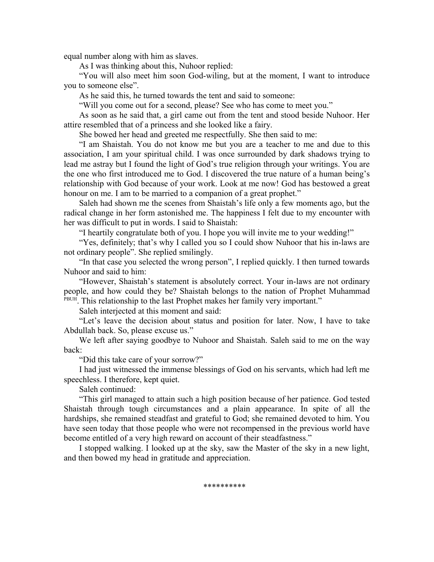equal number along with him as slaves.

As I was thinking about this, Nuhoor replied:

"You will also meet him soon God-wiling, but at the moment, I want to introduce you to someone else".

As he said this, he turned towards the tent and said to someone:

"Will you come out for a second, please? See who has come to meet you."

As soon as he said that, a girl came out from the tent and stood beside Nuhoor. Her attire resembled that of a princess and she looked like a fairy.

She bowed her head and greeted me respectfully. She then said to me:

"I am Shaistah. You do not know me but you are a teacher to me and due to this association, I am your spiritual child. I was once surrounded by dark shadows trying to lead me astray but I found the light of God's true religion through your writings. You are the one who first introduced me to God. I discovered the true nature of a human being's relationship with God because of your work. Look at me now! God has bestowed a great honour on me. I am to be married to a companion of a great prophet."

Saleh had shown me the scenes from Shaistah's life only a few moments ago, but the radical change in her form astonished me. The happiness I felt due to my encounter with her was difficult to put in words. I said to Shaistah:

"I heartily congratulate both of you. I hope you will invite me to your wedding!"

"Yes, definitely; that's why I called you so I could show Nuhoor that his in-laws are not ordinary people". She replied smilingly.

"In that case you selected the wrong person", I replied quickly. I then turned towards Nuhoor and said to him:

"However, Shaistah's statement is absolutely correct. Your in-laws are not ordinary people, and how could they be? Shaistah belongs to the nation of Prophet Muhammad PBUH. This relationship to the last Prophet makes her family very important."

Saleh interjected at this moment and said:

"Let's leave the decision about status and position for later. Now, I have to take Abdullah back. So, please excuse us."

We left after saying goodbye to Nuhoor and Shaistah. Saleh said to me on the way back:

"Did this take care of your sorrow?"

I had just witnessed the immense blessings of God on his servants, which had left me speechless. I therefore, kept quiet.

Saleh continued:

"This girl managed to attain such a high position because of her patience. God tested Shaistah through tough circumstances and a plain appearance. In spite of all the hardships, she remained steadfast and grateful to God; she remained devoted to him. You have seen today that those people who were not recompensed in the previous world have become entitled of a very high reward on account of their steadfastness."

I stopped walking. I looked up at the sky, saw the Master of the sky in a new light, and then bowed my head in gratitude and appreciation.

\*\*\*\*\*\*\*\*\*\*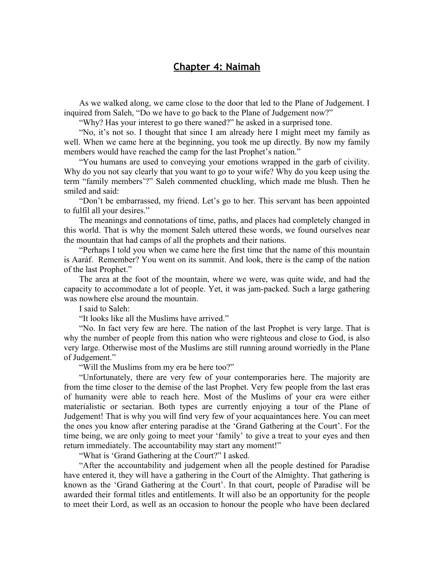# **Chapter 4: Naimah**

As we walked along, we came close to the door that led to the Plane of Judgement. I inquired from Saleh, "Do we have to go back to the Plane of Judgement now?"

"Why? Has your interest to go there waned?" he asked in a surprised tone.

"No, it's not so. I thought that since I am already here I might meet my family as well. When we came here at the beginning, you took me up directly. By now my family members would have reached the camp for the last Prophet's nation."

"You humans are used to conveying your emotions wrapped in the garb of civility. Why do you not say clearly that you want to go to your wife? Why do you keep using the term "family members'?" Saleh commented chuckling, which made me blush. Then he smiled and said:

"Don't be embarrassed, my friend. Let's go to her. This servant has been appointed to fulfil all your desires."

The meanings and connotations of time, paths, and places had completely changed in this world. That is why the moment Saleh uttered these words, we found ourselves near the mountain that had camps of all the prophets and their nations.

"Perhaps I told you when we came here the first time that the name of this mountain is Aaráf. Remember? You went on its summit. And look, there is the camp of the nation of the last Prophet."

The area at the foot of the mountain, where we were, was quite wide, and had the capacity to accommodate a lot of people. Yet, it was jam-packed. Such a large gathering was nowhere else around the mountain.

I said to Saleh:

"It looks like all the Muslims have arrived."

"No. In fact very few are here. The nation of the last Prophet is very large. That is why the number of people from this nation who were righteous and close to God, is also very large. Otherwise most of the Muslims are still running around worriedly in the Plane of Judgement."

"Will the Muslims from my era be here too?"

"Unfortunately, there are very few of your contemporaries here. The majority are from the time closer to the demise of the last Prophet. Very few people from the last eras of humanity were able to reach here. Most of the Muslims of your era were either materialistic or sectarian. Both types are currently enjoying a tour of the Plane of Judgement! That is why you will find very few of your acquaintances here. You can meet the ones you know after entering paradise at the 'Grand Gathering at the Court'. For the time being, we are only going to meet your 'family' to give a treat to your eyes and then return immediately. The accountability may start any moment!"

"What is 'Grand Gathering at the Court?" I asked.

"After the accountability and judgement when all the people destined for Paradise have entered it, they will have a gathering in the Court of the Almighty. That gathering is known as the 'Grand Gathering at the Court'. In that court, people of Paradise will be awarded their formal titles and entitlements. It will also be an opportunity for the people to meet their Lord, as well as an occasion to honour the people who have been declared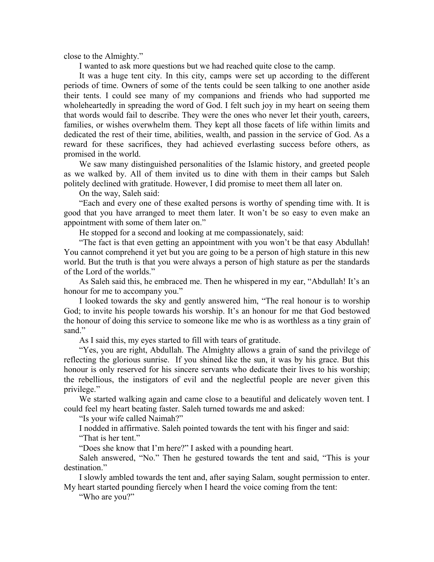close to the Almighty."

I wanted to ask more questions but we had reached quite close to the camp.

It was a huge tent city. In this city, camps were set up according to the different periods of time. Owners of some of the tents could be seen talking to one another aside their tents. I could see many of my companions and friends who had supported me wholeheartedly in spreading the word of God. I felt such joy in my heart on seeing them that words would fail to describe. They were the ones who never let their youth, careers, families, or wishes overwhelm them. They kept all those facets of life within limits and dedicated the rest of their time, abilities, wealth, and passion in the service of God. As a reward for these sacrifices, they had achieved everlasting success before others, as promised in the world.

We saw many distinguished personalities of the Islamic history, and greeted people as we walked by. All of them invited us to dine with them in their camps but Saleh politely declined with gratitude. However, I did promise to meet them all later on.

On the way, Saleh said:

"Each and every one of these exalted persons is worthy of spending time with. It is good that you have arranged to meet them later. It won't be so easy to even make an appointment with some of them later on."

He stopped for a second and looking at me compassionately, said:

"The fact is that even getting an appointment with you won't be that easy Abdullah! You cannot comprehend it yet but you are going to be a person of high stature in this new world. But the truth is that you were always a person of high stature as per the standards of the Lord of the worlds."

As Saleh said this, he embraced me. Then he whispered in my ear, "Abdullah! It's an honour for me to accompany you."

I looked towards the sky and gently answered him, "The real honour is to worship God; to invite his people towards his worship. It's an honour for me that God bestowed the honour of doing this service to someone like me who is as worthless as a tiny grain of sand."

As I said this, my eyes started to fill with tears of gratitude.

"Yes, you are right, Abdullah. The Almighty allows a grain of sand the privilege of reflecting the glorious sunrise. If you shined like the sun, it was by his grace. But this honour is only reserved for his sincere servants who dedicate their lives to his worship; the rebellious, the instigators of evil and the neglectful people are never given this privilege."

We started walking again and came close to a beautiful and delicately woven tent. I could feel my heart beating faster. Saleh turned towards me and asked:

"Is your wife called Naimah?"

I nodded in affirmative. Saleh pointed towards the tent with his finger and said:

"That is her tent."

"Does she know that I'm here?" I asked with a pounding heart.

Saleh answered, "No." Then he gestured towards the tent and said, "This is your destination."

I slowly ambled towards the tent and, after saying Salam, sought permission to enter. My heart started pounding fiercely when I heard the voice coming from the tent:

"Who are you?"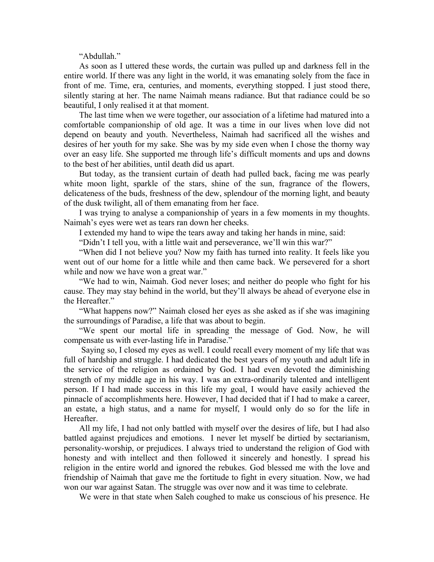"Abdullah."

As soon as I uttered these words, the curtain was pulled up and darkness fell in the entire world. If there was any light in the world, it was emanating solely from the face in front of me. Time, era, centuries, and moments, everything stopped. I just stood there, silently staring at her. The name Naimah means radiance. But that radiance could be so beautiful, I only realised it at that moment.

The last time when we were together, our association of a lifetime had matured into a comfortable companionship of old age. It was a time in our lives when love did not depend on beauty and youth. Nevertheless, Naimah had sacrificed all the wishes and desires of her youth for my sake. She was by my side even when I chose the thorny way over an easy life. She supported me through life's difficult moments and ups and downs to the best of her abilities, until death did us apart.

But today, as the transient curtain of death had pulled back, facing me was pearly white moon light, sparkle of the stars, shine of the sun, fragrance of the flowers, delicateness of the buds, freshness of the dew, splendour of the morning light, and beauty of the dusk twilight, all of them emanating from her face.

I was trying to analyse a companionship of years in a few moments in my thoughts. Naimah's eyes were wet as tears ran down her cheeks.

I extended my hand to wipe the tears away and taking her hands in mine, said:

"Didn't I tell you, with a little wait and perseverance, we'll win this war?"

"When did I not believe you? Now my faith has turned into reality. It feels like you went out of our home for a little while and then came back. We persevered for a short while and now we have won a great war."

"We had to win, Naimah. God never loses; and neither do people who fight for his cause. They may stay behind in the world, but they'll always be ahead of everyone else in the Hereafter."

"What happens now?" Naimah closed her eyes as she asked as if she was imagining the surroundings of Paradise, a life that was about to begin.

"We spent our mortal life in spreading the message of God. Now, he will compensate us with ever-lasting life in Paradise."

 Saying so, I closed my eyes as well. I could recall every moment of my life that was full of hardship and struggle. I had dedicated the best years of my youth and adult life in the service of the religion as ordained by God. I had even devoted the diminishing strength of my middle age in his way. I was an extra-ordinarily talented and intelligent person. If I had made success in this life my goal, I would have easily achieved the pinnacle of accomplishments here. However, I had decided that if I had to make a career, an estate, a high status, and a name for myself, I would only do so for the life in Hereafter.

All my life, I had not only battled with myself over the desires of life, but I had also battled against prejudices and emotions. I never let myself be dirtied by sectarianism, personality-worship, or prejudices. I always tried to understand the religion of God with honesty and with intellect and then followed it sincerely and honestly. I spread his religion in the entire world and ignored the rebukes. God blessed me with the love and friendship of Naimah that gave me the fortitude to fight in every situation. Now, we had won our war against Satan. The struggle was over now and it was time to celebrate.

We were in that state when Saleh coughed to make us conscious of his presence. He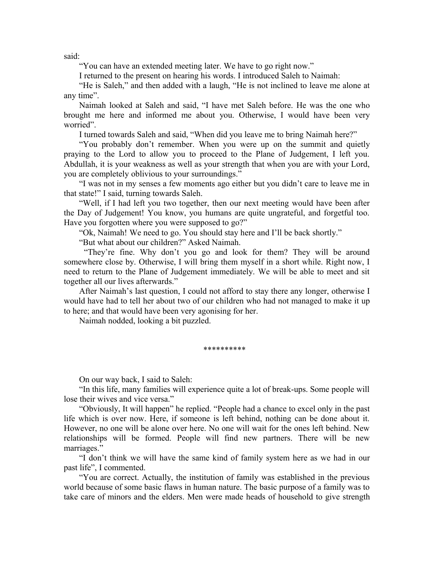said:

"You can have an extended meeting later. We have to go right now."

I returned to the present on hearing his words. I introduced Saleh to Naimah:

"He is Saleh," and then added with a laugh, "He is not inclined to leave me alone at any time".

Naimah looked at Saleh and said, "I have met Saleh before. He was the one who brought me here and informed me about you. Otherwise, I would have been very worried".

I turned towards Saleh and said, "When did you leave me to bring Naimah here?"

"You probably don't remember. When you were up on the summit and quietly praying to the Lord to allow you to proceed to the Plane of Judgement, I left you. Abdullah, it is your weakness as well as your strength that when you are with your Lord, you are completely oblivious to your surroundings."

"I was not in my senses a few moments ago either but you didn't care to leave me in that state!" I said, turning towards Saleh.

"Well, if I had left you two together, then our next meeting would have been after the Day of Judgement! You know, you humans are quite ungrateful, and forgetful too. Have you forgotten where you were supposed to go?"

"Ok, Naimah! We need to go. You should stay here and I'll be back shortly."

"But what about our children?" Asked Naimah.

 "They're fine. Why don't you go and look for them? They will be around somewhere close by. Otherwise, I will bring them myself in a short while. Right now, I need to return to the Plane of Judgement immediately. We will be able to meet and sit together all our lives afterwards."

After Naimah's last question, I could not afford to stay there any longer, otherwise I would have had to tell her about two of our children who had not managed to make it up to here; and that would have been very agonising for her.

Naimah nodded, looking a bit puzzled.

### \*\*\*\*\*\*\*\*\*\*

On our way back, I said to Saleh:

"In this life, many families will experience quite a lot of break-ups. Some people will lose their wives and vice versa."

"Obviously, It will happen" he replied. "People had a chance to excel only in the past life which is over now. Here, if someone is left behind, nothing can be done about it. However, no one will be alone over here. No one will wait for the ones left behind. New relationships will be formed. People will find new partners. There will be new marriages."

"I don't think we will have the same kind of family system here as we had in our past life", I commented.

"You are correct. Actually, the institution of family was established in the previous world because of some basic flaws in human nature. The basic purpose of a family was to take care of minors and the elders. Men were made heads of household to give strength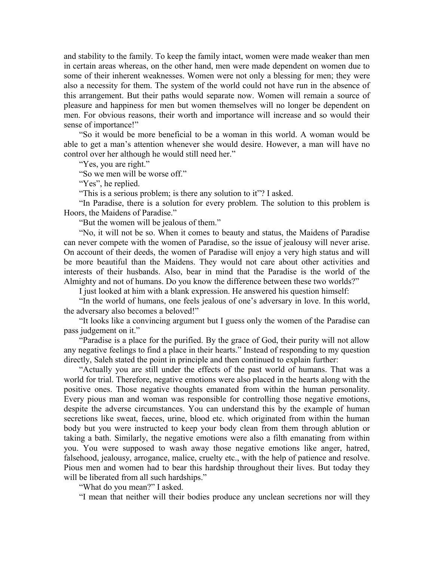and stability to the family. To keep the family intact, women were made weaker than men in certain areas whereas, on the other hand, men were made dependent on women due to some of their inherent weaknesses. Women were not only a blessing for men; they were also a necessity for them. The system of the world could not have run in the absence of this arrangement. But their paths would separate now. Women will remain a source of pleasure and happiness for men but women themselves will no longer be dependent on men. For obvious reasons, their worth and importance will increase and so would their sense of importance!"

"So it would be more beneficial to be a woman in this world. A woman would be able to get a man's attention whenever she would desire. However, a man will have no control over her although he would still need her."

"Yes, you are right."

"So we men will be worse off."

"Yes", he replied.

"This is a serious problem; is there any solution to it"? I asked.

"In Paradise, there is a solution for every problem. The solution to this problem is Hoors, the Maidens of Paradise."

"But the women will be jealous of them."

"No, it will not be so. When it comes to beauty and status, the Maidens of Paradise can never compete with the women of Paradise, so the issue of jealousy will never arise. On account of their deeds, the women of Paradise will enjoy a very high status and will be more beautiful than the Maidens. They would not care about other activities and interests of their husbands. Also, bear in mind that the Paradise is the world of the Almighty and not of humans. Do you know the difference between these two worlds?"

I just looked at him with a blank expression. He answered his question himself:

"In the world of humans, one feels jealous of one's adversary in love. In this world, the adversary also becomes a beloved!"

"It looks like a convincing argument but I guess only the women of the Paradise can pass judgement on it."

"Paradise is a place for the purified. By the grace of God, their purity will not allow any negative feelings to find a place in their hearts." Instead of responding to my question directly, Saleh stated the point in principle and then continued to explain further:

"Actually you are still under the effects of the past world of humans. That was a world for trial. Therefore, negative emotions were also placed in the hearts along with the positive ones. Those negative thoughts emanated from within the human personality. Every pious man and woman was responsible for controlling those negative emotions, despite the adverse circumstances. You can understand this by the example of human secretions like sweat, faeces, urine, blood etc. which originated from within the human body but you were instructed to keep your body clean from them through ablution or taking a bath. Similarly, the negative emotions were also a filth emanating from within you. You were supposed to wash away those negative emotions like anger, hatred, falsehood, jealousy, arrogance, malice, cruelty etc., with the help of patience and resolve. Pious men and women had to bear this hardship throughout their lives. But today they will be liberated from all such hardships."

"What do you mean?" I asked.

"I mean that neither will their bodies produce any unclean secretions nor will they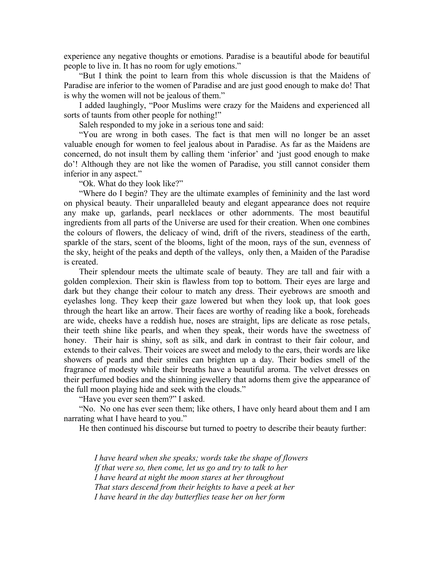experience any negative thoughts or emotions. Paradise is a beautiful abode for beautiful people to live in. It has no room for ugly emotions."

"But I think the point to learn from this whole discussion is that the Maidens of Paradise are inferior to the women of Paradise and are just good enough to make do! That is why the women will not be jealous of them."

I added laughingly, "Poor Muslims were crazy for the Maidens and experienced all sorts of taunts from other people for nothing!"

Saleh responded to my joke in a serious tone and said:

"You are wrong in both cases. The fact is that men will no longer be an asset valuable enough for women to feel jealous about in Paradise. As far as the Maidens are concerned, do not insult them by calling them 'inferior' and 'just good enough to make do'! Although they are not like the women of Paradise, you still cannot consider them inferior in any aspect."

"Ok. What do they look like?"

"Where do I begin? They are the ultimate examples of femininity and the last word on physical beauty. Their unparalleled beauty and elegant appearance does not require any make up, garlands, pearl necklaces or other adornments. The most beautiful ingredients from all parts of the Universe are used for their creation. When one combines the colours of flowers, the delicacy of wind, drift of the rivers, steadiness of the earth, sparkle of the stars, scent of the blooms, light of the moon, rays of the sun, evenness of the sky, height of the peaks and depth of the valleys, only then, a Maiden of the Paradise is created.

Their splendour meets the ultimate scale of beauty. They are tall and fair with a golden complexion. Their skin is flawless from top to bottom. Their eyes are large and dark but they change their colour to match any dress. Their eyebrows are smooth and eyelashes long. They keep their gaze lowered but when they look up, that look goes through the heart like an arrow. Their faces are worthy of reading like a book, foreheads are wide, cheeks have a reddish hue, noses are straight, lips are delicate as rose petals, their teeth shine like pearls, and when they speak, their words have the sweetness of honey. Their hair is shiny, soft as silk, and dark in contrast to their fair colour, and extends to their calves. Their voices are sweet and melody to the ears, their words are like showers of pearls and their smiles can brighten up a day. Their bodies smell of the fragrance of modesty while their breaths have a beautiful aroma. The velvet dresses on their perfumed bodies and the shinning jewellery that adorns them give the appearance of the full moon playing hide and seek with the clouds."

"Have you ever seen them?" I asked.

"No. No one has ever seen them; like others, I have only heard about them and I am narrating what I have heard to you."

He then continued his discourse but turned to poetry to describe their beauty further:

*I have heard when she speaks; words take the shape of flowers If that were so, then come, let us go and try to talk to her I have heard at night the moon stares at her throughout That stars descend from their heights to have a peek at her I have heard in the day butterflies tease her on her form*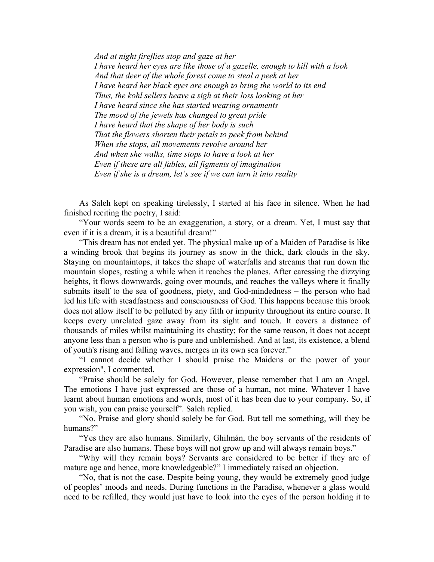*And at night fireflies stop and gaze at her I have heard her eyes are like those of a gazelle, enough to kill with a look And that deer of the whole forest come to steal a peek at her I have heard her black eyes are enough to bring the world to its end Thus, the kohl sellers heave a sigh at their loss looking at her I have heard since she has started wearing ornaments The mood of the jewels has changed to great pride I have heard that the shape of her body is such That the flowers shorten their petals to peek from behind When she stops, all movements revolve around her And when she walks, time stops to have a look at her Even if these are all fables, all figments of imagination Even if she is a dream, let's see if we can turn it into reality*

As Saleh kept on speaking tirelessly, I started at his face in silence. When he had finished reciting the poetry, I said:

"Your words seem to be an exaggeration, a story, or a dream. Yet, I must say that even if it is a dream, it is a beautiful dream!"

"This dream has not ended yet. The physical make up of a Maiden of Paradise is like a winding brook that begins its journey as snow in the thick, dark clouds in the sky. Staying on mountaintops, it takes the shape of waterfalls and streams that run down the mountain slopes, resting a while when it reaches the planes. After caressing the dizzying heights, it flows downwards, going over mounds, and reaches the valleys where it finally submits itself to the sea of goodness, piety, and God-mindedness – the person who had led his life with steadfastness and consciousness of God. This happens because this brook does not allow itself to be polluted by any filth or impurity throughout its entire course. It keeps every unrelated gaze away from its sight and touch. It covers a distance of thousands of miles whilst maintaining its chastity; for the same reason, it does not accept anyone less than a person who is pure and unblemished. And at last, its existence, a blend of youth's rising and falling waves, merges in its own sea forever."

"I cannot decide whether I should praise the Maidens or the power of your expression", I commented.

"Praise should be solely for God. However, please remember that I am an Angel. The emotions I have just expressed are those of a human, not mine. Whatever I have learnt about human emotions and words, most of it has been due to your company. So, if you wish, you can praise yourself". Saleh replied.

"No. Praise and glory should solely be for God. But tell me something, will they be humans?"

"Yes they are also humans. Similarly, Ghilmán, the boy servants of the residents of Paradise are also humans. These boys will not grow up and will always remain boys."

"Why will they remain boys? Servants are considered to be better if they are of mature age and hence, more knowledgeable?" I immediately raised an objection.

"No, that is not the case. Despite being young, they would be extremely good judge of peoples' moods and needs. During functions in the Paradise, whenever a glass would need to be refilled, they would just have to look into the eyes of the person holding it to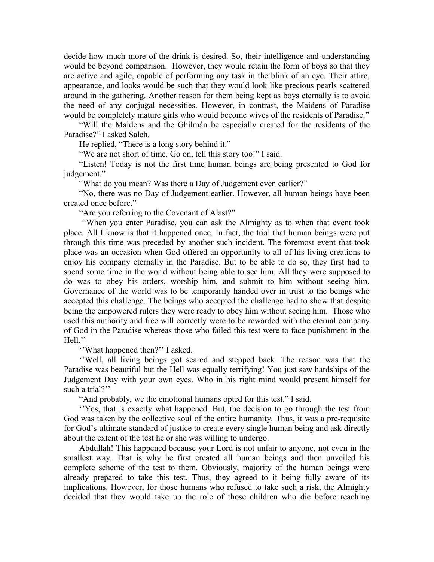decide how much more of the drink is desired. So, their intelligence and understanding would be beyond comparison. However, they would retain the form of boys so that they are active and agile, capable of performing any task in the blink of an eye. Their attire, appearance, and looks would be such that they would look like precious pearls scattered around in the gathering. Another reason for them being kept as boys eternally is to avoid the need of any conjugal necessities. However, in contrast, the Maidens of Paradise would be completely mature girls who would become wives of the residents of Paradise."

"Will the Maidens and the Ghilmán be especially created for the residents of the Paradise?" I asked Saleh.

He replied, "There is a long story behind it."

"We are not short of time. Go on, tell this story too!" I said.

"Listen! Today is not the first time human beings are being presented to God for judgement."

"What do you mean? Was there a Day of Judgement even earlier?"

"No, there was no Day of Judgement earlier. However, all human beings have been created once before."

"Are you referring to the Covenant of Alast?"

 "When you enter Paradise, you can ask the Almighty as to when that event took place. All I know is that it happened once. In fact, the trial that human beings were put through this time was preceded by another such incident. The foremost event that took place was an occasion when God offered an opportunity to all of his living creations to enjoy his company eternally in the Paradise. But to be able to do so, they first had to spend some time in the world without being able to see him. All they were supposed to do was to obey his orders, worship him, and submit to him without seeing him. Governance of the world was to be temporarily handed over in trust to the beings who accepted this challenge. The beings who accepted the challenge had to show that despite being the empowered rulers they were ready to obey him without seeing him. Those who used this authority and free will correctly were to be rewarded with the eternal company of God in the Paradise whereas those who failed this test were to face punishment in the Hell.''

''What happened then?'' I asked.

''Well, all living beings got scared and stepped back. The reason was that the Paradise was beautiful but the Hell was equally terrifying! You just saw hardships of the Judgement Day with your own eyes. Who in his right mind would present himself for such a trial?"

"And probably, we the emotional humans opted for this test." I said.

''Yes, that is exactly what happened. But, the decision to go through the test from God was taken by the collective soul of the entire humanity. Thus, it was a pre-requisite for God's ultimate standard of justice to create every single human being and ask directly about the extent of the test he or she was willing to undergo.

Abdullah! This happened because your Lord is not unfair to anyone, not even in the smallest way. That is why he first created all human beings and then unveiled his complete scheme of the test to them. Obviously, majority of the human beings were already prepared to take this test. Thus, they agreed to it being fully aware of its implications. However, for those humans who refused to take such a risk, the Almighty decided that they would take up the role of those children who die before reaching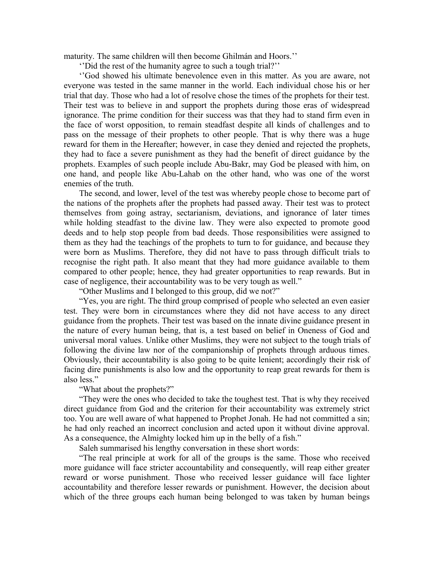maturity. The same children will then become Ghilmán and Hoors.''

''Did the rest of the humanity agree to such a tough trial?''

''God showed his ultimate benevolence even in this matter. As you are aware, not everyone was tested in the same manner in the world. Each individual chose his or her trial that day. Those who had a lot of resolve chose the times of the prophets for their test. Their test was to believe in and support the prophets during those eras of widespread ignorance. The prime condition for their success was that they had to stand firm even in the face of worst opposition, to remain steadfast despite all kinds of challenges and to pass on the message of their prophets to other people. That is why there was a huge reward for them in the Hereafter; however, in case they denied and rejected the prophets, they had to face a severe punishment as they had the benefit of direct guidance by the prophets. Examples of such people include Abu-Bakr, may God be pleased with him, on one hand, and people like Abu-Lahab on the other hand, who was one of the worst enemies of the truth.

The second, and lower, level of the test was whereby people chose to become part of the nations of the prophets after the prophets had passed away. Their test was to protect themselves from going astray, sectarianism, deviations, and ignorance of later times while holding steadfast to the divine law. They were also expected to promote good deeds and to help stop people from bad deeds. Those responsibilities were assigned to them as they had the teachings of the prophets to turn to for guidance, and because they were born as Muslims. Therefore, they did not have to pass through difficult trials to recognise the right path. It also meant that they had more guidance available to them compared to other people; hence, they had greater opportunities to reap rewards. But in case of negligence, their accountability was to be very tough as well."

"Other Muslims and I belonged to this group, did we not?"

"Yes, you are right. The third group comprised of people who selected an even easier test. They were born in circumstances where they did not have access to any direct guidance from the prophets. Their test was based on the innate divine guidance present in the nature of every human being, that is, a test based on belief in Oneness of God and universal moral values. Unlike other Muslims, they were not subject to the tough trials of following the divine law nor of the companionship of prophets through arduous times. Obviously, their accountability is also going to be quite lenient; accordingly their risk of facing dire punishments is also low and the opportunity to reap great rewards for them is also less."

"What about the prophets?"

"They were the ones who decided to take the toughest test. That is why they received direct guidance from God and the criterion for their accountability was extremely strict too. You are well aware of what happened to Prophet Jonah. He had not committed a sin; he had only reached an incorrect conclusion and acted upon it without divine approval. As a consequence, the Almighty locked him up in the belly of a fish."

Saleh summarised his lengthy conversation in these short words:

"The real principle at work for all of the groups is the same. Those who received more guidance will face stricter accountability and consequently, will reap either greater reward or worse punishment. Those who received lesser guidance will face lighter accountability and therefore lesser rewards or punishment. However, the decision about which of the three groups each human being belonged to was taken by human beings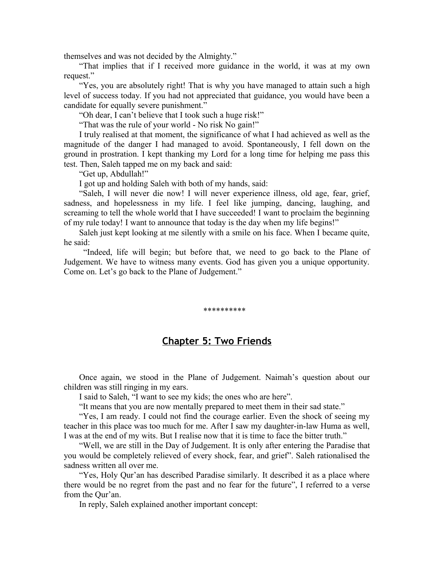themselves and was not decided by the Almighty."

"That implies that if I received more guidance in the world, it was at my own request."

"Yes, you are absolutely right! That is why you have managed to attain such a high level of success today. If you had not appreciated that guidance, you would have been a candidate for equally severe punishment."

"Oh dear, I can't believe that I took such a huge risk!"

"That was the rule of your world - No risk No gain!"

I truly realised at that moment, the significance of what I had achieved as well as the magnitude of the danger I had managed to avoid. Spontaneously, I fell down on the ground in prostration. I kept thanking my Lord for a long time for helping me pass this test. Then, Saleh tapped me on my back and said:

"Get up, Abdullah!"

I got up and holding Saleh with both of my hands, said:

"Saleh, I will never die now! I will never experience illness, old age, fear, grief, sadness, and hopelessness in my life. I feel like jumping, dancing, laughing, and screaming to tell the whole world that I have succeeded! I want to proclaim the beginning of my rule today! I want to announce that today is the day when my life begins!"

Saleh just kept looking at me silently with a smile on his face. When I became quite, he said:

 "Indeed, life will begin; but before that, we need to go back to the Plane of Judgement. We have to witness many events. God has given you a unique opportunity. Come on. Let's go back to the Plane of Judgement."

\*\*\*\*\*\*\*\*\*\*

# **Chapter 5: Two Friends**

Once again, we stood in the Plane of Judgement. Naimah's question about our children was still ringing in my ears.

I said to Saleh, "I want to see my kids; the ones who are here".

"It means that you are now mentally prepared to meet them in their sad state."

"Yes, I am ready. I could not find the courage earlier. Even the shock of seeing my teacher in this place was too much for me. After I saw my daughter-in-law Huma as well, I was at the end of my wits. But I realise now that it is time to face the bitter truth."

"Well, we are still in the Day of Judgement. It is only after entering the Paradise that you would be completely relieved of every shock, fear, and grief". Saleh rationalised the sadness written all over me.

"Yes, Holy Qur'an has described Paradise similarly. It described it as a place where there would be no regret from the past and no fear for the future", I referred to a verse from the Qur'an.

In reply, Saleh explained another important concept: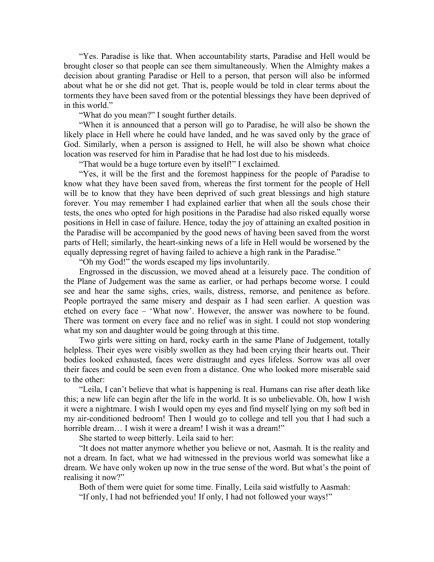"Yes. Paradise is like that. When accountability starts, Paradise and Hell would be brought closer so that people can see them simultaneously. When the Almighty makes a decision about granting Paradise or Hell to a person, that person will also be informed about what he or she did not get. That is, people would be told in clear terms about the torments they have been saved from or the potential blessings they have been deprived of in this world."

"What do you mean?" I sought further details.

"When it is announced that a person will go to Paradise, he will also be shown the likely place in Hell where he could have landed, and he was saved only by the grace of God. Similarly, when a person is assigned to Hell, he will also be shown what choice location was reserved for him in Paradise that he had lost due to his misdeeds.

"That would be a huge torture even by itself!" I exclaimed.

"Yes, it will be the first and the foremost happiness for the people of Paradise to know what they have been saved from, whereas the first torment for the people of Hell will be to know that they have been deprived of such great blessings and high stature forever. You may remember I had explained earlier that when all the souls chose their tests, the ones who opted for high positions in the Paradise had also risked equally worse positions in Hell in case of failure. Hence, today the joy of attaining an exalted position in the Paradise will be accompanied by the good news of having been saved from the worst parts of Hell; similarly, the heart-sinking news of a life in Hell would be worsened by the equally depressing regret of having failed to achieve a high rank in the Paradise."

"Oh my God!" the words escaped my lips involuntarily.

Engrossed in the discussion, we moved ahead at a leisurely pace. The condition of the Plane of Judgement was the same as earlier, or had perhaps become worse. I could see and hear the same sighs, cries, wails, distress, remorse, and penitence as before. People portrayed the same misery and despair as I had seen earlier. A question was etched on every face – 'What now'. However, the answer was nowhere to be found. There was torment on every face and no relief was in sight. I could not stop wondering what my son and daughter would be going through at this time.

Two girls were sitting on hard, rocky earth in the same Plane of Judgement, totally helpless. Their eyes were visibly swollen as they had been crying their hearts out. Their bodies looked exhausted, faces were distraught and eyes lifeless. Sorrow was all over their faces and could be seen even from a distance. One who looked more miserable said to the other:

"Leila, I can't believe that what is happening is real. Humans can rise after death like this; a new life can begin after the life in the world. It is so unbelievable. Oh, how I wish it were a nightmare. I wish I would open my eyes and find myself lying on my soft bed in my air-conditioned bedroom! Then I would go to college and tell you that I had such a horrible dream... I wish it were a dream! I wish it was a dream!"

She started to weep bitterly. Leila said to her:

"It does not matter anymore whether you believe or not, Aasmah. It is the reality and not a dream. In fact, what we had witnessed in the previous world was somewhat like a dream. We have only woken up now in the true sense of the word. But what's the point of realising it now?"

Both of them were quiet for some time. Finally, Leila said wistfully to Aasmah:

"If only, I had not befriended you! If only, I had not followed your ways!"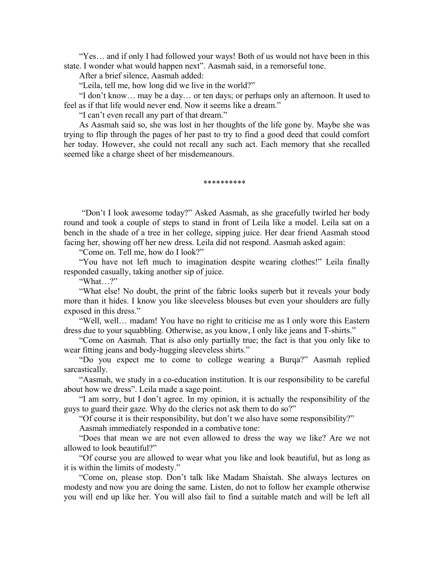"Yes… and if only I had followed your ways! Both of us would not have been in this state. I wonder what would happen next". Aasmah said, in a remorseful tone.

After a brief silence, Aasmah added:

"Leila, tell me, how long did we live in the world?"

"I don't know… may be a day… or ten days; or perhaps only an afternoon. It used to feel as if that life would never end. Now it seems like a dream."

"I can't even recall any part of that dream."

As Aasmah said so, she was lost in her thoughts of the life gone by. Maybe she was trying to flip through the pages of her past to try to find a good deed that could comfort her today. However, she could not recall any such act. Each memory that she recalled seemed like a charge sheet of her misdemeanours.

\*\*\*\*\*\*\*\*\*

 "Don't I look awesome today?" Asked Aasmah, as she gracefully twirled her body round and took a couple of steps to stand in front of Leila like a model. Leila sat on a bench in the shade of a tree in her college, sipping juice. Her dear friend Aasmah stood facing her, showing off her new dress. Leila did not respond. Aasmah asked again:

"Come on. Tell me, how do I look?"

"You have not left much to imagination despite wearing clothes!" Leila finally responded casually, taking another sip of juice.

"What…?"

"What else! No doubt, the print of the fabric looks superb but it reveals your body more than it hides. I know you like sleeveless blouses but even your shoulders are fully exposed in this dress."

"Well, well… madam! You have no right to criticise me as I only wore this Eastern dress due to your squabbling. Otherwise, as you know, I only like jeans and T-shirts."

"Come on Aasmah. That is also only partially true; the fact is that you only like to wear fitting jeans and body-hugging sleeveless shirts."

"Do you expect me to come to college wearing a Burqa?" Aasmah replied sarcastically.

"Aasmah, we study in a co-education institution. It is our responsibility to be careful about how we dress". Leila made a sage point.

"I am sorry, but I don't agree. In my opinion, it is actually the responsibility of the guys to guard their gaze. Why do the clerics not ask them to do so?"

"Of course it is their responsibility, but don't we also have some responsibility?"

Aasmah immediately responded in a combative tone:

"Does that mean we are not even allowed to dress the way we like? Are we not allowed to look beautiful?"

"Of course you are allowed to wear what you like and look beautiful, but as long as it is within the limits of modesty."

"Come on, please stop. Don't talk like Madam Shaistah. She always lectures on modesty and now you are doing the same. Listen, do not to follow her example otherwise you will end up like her. You will also fail to find a suitable match and will be left all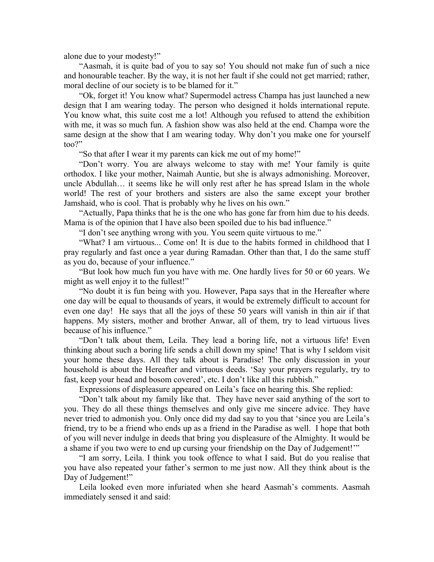alone due to your modesty!"

"Aasmah, it is quite bad of you to say so! You should not make fun of such a nice and honourable teacher. By the way, it is not her fault if she could not get married; rather, moral decline of our society is to be blamed for it."

"Ok, forget it! You know what? Supermodel actress Champa has just launched a new design that I am wearing today. The person who designed it holds international repute. You know what, this suite cost me a lot! Although you refused to attend the exhibition with me, it was so much fun. A fashion show was also held at the end. Champa wore the same design at the show that I am wearing today. Why don't you make one for yourself too?"

"So that after I wear it my parents can kick me out of my home!"

"Don't worry. You are always welcome to stay with me! Your family is quite orthodox. I like your mother, Naimah Auntie, but she is always admonishing. Moreover, uncle Abdullah… it seems like he will only rest after he has spread Islam in the whole world! The rest of your brothers and sisters are also the same except your brother Jamshaid, who is cool. That is probably why he lives on his own."

"Actually, Papa thinks that he is the one who has gone far from him due to his deeds. Mama is of the opinion that I have also been spoiled due to his bad influence."

"I don't see anything wrong with you. You seem quite virtuous to me."

"What? I am virtuous... Come on! It is due to the habits formed in childhood that I pray regularly and fast once a year during Ramadan. Other than that, I do the same stuff as you do, because of your influence."

"But look how much fun you have with me. One hardly lives for 50 or 60 years. We might as well enjoy it to the fullest!"

"No doubt it is fun being with you. However, Papa says that in the Hereafter where one day will be equal to thousands of years, it would be extremely difficult to account for even one day! He says that all the joys of these 50 years will vanish in thin air if that happens. My sisters, mother and brother Anwar, all of them, try to lead virtuous lives because of his influence."

"Don't talk about them, Leila. They lead a boring life, not a virtuous life! Even thinking about such a boring life sends a chill down my spine! That is why I seldom visit your home these days. All they talk about is Paradise! The only discussion in your household is about the Hereafter and virtuous deeds. 'Say your prayers regularly, try to fast, keep your head and bosom covered', etc. I don't like all this rubbish."

Expressions of displeasure appeared on Leila's face on hearing this. She replied:

"Don't talk about my family like that. They have never said anything of the sort to you. They do all these things themselves and only give me sincere advice. They have never tried to admonish you. Only once did my dad say to you that 'since you are Leila's friend, try to be a friend who ends up as a friend in the Paradise as well. I hope that both of you will never indulge in deeds that bring you displeasure of the Almighty. It would be a shame if you two were to end up cursing your friendship on the Day of Judgement!'"

"I am sorry, Leila. I think you took offence to what I said. But do you realise that you have also repeated your father's sermon to me just now. All they think about is the Day of Judgement!"

Leila looked even more infuriated when she heard Aasmah's comments. Aasmah immediately sensed it and said: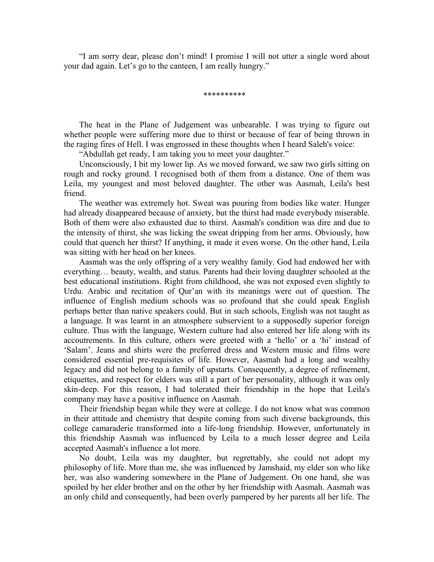"I am sorry dear, please don't mind! I promise I will not utter a single word about your dad again. Let's go to the canteen, I am really hungry."

\*\*\*\*\*\*\*\*\*\*

The heat in the Plane of Judgement was unbearable. I was trying to figure out whether people were suffering more due to thirst or because of fear of being thrown in the raging fires of Hell. I was engrossed in these thoughts when I heard Saleh's voice:

"Abdullah get ready, I am taking you to meet your daughter."

Unconsciously, I bit my lower lip. As we moved forward, we saw two girls sitting on rough and rocky ground. I recognised both of them from a distance. One of them was Leila, my youngest and most beloved daughter. The other was Aasmah, Leila's best friend.

The weather was extremely hot. Sweat was pouring from bodies like water. Hunger had already disappeared because of anxiety, but the thirst had made everybody miserable. Both of them were also exhausted due to thirst. Aasmah's condition was dire and due to the intensity of thirst, she was licking the sweat dripping from her arms. Obviously, how could that quench her thirst? If anything, it made it even worse. On the other hand, Leila was sitting with her head on her knees.

Aasmah was the only offspring of a very wealthy family. God had endowed her with everything… beauty, wealth, and status. Parents had their loving daughter schooled at the best educational institutions. Right from childhood, she was not exposed even slightly to Urdu. Arabic and recitation of Qur'an with its meanings were out of question. The influence of English medium schools was so profound that she could speak English perhaps better than native speakers could. But in such schools, English was not taught as a language. It was learnt in an atmosphere subservient to a supposedly superior foreign culture. Thus with the language, Western culture had also entered her life along with its accoutrements. In this culture, others were greeted with a 'hello' or a 'hi' instead of 'Salam'. Jeans and shirts were the preferred dress and Western music and films were considered essential pre-requisites of life. However, Aasmah had a long and wealthy legacy and did not belong to a family of upstarts. Consequently, a degree of refinement, etiquettes, and respect for elders was still a part of her personality, although it was only skin-deep. For this reason, I had tolerated their friendship in the hope that Leila's company may have a positive influence on Aasmah.

Their friendship began while they were at college. I do not know what was common in their attitude and chemistry that despite coming from such diverse backgrounds, this college camaraderie transformed into a life-long friendship. However, unfortunately in this friendship Aasmah was influenced by Leila to a much lesser degree and Leila accepted Aasmah's influence a lot more.

No doubt, Leila was my daughter, but regrettably, she could not adopt my philosophy of life. More than me, she was influenced by Jamshaid, my elder son who like her, was also wandering somewhere in the Plane of Judgement. On one hand, she was spoiled by her elder brother and on the other by her friendship with Aasmah. Aasmah was an only child and consequently, had been overly pampered by her parents all her life. The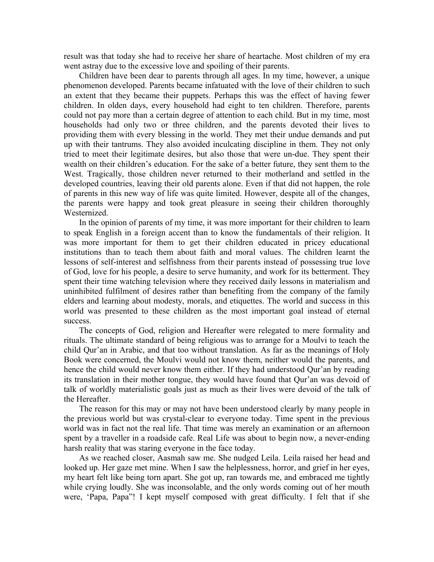result was that today she had to receive her share of heartache. Most children of my era went astray due to the excessive love and spoiling of their parents.

Children have been dear to parents through all ages. In my time, however, a unique phenomenon developed. Parents became infatuated with the love of their children to such an extent that they became their puppets. Perhaps this was the effect of having fewer children. In olden days, every household had eight to ten children. Therefore, parents could not pay more than a certain degree of attention to each child. But in my time, most households had only two or three children, and the parents devoted their lives to providing them with every blessing in the world. They met their undue demands and put up with their tantrums. They also avoided inculcating discipline in them. They not only tried to meet their legitimate desires, but also those that were un-due. They spent their wealth on their children's education. For the sake of a better future, they sent them to the West. Tragically, those children never returned to their motherland and settled in the developed countries, leaving their old parents alone. Even if that did not happen, the role of parents in this new way of life was quite limited. However, despite all of the changes, the parents were happy and took great pleasure in seeing their children thoroughly Westernized.

In the opinion of parents of my time, it was more important for their children to learn to speak English in a foreign accent than to know the fundamentals of their religion. It was more important for them to get their children educated in pricey educational institutions than to teach them about faith and moral values. The children learnt the lessons of self-interest and selfishness from their parents instead of possessing true love of God, love for his people, a desire to serve humanity, and work for its betterment. They spent their time watching television where they received daily lessons in materialism and uninhibited fulfilment of desires rather than benefiting from the company of the family elders and learning about modesty, morals, and etiquettes. The world and success in this world was presented to these children as the most important goal instead of eternal success.

The concepts of God, religion and Hereafter were relegated to mere formality and rituals. The ultimate standard of being religious was to arrange for a Moulvi to teach the child Qur'an in Arabic, and that too without translation. As far as the meanings of Holy Book were concerned, the Moulvi would not know them, neither would the parents, and hence the child would never know them either. If they had understood Qur'an by reading its translation in their mother tongue, they would have found that Qur'an was devoid of talk of worldly materialistic goals just as much as their lives were devoid of the talk of the Hereafter.

The reason for this may or may not have been understood clearly by many people in the previous world but was crystal-clear to everyone today. Time spent in the previous world was in fact not the real life. That time was merely an examination or an afternoon spent by a traveller in a roadside cafe. Real Life was about to begin now, a never-ending harsh reality that was staring everyone in the face today.

As we reached closer, Aasmah saw me. She nudged Leila. Leila raised her head and looked up. Her gaze met mine. When I saw the helplessness, horror, and grief in her eyes, my heart felt like being torn apart. She got up, ran towards me, and embraced me tightly while crying loudly. She was inconsolable, and the only words coming out of her mouth were, 'Papa, Papa"! I kept myself composed with great difficulty. I felt that if she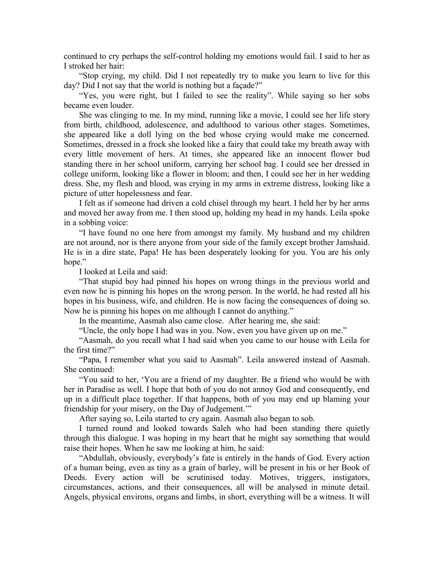continued to cry perhaps the self-control holding my emotions would fail. I said to her as I stroked her hair:

"Stop crying, my child. Did I not repeatedly try to make you learn to live for this day? Did I not say that the world is nothing but a façade?"

"Yes, you were right, but I failed to see the reality". While saying so her sobs became even louder.

She was clinging to me. In my mind, running like a movie, I could see her life story from birth, childhood, adolescence, and adulthood to various other stages. Sometimes, she appeared like a doll lying on the bed whose crying would make me concerned. Sometimes, dressed in a frock she looked like a fairy that could take my breath away with every little movement of hers. At times, she appeared like an innocent flower bud standing there in her school uniform, carrying her school bag. I could see her dressed in college uniform, looking like a flower in bloom; and then, I could see her in her wedding dress. She, my flesh and blood, was crying in my arms in extreme distress, looking like a picture of utter hopelessness and fear.

I felt as if someone had driven a cold chisel through my heart. I held her by her arms and moved her away from me. I then stood up, holding my head in my hands. Leila spoke in a sobbing voice:

"I have found no one here from amongst my family. My husband and my children are not around, nor is there anyone from your side of the family except brother Jamshaid. He is in a dire state, Papa! He has been desperately looking for you. You are his only hope."

I looked at Leila and said:

"That stupid boy had pinned his hopes on wrong things in the previous world and even now he is pinning his hopes on the wrong person. In the world, he had rested all his hopes in his business, wife, and children. He is now facing the consequences of doing so. Now he is pinning his hopes on me although I cannot do anything."

In the meantime, Aasmah also came close. After hearing me, she said:

"Uncle, the only hope I had was in you. Now, even you have given up on me."

"Aasmah, do you recall what I had said when you came to our house with Leila for the first time?"

"Papa, I remember what you said to Aasmah". Leila answered instead of Aasmah. She continued:

"You said to her, 'You are a friend of my daughter. Be a friend who would be with her in Paradise as well. I hope that both of you do not annoy God and consequently, end up in a difficult place together. If that happens, both of you may end up blaming your friendship for your misery, on the Day of Judgement.'"

After saying so, Leila started to cry again. Aasmah also began to sob.

I turned round and looked towards Saleh who had been standing there quietly through this dialogue. I was hoping in my heart that he might say something that would raise their hopes. When he saw me looking at him, he said:

"Abdullah, obviously, everybody's fate is entirely in the hands of God. Every action of a human being, even as tiny as a grain of barley, will be present in his or her Book of Deeds. Every action will be scrutinised today. Motives, triggers, instigators, circumstances, actions, and their consequences, all will be analysed in minute detail. Angels, physical environs, organs and limbs, in short, everything will be a witness. It will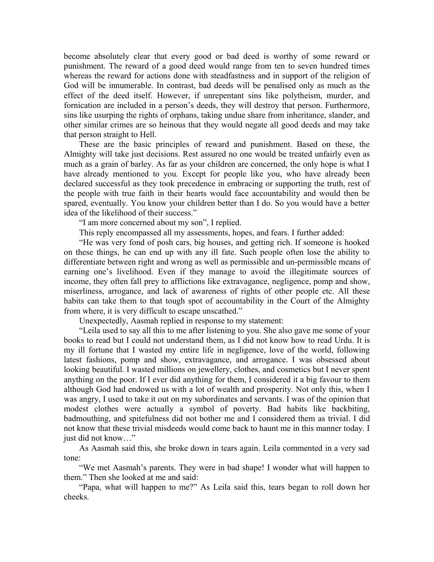become absolutely clear that every good or bad deed is worthy of some reward or punishment. The reward of a good deed would range from ten to seven hundred times whereas the reward for actions done with steadfastness and in support of the religion of God will be innumerable. In contrast, bad deeds will be penalised only as much as the effect of the deed itself. However, if unrepentant sins like polytheism, murder, and fornication are included in a person's deeds, they will destroy that person. Furthermore, sins like usurping the rights of orphans, taking undue share from inheritance, slander, and other similar crimes are so heinous that they would negate all good deeds and may take that person straight to Hell.

These are the basic principles of reward and punishment. Based on these, the Almighty will take just decisions. Rest assured no one would be treated unfairly even as much as a grain of barley. As far as your children are concerned, the only hope is what I have already mentioned to you. Except for people like you, who have already been declared successful as they took precedence in embracing or supporting the truth, rest of the people with true faith in their hearts would face accountability and would then be spared, eventually. You know your children better than I do. So you would have a better idea of the likelihood of their success."

"I am more concerned about my son", I replied.

This reply encompassed all my assessments, hopes, and fears. I further added:

"He was very fond of posh cars, big houses, and getting rich. If someone is hooked on these things, he can end up with any ill fate. Such people often lose the ability to differentiate between right and wrong as well as permissible and un-permissible means of earning one's livelihood. Even if they manage to avoid the illegitimate sources of income, they often fall prey to afflictions like extravagance, negligence, pomp and show, miserliness, arrogance, and lack of awareness of rights of other people etc. All these habits can take them to that tough spot of accountability in the Court of the Almighty from where, it is very difficult to escape unscathed."

Unexpectedly, Aasmah replied in response to my statement:

"Leila used to say all this to me after listening to you. She also gave me some of your books to read but I could not understand them, as I did not know how to read Urdu. It is my ill fortune that I wasted my entire life in negligence, love of the world, following latest fashions, pomp and show, extravagance, and arrogance. I was obsessed about looking beautiful. I wasted millions on jewellery, clothes, and cosmetics but I never spent anything on the poor. If I ever did anything for them, I considered it a big favour to them although God had endowed us with a lot of wealth and prosperity. Not only this, when I was angry, I used to take it out on my subordinates and servants. I was of the opinion that modest clothes were actually a symbol of poverty. Bad habits like backbiting, badmouthing, and spitefulness did not bother me and I considered them as trivial. I did not know that these trivial misdeeds would come back to haunt me in this manner today. I just did not know…"

As Aasmah said this, she broke down in tears again. Leila commented in a very sad tone:

"We met Aasmah's parents. They were in bad shape! I wonder what will happen to them." Then she looked at me and said:

"Papa, what will happen to me?" As Leila said this, tears began to roll down her cheeks.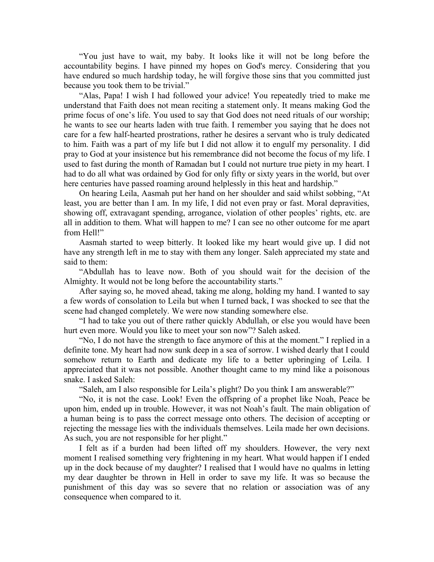"You just have to wait, my baby. It looks like it will not be long before the accountability begins. I have pinned my hopes on God's mercy. Considering that you have endured so much hardship today, he will forgive those sins that you committed just because you took them to be trivial."

"Alas, Papa! I wish I had followed your advice! You repeatedly tried to make me understand that Faith does not mean reciting a statement only. It means making God the prime focus of one's life. You used to say that God does not need rituals of our worship; he wants to see our hearts laden with true faith. I remember you saying that he does not care for a few half-hearted prostrations, rather he desires a servant who is truly dedicated to him. Faith was a part of my life but I did not allow it to engulf my personality. I did pray to God at your insistence but his remembrance did not become the focus of my life. I used to fast during the month of Ramadan but I could not nurture true piety in my heart. I had to do all what was ordained by God for only fifty or sixty years in the world, but over here centuries have passed roaming around helplessly in this heat and hardship."

On hearing Leila, Aasmah put her hand on her shoulder and said whilst sobbing, "At least, you are better than I am. In my life, I did not even pray or fast. Moral depravities, showing off, extravagant spending, arrogance, violation of other peoples' rights, etc. are all in addition to them. What will happen to me? I can see no other outcome for me apart from Hell!"

Aasmah started to weep bitterly. It looked like my heart would give up. I did not have any strength left in me to stay with them any longer. Saleh appreciated my state and said to them:

"Abdullah has to leave now. Both of you should wait for the decision of the Almighty. It would not be long before the accountability starts."

After saying so, he moved ahead, taking me along, holding my hand. I wanted to say a few words of consolation to Leila but when I turned back, I was shocked to see that the scene had changed completely. We were now standing somewhere else.

"I had to take you out of there rather quickly Abdullah, or else you would have been hurt even more. Would you like to meet your son now"? Saleh asked.

"No, I do not have the strength to face anymore of this at the moment." I replied in a definite tone. My heart had now sunk deep in a sea of sorrow. I wished dearly that I could somehow return to Earth and dedicate my life to a better upbringing of Leila. I appreciated that it was not possible. Another thought came to my mind like a poisonous snake. I asked Saleh:

"Saleh, am I also responsible for Leila's plight? Do you think I am answerable?"

"No, it is not the case. Look! Even the offspring of a prophet like Noah, Peace be upon him, ended up in trouble. However, it was not Noah's fault. The main obligation of a human being is to pass the correct message onto others. The decision of accepting or rejecting the message lies with the individuals themselves. Leila made her own decisions. As such, you are not responsible for her plight."

I felt as if a burden had been lifted off my shoulders. However, the very next moment I realised something very frightening in my heart. What would happen if I ended up in the dock because of my daughter? I realised that I would have no qualms in letting my dear daughter be thrown in Hell in order to save my life. It was so because the punishment of this day was so severe that no relation or association was of any consequence when compared to it.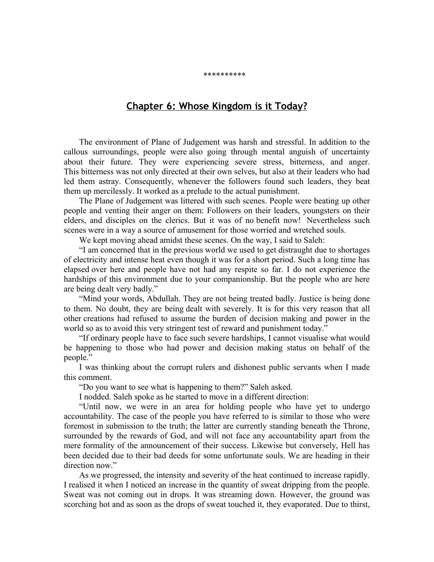#### \*\*\*\*\*\*\*\*\*\*

# **Chapter 6: Whose Kingdom is it Today?**

The environment of Plane of Judgement was harsh and stressful. In addition to the callous surroundings, people were also going through mental anguish of uncertainty about their future. They were experiencing severe stress, bitterness, and anger. This bitterness was not only directed at their own selves, but also at their leaders who had led them astray. Consequently, whenever the followers found such leaders, they beat them up mercilessly. It worked as a prelude to the actual punishment.

The Plane of Judgement was littered with such scenes. People were beating up other people and venting their anger on them: Followers on their leaders, youngsters on their elders, and disciples on the clerics. But it was of no benefit now! Nevertheless such scenes were in a way a source of amusement for those worried and wretched souls.

We kept moving ahead amidst these scenes. On the way, I said to Saleh:

"I am concerned that in the previous world we used to get distraught due to shortages of electricity and intense heat even though it was for a short period. Such a long time has elapsed over here and people have not had any respite so far. I do not experience the hardships of this environment due to your companionship. But the people who are here are being dealt very badly."

"Mind your words, Abdullah. They are not being treated badly. Justice is being done to them. No doubt, they are being dealt with severely. It is for this very reason that all other creations had refused to assume the burden of decision making and power in the world so as to avoid this very stringent test of reward and punishment today."

"If ordinary people have to face such severe hardships, I cannot visualise what would be happening to those who had power and decision making status on behalf of the people."

I was thinking about the corrupt rulers and dishonest public servants when I made this comment.

"Do you want to see what is happening to them?" Saleh asked.

I nodded. Saleh spoke as he started to move in a different direction:

"Until now, we were in an area for holding people who have yet to undergo accountability. The case of the people you have referred to is similar to those who were foremost in submission to the truth; the latter are currently standing beneath the Throne, surrounded by the rewards of God, and will not face any accountability apart from the mere formality of the announcement of their success. Likewise but conversely, Hell has been decided due to their bad deeds for some unfortunate souls. We are heading in their direction now"

As we progressed, the intensity and severity of the heat continued to increase rapidly. I realised it when I noticed an increase in the quantity of sweat dripping from the people. Sweat was not coming out in drops. It was streaming down. However, the ground was scorching hot and as soon as the drops of sweat touched it, they evaporated. Due to thirst,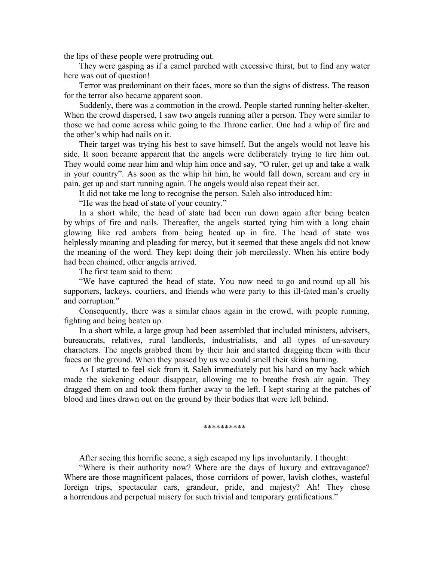the lips of these people were protruding out.

They were gasping as if a camel parched with excessive thirst, but to find any water here was out of question!

Terror was predominant on their faces, more so than the signs of distress. The reason for the terror also became apparent soon.

Suddenly, there was a commotion in the crowd. People started running helter-skelter. When the crowd dispersed, I saw two angels running after a person. They were similar to those we had come across while going to the Throne earlier. One had a whip of fire and the other's whip had nails on it.

Their target was trying his best to save himself. But the angels would not leave his side. It soon became apparent that the angels were deliberately trying to tire him out. They would come near him and whip him once and say, "O ruler, get up and take a walk in your country". As soon as the whip hit him, he would fall down, scream and cry in pain, get up and start running again. The angels would also repeat their act.

It did not take me long to recognise the person. Saleh also introduced him:

"He was the head of state of your country."

In a short while, the head of state had been run down again after being beaten by whips of fire and nails. Thereafter, the angels started tying him with a long chain glowing like red ambers from being heated up in fire. The head of state was helplessly moaning and pleading for mercy, but it seemed that these angels did not know the meaning of the word. They kept doing their job mercilessly. When his entire body had been chained, other angels arrived.

The first team said to them:

"We have captured the head of state. You now need to go and round up all his supporters, lackeys, courtiers, and friends who were party to this ill-fated man's cruelty and corruption."

Consequently, there was a similar chaos again in the crowd, with people running, fighting and being beaten up.

In a short while, a large group had been assembled that included ministers, advisers, bureaucrats, relatives, rural landlords, industrialists, and all types of un-savoury characters. The angels grabbed them by their hair and started dragging them with their faces on the ground. When they passed by us we could smell their skins burning.

As I started to feel sick from it, Saleh immediately put his hand on my back which made the sickening odour disappear, allowing me to breathe fresh air again. They dragged them on and took them further away to the left. I kept staring at the patches of blood and lines drawn out on the ground by their bodies that were left behind.

\*\*\*\*\*\*\*\*\*

After seeing this horrific scene, a sigh escaped my lips involuntarily. I thought:

"Where is their authority now? Where are the days of luxury and extravagance? Where are those magnificent palaces, those corridors of power, lavish clothes, wasteful foreign trips, spectacular cars, grandeur, pride, and majesty? Ah! They chose a horrendous and perpetual misery for such trivial and temporary gratifications."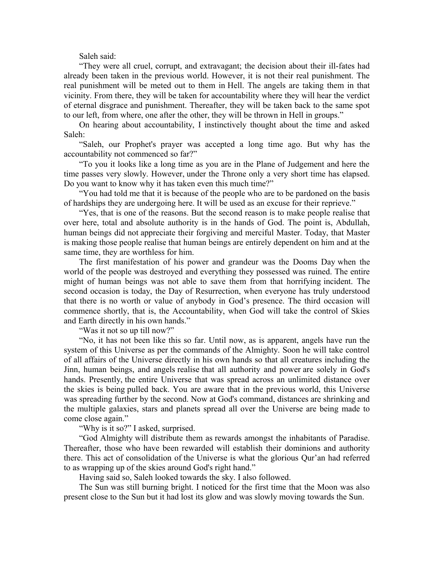Saleh said:

"They were all cruel, corrupt, and extravagant; the decision about their ill-fates had already been taken in the previous world. However, it is not their real punishment. The real punishment will be meted out to them in Hell. The angels are taking them in that vicinity. From there, they will be taken for accountability where they will hear the verdict of eternal disgrace and punishment. Thereafter, they will be taken back to the same spot to our left, from where, one after the other, they will be thrown in Hell in groups."

On hearing about accountability, I instinctively thought about the time and asked Saleh:

"Saleh, our Prophet's prayer was accepted a long time ago. But why has the accountability not commenced so far?"

"To you it looks like a long time as you are in the Plane of Judgement and here the time passes very slowly. However, under the Throne only a very short time has elapsed. Do you want to know why it has taken even this much time?"

"You had told me that it is because of the people who are to be pardoned on the basis of hardships they are undergoing here. It will be used as an excuse for their reprieve."

"Yes, that is one of the reasons. But the second reason is to make people realise that over here, total and absolute authority is in the hands of God. The point is, Abdullah, human beings did not appreciate their forgiving and merciful Master. Today, that Master is making those people realise that human beings are entirely dependent on him and at the same time, they are worthless for him.

The first manifestation of his power and grandeur was the Dooms Day when the world of the people was destroyed and everything they possessed was ruined. The entire might of human beings was not able to save them from that horrifying incident. The second occasion is today, the Day of Resurrection, when everyone has truly understood that there is no worth or value of anybody in God's presence. The third occasion will commence shortly, that is, the Accountability, when God will take the control of Skies and Earth directly in his own hands."

"Was it not so up till now?"

"No, it has not been like this so far. Until now, as is apparent, angels have run the system of this Universe as per the commands of the Almighty. Soon he will take control of all affairs of the Universe directly in his own hands so that all creatures including the Jinn, human beings, and angels realise that all authority and power are solely in God's hands. Presently, the entire Universe that was spread across an unlimited distance over the skies is being pulled back. You are aware that in the previous world, this Universe was spreading further by the second. Now at God's command, distances are shrinking and the multiple galaxies, stars and planets spread all over the Universe are being made to come close again."

"Why is it so?" I asked, surprised.

"God Almighty will distribute them as rewards amongst the inhabitants of Paradise. Thereafter, those who have been rewarded will establish their dominions and authority there. This act of consolidation of the Universe is what the glorious Qur'an had referred to as wrapping up of the skies around God's right hand."

Having said so, Saleh looked towards the sky. I also followed.

The Sun was still burning bright. I noticed for the first time that the Moon was also present close to the Sun but it had lost its glow and was slowly moving towards the Sun.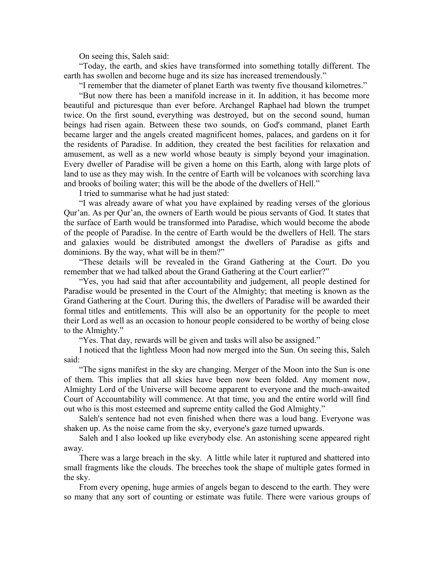On seeing this, Saleh said:

"Today, the earth, and skies have transformed into something totally different. The earth has swollen and become huge and its size has increased tremendously."

"I remember that the diameter of planet Earth was twenty five thousand kilometres."

"But now there has been a manifold increase in it. In addition, it has become more beautiful and picturesque than ever before. Archangel Raphael had blown the trumpet twice. On the first sound, everything was destroyed, but on the second sound, human beings had risen again. Between these two sounds, on God's command, planet Earth became larger and the angels created magnificent homes, palaces, and gardens on it for the residents of Paradise. In addition, they created the best facilities for relaxation and amusement, as well as a new world whose beauty is simply beyond your imagination. Every dweller of Paradise will be given a home on this Earth, along with large plots of land to use as they may wish. In the centre of Earth will be volcanoes with scorching lava and brooks of boiling water; this will be the abode of the dwellers of Hell."

I tried to summarise what he had just stated:

"I was already aware of what you have explained by reading verses of the glorious Qur'an. As per Qur'an, the owners of Earth would be pious servants of God. It states that the surface of Earth would be transformed into Paradise, which would become the abode of the people of Paradise. In the centre of Earth would be the dwellers of Hell. The stars and galaxies would be distributed amongst the dwellers of Paradise as gifts and dominions. By the way, what will be in them?"

"These details will be revealed in the Grand Gathering at the Court. Do you remember that we had talked about the Grand Gathering at the Court earlier?"

"Yes, you had said that after accountability and judgement, all people destined for Paradise would be presented in the Court of the Almighty; that meeting is known as the Grand Gathering at the Court. During this, the dwellers of Paradise will be awarded their formal titles and entitlements. This will also be an opportunity for the people to meet their Lord as well as an occasion to honour people considered to be worthy of being close to the Almighty."

"Yes. That day, rewards will be given and tasks will also be assigned."

I noticed that the lightless Moon had now merged into the Sun. On seeing this, Saleh said:

"The signs manifest in the sky are changing. Merger of the Moon into the Sun is one of them. This implies that all skies have been now been folded. Any moment now, Almighty Lord of the Universe will become apparent to everyone and the much-awaited Court of Accountability will commence. At that time, you and the entire world will find out who is this most esteemed and supreme entity called the God Almighty."

Saleh's sentence had not even finished when there was a loud bang. Everyone was shaken up. As the noise came from the sky, everyone's gaze turned upwards.

Saleh and I also looked up like everybody else. An astonishing scene appeared right away.

There was a large breach in the sky. A little while later it ruptured and shattered into small fragments like the clouds. The breeches took the shape of multiple gates formed in the sky.

From every opening, huge armies of angels began to descend to the earth. They were so many that any sort of counting or estimate was futile. There were various groups of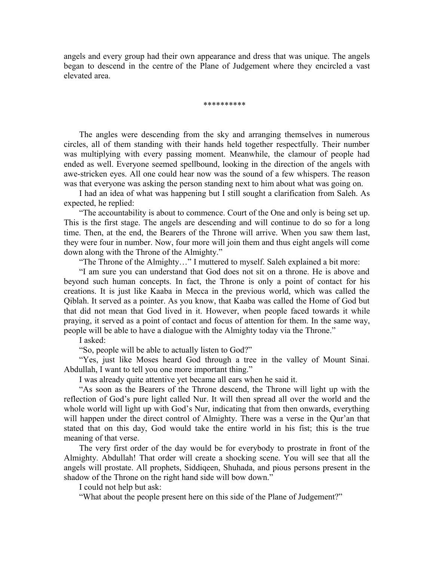angels and every group had their own appearance and dress that was unique. The angels began to descend in the centre of the Plane of Judgement where they encircled a vast elevated area.

\*\*\*\*\*\*\*\*\*\*

The angles were descending from the sky and arranging themselves in numerous circles, all of them standing with their hands held together respectfully. Their number was multiplying with every passing moment. Meanwhile, the clamour of people had ended as well. Everyone seemed spellbound, looking in the direction of the angels with awe-stricken eyes. All one could hear now was the sound of a few whispers. The reason was that everyone was asking the person standing next to him about what was going on.

I had an idea of what was happening but I still sought a clarification from Saleh. As expected, he replied:

"The accountability is about to commence. Court of the One and only is being set up. This is the first stage. The angels are descending and will continue to do so for a long time. Then, at the end, the Bearers of the Throne will arrive. When you saw them last, they were four in number. Now, four more will join them and thus eight angels will come down along with the Throne of the Almighty."

"The Throne of the Almighty…" I muttered to myself. Saleh explained a bit more:

"I am sure you can understand that God does not sit on a throne. He is above and beyond such human concepts. In fact, the Throne is only a point of contact for his creations. It is just like Kaaba in Mecca in the previous world, which was called the Qiblah. It served as a pointer. As you know, that Kaaba was called the Home of God but that did not mean that God lived in it. However, when people faced towards it while praying, it served as a point of contact and focus of attention for them. In the same way, people will be able to have a dialogue with the Almighty today via the Throne."

I asked:

"So, people will be able to actually listen to God?"

"Yes, just like Moses heard God through a tree in the valley of Mount Sinai. Abdullah, I want to tell you one more important thing."

I was already quite attentive yet became all ears when he said it.

"As soon as the Bearers of the Throne descend, the Throne will light up with the reflection of God's pure light called Nur. It will then spread all over the world and the whole world will light up with God's Nur, indicating that from then onwards, everything will happen under the direct control of Almighty. There was a verse in the Qur'an that stated that on this day, God would take the entire world in his fist; this is the true meaning of that verse.

The very first order of the day would be for everybody to prostrate in front of the Almighty. Abdullah! That order will create a shocking scene. You will see that all the angels will prostate. All prophets, Siddiqeen, Shuhada, and pious persons present in the shadow of the Throne on the right hand side will bow down."

I could not help but ask:

"What about the people present here on this side of the Plane of Judgement?"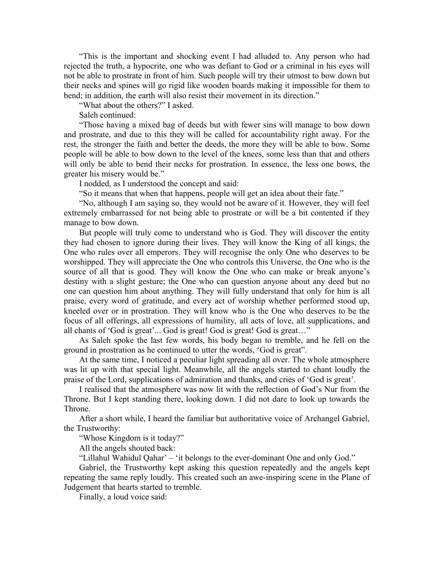"This is the important and shocking event I had alluded to. Any person who had rejected the truth, a hypocrite, one who was defiant to God or a criminal in his eyes will not be able to prostrate in front of him. Such people will try their utmost to bow down but their necks and spines will go rigid like wooden boards making it impossible for them to bend; in addition, the earth will also resist their movement in its direction."

"What about the others?" I asked.

Saleh continued:

"Those having a mixed bag of deeds but with fewer sins will manage to bow down and prostrate, and due to this they will be called for accountability right away. For the rest, the stronger the faith and better the deeds, the more they will be able to bow. Some people will be able to bow down to the level of the knees, some less than that and others will only be able to bend their necks for prostration. In essence, the less one bows, the greater his misery would be."

I nodded, as I understood the concept and said:

"So it means that when that happens, people will get an idea about their fate."

"No, although I am saying so, they would not be aware of it. However, they will feel extremely embarrassed for not being able to prostrate or will be a bit contented if they manage to bow down.

But people will truly come to understand who is God. They will discover the entity they had chosen to ignore during their lives. They will know the King of all kings, the One who rules over all emperors. They will recognise the only One who deserves to be worshipped. They will appreciate the One who controls this Universe, the One who is the source of all that is good. They will know the One who can make or break anyone's destiny with a slight gesture; the One who can question anyone about any deed but no one can question him about anything. They will fully understand that only for him is all praise, every word of gratitude, and every act of worship whether performed stood up, kneeled over or in prostration. They will know who is the One who deserves to be the focus of all offerings, all expressions of humility, all acts of love, all supplications, and all chants of 'God is great'... God is great! God is great! God is great…"

As Saleh spoke the last few words, his body began to tremble, and he fell on the ground in prostration as he continued to utter the words, 'God is great".

At the same time, I noticed a peculiar light spreading all over. The whole atmosphere was lit up with that special light. Meanwhile, all the angels started to chant loudly the praise of the Lord, supplications of admiration and thanks, and cries of 'God is great'.

I realised that the atmosphere was now lit with the reflection of God's Nur from the Throne. But I kept standing there, looking down. I did not dare to look up towards the Throne.

After a short while, I heard the familiar but authoritative voice of Archangel Gabriel, the Trustworthy:

"Whose Kingdom is it today?"

All the angels shouted back:

"Lillahul Wahidul Qahar' – 'it belongs to the ever-dominant One and only God."

Gabriel, the Trustworthy kept asking this question repeatedly and the angels kept repeating the same reply loudly. This created such an awe-inspiring scene in the Plane of Judgement that hearts started to tremble.

Finally, a loud voice said: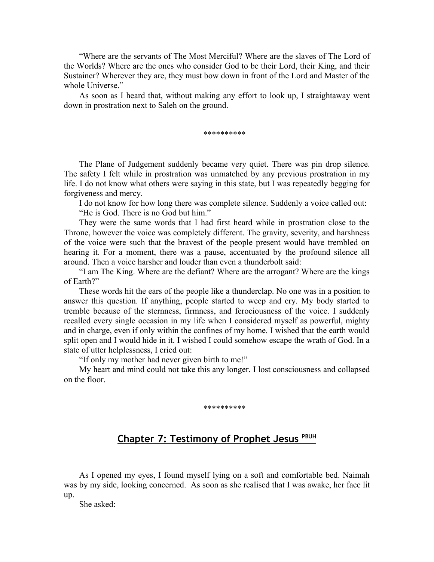"Where are the servants of The Most Merciful? Where are the slaves of The Lord of the Worlds? Where are the ones who consider God to be their Lord, their King, and their Sustainer? Wherever they are, they must bow down in front of the Lord and Master of the whole Universe."

As soon as I heard that, without making any effort to look up, I straightaway went down in prostration next to Saleh on the ground.

\*\*\*\*\*\*\*\*\*\*

The Plane of Judgement suddenly became very quiet. There was pin drop silence. The safety I felt while in prostration was unmatched by any previous prostration in my life. I do not know what others were saying in this state, but I was repeatedly begging for forgiveness and mercy.

I do not know for how long there was complete silence. Suddenly a voice called out:

"He is God. There is no God but him"

They were the same words that I had first heard while in prostration close to the Throne, however the voice was completely different. The gravity, severity, and harshness of the voice were such that the bravest of the people present would have trembled on hearing it. For a moment, there was a pause, accentuated by the profound silence all around. Then a voice harsher and louder than even a thunderbolt said:

"I am The King. Where are the defiant? Where are the arrogant? Where are the kings of Earth?"

These words hit the ears of the people like a thunderclap. No one was in a position to answer this question. If anything, people started to weep and cry. My body started to tremble because of the sternness, firmness, and ferociousness of the voice. I suddenly recalled every single occasion in my life when I considered myself as powerful, mighty and in charge, even if only within the confines of my home. I wished that the earth would split open and I would hide in it. I wished I could somehow escape the wrath of God. In a state of utter helplessness, I cried out:

"If only my mother had never given birth to me!"

My heart and mind could not take this any longer. I lost consciousness and collapsed on the floor.

\*\*\*\*\*\*\*\*\*\*

# **Chapter 7: Testimony of Prophet Jesus PBUH**

As I opened my eyes, I found myself lying on a soft and comfortable bed. Naimah was by my side, looking concerned. As soon as she realised that I was awake, her face lit up.

She asked: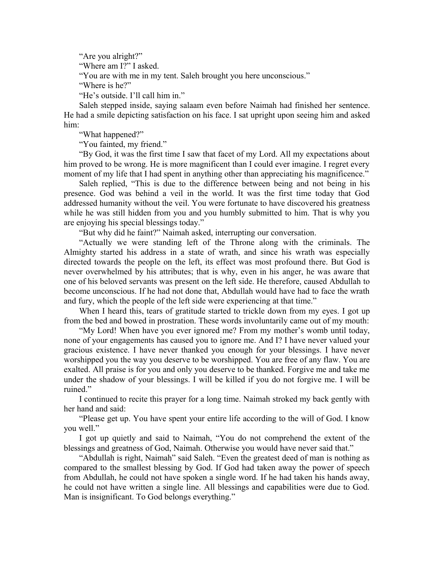"Are you alright?"

"Where am I?" I asked.

"You are with me in my tent. Saleh brought you here unconscious."

"Where is he?"

"He's outside. I'll call him in."

Saleh stepped inside, saying salaam even before Naimah had finished her sentence. He had a smile depicting satisfaction on his face. I sat upright upon seeing him and asked him:

"What happened?"

"You fainted, my friend."

"By God, it was the first time I saw that facet of my Lord. All my expectations about him proved to be wrong. He is more magnificent than I could ever imagine. I regret every moment of my life that I had spent in anything other than appreciating his magnificence."

Saleh replied, "This is due to the difference between being and not being in his presence. God was behind a veil in the world. It was the first time today that God addressed humanity without the veil. You were fortunate to have discovered his greatness while he was still hidden from you and you humbly submitted to him. That is why you are enjoying his special blessings today."

"But why did he faint?" Naimah asked, interrupting our conversation.

"Actually we were standing left of the Throne along with the criminals. The Almighty started his address in a state of wrath, and since his wrath was especially directed towards the people on the left, its effect was most profound there. But God is never overwhelmed by his attributes; that is why, even in his anger, he was aware that one of his beloved servants was present on the left side. He therefore, caused Abdullah to become unconscious. If he had not done that, Abdullah would have had to face the wrath and fury, which the people of the left side were experiencing at that time."

When I heard this, tears of gratitude started to trickle down from my eyes. I got up from the bed and bowed in prostration. These words involuntarily came out of my mouth:

"My Lord! When have you ever ignored me? From my mother's womb until today, none of your engagements has caused you to ignore me. And I? I have never valued your gracious existence. I have never thanked you enough for your blessings. I have never worshipped you the way you deserve to be worshipped. You are free of any flaw. You are exalted. All praise is for you and only you deserve to be thanked. Forgive me and take me under the shadow of your blessings. I will be killed if you do not forgive me. I will be ruined."

I continued to recite this prayer for a long time. Naimah stroked my back gently with her hand and said:

"Please get up. You have spent your entire life according to the will of God. I know you well."

I got up quietly and said to Naimah, "You do not comprehend the extent of the blessings and greatness of God, Naimah. Otherwise you would have never said that."

"Abdullah is right, Naimah" said Saleh. "Even the greatest deed of man is nothing as compared to the smallest blessing by God. If God had taken away the power of speech from Abdullah, he could not have spoken a single word. If he had taken his hands away, he could not have written a single line. All blessings and capabilities were due to God. Man is insignificant. To God belongs everything."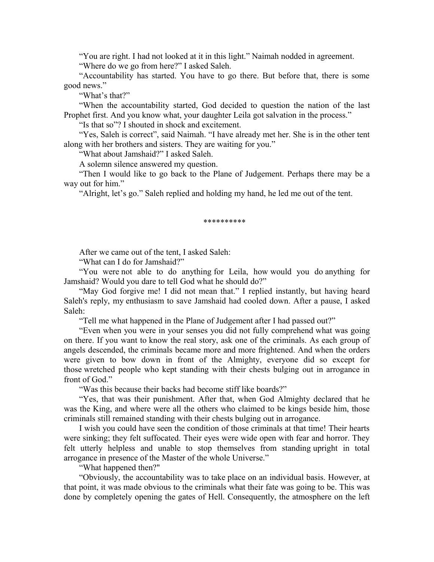"You are right. I had not looked at it in this light." Naimah nodded in agreement.

"Where do we go from here?" I asked Saleh.

"Accountability has started. You have to go there. But before that, there is some good news."

"What's that?"

"When the accountability started, God decided to question the nation of the last Prophet first. And you know what, your daughter Leila got salvation in the process."

"Is that so"? I shouted in shock and excitement.

"Yes, Saleh is correct", said Naimah. "I have already met her. She is in the other tent along with her brothers and sisters. They are waiting for you."

"What about Jamshaid?" I asked Saleh.

A solemn silence answered my question.

"Then I would like to go back to the Plane of Judgement. Perhaps there may be a way out for him."

"Alright, let's go." Saleh replied and holding my hand, he led me out of the tent.

### \*\*\*\*\*\*\*\*\*\*

After we came out of the tent, I asked Saleh:

"What can I do for Jamshaid?"

"You were not able to do anything for Leila, how would you do anything for Jamshaid? Would you dare to tell God what he should do?"

"May God forgive me! I did not mean that." I replied instantly, but having heard Saleh's reply, my enthusiasm to save Jamshaid had cooled down. After a pause, I asked Saleh:

"Tell me what happened in the Plane of Judgement after I had passed out?"

"Even when you were in your senses you did not fully comprehend what was going on there. If you want to know the real story, ask one of the criminals. As each group of angels descended, the criminals became more and more frightened. And when the orders were given to bow down in front of the Almighty, everyone did so except for those wretched people who kept standing with their chests bulging out in arrogance in front of God."

"Was this because their backs had become stiff like boards?"

"Yes, that was their punishment. After that, when God Almighty declared that he was the King, and where were all the others who claimed to be kings beside him, those criminals still remained standing with their chests bulging out in arrogance.

I wish you could have seen the condition of those criminals at that time! Their hearts were sinking; they felt suffocated. Their eyes were wide open with fear and horror. They felt utterly helpless and unable to stop themselves from standing upright in total arrogance in presence of the Master of the whole Universe."

"What happened then?"

"Obviously, the accountability was to take place on an individual basis. However, at that point, it was made obvious to the criminals what their fate was going to be. This was done by completely opening the gates of Hell. Consequently, the atmosphere on the left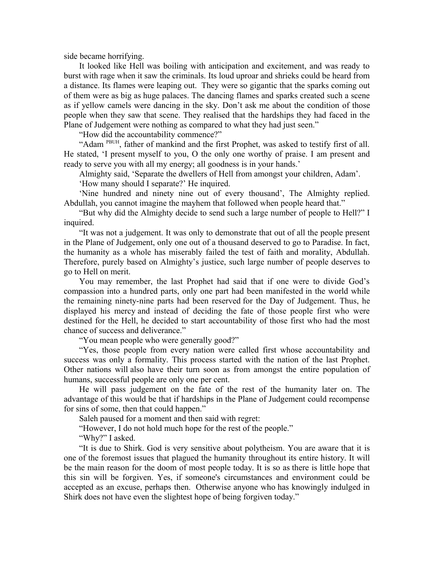side became horrifying.

It looked like Hell was boiling with anticipation and excitement, and was ready to burst with rage when it saw the criminals. Its loud uproar and shrieks could be heard from a distance. Its flames were leaping out. They were so gigantic that the sparks coming out of them were as big as huge palaces. The dancing flames and sparks created such a scene as if yellow camels were dancing in the sky. Don't ask me about the condition of those people when they saw that scene. They realised that the hardships they had faced in the Plane of Judgement were nothing as compared to what they had just seen."

"How did the accountability commence?"

"Adam PBUH, father of mankind and the first Prophet, was asked to testify first of all. He stated, 'I present myself to you, O the only one worthy of praise. I am present and ready to serve you with all my energy; all goodness is in your hands.'

Almighty said, 'Separate the dwellers of Hell from amongst your children, Adam'.

'How many should I separate?' He inquired.

'Nine hundred and ninety nine out of every thousand', The Almighty replied. Abdullah, you cannot imagine the mayhem that followed when people heard that."

"But why did the Almighty decide to send such a large number of people to Hell?" I inquired.

"It was not a judgement. It was only to demonstrate that out of all the people present in the Plane of Judgement, only one out of a thousand deserved to go to Paradise. In fact, the humanity as a whole has miserably failed the test of faith and morality, Abdullah. Therefore, purely based on Almighty's justice, such large number of people deserves to go to Hell on merit.

You may remember, the last Prophet had said that if one were to divide God's compassion into a hundred parts, only one part had been manifested in the world while the remaining ninety-nine parts had been reserved for the Day of Judgement. Thus, he displayed his mercy and instead of deciding the fate of those people first who were destined for the Hell, he decided to start accountability of those first who had the most chance of success and deliverance."

"You mean people who were generally good?"

"Yes, those people from every nation were called first whose accountability and success was only a formality. This process started with the nation of the last Prophet. Other nations will also have their turn soon as from amongst the entire population of humans, successful people are only one per cent.

He will pass judgement on the fate of the rest of the humanity later on. The advantage of this would be that if hardships in the Plane of Judgement could recompense for sins of some, then that could happen."

Saleh paused for a moment and then said with regret:

"However, I do not hold much hope for the rest of the people."

"Why?" I asked.

"It is due to Shirk. God is very sensitive about polytheism. You are aware that it is one of the foremost issues that plagued the humanity throughout its entire history. It will be the main reason for the doom of most people today. It is so as there is little hope that this sin will be forgiven. Yes, if someone's circumstances and environment could be accepted as an excuse, perhaps then. Otherwise anyone who has knowingly indulged in Shirk does not have even the slightest hope of being forgiven today."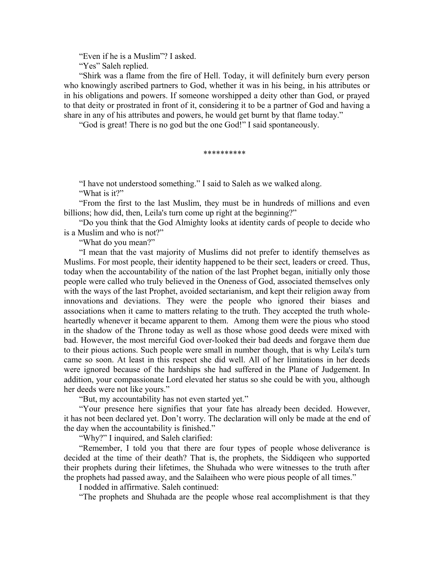"Even if he is a Muslim"? I asked.

"Yes" Saleh replied.

"Shirk was a flame from the fire of Hell. Today, it will definitely burn every person who knowingly ascribed partners to God, whether it was in his being, in his attributes or in his obligations and powers. If someone worshipped a deity other than God, or prayed to that deity or prostrated in front of it, considering it to be a partner of God and having a share in any of his attributes and powers, he would get burnt by that flame today."

"God is great! There is no god but the one God!" I said spontaneously.

### \*\*\*\*\*\*\*\*\*\*

"I have not understood something." I said to Saleh as we walked along.

"What is it?"

"From the first to the last Muslim, they must be in hundreds of millions and even billions; how did, then, Leila's turn come up right at the beginning?"

"Do you think that the God Almighty looks at identity cards of people to decide who is a Muslim and who is not?"

"What do you mean?"

"I mean that the vast majority of Muslims did not prefer to identify themselves as Muslims. For most people, their identity happened to be their sect, leaders or creed. Thus, today when the accountability of the nation of the last Prophet began, initially only those people were called who truly believed in the Oneness of God, associated themselves only with the ways of the last Prophet, avoided sectarianism, and kept their religion away from innovations and deviations. They were the people who ignored their biases and associations when it came to matters relating to the truth. They accepted the truth wholeheartedly whenever it became apparent to them. Among them were the pious who stood in the shadow of the Throne today as well as those whose good deeds were mixed with bad. However, the most merciful God over-looked their bad deeds and forgave them due to their pious actions. Such people were small in number though, that is why Leila's turn came so soon. At least in this respect she did well. All of her limitations in her deeds were ignored because of the hardships she had suffered in the Plane of Judgement. In addition, your compassionate Lord elevated her status so she could be with you, although her deeds were not like yours."

"But, my accountability has not even started yet."

"Your presence here signifies that your fate has already been decided. However, it has not been declared yet. Don't worry. The declaration will only be made at the end of the day when the accountability is finished."

"Why?" I inquired, and Saleh clarified:

"Remember, I told you that there are four types of people whose deliverance is decided at the time of their death? That is, the prophets, the Siddiqeen who supported their prophets during their lifetimes, the Shuhada who were witnesses to the truth after the prophets had passed away, and the Salaiheen who were pious people of all times."

I nodded in affirmative. Saleh continued:

"The prophets and Shuhada are the people whose real accomplishment is that they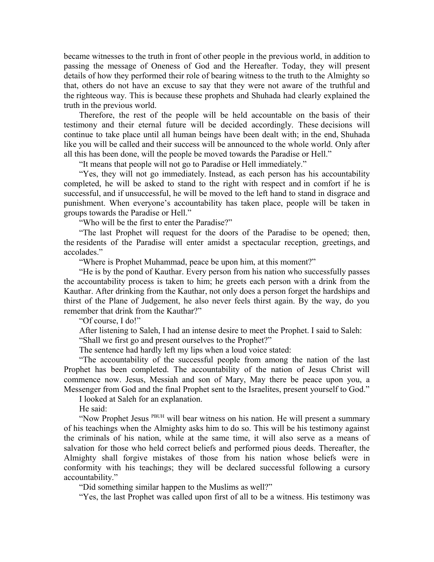became witnesses to the truth in front of other people in the previous world, in addition to passing the message of Oneness of God and the Hereafter. Today, they will present details of how they performed their role of bearing witness to the truth to the Almighty so that, others do not have an excuse to say that they were not aware of the truthful and the righteous way. This is because these prophets and Shuhada had clearly explained the truth in the previous world.

Therefore, the rest of the people will be held accountable on the basis of their testimony and their eternal future will be decided accordingly. These decisions will continue to take place until all human beings have been dealt with; in the end, Shuhada like you will be called and their success will be announced to the whole world. Only after all this has been done, will the people be moved towards the Paradise or Hell."

"It means that people will not go to Paradise or Hell immediately."

"Yes, they will not go immediately. Instead, as each person has his accountability completed, he will be asked to stand to the right with respect and in comfort if he is successful, and if unsuccessful, he will be moved to the left hand to stand in disgrace and punishment. When everyone's accountability has taken place, people will be taken in groups towards the Paradise or Hell."

"Who will be the first to enter the Paradise?"

"The last Prophet will request for the doors of the Paradise to be opened; then, the residents of the Paradise will enter amidst a spectacular reception, greetings, and accolades."

"Where is Prophet Muhammad, peace be upon him, at this moment?"

"He is by the pond of Kauthar. Every person from his nation who successfully passes the accountability process is taken to him; he greets each person with a drink from the Kauthar. After drinking from the Kauthar, not only does a person forget the hardships and thirst of the Plane of Judgement, he also never feels thirst again. By the way, do you remember that drink from the Kauthar?"

"Of course, I do!"

After listening to Saleh, I had an intense desire to meet the Prophet. I said to Saleh:

"Shall we first go and present ourselves to the Prophet?"

The sentence had hardly left my lips when a loud voice stated:

"The accountability of the successful people from among the nation of the last Prophet has been completed. The accountability of the nation of Jesus Christ will commence now. Jesus, Messiah and son of Mary, May there be peace upon you, a Messenger from God and the final Prophet sent to the Israelites, present yourself to God."

I looked at Saleh for an explanation.

He said:

"Now Prophet Jesus PBUH will bear witness on his nation. He will present a summary of his teachings when the Almighty asks him to do so. This will be his testimony against the criminals of his nation, while at the same time, it will also serve as a means of salvation for those who held correct beliefs and performed pious deeds. Thereafter, the Almighty shall forgive mistakes of those from his nation whose beliefs were in conformity with his teachings; they will be declared successful following a cursory accountability."

"Did something similar happen to the Muslims as well?"

"Yes, the last Prophet was called upon first of all to be a witness. His testimony was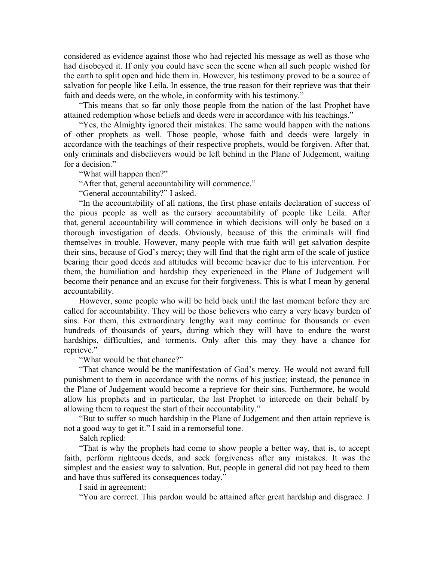considered as evidence against those who had rejected his message as well as those who had disobeyed it. If only you could have seen the scene when all such people wished for the earth to split open and hide them in. However, his testimony proved to be a source of salvation for people like Leila. In essence, the true reason for their reprieve was that their faith and deeds were, on the whole, in conformity with his testimony."

"This means that so far only those people from the nation of the last Prophet have attained redemption whose beliefs and deeds were in accordance with his teachings."

"Yes, the Almighty ignored their mistakes. The same would happen with the nations of other prophets as well. Those people, whose faith and deeds were largely in accordance with the teachings of their respective prophets, would be forgiven. After that, only criminals and disbelievers would be left behind in the Plane of Judgement, waiting for a decision."

"What will happen then?"

"After that, general accountability will commence."

"General accountability?" I asked.

"In the accountability of all nations, the first phase entails declaration of success of the pious people as well as the cursory accountability of people like Leila. After that, general accountability will commence in which decisions will only be based on a thorough investigation of deeds. Obviously, because of this the criminals will find themselves in trouble. However, many people with true faith will get salvation despite their sins, because of God's mercy; they will find that the right arm of the scale of justice bearing their good deeds and attitudes will become heavier due to his intervention. For them, the humiliation and hardship they experienced in the Plane of Judgement will become their penance and an excuse for their forgiveness. This is what I mean by general accountability.

However, some people who will be held back until the last moment before they are called for accountability. They will be those believers who carry a very heavy burden of sins. For them, this extraordinary lengthy wait may continue for thousands or even hundreds of thousands of years, during which they will have to endure the worst hardships, difficulties, and torments. Only after this may they have a chance for reprieve."

"What would be that chance?"

"That chance would be the manifestation of God's mercy. He would not award full punishment to them in accordance with the norms of his justice; instead, the penance in the Plane of Judgement would become a reprieve for their sins. Furthermore, he would allow his prophets and in particular, the last Prophet to intercede on their behalf by allowing them to request the start of their accountability."

"But to suffer so much hardship in the Plane of Judgement and then attain reprieve is not a good way to get it." I said in a remorseful tone.

Saleh replied:

"That is why the prophets had come to show people a better way, that is, to accept faith, perform righteous deeds, and seek forgiveness after any mistakes. It was the simplest and the easiest way to salvation. But, people in general did not pay heed to them and have thus suffered its consequences today."

I said in agreement:

"You are correct. This pardon would be attained after great hardship and disgrace. I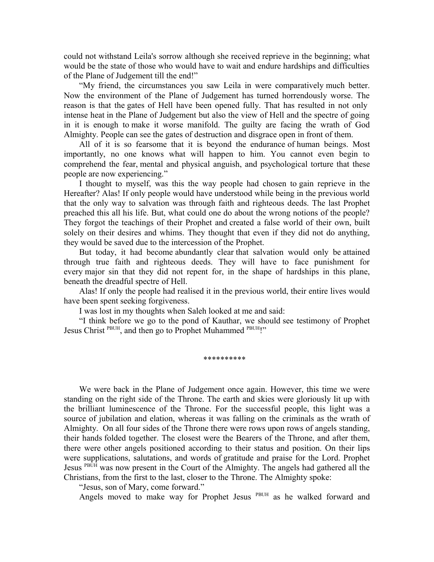could not withstand Leila's sorrow although she received reprieve in the beginning; what would be the state of those who would have to wait and endure hardships and difficulties of the Plane of Judgement till the end!"

"My friend, the circumstances you saw Leila in were comparatively much better. Now the environment of the Plane of Judgement has turned horrendously worse. The reason is that the gates of Hell have been opened fully. That has resulted in not only intense heat in the Plane of Judgement but also the view of Hell and the spectre of going in it is enough to make it worse manifold. The guilty are facing the wrath of God Almighty. People can see the gates of destruction and disgrace open in front of them.

All of it is so fearsome that it is beyond the endurance of human beings. Most importantly, no one knows what will happen to him. You cannot even begin to comprehend the fear, mental and physical anguish, and psychological torture that these people are now experiencing."

I thought to myself, was this the way people had chosen to gain reprieve in the Hereafter? Alas! If only people would have understood while being in the previous world that the only way to salvation was through faith and righteous deeds. The last Prophet preached this all his life. But, what could one do about the wrong notions of the people? They forgot the teachings of their Prophet and created a false world of their own, built solely on their desires and whims. They thought that even if they did not do anything, they would be saved due to the intercession of the Prophet.

But today, it had become abundantly clear that salvation would only be attained through true faith and righteous deeds. They will have to face punishment for every major sin that they did not repent for, in the shape of hardships in this plane, beneath the dreadful spectre of Hell.

Alas! If only the people had realised it in the previous world, their entire lives would have been spent seeking forgiveness.

I was lost in my thoughts when Saleh looked at me and said:

"I think before we go to the pond of Kauthar, we should see testimony of Prophet Jesus Christ PBUH, and then go to Prophet Muhammed PBUH!"

#### \*\*\*\*\*\*\*\*\*\*

We were back in the Plane of Judgement once again. However, this time we were standing on the right side of the Throne. The earth and skies were gloriously lit up with the brilliant luminescence of the Throne. For the successful people, this light was a source of jubilation and elation, whereas it was falling on the criminals as the wrath of Almighty. On all four sides of the Throne there were rows upon rows of angels standing, their hands folded together. The closest were the Bearers of the Throne, and after them, there were other angels positioned according to their status and position. On their lips were supplications, salutations, and words of gratitude and praise for the Lord. Prophet Jesus PBUH was now present in the Court of the Almighty. The angels had gathered all the Christians, from the first to the last, closer to the Throne. The Almighty spoke:

"Jesus, son of Mary, come forward."

Angels moved to make way for Prophet Jesus PBUH as he walked forward and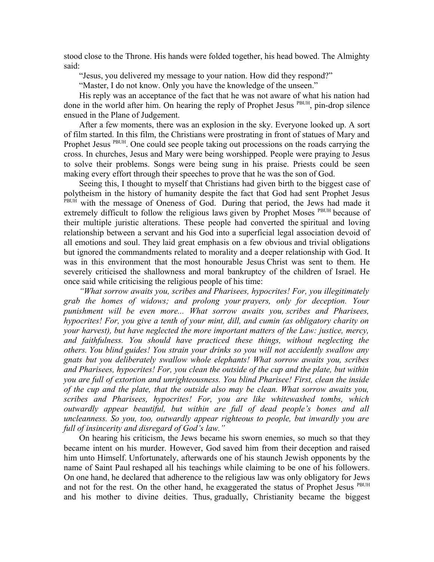stood close to the Throne. His hands were folded together, his head bowed. The Almighty said:

"Jesus, you delivered my message to your nation. How did they respond?"

"Master, I do not know. Only you have the knowledge of the unseen."

His reply was an acceptance of the fact that he was not aware of what his nation had done in the world after him. On hearing the reply of Prophet Jesus <sup>PBUH</sup>, pin-drop silence ensued in the Plane of Judgement.

After a few moments, there was an explosion in the sky. Everyone looked up. A sort of film started. In this film, the Christians were prostrating in front of statues of Mary and Prophet Jesus <sup>PBUH</sup>. One could see people taking out processions on the roads carrying the cross. In churches, Jesus and Mary were being worshipped. People were praying to Jesus to solve their problems. Songs were being sung in his praise. Priests could be seen making every effort through their speeches to prove that he was the son of God.

Seeing this, I thought to myself that Christians had given birth to the biggest case of polytheism in the history of humanity despite the fact that God had sent Prophet Jesus PBUH with the message of Oneness of God. During that period, the Jews had made it extremely difficult to follow the religious laws given by Prophet Moses <sup>PBUH</sup> because of their multiple juristic alterations. These people had converted the spiritual and loving relationship between a servant and his God into a superficial legal association devoid of all emotions and soul. They laid great emphasis on a few obvious and trivial obligations but ignored the commandments related to morality and a deeper relationship with God. It was in this environment that the most honourable Jesus Christ was sent to them. He severely criticised the shallowness and moral bankruptcy of the children of Israel. He once said while criticising the religious people of his time:

*"What sorrow awaits you, scribes and Pharisees, hypocrites! For, you illegitimately grab the homes of widows; and prolong your prayers, only for deception. Your punishment will be even more... What sorrow awaits you, scribes and Pharisees, hypocrites! For, you give a tenth of your mint, dill, and cumin (as obligatory charity on your harvest), but have neglected the more important matters of the Law: justice, mercy, and faithfulness. You should have practiced these things, without neglecting the others. You blind guides! You strain your drinks so you will not accidently swallow any gnats but you deliberately swallow whole elephants! What sorrow awaits you, scribes and Pharisees, hypocrites! For, you clean the outside of the cup and the plate, but within you are full of extortion and unrighteousness. You blind Pharisee! First, clean the inside of the cup and the plate, that the outside also may be clean. What sorrow awaits you, scribes and Pharisees, hypocrites! For, you are like whitewashed tombs, which outwardly appear beautiful, but within are full of dead people's bones and all uncleanness. So you, too, outwardly appear righteous to people, but inwardly you are full of insincerity and disregard of God's law."*

On hearing his criticism, the Jews became his sworn enemies, so much so that they became intent on his murder. However, God saved him from their deception and raised him unto Himself. Unfortunately, afterwards one of his staunch Jewish opponents by the name of Saint Paul reshaped all his teachings while claiming to be one of his followers. On one hand, he declared that adherence to the religious law was only obligatory for Jews and not for the rest. On the other hand, he exaggerated the status of Prophet Jesus PBUH and his mother to divine deities. Thus, gradually, Christianity became the biggest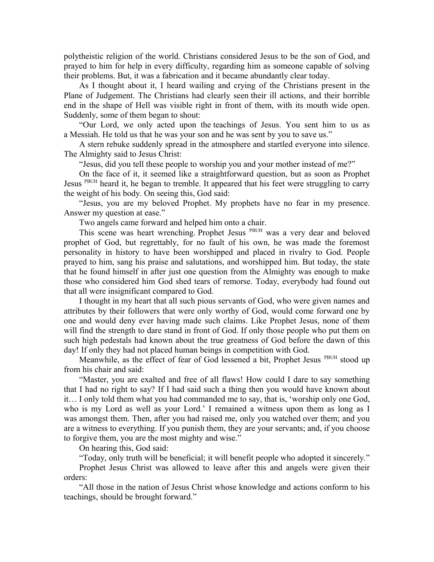polytheistic religion of the world. Christians considered Jesus to be the son of God, and prayed to him for help in every difficulty, regarding him as someone capable of solving their problems. But, it was a fabrication and it became abundantly clear today.

As I thought about it, I heard wailing and crying of the Christians present in the Plane of Judgement. The Christians had clearly seen their ill actions, and their horrible end in the shape of Hell was visible right in front of them, with its mouth wide open. Suddenly, some of them began to shout:

"Our Lord, we only acted upon the teachings of Jesus. You sent him to us as a Messiah. He told us that he was your son and he was sent by you to save us."

A stern rebuke suddenly spread in the atmosphere and startled everyone into silence. The Almighty said to Jesus Christ:

"Jesus, did you tell these people to worship you and your mother instead of me?"

On the face of it, it seemed like a straightforward question, but as soon as Prophet Jesus PBUH heard it, he began to tremble. It appeared that his feet were struggling to carry the weight of his body. On seeing this, God said:

"Jesus, you are my beloved Prophet. My prophets have no fear in my presence. Answer my question at ease."

Two angels came forward and helped him onto a chair.

This scene was heart wrenching. Prophet Jesus PBUH was a very dear and beloved prophet of God, but regrettably, for no fault of his own, he was made the foremost personality in history to have been worshipped and placed in rivalry to God. People prayed to him, sang his praise and salutations, and worshipped him. But today, the state that he found himself in after just one question from the Almighty was enough to make those who considered him God shed tears of remorse. Today, everybody had found out that all were insignificant compared to God.

I thought in my heart that all such pious servants of God, who were given names and attributes by their followers that were only worthy of God, would come forward one by one and would deny ever having made such claims. Like Prophet Jesus, none of them will find the strength to dare stand in front of God. If only those people who put them on such high pedestals had known about the true greatness of God before the dawn of this day! If only they had not placed human beings in competition with God.

Meanwhile, as the effect of fear of God lessened a bit, Prophet Jesus PBUH stood up from his chair and said:

"Master, you are exalted and free of all flaws! How could I dare to say something that I had no right to say? If I had said such a thing then you would have known about it… I only told them what you had commanded me to say, that is, 'worship only one God, who is my Lord as well as your Lord.' I remained a witness upon them as long as I was amongst them. Then, after you had raised me, only you watched over them; and you are a witness to everything. If you punish them, they are your servants; and, if you choose to forgive them, you are the most mighty and wise."

On hearing this, God said:

"Today, only truth will be beneficial; it will benefit people who adopted it sincerely."

Prophet Jesus Christ was allowed to leave after this and angels were given their orders:

"All those in the nation of Jesus Christ whose knowledge and actions conform to his teachings, should be brought forward."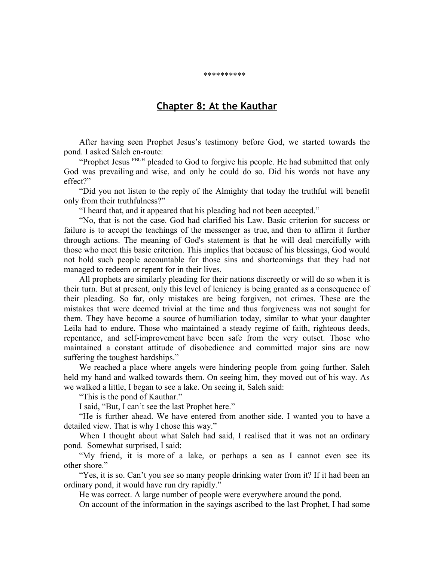#### \*\*\*\*\*\*\*\*\*\*

# **Chapter 8: At the Kauthar**

After having seen Prophet Jesus's testimony before God, we started towards the pond. I asked Saleh en-route:

"Prophet Jesus PBUH pleaded to God to forgive his people. He had submitted that only God was prevailing and wise, and only he could do so. Did his words not have any effect?"

"Did you not listen to the reply of the Almighty that today the truthful will benefit only from their truthfulness?"

"I heard that, and it appeared that his pleading had not been accepted."

"No, that is not the case. God had clarified his Law. Basic criterion for success or failure is to accept the teachings of the messenger as true, and then to affirm it further through actions. The meaning of God's statement is that he will deal mercifully with those who meet this basic criterion. This implies that because of his blessings, God would not hold such people accountable for those sins and shortcomings that they had not managed to redeem or repent for in their lives.

All prophets are similarly pleading for their nations discreetly or will do so when it is their turn. But at present, only this level of leniency is being granted as a consequence of their pleading. So far, only mistakes are being forgiven, not crimes. These are the mistakes that were deemed trivial at the time and thus forgiveness was not sought for them. They have become a source of humiliation today, similar to what your daughter Leila had to endure. Those who maintained a steady regime of faith, righteous deeds, repentance, and self-improvement have been safe from the very outset. Those who maintained a constant attitude of disobedience and committed major sins are now suffering the toughest hardships."

We reached a place where angels were hindering people from going further. Saleh held my hand and walked towards them. On seeing him, they moved out of his way. As we walked a little, I began to see a lake. On seeing it, Saleh said:

"This is the pond of Kauthar."

I said, "But, I can't see the last Prophet here."

"He is further ahead. We have entered from another side. I wanted you to have a detailed view. That is why I chose this way."

When I thought about what Saleh had said, I realised that it was not an ordinary pond. Somewhat surprised, I said:

"My friend, it is more of a lake, or perhaps a sea as I cannot even see its other shore."

"Yes, it is so. Can't you see so many people drinking water from it? If it had been an ordinary pond, it would have run dry rapidly."

He was correct. A large number of people were everywhere around the pond.

On account of the information in the sayings ascribed to the last Prophet, I had some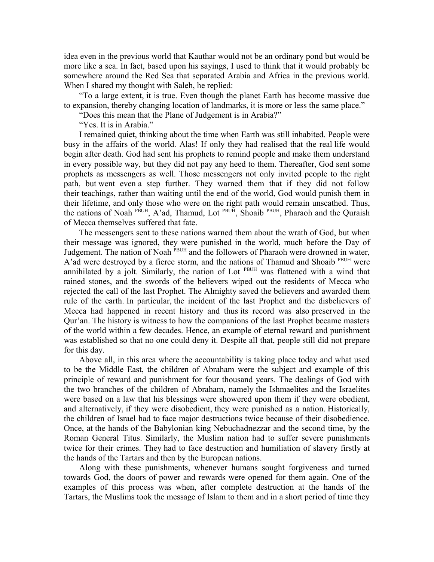idea even in the previous world that Kauthar would not be an ordinary pond but would be more like a sea. In fact, based upon his sayings, I used to think that it would probably be somewhere around the Red Sea that separated Arabia and Africa in the previous world. When I shared my thought with Saleh, he replied:

"To a large extent, it is true. Even though the planet Earth has become massive due to expansion, thereby changing location of landmarks, it is more or less the same place."

"Does this mean that the Plane of Judgement is in Arabia?"

"Yes. It is in Arabia."

I remained quiet, thinking about the time when Earth was still inhabited. People were busy in the affairs of the world. Alas! If only they had realised that the real life would begin after death. God had sent his prophets to remind people and make them understand in every possible way, but they did not pay any heed to them. Thereafter, God sent some prophets as messengers as well. Those messengers not only invited people to the right path, but went even a step further. They warned them that if they did not follow their teachings, rather than waiting until the end of the world, God would punish them in their lifetime, and only those who were on the right path would remain unscathed. Thus, the nations of Noah  $P^{BUH}$ , A'ad, Thamud, Lot  $P^{BUH}$ , Shoaib  $P^{BUH}$ , Pharaoh and the Quraish of Mecca themselves suffered that fate.

The messengers sent to these nations warned them about the wrath of God, but when their message was ignored, they were punished in the world, much before the Day of Judgement. The nation of Noah <sup>PBUH</sup> and the followers of Pharaoh were drowned in water, A'ad were destroyed by a fierce storm, and the nations of Thamud and Shoaib PBUH were annihilated by a jolt. Similarly, the nation of Lot PBUH was flattened with a wind that rained stones, and the swords of the believers wiped out the residents of Mecca who rejected the call of the last Prophet. The Almighty saved the believers and awarded them rule of the earth. In particular, the incident of the last Prophet and the disbelievers of Mecca had happened in recent history and thus its record was also preserved in the Qur'an. The history is witness to how the companions of the last Prophet became masters of the world within a few decades. Hence, an example of eternal reward and punishment was established so that no one could deny it. Despite all that, people still did not prepare for this day.

Above all, in this area where the accountability is taking place today and what used to be the Middle East, the children of Abraham were the subject and example of this principle of reward and punishment for four thousand years. The dealings of God with the two branches of the children of Abraham, namely the Ishmaelites and the Israelites were based on a law that his blessings were showered upon them if they were obedient, and alternatively, if they were disobedient, they were punished as a nation. Historically, the children of Israel had to face major destructions twice because of their disobedience. Once, at the hands of the Babylonian king Nebuchadnezzar and the second time, by the Roman General Titus. Similarly, the Muslim nation had to suffer severe punishments twice for their crimes. They had to face destruction and humiliation of slavery firstly at the hands of the Tartars and then by the European nations.

Along with these punishments, whenever humans sought forgiveness and turned towards God, the doors of power and rewards were opened for them again. One of the examples of this process was when, after complete destruction at the hands of the Tartars, the Muslims took the message of Islam to them and in a short period of time they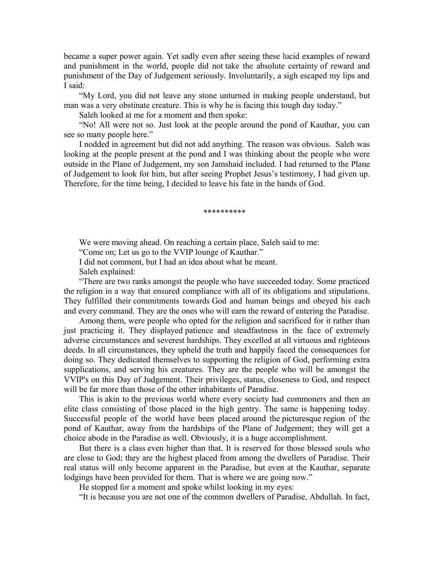became a super power again. Yet sadly even after seeing these lucid examples of reward and punishment in the world, people did not take the absolute certainty of reward and punishment of the Day of Judgement seriously. Involuntarily, a sigh escaped my lips and I said:

"My Lord, you did not leave any stone unturned in making people understand, but man was a very obstinate creature. This is why he is facing this tough day today."

Saleh looked at me for a moment and then spoke:

"No! All were not so. Just look at the people around the pond of Kauthar, you can see so many people here."

I nodded in agreement but did not add anything. The reason was obvious. Saleh was looking at the people present at the pond and I was thinking about the people who were outside in the Plane of Judgement, my son Jamshaid included. I had returned to the Plane of Judgement to look for him, but after seeing Prophet Jesus's testimony, I had given up. Therefore, for the time being, I decided to leave his fate in the hands of God.

\*\*\*\*\*\*\*\*\*\*

We were moving ahead. On reaching a certain place, Saleh said to me:

"Come on; Let us go to the VVIP lounge of Kauthar."

I did not comment, but I had an idea about what he meant.

Saleh explained:

"There are two ranks amongst the people who have succeeded today. Some practiced the religion in a way that ensured compliance with all of its obligations and stipulations. They fulfilled their commitments towards God and human beings and obeyed his each and every command. They are the ones who will earn the reward of entering the Paradise.

Among them, were people who opted for the religion and sacrificed for it rather than just practicing it. They displayed patience and steadfastness in the face of extremely adverse circumstances and severest hardships. They excelled at all virtuous and righteous deeds. In all circumstances, they upheld the truth and happily faced the consequences for doing so. They dedicated themselves to supporting the religion of God, performing extra supplications, and serving his creatures. They are the people who will be amongst the VVIP's on this Day of Judgement. Their privileges, status, closeness to God, and respect will be far more than those of the other inhabitants of Paradise.

This is akin to the previous world where every society had commoners and then an elite class consisting of those placed in the high gentry. The same is happening today. Successful people of the world have been placed around the picturesque region of the pond of Kauthar, away from the hardships of the Plane of Judgement; they will get a choice abode in the Paradise as well. Obviously, it is a huge accomplishment.

But there is a class even higher than that. It is reserved for those blessed souls who are close to God; they are the highest placed from among the dwellers of Paradise. Their real status will only become apparent in the Paradise, but even at the Kauthar, separate lodgings have been provided for them. That is where we are going now."

He stopped for a moment and spoke whilst looking in my eyes:

"It is because you are not one of the common dwellers of Paradise, Abdullah. In fact,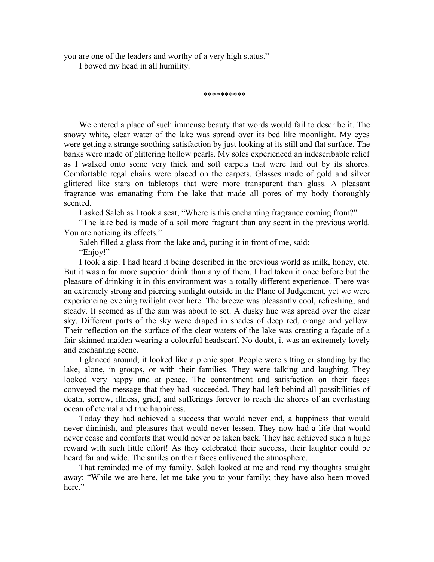you are one of the leaders and worthy of a very high status."

I bowed my head in all humility.

\*\*\*\*\*\*\*\*\*\*

We entered a place of such immense beauty that words would fail to describe it. The snowy white, clear water of the lake was spread over its bed like moonlight. My eyes were getting a strange soothing satisfaction by just looking at its still and flat surface. The banks were made of glittering hollow pearls. My soles experienced an indescribable relief as I walked onto some very thick and soft carpets that were laid out by its shores. Comfortable regal chairs were placed on the carpets. Glasses made of gold and silver glittered like stars on tabletops that were more transparent than glass. A pleasant fragrance was emanating from the lake that made all pores of my body thoroughly scented.

I asked Saleh as I took a seat, "Where is this enchanting fragrance coming from?"

"The lake bed is made of a soil more fragrant than any scent in the previous world. You are noticing its effects."

Saleh filled a glass from the lake and, putting it in front of me, said: "Enjoy!"

I took a sip. I had heard it being described in the previous world as milk, honey, etc. But it was a far more superior drink than any of them. I had taken it once before but the pleasure of drinking it in this environment was a totally different experience. There was an extremely strong and piercing sunlight outside in the Plane of Judgement, yet we were experiencing evening twilight over here. The breeze was pleasantly cool, refreshing, and steady. It seemed as if the sun was about to set. A dusky hue was spread over the clear sky. Different parts of the sky were draped in shades of deep red, orange and yellow. Their reflection on the surface of the clear waters of the lake was creating a façade of a fair-skinned maiden wearing a colourful headscarf. No doubt, it was an extremely lovely and enchanting scene.

I glanced around; it looked like a picnic spot. People were sitting or standing by the lake, alone, in groups, or with their families. They were talking and laughing. They looked very happy and at peace. The contentment and satisfaction on their faces conveyed the message that they had succeeded. They had left behind all possibilities of death, sorrow, illness, grief, and sufferings forever to reach the shores of an everlasting ocean of eternal and true happiness.

Today they had achieved a success that would never end, a happiness that would never diminish, and pleasures that would never lessen. They now had a life that would never cease and comforts that would never be taken back. They had achieved such a huge reward with such little effort! As they celebrated their success, their laughter could be heard far and wide. The smiles on their faces enlivened the atmosphere.

That reminded me of my family. Saleh looked at me and read my thoughts straight away: "While we are here, let me take you to your family; they have also been moved here."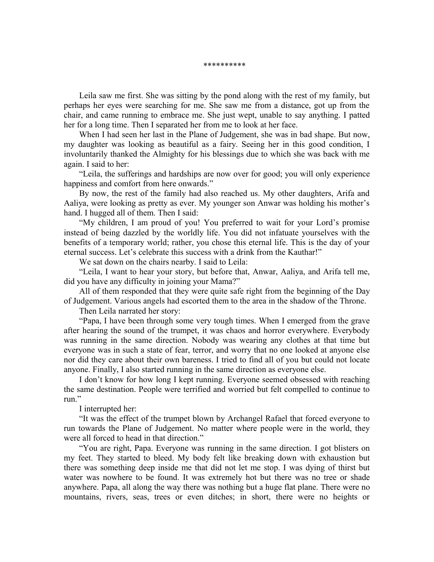#### \*\*\*\*\*\*\*\*\*\*

Leila saw me first. She was sitting by the pond along with the rest of my family, but perhaps her eyes were searching for me. She saw me from a distance, got up from the chair, and came running to embrace me. She just wept, unable to say anything. I patted her for a long time. Then I separated her from me to look at her face.

When I had seen her last in the Plane of Judgement, she was in bad shape. But now, my daughter was looking as beautiful as a fairy. Seeing her in this good condition, I involuntarily thanked the Almighty for his blessings due to which she was back with me again. I said to her:

"Leila, the sufferings and hardships are now over for good; you will only experience happiness and comfort from here onwards."

By now, the rest of the family had also reached us. My other daughters, Arifa and Aaliya, were looking as pretty as ever. My younger son Anwar was holding his mother's hand. I hugged all of them. Then I said:

"My children, I am proud of you! You preferred to wait for your Lord's promise instead of being dazzled by the worldly life. You did not infatuate yourselves with the benefits of a temporary world; rather, you chose this eternal life. This is the day of your eternal success. Let's celebrate this success with a drink from the Kauthar!"

We sat down on the chairs nearby. I said to Leila:

"Leila, I want to hear your story, but before that, Anwar, Aaliya, and Arifa tell me, did you have any difficulty in joining your Mama?"

All of them responded that they were quite safe right from the beginning of the Day of Judgement. Various angels had escorted them to the area in the shadow of the Throne.

Then Leila narrated her story:

"Papa, I have been through some very tough times. When I emerged from the grave after hearing the sound of the trumpet, it was chaos and horror everywhere. Everybody was running in the same direction. Nobody was wearing any clothes at that time but everyone was in such a state of fear, terror, and worry that no one looked at anyone else nor did they care about their own bareness. I tried to find all of you but could not locate anyone. Finally, I also started running in the same direction as everyone else.

I don't know for how long I kept running. Everyone seemed obsessed with reaching the same destination. People were terrified and worried but felt compelled to continue to run."

I interrupted her:

"It was the effect of the trumpet blown by Archangel Rafael that forced everyone to run towards the Plane of Judgement. No matter where people were in the world, they were all forced to head in that direction."

"You are right, Papa. Everyone was running in the same direction. I got blisters on my feet. They started to bleed. My body felt like breaking down with exhaustion but there was something deep inside me that did not let me stop. I was dying of thirst but water was nowhere to be found. It was extremely hot but there was no tree or shade anywhere. Papa, all along the way there was nothing but a huge flat plane. There were no mountains, rivers, seas, trees or even ditches; in short, there were no heights or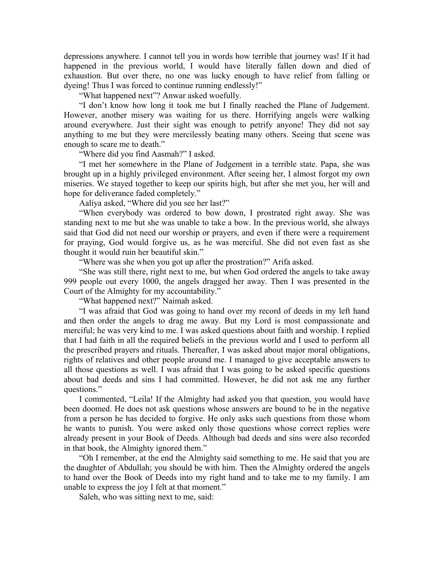depressions anywhere. I cannot tell you in words how terrible that journey was! If it had happened in the previous world, I would have literally fallen down and died of exhaustion. But over there, no one was lucky enough to have relief from falling or dyeing! Thus I was forced to continue running endlessly!"

"What happened next"? Anwar asked woefully.

"I don't know how long it took me but I finally reached the Plane of Judgement. However, another misery was waiting for us there. Horrifying angels were walking around everywhere. Just their sight was enough to petrify anyone! They did not say anything to me but they were mercilessly beating many others. Seeing that scene was enough to scare me to death."

"Where did you find Aasmah?" I asked.

"I met her somewhere in the Plane of Judgement in a terrible state. Papa, she was brought up in a highly privileged environment. After seeing her, I almost forgot my own miseries. We stayed together to keep our spirits high, but after she met you, her will and hope for deliverance faded completely."

Aaliya asked, "Where did you see her last?"

"When everybody was ordered to bow down, I prostrated right away. She was standing next to me but she was unable to take a bow. In the previous world, she always said that God did not need our worship or prayers, and even if there were a requirement for praying, God would forgive us, as he was merciful. She did not even fast as she thought it would ruin her beautiful skin."

"Where was she when you got up after the prostration?" Arifa asked.

"She was still there, right next to me, but when God ordered the angels to take away 999 people out every 1000, the angels dragged her away. Then I was presented in the Court of the Almighty for my accountability."

"What happened next?" Naimah asked.

"I was afraid that God was going to hand over my record of deeds in my left hand and then order the angels to drag me away. But my Lord is most compassionate and merciful; he was very kind to me. I was asked questions about faith and worship. I replied that I had faith in all the required beliefs in the previous world and I used to perform all the prescribed prayers and rituals. Thereafter, I was asked about major moral obligations, rights of relatives and other people around me. I managed to give acceptable answers to all those questions as well. I was afraid that I was going to be asked specific questions about bad deeds and sins I had committed. However, he did not ask me any further questions."

I commented, "Leila! If the Almighty had asked you that question, you would have been doomed. He does not ask questions whose answers are bound to be in the negative from a person he has decided to forgive. He only asks such questions from those whom he wants to punish. You were asked only those questions whose correct replies were already present in your Book of Deeds. Although bad deeds and sins were also recorded in that book, the Almighty ignored them."

"Oh I remember, at the end the Almighty said something to me. He said that you are the daughter of Abdullah; you should be with him. Then the Almighty ordered the angels to hand over the Book of Deeds into my right hand and to take me to my family. I am unable to express the joy I felt at that moment."

Saleh, who was sitting next to me, said: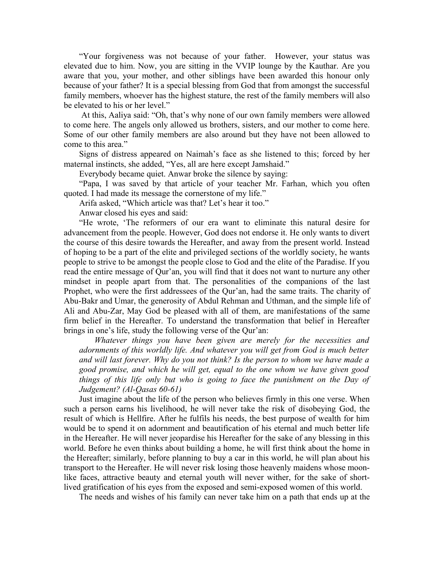"Your forgiveness was not because of your father. However, your status was elevated due to him. Now, you are sitting in the VVIP lounge by the Kauthar. Are you aware that you, your mother, and other siblings have been awarded this honour only because of your father? It is a special blessing from God that from amongst the successful family members, whoever has the highest stature, the rest of the family members will also be elevated to his or her level."

 At this, Aaliya said: "Oh, that's why none of our own family members were allowed to come here. The angels only allowed us brothers, sisters, and our mother to come here. Some of our other family members are also around but they have not been allowed to come to this area."

Signs of distress appeared on Naimah's face as she listened to this; forced by her maternal instincts, she added, "Yes, all are here except Jamshaid."

Everybody became quiet. Anwar broke the silence by saying:

"Papa, I was saved by that article of your teacher Mr. Farhan, which you often quoted. I had made its message the cornerstone of my life."

Arifa asked, "Which article was that? Let's hear it too."

Anwar closed his eyes and said:

"He wrote, 'The reformers of our era want to eliminate this natural desire for advancement from the people. However, God does not endorse it. He only wants to divert the course of this desire towards the Hereafter, and away from the present world. Instead of hoping to be a part of the elite and privileged sections of the worldly society, he wants people to strive to be amongst the people close to God and the elite of the Paradise. If you read the entire message of Qur'an, you will find that it does not want to nurture any other mindset in people apart from that. The personalities of the companions of the last Prophet, who were the first addressees of the Qur'an, had the same traits. The charity of Abu-Bakr and Umar, the generosity of Abdul Rehman and Uthman, and the simple life of Ali and Abu-Zar, May God be pleased with all of them, are manifestations of the same firm belief in the Hereafter. To understand the transformation that belief in Hereafter brings in one's life, study the following verse of the Qur'an:

*Whatever things you have been given are merely for the necessities and adornments of this worldly life. And whatever you will get from God is much better and will last forever. Why do you not think? Is the person to whom we have made a good promise, and which he will get, equal to the one whom we have given good things of this life only but who is going to face the punishment on the Day of Judgement? (Al-Qasas 60-61)*

Just imagine about the life of the person who believes firmly in this one verse. When such a person earns his livelihood, he will never take the risk of disobeying God, the result of which is Hellfire. After he fulfils his needs, the best purpose of wealth for him would be to spend it on adornment and beautification of his eternal and much better life in the Hereafter. He will never jeopardise his Hereafter for the sake of any blessing in this world. Before he even thinks about building a home, he will first think about the home in the Hereafter; similarly, before planning to buy a car in this world, he will plan about his transport to the Hereafter. He will never risk losing those heavenly maidens whose moonlike faces, attractive beauty and eternal youth will never wither, for the sake of shortlived gratification of his eyes from the exposed and semi-exposed women of this world.

The needs and wishes of his family can never take him on a path that ends up at the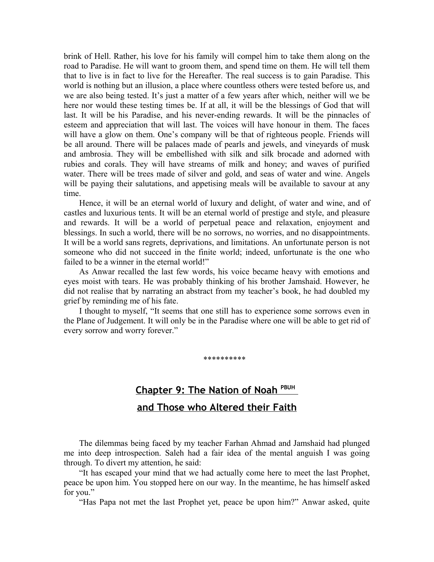brink of Hell. Rather, his love for his family will compel him to take them along on the road to Paradise. He will want to groom them, and spend time on them. He will tell them that to live is in fact to live for the Hereafter. The real success is to gain Paradise. This world is nothing but an illusion, a place where countless others were tested before us, and we are also being tested. It's just a matter of a few years after which, neither will we be here nor would these testing times be. If at all, it will be the blessings of God that will last. It will be his Paradise, and his never-ending rewards. It will be the pinnacles of esteem and appreciation that will last. The voices will have honour in them. The faces will have a glow on them. One's company will be that of righteous people. Friends will be all around. There will be palaces made of pearls and jewels, and vineyards of musk and ambrosia. They will be embellished with silk and silk brocade and adorned with rubies and corals. They will have streams of milk and honey; and waves of purified water. There will be trees made of silver and gold, and seas of water and wine. Angels will be paying their salutations, and appetising meals will be available to savour at any time.

Hence, it will be an eternal world of luxury and delight, of water and wine, and of castles and luxurious tents. It will be an eternal world of prestige and style, and pleasure and rewards. It will be a world of perpetual peace and relaxation, enjoyment and blessings. In such a world, there will be no sorrows, no worries, and no disappointments. It will be a world sans regrets, deprivations, and limitations. An unfortunate person is not someone who did not succeed in the finite world; indeed, unfortunate is the one who failed to be a winner in the eternal world!"

As Anwar recalled the last few words, his voice became heavy with emotions and eyes moist with tears. He was probably thinking of his brother Jamshaid. However, he did not realise that by narrating an abstract from my teacher's book, he had doubled my grief by reminding me of his fate.

I thought to myself, "It seems that one still has to experience some sorrows even in the Plane of Judgement. It will only be in the Paradise where one will be able to get rid of every sorrow and worry forever."

\*\*\*\*\*\*\*\*\*\*

# **Chapter 9: The Nation of Noah PBUH**

# **and Those who Altered their Faith**

The dilemmas being faced by my teacher Farhan Ahmad and Jamshaid had plunged me into deep introspection. Saleh had a fair idea of the mental anguish I was going through. To divert my attention, he said:

"It has escaped your mind that we had actually come here to meet the last Prophet, peace be upon him. You stopped here on our way. In the meantime, he has himself asked for you."

"Has Papa not met the last Prophet yet, peace be upon him?" Anwar asked, quite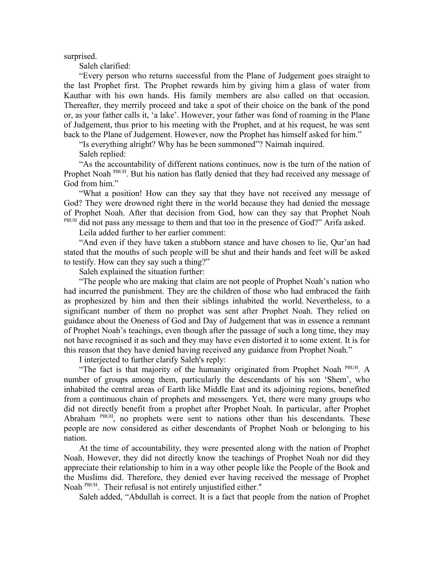surprised.

Saleh clarified:

"Every person who returns successful from the Plane of Judgement goes straight to the last Prophet first. The Prophet rewards him by giving him a glass of water from Kauthar with his own hands. His family members are also called on that occasion. Thereafter, they merrily proceed and take a spot of their choice on the bank of the pond or, as your father calls it, 'a lake'. However, your father was fond of roaming in the Plane of Judgement, thus prior to his meeting with the Prophet, and at his request, he was sent back to the Plane of Judgement. However, now the Prophet has himself asked for him."

"Is everything alright? Why has he been summoned"? Naimah inquired.

Saleh replied:

"As the accountability of different nations continues, now is the turn of the nation of Prophet Noah <sup>PBUH</sup>. But his nation has flatly denied that they had received any message of God from him."

"What a position! How can they say that they have not received any message of God? They were drowned right there in the world because they had denied the message of Prophet Noah. After that decision from God, how can they say that Prophet Noah PBUH did not pass any message to them and that too in the presence of God?" Arifa asked.

Leila added further to her earlier comment:

"And even if they have taken a stubborn stance and have chosen to lie, Qur'an had stated that the mouths of such people will be shut and their hands and feet will be asked to testify. How can they say such a thing?"

Saleh explained the situation further:

"The people who are making that claim are not people of Prophet Noah's nation who had incurred the punishment. They are the children of those who had embraced the faith as prophesized by him and then their siblings inhabited the world. Nevertheless, to a significant number of them no prophet was sent after Prophet Noah. They relied on guidance about the Oneness of God and Day of Judgement that was in essence a remnant of Prophet Noah's teachings, even though after the passage of such a long time, they may not have recognised it as such and they may have even distorted it to some extent. It is for this reason that they have denied having received any guidance from Prophet Noah."

I interjected to further clarify Saleh's reply:

"The fact is that majority of the humanity originated from Prophet Noah PBUH. A number of groups among them, particularly the descendants of his son 'Shem', who inhabited the central areas of Earth like Middle East and its adjoining regions, benefited from a continuous chain of prophets and messengers. Yet, there were many groups who did not directly benefit from a prophet after Prophet Noah. In particular, after Prophet Abraham PBUH, no prophets were sent to nations other than his descendants. These people are now considered as either descendants of Prophet Noah or belonging to his nation.

At the time of accountability, they were presented along with the nation of Prophet Noah. However, they did not directly know the teachings of Prophet Noah nor did they appreciate their relationship to him in a way other people like the People of the Book and the Muslims did. Therefore, they denied ever having received the message of Prophet Noah PBUH. Their refusal is not entirely unjustified either."

Saleh added, "Abdullah is correct. It is a fact that people from the nation of Prophet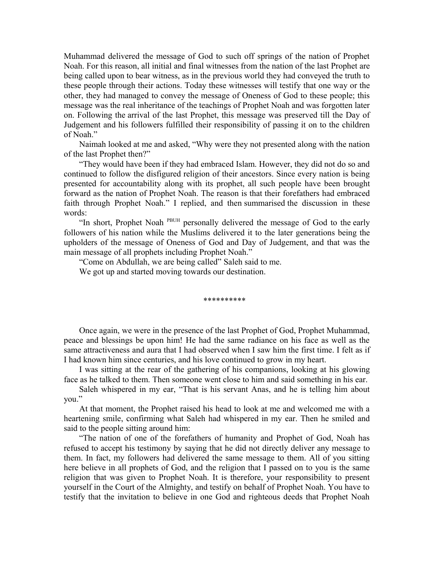Muhammad delivered the message of God to such off springs of the nation of Prophet Noah. For this reason, all initial and final witnesses from the nation of the last Prophet are being called upon to bear witness, as in the previous world they had conveyed the truth to these people through their actions. Today these witnesses will testify that one way or the other, they had managed to convey the message of Oneness of God to these people; this message was the real inheritance of the teachings of Prophet Noah and was forgotten later on. Following the arrival of the last Prophet, this message was preserved till the Day of Judgement and his followers fulfilled their responsibility of passing it on to the children of Noah."

Naimah looked at me and asked, "Why were they not presented along with the nation of the last Prophet then?"

"They would have been if they had embraced Islam. However, they did not do so and continued to follow the disfigured religion of their ancestors. Since every nation is being presented for accountability along with its prophet, all such people have been brought forward as the nation of Prophet Noah. The reason is that their forefathers had embraced faith through Prophet Noah." I replied, and then summarised the discussion in these words:

"In short, Prophet Noah <sup>PBUH</sup> personally delivered the message of God to the early followers of his nation while the Muslims delivered it to the later generations being the upholders of the message of Oneness of God and Day of Judgement, and that was the main message of all prophets including Prophet Noah."

"Come on Abdullah, we are being called" Saleh said to me.

We got up and started moving towards our destination.

\*\*\*\*\*\*\*\*\*\*

Once again, we were in the presence of the last Prophet of God, Prophet Muhammad, peace and blessings be upon him! He had the same radiance on his face as well as the same attractiveness and aura that I had observed when I saw him the first time. I felt as if I had known him since centuries, and his love continued to grow in my heart.

I was sitting at the rear of the gathering of his companions, looking at his glowing face as he talked to them. Then someone went close to him and said something in his ear.

Saleh whispered in my ear, "That is his servant Anas, and he is telling him about you."

At that moment, the Prophet raised his head to look at me and welcomed me with a heartening smile, confirming what Saleh had whispered in my ear. Then he smiled and said to the people sitting around him:

"The nation of one of the forefathers of humanity and Prophet of God, Noah has refused to accept his testimony by saying that he did not directly deliver any message to them. In fact, my followers had delivered the same message to them. All of you sitting here believe in all prophets of God, and the religion that I passed on to you is the same religion that was given to Prophet Noah. It is therefore, your responsibility to present yourself in the Court of the Almighty, and testify on behalf of Prophet Noah. You have to testify that the invitation to believe in one God and righteous deeds that Prophet Noah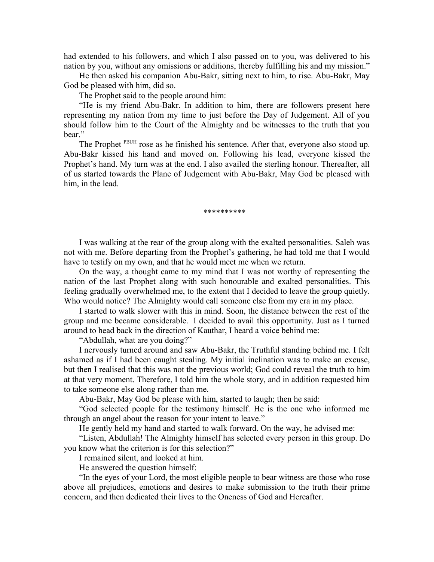had extended to his followers, and which I also passed on to you, was delivered to his nation by you, without any omissions or additions, thereby fulfilling his and my mission."

He then asked his companion Abu-Bakr, sitting next to him, to rise. Abu-Bakr, May God be pleased with him, did so.

The Prophet said to the people around him:

"He is my friend Abu-Bakr. In addition to him, there are followers present here representing my nation from my time to just before the Day of Judgement. All of you should follow him to the Court of the Almighty and be witnesses to the truth that you hear"

The Prophet <sup>PBUH</sup> rose as he finished his sentence. After that, everyone also stood up. Abu-Bakr kissed his hand and moved on. Following his lead, everyone kissed the Prophet's hand. My turn was at the end. I also availed the sterling honour. Thereafter, all of us started towards the Plane of Judgement with Abu-Bakr, May God be pleased with him, in the lead.

\*\*\*\*\*\*\*\*\*\*

I was walking at the rear of the group along with the exalted personalities. Saleh was not with me. Before departing from the Prophet's gathering, he had told me that I would have to testify on my own, and that he would meet me when we return.

On the way, a thought came to my mind that I was not worthy of representing the nation of the last Prophet along with such honourable and exalted personalities. This feeling gradually overwhelmed me, to the extent that I decided to leave the group quietly. Who would notice? The Almighty would call someone else from my era in my place.

I started to walk slower with this in mind. Soon, the distance between the rest of the group and me became considerable. I decided to avail this opportunity. Just as I turned around to head back in the direction of Kauthar, I heard a voice behind me:

"Abdullah, what are you doing?"

I nervously turned around and saw Abu-Bakr, the Truthful standing behind me. I felt ashamed as if I had been caught stealing. My initial inclination was to make an excuse, but then I realised that this was not the previous world; God could reveal the truth to him at that very moment. Therefore, I told him the whole story, and in addition requested him to take someone else along rather than me.

Abu-Bakr, May God be please with him, started to laugh; then he said:

"God selected people for the testimony himself. He is the one who informed me through an angel about the reason for your intent to leave."

He gently held my hand and started to walk forward. On the way, he advised me:

"Listen, Abdullah! The Almighty himself has selected every person in this group. Do you know what the criterion is for this selection?"

I remained silent, and looked at him.

He answered the question himself:

"In the eyes of your Lord, the most eligible people to bear witness are those who rose above all prejudices, emotions and desires to make submission to the truth their prime concern, and then dedicated their lives to the Oneness of God and Hereafter.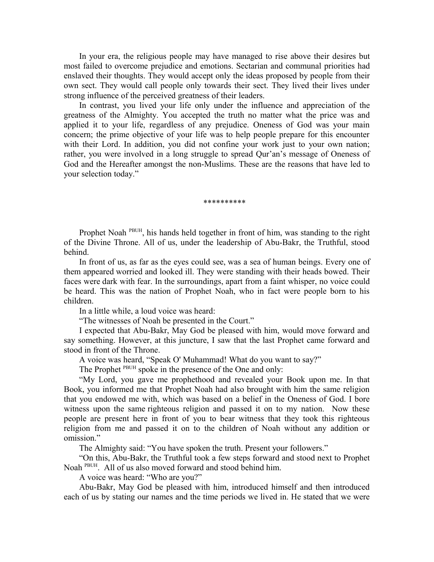In your era, the religious people may have managed to rise above their desires but most failed to overcome prejudice and emotions. Sectarian and communal priorities had enslaved their thoughts. They would accept only the ideas proposed by people from their own sect. They would call people only towards their sect. They lived their lives under strong influence of the perceived greatness of their leaders.

In contrast, you lived your life only under the influence and appreciation of the greatness of the Almighty. You accepted the truth no matter what the price was and applied it to your life, regardless of any prejudice. Oneness of God was your main concern; the prime objective of your life was to help people prepare for this encounter with their Lord. In addition, you did not confine your work just to your own nation; rather, you were involved in a long struggle to spread Qur'an's message of Oneness of God and the Hereafter amongst the non-Muslims. These are the reasons that have led to your selection today."

\*\*\*\*\*\*\*\*\*

Prophet Noah PBUH, his hands held together in front of him, was standing to the right of the Divine Throne. All of us, under the leadership of Abu-Bakr, the Truthful, stood behind.

In front of us, as far as the eyes could see, was a sea of human beings. Every one of them appeared worried and looked ill. They were standing with their heads bowed. Their faces were dark with fear. In the surroundings, apart from a faint whisper, no voice could be heard. This was the nation of Prophet Noah, who in fact were people born to his children.

In a little while, a loud voice was heard:

"The witnesses of Noah be presented in the Court."

I expected that Abu-Bakr, May God be pleased with him, would move forward and say something. However, at this juncture, I saw that the last Prophet came forward and stood in front of the Throne.

A voice was heard, "Speak O' Muhammad! What do you want to say?"

The Prophet PBUH spoke in the presence of the One and only:

"My Lord, you gave me prophethood and revealed your Book upon me. In that Book, you informed me that Prophet Noah had also brought with him the same religion that you endowed me with, which was based on a belief in the Oneness of God. I bore witness upon the same righteous religion and passed it on to my nation. Now these people are present here in front of you to bear witness that they took this righteous religion from me and passed it on to the children of Noah without any addition or omission."

The Almighty said: "You have spoken the truth. Present your followers."

"On this, Abu-Bakr, the Truthful took a few steps forward and stood next to Prophet Noah PBUH. All of us also moved forward and stood behind him.

A voice was heard: "Who are you?"

Abu-Bakr, May God be pleased with him, introduced himself and then introduced each of us by stating our names and the time periods we lived in. He stated that we were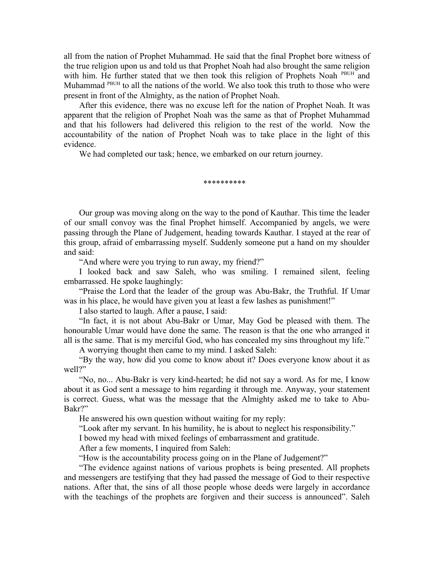all from the nation of Prophet Muhammad. He said that the final Prophet bore witness of the true religion upon us and told us that Prophet Noah had also brought the same religion with him. He further stated that we then took this religion of Prophets Noah PBUH and Muhammad <sup>PBUH</sup> to all the nations of the world. We also took this truth to those who were present in front of the Almighty, as the nation of Prophet Noah.

After this evidence, there was no excuse left for the nation of Prophet Noah. It was apparent that the religion of Prophet Noah was the same as that of Prophet Muhammad and that his followers had delivered this religion to the rest of the world. Now the accountability of the nation of Prophet Noah was to take place in the light of this evidence.

We had completed our task; hence, we embarked on our return journey.

\*\*\*\*\*\*\*\*\*\*

Our group was moving along on the way to the pond of Kauthar. This time the leader of our small convoy was the final Prophet himself. Accompanied by angels, we were passing through the Plane of Judgement, heading towards Kauthar. I stayed at the rear of this group, afraid of embarrassing myself. Suddenly someone put a hand on my shoulder and said:

"And where were you trying to run away, my friend?"

I looked back and saw Saleh, who was smiling. I remained silent, feeling embarrassed. He spoke laughingly:

"Praise the Lord that the leader of the group was Abu-Bakr, the Truthful. If Umar was in his place, he would have given you at least a few lashes as punishment!"

I also started to laugh. After a pause, I said:

"In fact, it is not about Abu-Bakr or Umar, May God be pleased with them. The honourable Umar would have done the same. The reason is that the one who arranged it all is the same. That is my merciful God, who has concealed my sins throughout my life."

A worrying thought then came to my mind. I asked Saleh:

"By the way, how did you come to know about it? Does everyone know about it as well?"

"No, no... Abu-Bakr is very kind-hearted; he did not say a word. As for me, I know about it as God sent a message to him regarding it through me. Anyway, your statement is correct. Guess, what was the message that the Almighty asked me to take to Abu-Bakr?"

He answered his own question without waiting for my reply:

"Look after my servant. In his humility, he is about to neglect his responsibility."

I bowed my head with mixed feelings of embarrassment and gratitude.

After a few moments, I inquired from Saleh:

"How is the accountability process going on in the Plane of Judgement?"

"The evidence against nations of various prophets is being presented. All prophets and messengers are testifying that they had passed the message of God to their respective nations. After that, the sins of all those people whose deeds were largely in accordance with the teachings of the prophets are forgiven and their success is announced". Saleh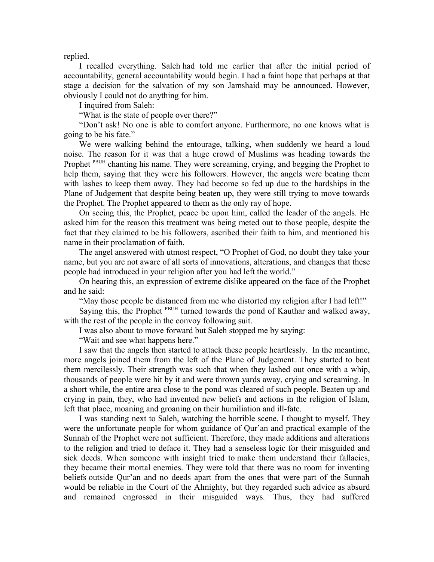replied.

I recalled everything. Saleh had told me earlier that after the initial period of accountability, general accountability would begin. I had a faint hope that perhaps at that stage a decision for the salvation of my son Jamshaid may be announced. However, obviously I could not do anything for him.

I inquired from Saleh:

"What is the state of people over there?"

"Don't ask! No one is able to comfort anyone. Furthermore, no one knows what is going to be his fate."

We were walking behind the entourage, talking, when suddenly we heard a loud noise. The reason for it was that a huge crowd of Muslims was heading towards the Prophet <sup>PBUH</sup> chanting his name. They were screaming, crying, and begging the Prophet to help them, saying that they were his followers. However, the angels were beating them with lashes to keep them away. They had become so fed up due to the hardships in the Plane of Judgement that despite being beaten up, they were still trying to move towards the Prophet. The Prophet appeared to them as the only ray of hope.

On seeing this, the Prophet, peace be upon him, called the leader of the angels. He asked him for the reason this treatment was being meted out to those people, despite the fact that they claimed to be his followers, ascribed their faith to him, and mentioned his name in their proclamation of faith.

The angel answered with utmost respect, "O Prophet of God, no doubt they take your name, but you are not aware of all sorts of innovations, alterations, and changes that these people had introduced in your religion after you had left the world."

On hearing this, an expression of extreme dislike appeared on the face of the Prophet and he said:

"May those people be distanced from me who distorted my religion after I had left!"

Saying this, the Prophet  $P_{\text{BUH}}$  turned towards the pond of Kauthar and walked away, with the rest of the people in the convoy following suit.

I was also about to move forward but Saleh stopped me by saying:

"Wait and see what happens here."

I saw that the angels then started to attack these people heartlessly. In the meantime, more angels joined them from the left of the Plane of Judgement. They started to beat them mercilessly. Their strength was such that when they lashed out once with a whip, thousands of people were hit by it and were thrown yards away, crying and screaming. In a short while, the entire area close to the pond was cleared of such people. Beaten up and crying in pain, they, who had invented new beliefs and actions in the religion of Islam, left that place, moaning and groaning on their humiliation and ill-fate.

I was standing next to Saleh, watching the horrible scene. I thought to myself. They were the unfortunate people for whom guidance of Qur'an and practical example of the Sunnah of the Prophet were not sufficient. Therefore, they made additions and alterations to the religion and tried to deface it. They had a senseless logic for their misguided and sick deeds. When someone with insight tried to make them understand their fallacies, they became their mortal enemies. They were told that there was no room for inventing beliefs outside Qur'an and no deeds apart from the ones that were part of the Sunnah would be reliable in the Court of the Almighty, but they regarded such advice as absurd and remained engrossed in their misguided ways. Thus, they had suffered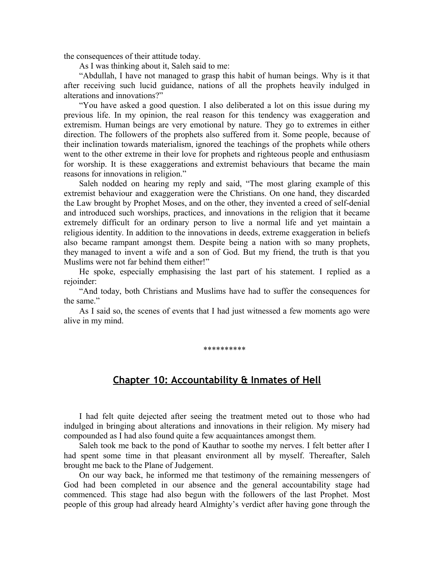the consequences of their attitude today.

As I was thinking about it, Saleh said to me:

"Abdullah, I have not managed to grasp this habit of human beings. Why is it that after receiving such lucid guidance, nations of all the prophets heavily indulged in alterations and innovations?"

"You have asked a good question. I also deliberated a lot on this issue during my previous life. In my opinion, the real reason for this tendency was exaggeration and extremism. Human beings are very emotional by nature. They go to extremes in either direction. The followers of the prophets also suffered from it. Some people, because of their inclination towards materialism, ignored the teachings of the prophets while others went to the other extreme in their love for prophets and righteous people and enthusiasm for worship. It is these exaggerations and extremist behaviours that became the main reasons for innovations in religion."

Saleh nodded on hearing my reply and said, "The most glaring example of this extremist behaviour and exaggeration were the Christians. On one hand, they discarded the Law brought by Prophet Moses, and on the other, they invented a creed of self-denial and introduced such worships, practices, and innovations in the religion that it became extremely difficult for an ordinary person to live a normal life and yet maintain a religious identity. In addition to the innovations in deeds, extreme exaggeration in beliefs also became rampant amongst them. Despite being a nation with so many prophets, they managed to invent a wife and a son of God. But my friend, the truth is that you Muslims were not far behind them either!"

He spoke, especially emphasising the last part of his statement. I replied as a rejoinder:

"And today, both Christians and Muslims have had to suffer the consequences for the same."

As I said so, the scenes of events that I had just witnessed a few moments ago were alive in my mind.

\*\*\*\*\*\*\*\*\*\*

# **Chapter 10: Accountability & Inmates of Hell**

I had felt quite dejected after seeing the treatment meted out to those who had indulged in bringing about alterations and innovations in their religion. My misery had compounded as I had also found quite a few acquaintances amongst them.

Saleh took me back to the pond of Kauthar to soothe my nerves. I felt better after I had spent some time in that pleasant environment all by myself. Thereafter, Saleh brought me back to the Plane of Judgement.

On our way back, he informed me that testimony of the remaining messengers of God had been completed in our absence and the general accountability stage had commenced. This stage had also begun with the followers of the last Prophet. Most people of this group had already heard Almighty's verdict after having gone through the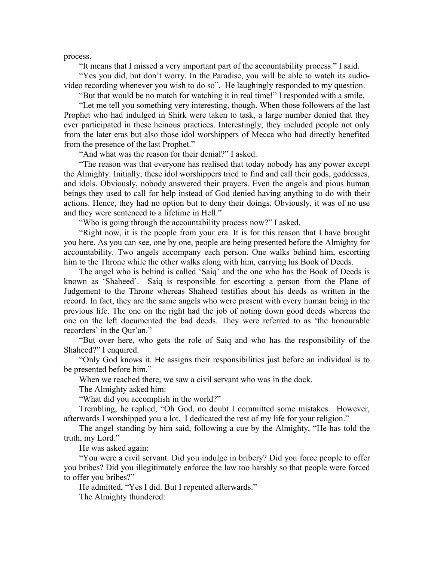## process.

"It means that I missed a very important part of the accountability process." I said.

"Yes you did, but don't worry. In the Paradise, you will be able to watch its audiovideo recording whenever you wish to do so". He laughingly responded to my question.

"But that would be no match for watching it in real time!" I responded with a smile.

"Let me tell you something very interesting, though. When those followers of the last Prophet who had indulged in Shirk were taken to task, a large number denied that they ever participated in these heinous practices. Interestingly, they included people not only from the later eras but also those idol worshippers of Mecca who had directly benefited from the presence of the last Prophet."

"And what was the reason for their denial?" I asked.

"The reason was that everyone has realised that today nobody has any power except the Almighty. Initially, these idol worshippers tried to find and call their gods, goddesses, and idols. Obviously, nobody answered their prayers. Even the angels and pious human beings they used to call for help instead of God denied having anything to do with their actions. Hence, they had no option but to deny their doings. Obviously, it was of no use and they were sentenced to a lifetime in Hell."

"Who is going through the accountability process now?" I asked.

"Right now, it is the people from your era. It is for this reason that I have brought you here. As you can see, one by one, people are being presented before the Almighty for accountability. Two angels accompany each person. One walks behind him, escorting him to the Throne while the other walks along with him, carrying his Book of Deeds.

The angel who is behind is called 'Saiq' and the one who has the Book of Deeds is known as 'Shaheed'. Saiq is responsible for escorting a person from the Plane of Judgement to the Throne whereas Shaheed testifies about his deeds as written in the record. In fact, they are the same angels who were present with every human being in the previous life. The one on the right had the job of noting down good deeds whereas the one on the left documented the bad deeds. They were referred to as 'the honourable recorders' in the Qur'an."

"But over here, who gets the role of Saiq and who has the responsibility of the Shaheed?" I enquired.

"Only God knows it. He assigns their responsibilities just before an individual is to be presented before him."

When we reached there, we saw a civil servant who was in the dock.

The Almighty asked him:

"What did you accomplish in the world?"

Trembling, he replied, "Oh God, no doubt I committed some mistakes. However, afterwards I worshipped you a lot. I dedicated the rest of my life for your religion."

The angel standing by him said, following a cue by the Almighty, "He has told the truth, my Lord."

He was asked again:

"You were a civil servant. Did you indulge in bribery? Did you force people to offer you bribes? Did you illegitimately enforce the law too harshly so that people were forced to offer you bribes?"

He admitted, "Yes I did. But I repented afterwards."

The Almighty thundered: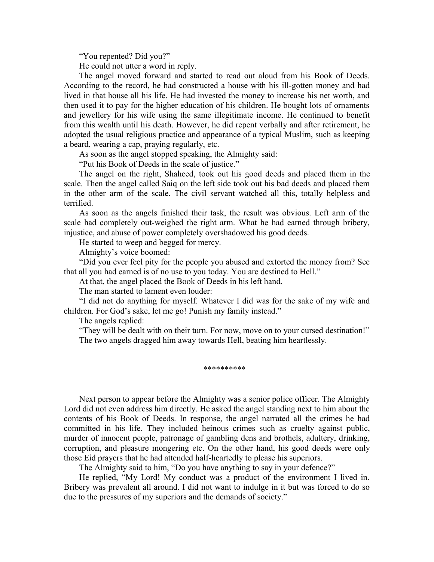"You repented? Did you?"

He could not utter a word in reply.

The angel moved forward and started to read out aloud from his Book of Deeds. According to the record, he had constructed a house with his ill-gotten money and had lived in that house all his life. He had invested the money to increase his net worth, and then used it to pay for the higher education of his children. He bought lots of ornaments and jewellery for his wife using the same illegitimate income. He continued to benefit from this wealth until his death. However, he did repent verbally and after retirement, he adopted the usual religious practice and appearance of a typical Muslim, such as keeping a beard, wearing a cap, praying regularly, etc.

As soon as the angel stopped speaking, the Almighty said:

"Put his Book of Deeds in the scale of justice."

The angel on the right, Shaheed, took out his good deeds and placed them in the scale. Then the angel called Saiq on the left side took out his bad deeds and placed them in the other arm of the scale. The civil servant watched all this, totally helpless and terrified.

As soon as the angels finished their task, the result was obvious. Left arm of the scale had completely out-weighed the right arm. What he had earned through bribery, injustice, and abuse of power completely overshadowed his good deeds.

He started to weep and begged for mercy.

Almighty's voice boomed:

"Did you ever feel pity for the people you abused and extorted the money from? See that all you had earned is of no use to you today. You are destined to Hell."

At that, the angel placed the Book of Deeds in his left hand.

The man started to lament even louder:

"I did not do anything for myself. Whatever I did was for the sake of my wife and children. For God's sake, let me go! Punish my family instead."

The angels replied:

"They will be dealt with on their turn. For now, move on to your cursed destination!" The two angels dragged him away towards Hell, beating him heartlessly.

#### \*\*\*\*\*\*\*\*\*\*

Next person to appear before the Almighty was a senior police officer. The Almighty Lord did not even address him directly. He asked the angel standing next to him about the contents of his Book of Deeds. In response, the angel narrated all the crimes he had committed in his life. They included heinous crimes such as cruelty against public, murder of innocent people, patronage of gambling dens and brothels, adultery, drinking, corruption, and pleasure mongering etc. On the other hand, his good deeds were only those Eid prayers that he had attended half-heartedly to please his superiors.

The Almighty said to him, "Do you have anything to say in your defence?"

He replied, "My Lord! My conduct was a product of the environment I lived in. Bribery was prevalent all around. I did not want to indulge in it but was forced to do so due to the pressures of my superiors and the demands of society."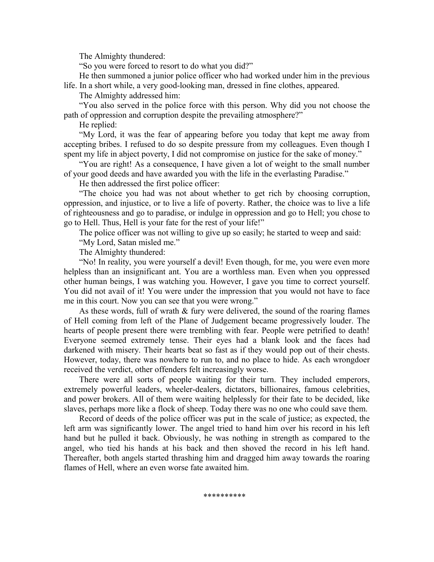The Almighty thundered:

"So you were forced to resort to do what you did?"

He then summoned a junior police officer who had worked under him in the previous life. In a short while, a very good-looking man, dressed in fine clothes, appeared.

The Almighty addressed him:

"You also served in the police force with this person. Why did you not choose the path of oppression and corruption despite the prevailing atmosphere?"

He replied:

"My Lord, it was the fear of appearing before you today that kept me away from accepting bribes. I refused to do so despite pressure from my colleagues. Even though I spent my life in abject poverty, I did not compromise on justice for the sake of money."

"You are right! As a consequence, I have given a lot of weight to the small number of your good deeds and have awarded you with the life in the everlasting Paradise."

He then addressed the first police officer:

"The choice you had was not about whether to get rich by choosing corruption, oppression, and injustice, or to live a life of poverty. Rather, the choice was to live a life of righteousness and go to paradise, or indulge in oppression and go to Hell; you chose to go to Hell. Thus, Hell is your fate for the rest of your life!"

The police officer was not willing to give up so easily; he started to weep and said:

"My Lord, Satan misled me."

The Almighty thundered:

"No! In reality, you were yourself a devil! Even though, for me, you were even more helpless than an insignificant ant. You are a worthless man. Even when you oppressed other human beings, I was watching you. However, I gave you time to correct yourself. You did not avail of it! You were under the impression that you would not have to face me in this court. Now you can see that you were wrong."

As these words, full of wrath & fury were delivered, the sound of the roaring flames of Hell coming from left of the Plane of Judgement became progressively louder. The hearts of people present there were trembling with fear. People were petrified to death! Everyone seemed extremely tense. Their eyes had a blank look and the faces had darkened with misery. Their hearts beat so fast as if they would pop out of their chests. However, today, there was nowhere to run to, and no place to hide. As each wrongdoer received the verdict, other offenders felt increasingly worse.

There were all sorts of people waiting for their turn. They included emperors, extremely powerful leaders, wheeler-dealers, dictators, billionaires, famous celebrities, and power brokers. All of them were waiting helplessly for their fate to be decided, like slaves, perhaps more like a flock of sheep. Today there was no one who could save them.

Record of deeds of the police officer was put in the scale of justice; as expected, the left arm was significantly lower. The angel tried to hand him over his record in his left hand but he pulled it back. Obviously, he was nothing in strength as compared to the angel, who tied his hands at his back and then shoved the record in his left hand. Thereafter, both angels started thrashing him and dragged him away towards the roaring flames of Hell, where an even worse fate awaited him.

\*\*\*\*\*\*\*\*\*\*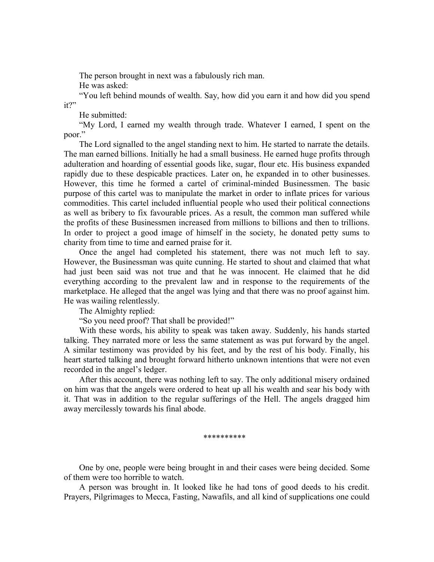The person brought in next was a fabulously rich man.

He was asked:

"You left behind mounds of wealth. Say, how did you earn it and how did you spend it?"

He submitted:

"My Lord, I earned my wealth through trade. Whatever I earned, I spent on the poor."

The Lord signalled to the angel standing next to him. He started to narrate the details. The man earned billions. Initially he had a small business. He earned huge profits through adulteration and hoarding of essential goods like, sugar, flour etc. His business expanded rapidly due to these despicable practices. Later on, he expanded in to other businesses. However, this time he formed a cartel of criminal-minded Businessmen. The basic purpose of this cartel was to manipulate the market in order to inflate prices for various commodities. This cartel included influential people who used their political connections as well as bribery to fix favourable prices. As a result, the common man suffered while the profits of these Businessmen increased from millions to billions and then to trillions. In order to project a good image of himself in the society, he donated petty sums to charity from time to time and earned praise for it.

Once the angel had completed his statement, there was not much left to say. However, the Businessman was quite cunning. He started to shout and claimed that what had just been said was not true and that he was innocent. He claimed that he did everything according to the prevalent law and in response to the requirements of the marketplace. He alleged that the angel was lying and that there was no proof against him. He was wailing relentlessly.

The Almighty replied:

"So you need proof? That shall be provided!"

With these words, his ability to speak was taken away. Suddenly, his hands started talking. They narrated more or less the same statement as was put forward by the angel. A similar testimony was provided by his feet, and by the rest of his body. Finally, his heart started talking and brought forward hitherto unknown intentions that were not even recorded in the angel's ledger.

After this account, there was nothing left to say. The only additional misery ordained on him was that the angels were ordered to heat up all his wealth and sear his body with it. That was in addition to the regular sufferings of the Hell. The angels dragged him away mercilessly towards his final abode.

### \*\*\*\*\*\*\*\*\*\*

One by one, people were being brought in and their cases were being decided. Some of them were too horrible to watch.

A person was brought in. It looked like he had tons of good deeds to his credit. Prayers, Pilgrimages to Mecca, Fasting, Nawafils, and all kind of supplications one could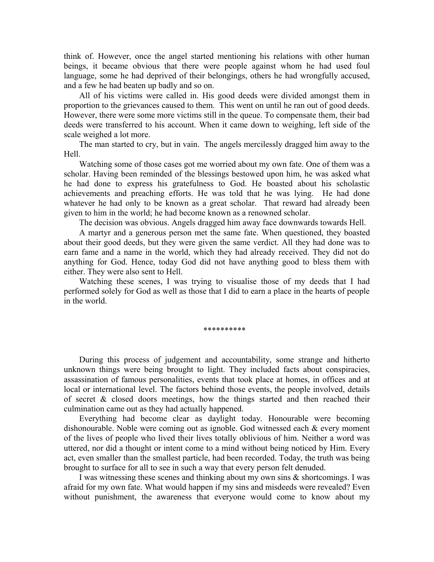think of. However, once the angel started mentioning his relations with other human beings, it became obvious that there were people against whom he had used foul language, some he had deprived of their belongings, others he had wrongfully accused, and a few he had beaten up badly and so on.

All of his victims were called in. His good deeds were divided amongst them in proportion to the grievances caused to them. This went on until he ran out of good deeds. However, there were some more victims still in the queue. To compensate them, their bad deeds were transferred to his account. When it came down to weighing, left side of the scale weighed a lot more.

The man started to cry, but in vain. The angels mercilessly dragged him away to the Hell.

Watching some of those cases got me worried about my own fate. One of them was a scholar. Having been reminded of the blessings bestowed upon him, he was asked what he had done to express his gratefulness to God. He boasted about his scholastic achievements and preaching efforts. He was told that he was lying. He had done whatever he had only to be known as a great scholar. That reward had already been given to him in the world; he had become known as a renowned scholar.

The decision was obvious. Angels dragged him away face downwards towards Hell.

A martyr and a generous person met the same fate. When questioned, they boasted about their good deeds, but they were given the same verdict. All they had done was to earn fame and a name in the world, which they had already received. They did not do anything for God. Hence, today God did not have anything good to bless them with either. They were also sent to Hell.

Watching these scenes, I was trying to visualise those of my deeds that I had performed solely for God as well as those that I did to earn a place in the hearts of people in the world.

\*\*\*\*\*\*\*\*\*\*

During this process of judgement and accountability, some strange and hitherto unknown things were being brought to light. They included facts about conspiracies, assassination of famous personalities, events that took place at homes, in offices and at local or international level. The factors behind those events, the people involved, details of secret & closed doors meetings, how the things started and then reached their culmination came out as they had actually happened.

Everything had become clear as daylight today. Honourable were becoming dishonourable. Noble were coming out as ignoble. God witnessed each & every moment of the lives of people who lived their lives totally oblivious of him. Neither a word was uttered, nor did a thought or intent come to a mind without being noticed by Him. Every act, even smaller than the smallest particle, had been recorded. Today, the truth was being brought to surface for all to see in such a way that every person felt denuded.

I was witnessing these scenes and thinking about my own sins & shortcomings. I was afraid for my own fate. What would happen if my sins and misdeeds were revealed? Even without punishment, the awareness that everyone would come to know about my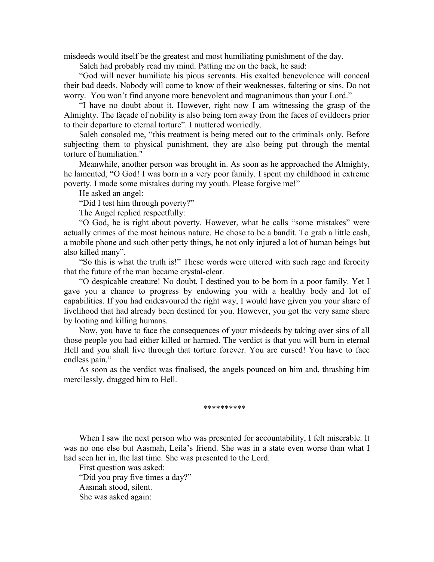misdeeds would itself be the greatest and most humiliating punishment of the day.

Saleh had probably read my mind. Patting me on the back, he said:

"God will never humiliate his pious servants. His exalted benevolence will conceal their bad deeds. Nobody will come to know of their weaknesses, faltering or sins. Do not worry. You won't find anyone more benevolent and magnanimous than your Lord."

"I have no doubt about it. However, right now I am witnessing the grasp of the Almighty. The façade of nobility is also being torn away from the faces of evildoers prior to their departure to eternal torture". I muttered worriedly.

Saleh consoled me, "this treatment is being meted out to the criminals only. Before subjecting them to physical punishment, they are also being put through the mental torture of humiliation."

Meanwhile, another person was brought in. As soon as he approached the Almighty, he lamented, "O God! I was born in a very poor family. I spent my childhood in extreme poverty. I made some mistakes during my youth. Please forgive me!"

He asked an angel:

"Did I test him through poverty?"

The Angel replied respectfully:

"O God, he is right about poverty. However, what he calls "some mistakes" were actually crimes of the most heinous nature. He chose to be a bandit. To grab a little cash, a mobile phone and such other petty things, he not only injured a lot of human beings but also killed many".

"So this is what the truth is!" These words were uttered with such rage and ferocity that the future of the man became crystal-clear.

"O despicable creature! No doubt, I destined you to be born in a poor family. Yet I gave you a chance to progress by endowing you with a healthy body and lot of capabilities. If you had endeavoured the right way, I would have given you your share of livelihood that had already been destined for you. However, you got the very same share by looting and killing humans.

Now, you have to face the consequences of your misdeeds by taking over sins of all those people you had either killed or harmed. The verdict is that you will burn in eternal Hell and you shall live through that torture forever. You are cursed! You have to face endless pain."

As soon as the verdict was finalised, the angels pounced on him and, thrashing him mercilessly, dragged him to Hell.

#### \*\*\*\*\*\*\*\*\*\*

When I saw the next person who was presented for accountability, I felt miserable. It was no one else but Aasmah, Leila's friend. She was in a state even worse than what I had seen her in, the last time. She was presented to the Lord.

First question was asked: "Did you pray five times a day?" Aasmah stood, silent. She was asked again: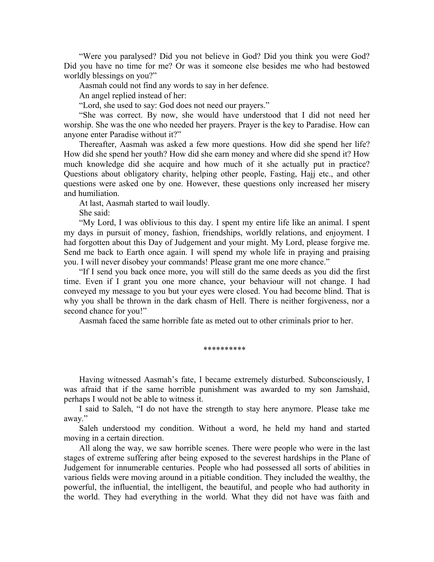"Were you paralysed? Did you not believe in God? Did you think you were God? Did you have no time for me? Or was it someone else besides me who had bestowed worldly blessings on you?"

Aasmah could not find any words to say in her defence.

An angel replied instead of her:

"Lord, she used to say: God does not need our prayers."

"She was correct. By now, she would have understood that I did not need her worship. She was the one who needed her prayers. Prayer is the key to Paradise. How can anyone enter Paradise without it?"

Thereafter, Aasmah was asked a few more questions. How did she spend her life? How did she spend her youth? How did she earn money and where did she spend it? How much knowledge did she acquire and how much of it she actually put in practice? Questions about obligatory charity, helping other people, Fasting, Hajj etc., and other questions were asked one by one. However, these questions only increased her misery and humiliation.

At last, Aasmah started to wail loudly.

She said:

"My Lord, I was oblivious to this day. I spent my entire life like an animal. I spent my days in pursuit of money, fashion, friendships, worldly relations, and enjoyment. I had forgotten about this Day of Judgement and your might. My Lord, please forgive me. Send me back to Earth once again. I will spend my whole life in praying and praising you. I will never disobey your commands! Please grant me one more chance."

"If I send you back once more, you will still do the same deeds as you did the first time. Even if I grant you one more chance, your behaviour will not change. I had conveyed my message to you but your eyes were closed. You had become blind. That is why you shall be thrown in the dark chasm of Hell. There is neither forgiveness, nor a second chance for you!"

Aasmah faced the same horrible fate as meted out to other criminals prior to her.

#### \*\*\*\*\*\*\*\*\*\*

Having witnessed Aasmah's fate, I became extremely disturbed. Subconsciously, I was afraid that if the same horrible punishment was awarded to my son Jamshaid, perhaps I would not be able to witness it.

I said to Saleh, "I do not have the strength to stay here anymore. Please take me away."

Saleh understood my condition. Without a word, he held my hand and started moving in a certain direction.

All along the way, we saw horrible scenes. There were people who were in the last stages of extreme suffering after being exposed to the severest hardships in the Plane of Judgement for innumerable centuries. People who had possessed all sorts of abilities in various fields were moving around in a pitiable condition. They included the wealthy, the powerful, the influential, the intelligent, the beautiful, and people who had authority in the world. They had everything in the world. What they did not have was faith and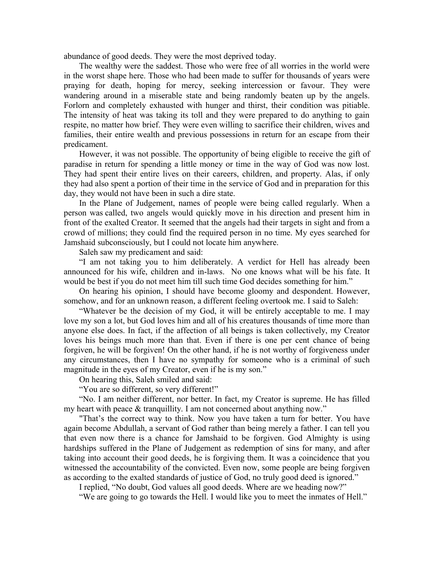abundance of good deeds. They were the most deprived today.

The wealthy were the saddest. Those who were free of all worries in the world were in the worst shape here. Those who had been made to suffer for thousands of years were praying for death, hoping for mercy, seeking intercession or favour. They were wandering around in a miserable state and being randomly beaten up by the angels. Forlorn and completely exhausted with hunger and thirst, their condition was pitiable. The intensity of heat was taking its toll and they were prepared to do anything to gain respite, no matter how brief. They were even willing to sacrifice their children, wives and families, their entire wealth and previous possessions in return for an escape from their predicament.

However, it was not possible. The opportunity of being eligible to receive the gift of paradise in return for spending a little money or time in the way of God was now lost. They had spent their entire lives on their careers, children, and property. Alas, if only they had also spent a portion of their time in the service of God and in preparation for this day, they would not have been in such a dire state.

In the Plane of Judgement, names of people were being called regularly. When a person was called, two angels would quickly move in his direction and present him in front of the exalted Creator. It seemed that the angels had their targets in sight and from a crowd of millions; they could find the required person in no time. My eyes searched for Jamshaid subconsciously, but I could not locate him anywhere.

Saleh saw my predicament and said:

"I am not taking you to him deliberately. A verdict for Hell has already been announced for his wife, children and in-laws. No one knows what will be his fate. It would be best if you do not meet him till such time God decides something for him."

On hearing his opinion, I should have become gloomy and despondent. However, somehow, and for an unknown reason, a different feeling overtook me. I said to Saleh:

"Whatever be the decision of my God, it will be entirely acceptable to me. I may love my son a lot, but God loves him and all of his creatures thousands of time more than anyone else does. In fact, if the affection of all beings is taken collectively, my Creator loves his beings much more than that. Even if there is one per cent chance of being forgiven, he will be forgiven! On the other hand, if he is not worthy of forgiveness under any circumstances, then I have no sympathy for someone who is a criminal of such magnitude in the eyes of my Creator, even if he is my son."

On hearing this, Saleh smiled and said:

"You are so different, so very different!"

"No. I am neither different, nor better. In fact, my Creator is supreme. He has filled my heart with peace & tranquillity. I am not concerned about anything now."

"That's the correct way to think. Now you have taken a turn for better. You have again become Abdullah, a servant of God rather than being merely a father. I can tell you that even now there is a chance for Jamshaid to be forgiven. God Almighty is using hardships suffered in the Plane of Judgement as redemption of sins for many, and after taking into account their good deeds, he is forgiving them. It was a coincidence that you witnessed the accountability of the convicted. Even now, some people are being forgiven as according to the exalted standards of justice of God, no truly good deed is ignored."

I replied, "No doubt, God values all good deeds. Where are we heading now?"

"We are going to go towards the Hell. I would like you to meet the inmates of Hell."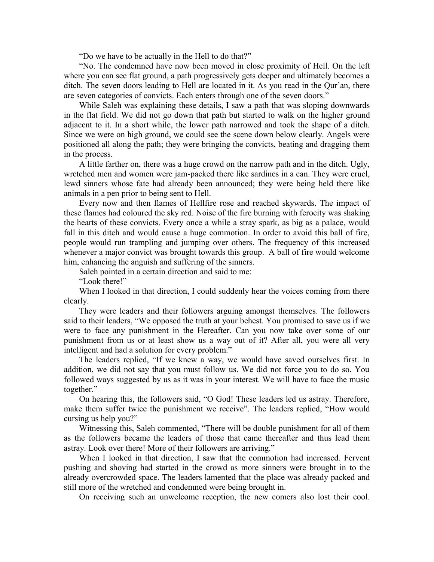"Do we have to be actually in the Hell to do that?"

"No. The condemned have now been moved in close proximity of Hell. On the left where you can see flat ground, a path progressively gets deeper and ultimately becomes a ditch. The seven doors leading to Hell are located in it. As you read in the Qur'an, there are seven categories of convicts. Each enters through one of the seven doors."

While Saleh was explaining these details, I saw a path that was sloping downwards in the flat field. We did not go down that path but started to walk on the higher ground adjacent to it. In a short while, the lower path narrowed and took the shape of a ditch. Since we were on high ground, we could see the scene down below clearly. Angels were positioned all along the path; they were bringing the convicts, beating and dragging them in the process.

A little farther on, there was a huge crowd on the narrow path and in the ditch. Ugly, wretched men and women were jam-packed there like sardines in a can. They were cruel, lewd sinners whose fate had already been announced; they were being held there like animals in a pen prior to being sent to Hell.

Every now and then flames of Hellfire rose and reached skywards. The impact of these flames had coloured the sky red. Noise of the fire burning with ferocity was shaking the hearts of these convicts. Every once a while a stray spark, as big as a palace, would fall in this ditch and would cause a huge commotion. In order to avoid this ball of fire, people would run trampling and jumping over others. The frequency of this increased whenever a major convict was brought towards this group. A ball of fire would welcome him, enhancing the anguish and suffering of the sinners.

Saleh pointed in a certain direction and said to me:

"Look there!"

When I looked in that direction, I could suddenly hear the voices coming from there clearly.

They were leaders and their followers arguing amongst themselves. The followers said to their leaders, "We opposed the truth at your behest. You promised to save us if we were to face any punishment in the Hereafter. Can you now take over some of our punishment from us or at least show us a way out of it? After all, you were all very intelligent and had a solution for every problem."

The leaders replied, "If we knew a way, we would have saved ourselves first. In addition, we did not say that you must follow us. We did not force you to do so. You followed ways suggested by us as it was in your interest. We will have to face the music together."

On hearing this, the followers said, "O God! These leaders led us astray. Therefore, make them suffer twice the punishment we receive". The leaders replied, "How would cursing us help you?"

Witnessing this, Saleh commented, "There will be double punishment for all of them as the followers became the leaders of those that came thereafter and thus lead them astray. Look over there! More of their followers are arriving."

When I looked in that direction, I saw that the commotion had increased. Fervent pushing and shoving had started in the crowd as more sinners were brought in to the already overcrowded space. The leaders lamented that the place was already packed and still more of the wretched and condemned were being brought in.

On receiving such an unwelcome reception, the new comers also lost their cool.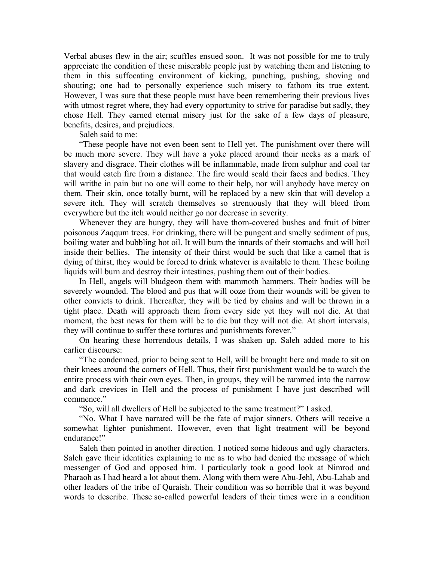Verbal abuses flew in the air; scuffles ensued soon. It was not possible for me to truly appreciate the condition of these miserable people just by watching them and listening to them in this suffocating environment of kicking, punching, pushing, shoving and shouting; one had to personally experience such misery to fathom its true extent. However, I was sure that these people must have been remembering their previous lives with utmost regret where, they had every opportunity to strive for paradise but sadly, they chose Hell. They earned eternal misery just for the sake of a few days of pleasure, benefits, desires, and prejudices.

Saleh said to me:

"These people have not even been sent to Hell yet. The punishment over there will be much more severe. They will have a yoke placed around their necks as a mark of slavery and disgrace. Their clothes will be inflammable, made from sulphur and coal tar that would catch fire from a distance. The fire would scald their faces and bodies. They will writhe in pain but no one will come to their help, nor will anybody have mercy on them. Their skin, once totally burnt, will be replaced by a new skin that will develop a severe itch. They will scratch themselves so strenuously that they will bleed from everywhere but the itch would neither go nor decrease in severity.

Whenever they are hungry, they will have thorn-covered bushes and fruit of bitter poisonous Zaqqum trees. For drinking, there will be pungent and smelly sediment of pus, boiling water and bubbling hot oil. It will burn the innards of their stomachs and will boil inside their bellies. The intensity of their thirst would be such that like a camel that is dying of thirst, they would be forced to drink whatever is available to them. These boiling liquids will burn and destroy their intestines, pushing them out of their bodies.

In Hell, angels will bludgeon them with mammoth hammers. Their bodies will be severely wounded. The blood and pus that will ooze from their wounds will be given to other convicts to drink. Thereafter, they will be tied by chains and will be thrown in a tight place. Death will approach them from every side yet they will not die. At that moment, the best news for them will be to die but they will not die. At short intervals, they will continue to suffer these tortures and punishments forever."

On hearing these horrendous details, I was shaken up. Saleh added more to his earlier discourse:

"The condemned, prior to being sent to Hell, will be brought here and made to sit on their knees around the corners of Hell. Thus, their first punishment would be to watch the entire process with their own eyes. Then, in groups, they will be rammed into the narrow and dark crevices in Hell and the process of punishment I have just described will commence."

"So, will all dwellers of Hell be subjected to the same treatment?" I asked.

"No. What I have narrated will be the fate of major sinners. Others will receive a somewhat lighter punishment. However, even that light treatment will be beyond endurance!"

Saleh then pointed in another direction. I noticed some hideous and ugly characters. Saleh gave their identities explaining to me as to who had denied the message of which messenger of God and opposed him. I particularly took a good look at Nimrod and Pharaoh as I had heard a lot about them. Along with them were Abu-Jehl, Abu-Lahab and other leaders of the tribe of Quraish. Their condition was so horrible that it was beyond words to describe. These so-called powerful leaders of their times were in a condition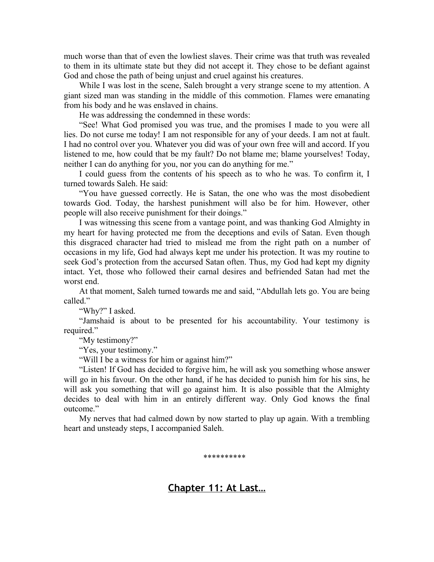much worse than that of even the lowliest slaves. Their crime was that truth was revealed to them in its ultimate state but they did not accept it. They chose to be defiant against God and chose the path of being unjust and cruel against his creatures.

While I was lost in the scene, Saleh brought a very strange scene to my attention. A giant sized man was standing in the middle of this commotion. Flames were emanating from his body and he was enslaved in chains.

He was addressing the condemned in these words:

"See! What God promised you was true, and the promises I made to you were all lies. Do not curse me today! I am not responsible for any of your deeds. I am not at fault. I had no control over you. Whatever you did was of your own free will and accord. If you listened to me, how could that be my fault? Do not blame me; blame yourselves! Today, neither I can do anything for you, nor you can do anything for me."

I could guess from the contents of his speech as to who he was. To confirm it, I turned towards Saleh. He said:

"You have guessed correctly. He is Satan, the one who was the most disobedient towards God. Today, the harshest punishment will also be for him. However, other people will also receive punishment for their doings."

I was witnessing this scene from a vantage point, and was thanking God Almighty in my heart for having protected me from the deceptions and evils of Satan. Even though this disgraced character had tried to mislead me from the right path on a number of occasions in my life, God had always kept me under his protection. It was my routine to seek God's protection from the accursed Satan often. Thus, my God had kept my dignity intact. Yet, those who followed their carnal desires and befriended Satan had met the worst end.

At that moment, Saleh turned towards me and said, "Abdullah lets go. You are being called."

"Why?" I asked.

"Jamshaid is about to be presented for his accountability. Your testimony is required."

"My testimony?"

"Yes, your testimony."

"Will I be a witness for him or against him?"

"Listen! If God has decided to forgive him, he will ask you something whose answer will go in his favour. On the other hand, if he has decided to punish him for his sins, he will ask you something that will go against him. It is also possible that the Almighty decides to deal with him in an entirely different way. Only God knows the final outcome."

My nerves that had calmed down by now started to play up again. With a trembling heart and unsteady steps, I accompanied Saleh.

\*\*\*\*\*\*\*\*\*\*

**Chapter 11: At Last…**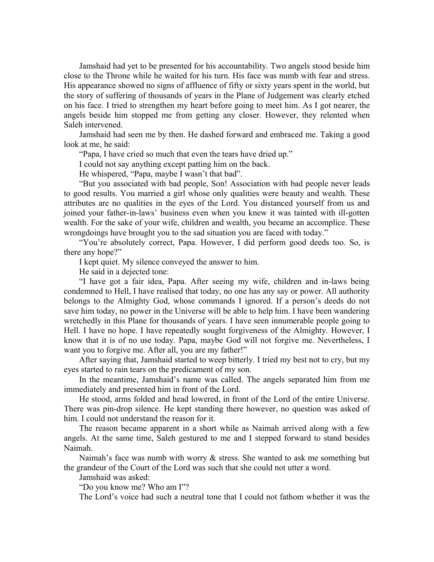Jamshaid had yet to be presented for his accountability. Two angels stood beside him close to the Throne while he waited for his turn. His face was numb with fear and stress. His appearance showed no signs of affluence of fifty or sixty years spent in the world, but the story of suffering of thousands of years in the Plane of Judgement was clearly etched on his face. I tried to strengthen my heart before going to meet him. As I got nearer, the angels beside him stopped me from getting any closer. However, they relented when Saleh intervened.

Jamshaid had seen me by then. He dashed forward and embraced me. Taking a good look at me, he said:

"Papa, I have cried so much that even the tears have dried up."

I could not say anything except patting him on the back.

He whispered, "Papa, maybe I wasn't that bad".

"But you associated with bad people, Son! Association with bad people never leads to good results. You married a girl whose only qualities were beauty and wealth. These attributes are no qualities in the eyes of the Lord. You distanced yourself from us and joined your father-in-laws' business even when you knew it was tainted with ill-gotten wealth. For the sake of your wife, children and wealth, you became an accomplice. These wrongdoings have brought you to the sad situation you are faced with today."

"You're absolutely correct, Papa. However, I did perform good deeds too. So, is there any hope?"

I kept quiet. My silence conveyed the answer to him.

He said in a dejected tone:

"I have got a fair idea, Papa. After seeing my wife, children and in-laws being condemned to Hell, I have realised that today, no one has any say or power. All authority belongs to the Almighty God, whose commands I ignored. If a person's deeds do not save him today, no power in the Universe will be able to help him. I have been wandering wretchedly in this Plane for thousands of years. I have seen innumerable people going to Hell. I have no hope. I have repeatedly sought forgiveness of the Almighty. However, I know that it is of no use today. Papa, maybe God will not forgive me. Nevertheless, I want you to forgive me. After all, you are my father!"

After saying that, Jamshaid started to weep bitterly. I tried my best not to cry, but my eyes started to rain tears on the predicament of my son.

In the meantime, Jamshaid's name was called. The angels separated him from me immediately and presented him in front of the Lord.

He stood, arms folded and head lowered, in front of the Lord of the entire Universe. There was pin-drop silence. He kept standing there however, no question was asked of him. I could not understand the reason for it.

The reason became apparent in a short while as Naimah arrived along with a few angels. At the same time, Saleh gestured to me and I stepped forward to stand besides Naimah.

Naimah's face was numb with worry & stress. She wanted to ask me something but the grandeur of the Court of the Lord was such that she could not utter a word.

Jamshaid was asked:

"Do you know me? Who am I"?

The Lord's voice had such a neutral tone that I could not fathom whether it was the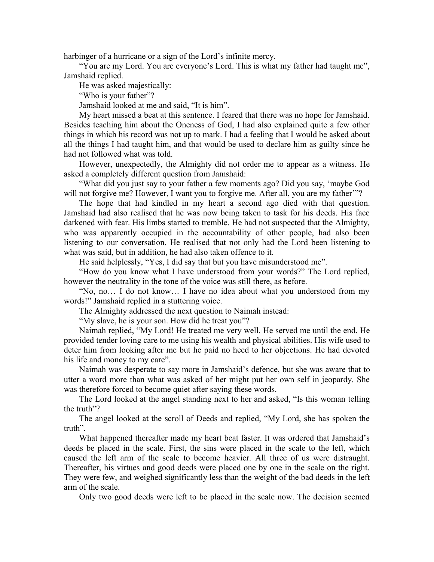harbinger of a hurricane or a sign of the Lord's infinite mercy.

"You are my Lord. You are everyone's Lord. This is what my father had taught me", Jamshaid replied.

He was asked majestically:

"Who is your father"?

Jamshaid looked at me and said, "It is him".

My heart missed a beat at this sentence. I feared that there was no hope for Jamshaid. Besides teaching him about the Oneness of God, I had also explained quite a few other things in which his record was not up to mark. I had a feeling that I would be asked about all the things I had taught him, and that would be used to declare him as guilty since he had not followed what was told.

However, unexpectedly, the Almighty did not order me to appear as a witness. He asked a completely different question from Jamshaid:

"What did you just say to your father a few moments ago? Did you say, 'maybe God will not forgive me? However, I want you to forgive me. After all, you are my father"?

The hope that had kindled in my heart a second ago died with that question. Jamshaid had also realised that he was now being taken to task for his deeds. His face darkened with fear. His limbs started to tremble. He had not suspected that the Almighty, who was apparently occupied in the accountability of other people, had also been listening to our conversation. He realised that not only had the Lord been listening to what was said, but in addition, he had also taken offence to it.

He said helplessly, "Yes, I did say that but you have misunderstood me".

"How do you know what I have understood from your words?" The Lord replied, however the neutrality in the tone of the voice was still there, as before.

"No, no… I do not know… I have no idea about what you understood from my words!" Jamshaid replied in a stuttering voice.

The Almighty addressed the next question to Naimah instead:

"My slave, he is your son. How did he treat you"?

Naimah replied, "My Lord! He treated me very well. He served me until the end. He provided tender loving care to me using his wealth and physical abilities. His wife used to deter him from looking after me but he paid no heed to her objections. He had devoted his life and money to my care".

Naimah was desperate to say more in Jamshaid's defence, but she was aware that to utter a word more than what was asked of her might put her own self in jeopardy. She was therefore forced to become quiet after saying these words.

The Lord looked at the angel standing next to her and asked, "Is this woman telling the truth"?

The angel looked at the scroll of Deeds and replied, "My Lord, she has spoken the truth".

What happened thereafter made my heart beat faster. It was ordered that Jamshaid's deeds be placed in the scale. First, the sins were placed in the scale to the left, which caused the left arm of the scale to become heavier. All three of us were distraught. Thereafter, his virtues and good deeds were placed one by one in the scale on the right. They were few, and weighed significantly less than the weight of the bad deeds in the left arm of the scale.

Only two good deeds were left to be placed in the scale now. The decision seemed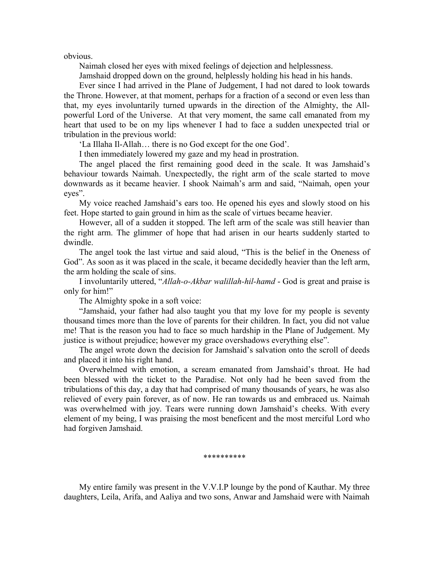obvious.

Naimah closed her eyes with mixed feelings of dejection and helplessness.

Jamshaid dropped down on the ground, helplessly holding his head in his hands.

Ever since I had arrived in the Plane of Judgement, I had not dared to look towards the Throne. However, at that moment, perhaps for a fraction of a second or even less than that, my eyes involuntarily turned upwards in the direction of the Almighty, the Allpowerful Lord of the Universe. At that very moment, the same call emanated from my heart that used to be on my lips whenever I had to face a sudden unexpected trial or tribulation in the previous world:

'La Illaha Il-Allah… there is no God except for the one God'.

I then immediately lowered my gaze and my head in prostration.

The angel placed the first remaining good deed in the scale. It was Jamshaid's behaviour towards Naimah. Unexpectedly, the right arm of the scale started to move downwards as it became heavier. I shook Naimah's arm and said, "Naimah, open your eyes".

My voice reached Jamshaid's ears too. He opened his eyes and slowly stood on his feet. Hope started to gain ground in him as the scale of virtues became heavier.

However, all of a sudden it stopped. The left arm of the scale was still heavier than the right arm. The glimmer of hope that had arisen in our hearts suddenly started to dwindle.

The angel took the last virtue and said aloud, "This is the belief in the Oneness of God". As soon as it was placed in the scale, it became decidedly heavier than the left arm, the arm holding the scale of sins.

I involuntarily uttered, "*Allah-o-Akbar walillah-hil-hamd* - God is great and praise is only for him!"

The Almighty spoke in a soft voice:

"Jamshaid, your father had also taught you that my love for my people is seventy thousand times more than the love of parents for their children. In fact, you did not value me! That is the reason you had to face so much hardship in the Plane of Judgement. My justice is without prejudice; however my grace overshadows everything else".

The angel wrote down the decision for Jamshaid's salvation onto the scroll of deeds and placed it into his right hand.

Overwhelmed with emotion, a scream emanated from Jamshaid's throat. He had been blessed with the ticket to the Paradise. Not only had he been saved from the tribulations of this day, a day that had comprised of many thousands of years, he was also relieved of every pain forever, as of now. He ran towards us and embraced us. Naimah was overwhelmed with joy. Tears were running down Jamshaid's cheeks. With every element of my being, I was praising the most beneficent and the most merciful Lord who had forgiven Jamshaid.

### \*\*\*\*\*\*\*\*\*\*

My entire family was present in the V.V.I.P lounge by the pond of Kauthar. My three daughters, Leila, Arifa, and Aaliya and two sons, Anwar and Jamshaid were with Naimah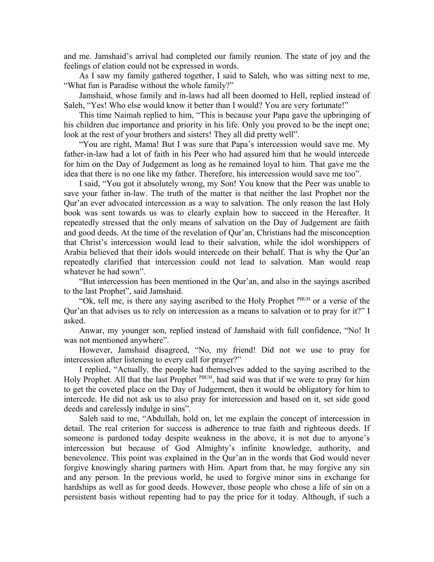and me. Jamshaid's arrival had completed our family reunion. The state of joy and the feelings of elation could not be expressed in words.

As I saw my family gathered together, I said to Saleh, who was sitting next to me, "What fun is Paradise without the whole family?"

Jamshaid, whose family and in-laws had all been doomed to Hell, replied instead of Saleh, "Yes! Who else would know it better than I would? You are very fortunate!"

This time Naimah replied to him, "This is because your Papa gave the upbringing of his children due importance and priority in his life. Only you proved to be the inept one; look at the rest of your brothers and sisters! They all did pretty well".

"You are right, Mama! But I was sure that Papa's intercession would save me. My father-in-law had a lot of faith in his Peer who had assured him that he would intercede for him on the Day of Judgement as long as he remained loyal to him. That gave me the idea that there is no one like my father. Therefore, his intercession would save me too".

I said, "You got it absolutely wrong, my Son! You know that the Peer was unable to save your father in-law. The truth of the matter is that neither the last Prophet nor the Qur'an ever advocated intercession as a way to salvation. The only reason the last Holy book was sent towards us was to clearly explain how to succeed in the Hereafter. It repeatedly stressed that the only means of salvation on the Day of Judgement are faith and good deeds. At the time of the revelation of Qur'an, Christians had the misconception that Christ's intercession would lead to their salvation, while the idol worshippers of Arabia believed that their idols would intercede on their behalf. That is why the Qur'an repeatedly clarified that intercession could not lead to salvation. Man would reap whatever he had sown".

"But intercession has been mentioned in the Qur'an, and also in the sayings ascribed to the last Prophet", said Jamshaid.

"Ok, tell me, is there any saying ascribed to the Holy Prophet  $P_{\text{BUH}}$  or a verse of the Qur'an that advises us to rely on intercession as a means to salvation or to pray for it?" I asked.

Anwar, my younger son, replied instead of Jamshaid with full confidence, "No! It was not mentioned anywhere".

However, Jamshaid disagreed, "No, my friend! Did not we use to pray for intercession after listening to every call for prayer?"

I replied, "Actually, the people had themselves added to the saying ascribed to the Holy Prophet. All that the last Prophet PBUH, had said was that if we were to pray for him to get the coveted place on the Day of Judgement, then it would be obligatory for him to intercede. He did not ask us to also pray for intercession and based on it, set side good deeds and carelessly indulge in sins".

Saleh said to me, "Abdullah, hold on, let me explain the concept of intercession in detail. The real criterion for success is adherence to true faith and righteous deeds. If someone is pardoned today despite weakness in the above, it is not due to anyone's intercession but because of God Almighty's infinite knowledge, authority, and benevolence. This point was explained in the Qur'an in the words that God would never forgive knowingly sharing partners with Him. Apart from that, he may forgive any sin and any person. In the previous world, he used to forgive minor sins in exchange for hardships as well as for good deeds. However, those people who chose a life of sin on a persistent basis without repenting had to pay the price for it today. Although, if such a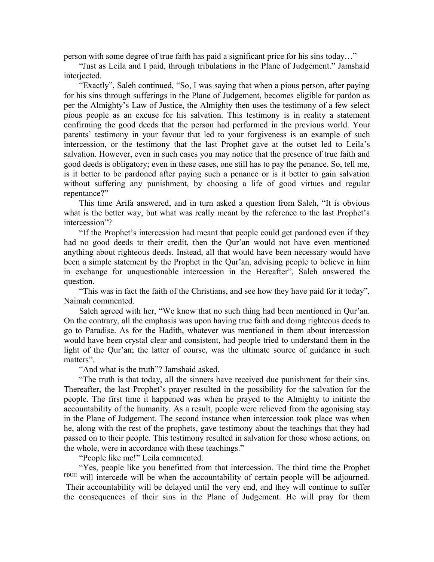person with some degree of true faith has paid a significant price for his sins today…"

"Just as Leila and I paid, through tribulations in the Plane of Judgement." Jamshaid interjected.

"Exactly", Saleh continued, "So, I was saying that when a pious person, after paying for his sins through sufferings in the Plane of Judgement, becomes eligible for pardon as per the Almighty's Law of Justice, the Almighty then uses the testimony of a few select pious people as an excuse for his salvation. This testimony is in reality a statement confirming the good deeds that the person had performed in the previous world. Your parents' testimony in your favour that led to your forgiveness is an example of such intercession, or the testimony that the last Prophet gave at the outset led to Leila's salvation. However, even in such cases you may notice that the presence of true faith and good deeds is obligatory; even in these cases, one still has to pay the penance. So, tell me, is it better to be pardoned after paying such a penance or is it better to gain salvation without suffering any punishment, by choosing a life of good virtues and regular repentance?"

This time Arifa answered, and in turn asked a question from Saleh, "It is obvious what is the better way, but what was really meant by the reference to the last Prophet's intercession"?

"If the Prophet's intercession had meant that people could get pardoned even if they had no good deeds to their credit, then the Qur'an would not have even mentioned anything about righteous deeds. Instead, all that would have been necessary would have been a simple statement by the Prophet in the Qur'an, advising people to believe in him in exchange for unquestionable intercession in the Hereafter", Saleh answered the question.

"This was in fact the faith of the Christians, and see how they have paid for it today", Naimah commented.

Saleh agreed with her, "We know that no such thing had been mentioned in Qur'an. On the contrary, all the emphasis was upon having true faith and doing righteous deeds to go to Paradise. As for the Hadith, whatever was mentioned in them about intercession would have been crystal clear and consistent, had people tried to understand them in the light of the Qur'an; the latter of course, was the ultimate source of guidance in such matters".

"And what is the truth"? Jamshaid asked.

"The truth is that today, all the sinners have received due punishment for their sins. Thereafter, the last Prophet's prayer resulted in the possibility for the salvation for the people. The first time it happened was when he prayed to the Almighty to initiate the accountability of the humanity. As a result, people were relieved from the agonising stay in the Plane of Judgement. The second instance when intercession took place was when he, along with the rest of the prophets, gave testimony about the teachings that they had passed on to their people. This testimony resulted in salvation for those whose actions, on the whole, were in accordance with these teachings."

"People like me!" Leila commented.

"Yes, people like you benefitted from that intercession. The third time the Prophet PBUH will intercede will be when the accountability of certain people will be adjourned. Their accountability will be delayed until the very end, and they will continue to suffer the consequences of their sins in the Plane of Judgement. He will pray for them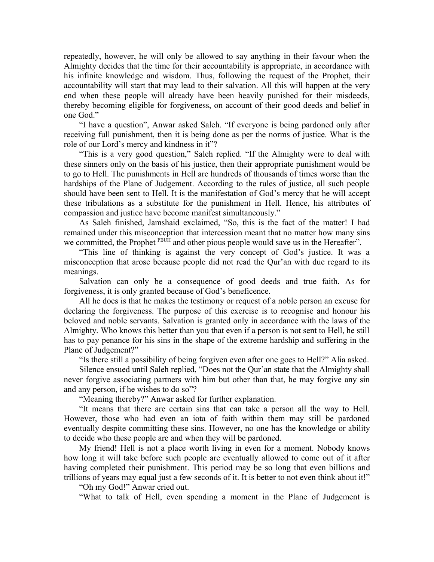repeatedly, however, he will only be allowed to say anything in their favour when the Almighty decides that the time for their accountability is appropriate, in accordance with his infinite knowledge and wisdom. Thus, following the request of the Prophet, their accountability will start that may lead to their salvation. All this will happen at the very end when these people will already have been heavily punished for their misdeeds, thereby becoming eligible for forgiveness, on account of their good deeds and belief in one God."

"I have a question", Anwar asked Saleh. "If everyone is being pardoned only after receiving full punishment, then it is being done as per the norms of justice. What is the role of our Lord's mercy and kindness in it"?

"This is a very good question," Saleh replied. "If the Almighty were to deal with these sinners only on the basis of his justice, then their appropriate punishment would be to go to Hell. The punishments in Hell are hundreds of thousands of times worse than the hardships of the Plane of Judgement. According to the rules of justice, all such people should have been sent to Hell. It is the manifestation of God's mercy that he will accept these tribulations as a substitute for the punishment in Hell. Hence, his attributes of compassion and justice have become manifest simultaneously."

As Saleh finished, Jamshaid exclaimed, "So, this is the fact of the matter! I had remained under this misconception that intercession meant that no matter how many sins we committed, the Prophet <sup>PBUH</sup> and other pious people would save us in the Hereafter".

"This line of thinking is against the very concept of God's justice. It was a misconception that arose because people did not read the Qur'an with due regard to its meanings.

Salvation can only be a consequence of good deeds and true faith. As for forgiveness, it is only granted because of God's beneficence.

All he does is that he makes the testimony or request of a noble person an excuse for declaring the forgiveness. The purpose of this exercise is to recognise and honour his beloved and noble servants. Salvation is granted only in accordance with the laws of the Almighty. Who knows this better than you that even if a person is not sent to Hell, he still has to pay penance for his sins in the shape of the extreme hardship and suffering in the Plane of Judgement?"

"Is there still a possibility of being forgiven even after one goes to Hell?" Alia asked.

Silence ensued until Saleh replied, "Does not the Qur'an state that the Almighty shall never forgive associating partners with him but other than that, he may forgive any sin and any person, if he wishes to do so"?

"Meaning thereby?" Anwar asked for further explanation.

"It means that there are certain sins that can take a person all the way to Hell. However, those who had even an iota of faith within them may still be pardoned eventually despite committing these sins. However, no one has the knowledge or ability to decide who these people are and when they will be pardoned.

My friend! Hell is not a place worth living in even for a moment. Nobody knows how long it will take before such people are eventually allowed to come out of it after having completed their punishment. This period may be so long that even billions and trillions of years may equal just a few seconds of it. It is better to not even think about it!"

"Oh my God!" Anwar cried out.

"What to talk of Hell, even spending a moment in the Plane of Judgement is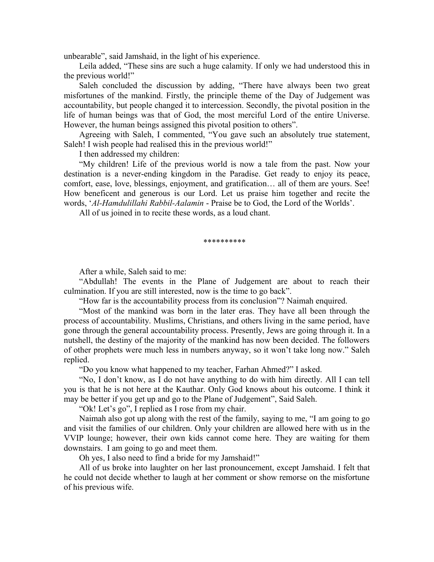unbearable", said Jamshaid, in the light of his experience.

Leila added, "These sins are such a huge calamity. If only we had understood this in the previous world!"

Saleh concluded the discussion by adding, "There have always been two great misfortunes of the mankind. Firstly, the principle theme of the Day of Judgement was accountability, but people changed it to intercession. Secondly, the pivotal position in the life of human beings was that of God, the most merciful Lord of the entire Universe. However, the human beings assigned this pivotal position to others".

Agreeing with Saleh, I commented, "You gave such an absolutely true statement, Saleh! I wish people had realised this in the previous world!"

I then addressed my children:

"My children! Life of the previous world is now a tale from the past. Now your destination is a never-ending kingdom in the Paradise. Get ready to enjoy its peace, comfort, ease, love, blessings, enjoyment, and gratification… all of them are yours. See! How beneficent and generous is our Lord. Let us praise him together and recite the words, '*Al-Hamdulillahi Rabbil-Aalamin* - Praise be to God, the Lord of the Worlds'.

All of us joined in to recite these words, as a loud chant.

\*\*\*\*\*\*\*\*\*\*

After a while, Saleh said to me:

"Abdullah! The events in the Plane of Judgement are about to reach their culmination. If you are still interested, now is the time to go back".

"How far is the accountability process from its conclusion"? Naimah enquired.

"Most of the mankind was born in the later eras. They have all been through the process of accountability. Muslims, Christians, and others living in the same period, have gone through the general accountability process. Presently, Jews are going through it. In a nutshell, the destiny of the majority of the mankind has now been decided. The followers of other prophets were much less in numbers anyway, so it won't take long now." Saleh replied.

"Do you know what happened to my teacher, Farhan Ahmed?" I asked.

"No, I don't know, as I do not have anything to do with him directly. All I can tell you is that he is not here at the Kauthar. Only God knows about his outcome. I think it may be better if you get up and go to the Plane of Judgement", Said Saleh.

"Ok! Let's go", I replied as I rose from my chair.

Naimah also got up along with the rest of the family, saying to me, "I am going to go and visit the families of our children. Only your children are allowed here with us in the VVIP lounge; however, their own kids cannot come here. They are waiting for them downstairs. I am going to go and meet them.

Oh yes, I also need to find a bride for my Jamshaid!"

All of us broke into laughter on her last pronouncement, except Jamshaid. I felt that he could not decide whether to laugh at her comment or show remorse on the misfortune of his previous wife.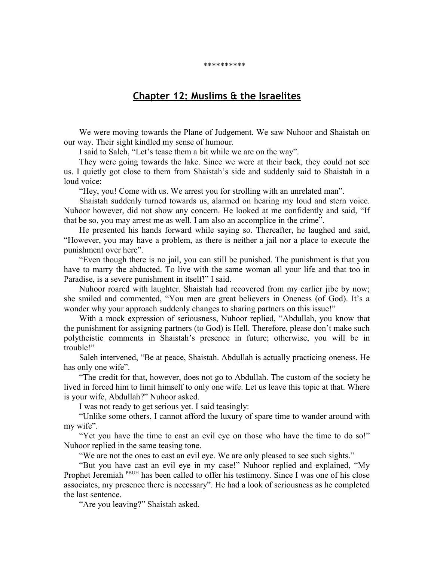#### \*\*\*\*\*\*\*\*\*\*

# **Chapter 12: Muslims & the Israelites**

We were moving towards the Plane of Judgement. We saw Nuhoor and Shaistah on our way. Their sight kindled my sense of humour.

I said to Saleh, "Let's tease them a bit while we are on the way".

They were going towards the lake. Since we were at their back, they could not see us. I quietly got close to them from Shaistah's side and suddenly said to Shaistah in a loud voice:

"Hey, you! Come with us. We arrest you for strolling with an unrelated man".

Shaistah suddenly turned towards us, alarmed on hearing my loud and stern voice. Nuhoor however, did not show any concern. He looked at me confidently and said, "If that be so, you may arrest me as well. I am also an accomplice in the crime".

He presented his hands forward while saying so. Thereafter, he laughed and said, "However, you may have a problem, as there is neither a jail nor a place to execute the punishment over here".

"Even though there is no jail, you can still be punished. The punishment is that you have to marry the abducted. To live with the same woman all your life and that too in Paradise, is a severe punishment in itself!" I said.

Nuhoor roared with laughter. Shaistah had recovered from my earlier jibe by now; she smiled and commented, "You men are great believers in Oneness (of God). It's a wonder why your approach suddenly changes to sharing partners on this issue!"

With a mock expression of seriousness, Nuhoor replied, "Abdullah, you know that the punishment for assigning partners (to God) is Hell. Therefore, please don't make such polytheistic comments in Shaistah's presence in future; otherwise, you will be in trouble!"

Saleh intervened, "Be at peace, Shaistah. Abdullah is actually practicing oneness. He has only one wife".

"The credit for that, however, does not go to Abdullah. The custom of the society he lived in forced him to limit himself to only one wife. Let us leave this topic at that. Where is your wife, Abdullah?" Nuhoor asked.

I was not ready to get serious yet. I said teasingly:

"Unlike some others, I cannot afford the luxury of spare time to wander around with my wife".

"Yet you have the time to cast an evil eye on those who have the time to do so!" Nuhoor replied in the same teasing tone.

"We are not the ones to cast an evil eye. We are only pleased to see such sights."

"But you have cast an evil eye in my case!" Nuhoor replied and explained, "My Prophet Jeremiah <sup>PBUH</sup> has been called to offer his testimony. Since I was one of his close associates, my presence there is necessary". He had a look of seriousness as he completed the last sentence.

"Are you leaving?" Shaistah asked.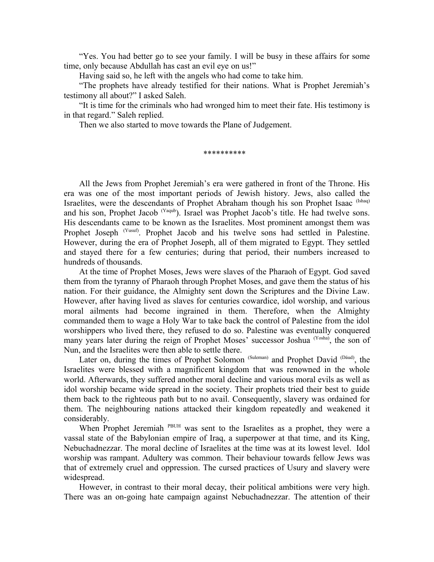"Yes. You had better go to see your family. I will be busy in these affairs for some time, only because Abdullah has cast an evil eye on us!"

Having said so, he left with the angels who had come to take him.

"The prophets have already testified for their nations. What is Prophet Jeremiah's testimony all about?" I asked Saleh.

"It is time for the criminals who had wronged him to meet their fate. His testimony is in that regard." Saleh replied.

Then we also started to move towards the Plane of Judgement.

### \*\*\*\*\*\*\*\*\*\*

All the Jews from Prophet Jeremiah's era were gathered in front of the Throne. His era was one of the most important periods of Jewish history. Jews, also called the Israelites, were the descendants of Prophet Abraham though his son Prophet Isaac<sup>(Ishaq)</sup> and his son, Prophet Jacob <sup>(Yaqub</sup>). Israel was Prophet Jacob's title. He had twelve sons. His descendants came to be known as the Israelites. Most prominent amongst them was Prophet Joseph (Yusuf). Prophet Jacob and his twelve sons had settled in Palestine. However, during the era of Prophet Joseph, all of them migrated to Egypt. They settled and stayed there for a few centuries; during that period, their numbers increased to hundreds of thousands.

At the time of Prophet Moses, Jews were slaves of the Pharaoh of Egypt. God saved them from the tyranny of Pharaoh through Prophet Moses, and gave them the status of his nation. For their guidance, the Almighty sent down the Scriptures and the Divine Law. However, after having lived as slaves for centuries cowardice, idol worship, and various moral ailments had become ingrained in them. Therefore, when the Almighty commanded them to wage a Holy War to take back the control of Palestine from the idol worshippers who lived there, they refused to do so. Palestine was eventually conquered many years later during the reign of Prophet Moses' successor Joshua (Yosha), the son of Nun, and the Israelites were then able to settle there.

Later on, during the times of Prophet Solomon (Suleman) and Prophet David <sup>(Dáud</sup>), the Israelites were blessed with a magnificent kingdom that was renowned in the whole world. Afterwards, they suffered another moral decline and various moral evils as well as idol worship became wide spread in the society. Their prophets tried their best to guide them back to the righteous path but to no avail. Consequently, slavery was ordained for them. The neighbouring nations attacked their kingdom repeatedly and weakened it considerably.

When Prophet Jeremiah PBUH was sent to the Israelites as a prophet, they were a vassal state of the Babylonian empire of Iraq, a superpower at that time, and its King, Nebuchadnezzar. The moral decline of Israelites at the time was at its lowest level. Idol worship was rampant. Adultery was common. Their behaviour towards fellow Jews was that of extremely cruel and oppression. The cursed practices of Usury and slavery were widespread.

However, in contrast to their moral decay, their political ambitions were very high. There was an on-going hate campaign against Nebuchadnezzar. The attention of their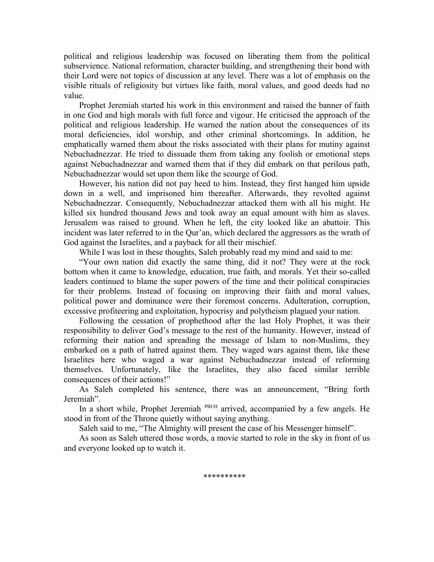political and religious leadership was focused on liberating them from the political subservience. National reformation, character building, and strengthening their bond with their Lord were not topics of discussion at any level. There was a lot of emphasis on the visible rituals of religiosity but virtues like faith, moral values, and good deeds had no value.

Prophet Jeremiah started his work in this environment and raised the banner of faith in one God and high morals with full force and vigour. He criticised the approach of the political and religious leadership. He warned the nation about the consequences of its moral deficiencies, idol worship, and other criminal shortcomings. In addition, he emphatically warned them about the risks associated with their plans for mutiny against Nebuchadnezzar. He tried to dissuade them from taking any foolish or emotional steps against Nebuchadnezzar and warned them that if they did embark on that perilous path, Nebuchadnezzar would set upon them like the scourge of God.

However, his nation did not pay heed to him. Instead, they first hanged him upside down in a well, and imprisoned him thereafter. Afterwards, they revolted against Nebuchadnezzar. Consequently, Nebuchadnezzar attacked them with all his might. He killed six hundred thousand Jews and took away an equal amount with him as slaves. Jerusalem was raised to ground. When he left, the city looked like an abattoir. This incident was later referred to in the Qur'an, which declared the aggressors as the wrath of God against the Israelites, and a payback for all their mischief.

While I was lost in these thoughts, Saleh probably read my mind and said to me:

"Your own nation did exactly the same thing, did it not? They were at the rock bottom when it came to knowledge, education, true faith, and morals. Yet their so-called leaders continued to blame the super powers of the time and their political conspiracies for their problems. Instead of focusing on improving their faith and moral values, political power and dominance were their foremost concerns. Adulteration, corruption, excessive profiteering and exploitation, hypocrisy and polytheism plagued your nation.

Following the cessation of prophethood after the last Holy Prophet, it was their responsibility to deliver God's message to the rest of the humanity. However, instead of reforming their nation and spreading the message of Islam to non-Muslims, they embarked on a path of hatred against them. They waged wars against them, like these Israelites here who waged a war against Nebuchadnezzar instead of reforming themselves. Unfortunately, like the Israelites, they also faced similar terrible consequences of their actions!"

As Saleh completed his sentence, there was an announcement, "Bring forth Jeremiah".

In a short while, Prophet Jeremiah PBUH arrived, accompanied by a few angels. He stood in front of the Throne quietly without saying anything.

Saleh said to me, "The Almighty will present the case of his Messenger himself".

As soon as Saleh uttered those words, a movie started to role in the sky in front of us and everyone looked up to watch it.

\*\*\*\*\*\*\*\*\*\*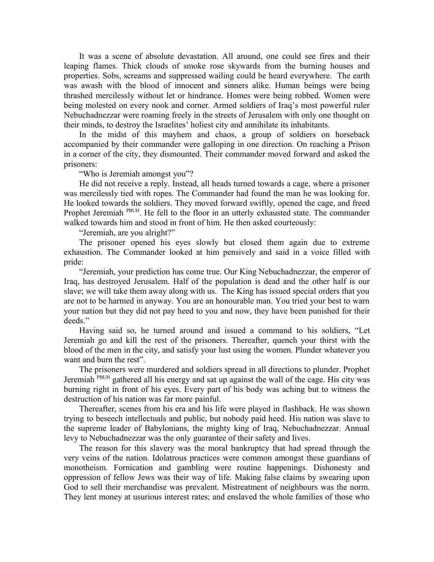It was a scene of absolute devastation. All around, one could see fires and their leaping flames. Thick clouds of smoke rose skywards from the burning houses and properties. Sobs, screams and suppressed wailing could be heard everywhere. The earth was awash with the blood of innocent and sinners alike. Human beings were being thrashed mercilessly without let or hindrance. Homes were being robbed. Women were being molested on every nook and corner. Armed soldiers of Iraq's most powerful ruler Nebuchadnezzar were roaming freely in the streets of Jerusalem with only one thought on their minds, to destroy the Israelites' holiest city and annihilate its inhabitants.

In the midst of this mayhem and chaos, a group of soldiers on horseback accompanied by their commander were galloping in one direction. On reaching a Prison in a corner of the city, they dismounted. Their commander moved forward and asked the prisoners:

"Who is Jeremiah amongst you"?

He did not receive a reply. Instead, all heads turned towards a cage, where a prisoner was mercilessly tied with ropes. The Commander had found the man he was looking for. He looked towards the soldiers. They moved forward swiftly, opened the cage, and freed Prophet Jeremiah <sup>PBUH</sup>. He fell to the floor in an utterly exhausted state. The commander walked towards him and stood in front of him. He then asked courteously:

"Jeremiah, are you alright?"

The prisoner opened his eyes slowly but closed them again due to extreme exhaustion. The Commander looked at him pensively and said in a voice filled with pride:

"Jeremiah, your prediction has come true. Our King Nebuchadnezzar, the emperor of Iraq, has destroyed Jerusalem. Half of the population is dead and the other half is our slave; we will take them away along with us. The King has issued special orders that you are not to be harmed in anyway. You are an honourable man. You tried your best to warn your nation but they did not pay heed to you and now, they have been punished for their deeds."

Having said so, he turned around and issued a command to his soldiers, "Let Jeremiah go and kill the rest of the prisoners. Thereafter, quench your thirst with the blood of the men in the city, and satisfy your lust using the women. Plunder whatever you want and burn the rest".

The prisoners were murdered and soldiers spread in all directions to plunder. Prophet Jeremiah PBUH gathered all his energy and sat up against the wall of the cage. His city was burning right in front of his eyes. Every part of his body was aching but to witness the destruction of his nation was far more painful.

Thereafter, scenes from his era and his life were played in flashback. He was shown trying to beseech intellectuals and public, but nobody paid heed. His nation was slave to the supreme leader of Babylonians, the mighty king of Iraq, Nebuchadnezzar. Annual levy to Nebuchadnezzar was the only guarantee of their safety and lives.

The reason for this slavery was the moral bankruptcy that had spread through the very veins of the nation. Idolatrous practices were common amongst these guardians of monotheism. Fornication and gambling were routine happenings. Dishonesty and oppression of fellow Jews was their way of life. Making false claims by swearing upon God to sell their merchandise was prevalent. Mistreatment of neighbours was the norm. They lent money at usurious interest rates; and enslaved the whole families of those who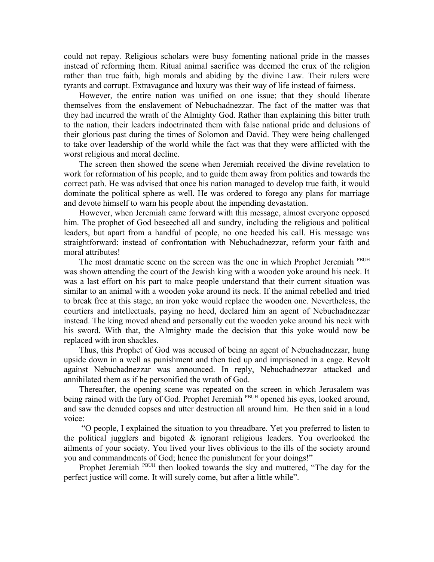could not repay. Religious scholars were busy fomenting national pride in the masses instead of reforming them. Ritual animal sacrifice was deemed the crux of the religion rather than true faith, high morals and abiding by the divine Law. Their rulers were tyrants and corrupt. Extravagance and luxury was their way of life instead of fairness.

However, the entire nation was unified on one issue; that they should liberate themselves from the enslavement of Nebuchadnezzar. The fact of the matter was that they had incurred the wrath of the Almighty God. Rather than explaining this bitter truth to the nation, their leaders indoctrinated them with false national pride and delusions of their glorious past during the times of Solomon and David. They were being challenged to take over leadership of the world while the fact was that they were afflicted with the worst religious and moral decline.

The screen then showed the scene when Jeremiah received the divine revelation to work for reformation of his people, and to guide them away from politics and towards the correct path. He was advised that once his nation managed to develop true faith, it would dominate the political sphere as well. He was ordered to forego any plans for marriage and devote himself to warn his people about the impending devastation.

However, when Jeremiah came forward with this message, almost everyone opposed him. The prophet of God beseeched all and sundry, including the religious and political leaders, but apart from a handful of people, no one heeded his call. His message was straightforward: instead of confrontation with Nebuchadnezzar, reform your faith and moral attributes!

The most dramatic scene on the screen was the one in which Prophet Jeremiah PBUH was shown attending the court of the Jewish king with a wooden yoke around his neck. It was a last effort on his part to make people understand that their current situation was similar to an animal with a wooden yoke around its neck. If the animal rebelled and tried to break free at this stage, an iron yoke would replace the wooden one. Nevertheless, the courtiers and intellectuals, paying no heed, declared him an agent of Nebuchadnezzar instead. The king moved ahead and personally cut the wooden yoke around his neck with his sword. With that, the Almighty made the decision that this yoke would now be replaced with iron shackles.

Thus, this Prophet of God was accused of being an agent of Nebuchadnezzar, hung upside down in a well as punishment and then tied up and imprisoned in a cage. Revolt against Nebuchadnezzar was announced. In reply, Nebuchadnezzar attacked and annihilated them as if he personified the wrath of God.

Thereafter, the opening scene was repeated on the screen in which Jerusalem was being rained with the fury of God. Prophet Jeremiah <sup>PBUH</sup> opened his eyes, looked around, and saw the denuded copses and utter destruction all around him. He then said in a loud voice:

 "O people, I explained the situation to you threadbare. Yet you preferred to listen to the political jugglers and bigoted & ignorant religious leaders. You overlooked the ailments of your society. You lived your lives oblivious to the ills of the society around you and commandments of God; hence the punishment for your doings!"

Prophet Jeremiah PBUH then looked towards the sky and muttered, "The day for the perfect justice will come. It will surely come, but after a little while".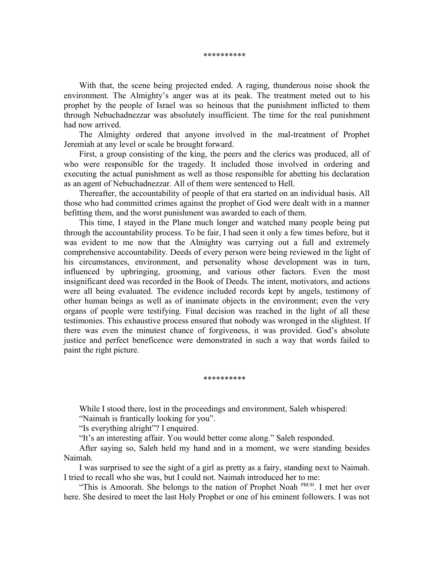\*\*\*\*\*\*\*\*\*\*

With that, the scene being projected ended. A raging, thunderous noise shook the environment. The Almighty's anger was at its peak. The treatment meted out to his prophet by the people of Israel was so heinous that the punishment inflicted to them through Nebuchadnezzar was absolutely insufficient. The time for the real punishment had now arrived.

The Almighty ordered that anyone involved in the mal-treatment of Prophet Jeremiah at any level or scale be brought forward.

First, a group consisting of the king, the peers and the clerics was produced, all of who were responsible for the tragedy. It included those involved in ordering and executing the actual punishment as well as those responsible for abetting his declaration as an agent of Nebuchadnezzar. All of them were sentenced to Hell.

Thereafter, the accountability of people of that era started on an individual basis. All those who had committed crimes against the prophet of God were dealt with in a manner befitting them, and the worst punishment was awarded to each of them.

This time, I stayed in the Plane much longer and watched many people being put through the accountability process. To be fair, I had seen it only a few times before, but it was evident to me now that the Almighty was carrying out a full and extremely comprehensive accountability. Deeds of every person were being reviewed in the light of his circumstances, environment, and personality whose development was in turn, influenced by upbringing, grooming, and various other factors. Even the most insignificant deed was recorded in the Book of Deeds. The intent, motivators, and actions were all being evaluated. The evidence included records kept by angels, testimony of other human beings as well as of inanimate objects in the environment; even the very organs of people were testifying. Final decision was reached in the light of all these testimonies. This exhaustive process ensured that nobody was wronged in the slightest. If there was even the minutest chance of forgiveness, it was provided. God's absolute justice and perfect beneficence were demonstrated in such a way that words failed to paint the right picture.

\*\*\*\*\*\*\*\*\*\*

While I stood there, lost in the proceedings and environment, Saleh whispered:

"Naimah is frantically looking for you".

"Is everything alright"? I enquired.

"It's an interesting affair. You would better come along." Saleh responded.

After saying so, Saleh held my hand and in a moment, we were standing besides Naimah.

I was surprised to see the sight of a girl as pretty as a fairy, standing next to Naimah. I tried to recall who she was, but I could not. Naimah introduced her to me:

"This is Amoorah. She belongs to the nation of Prophet Noah PBUH. I met her over here. She desired to meet the last Holy Prophet or one of his eminent followers. I was not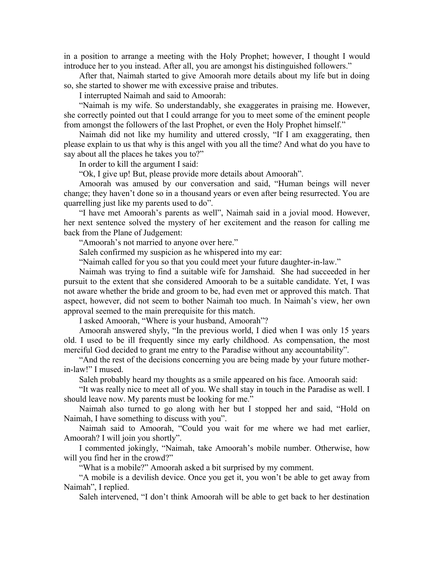in a position to arrange a meeting with the Holy Prophet; however, I thought I would introduce her to you instead. After all, you are amongst his distinguished followers."

After that, Naimah started to give Amoorah more details about my life but in doing so, she started to shower me with excessive praise and tributes.

I interrupted Naimah and said to Amoorah:

"Naimah is my wife. So understandably, she exaggerates in praising me. However, she correctly pointed out that I could arrange for you to meet some of the eminent people from amongst the followers of the last Prophet, or even the Holy Prophet himself."

Naimah did not like my humility and uttered crossly, "If I am exaggerating, then please explain to us that why is this angel with you all the time? And what do you have to say about all the places he takes you to?"

In order to kill the argument I said:

"Ok, I give up! But, please provide more details about Amoorah".

Amoorah was amused by our conversation and said, "Human beings will never change; they haven't done so in a thousand years or even after being resurrected. You are quarrelling just like my parents used to do".

"I have met Amoorah's parents as well", Naimah said in a jovial mood. However, her next sentence solved the mystery of her excitement and the reason for calling me back from the Plane of Judgement:

"Amoorah's not married to anyone over here."

Saleh confirmed my suspicion as he whispered into my ear:

"Naimah called for you so that you could meet your future daughter-in-law."

Naimah was trying to find a suitable wife for Jamshaid. She had succeeded in her pursuit to the extent that she considered Amoorah to be a suitable candidate. Yet, I was not aware whether the bride and groom to be, had even met or approved this match. That aspect, however, did not seem to bother Naimah too much. In Naimah's view, her own approval seemed to the main prerequisite for this match.

I asked Amoorah, "Where is your husband, Amoorah"?

Amoorah answered shyly, "In the previous world, I died when I was only 15 years old. I used to be ill frequently since my early childhood. As compensation, the most merciful God decided to grant me entry to the Paradise without any accountability".

"And the rest of the decisions concerning you are being made by your future motherin-law!" I mused.

Saleh probably heard my thoughts as a smile appeared on his face. Amoorah said:

"It was really nice to meet all of you. We shall stay in touch in the Paradise as well. I should leave now. My parents must be looking for me."

Naimah also turned to go along with her but I stopped her and said, "Hold on Naimah, I have something to discuss with you".

Naimah said to Amoorah, "Could you wait for me where we had met earlier, Amoorah? I will join you shortly".

I commented jokingly, "Naimah, take Amoorah's mobile number. Otherwise, how will you find her in the crowd?"

"What is a mobile?" Amoorah asked a bit surprised by my comment.

"A mobile is a devilish device. Once you get it, you won't be able to get away from Naimah", I replied.

Saleh intervened, "I don't think Amoorah will be able to get back to her destination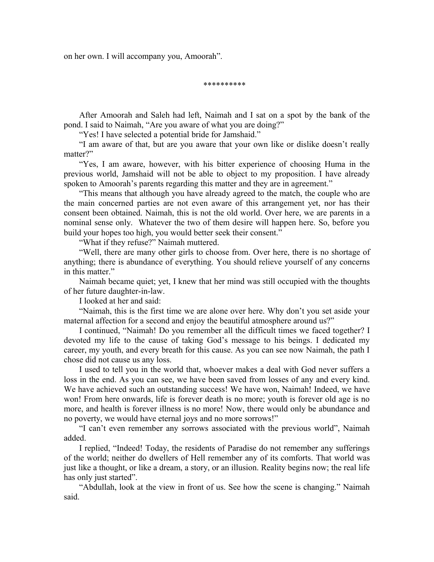on her own. I will accompany you, Amoorah".

\*\*\*\*\*\*\*\*\*\*

After Amoorah and Saleh had left, Naimah and I sat on a spot by the bank of the pond. I said to Naimah, "Are you aware of what you are doing?"

"Yes! I have selected a potential bride for Jamshaid."

"I am aware of that, but are you aware that your own like or dislike doesn't really matter?"

"Yes, I am aware, however, with his bitter experience of choosing Huma in the previous world, Jamshaid will not be able to object to my proposition. I have already spoken to Amoorah's parents regarding this matter and they are in agreement."

"This means that although you have already agreed to the match, the couple who are the main concerned parties are not even aware of this arrangement yet, nor has their consent been obtained. Naimah, this is not the old world. Over here, we are parents in a nominal sense only. Whatever the two of them desire will happen here. So, before you build your hopes too high, you would better seek their consent."

"What if they refuse?" Naimah muttered.

"Well, there are many other girls to choose from. Over here, there is no shortage of anything; there is abundance of everything. You should relieve yourself of any concerns in this matter."

Naimah became quiet; yet, I knew that her mind was still occupied with the thoughts of her future daughter-in-law.

I looked at her and said:

"Naimah, this is the first time we are alone over here. Why don't you set aside your maternal affection for a second and enjoy the beautiful atmosphere around us?"

I continued, "Naimah! Do you remember all the difficult times we faced together? I devoted my life to the cause of taking God's message to his beings. I dedicated my career, my youth, and every breath for this cause. As you can see now Naimah, the path I chose did not cause us any loss.

I used to tell you in the world that, whoever makes a deal with God never suffers a loss in the end. As you can see, we have been saved from losses of any and every kind. We have achieved such an outstanding success! We have won, Naimah! Indeed, we have won! From here onwards, life is forever death is no more; youth is forever old age is no more, and health is forever illness is no more! Now, there would only be abundance and no poverty, we would have eternal joys and no more sorrows!"

"I can't even remember any sorrows associated with the previous world", Naimah added.

I replied, "Indeed! Today, the residents of Paradise do not remember any sufferings of the world; neither do dwellers of Hell remember any of its comforts. That world was just like a thought, or like a dream, a story, or an illusion. Reality begins now; the real life has only just started".

"Abdullah, look at the view in front of us. See how the scene is changing." Naimah said.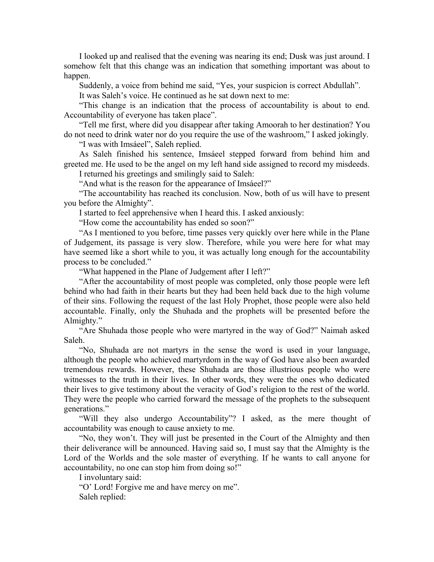I looked up and realised that the evening was nearing its end; Dusk was just around. I somehow felt that this change was an indication that something important was about to happen.

Suddenly, a voice from behind me said, "Yes, your suspicion is correct Abdullah".

It was Saleh's voice. He continued as he sat down next to me:

"This change is an indication that the process of accountability is about to end. Accountability of everyone has taken place".

"Tell me first, where did you disappear after taking Amoorah to her destination? You do not need to drink water nor do you require the use of the washroom," I asked jokingly.

"I was with Imsáeel", Saleh replied.

As Saleh finished his sentence, Imsáeel stepped forward from behind him and greeted me. He used to be the angel on my left hand side assigned to record my misdeeds.

I returned his greetings and smilingly said to Saleh:

"And what is the reason for the appearance of Imsáeel?"

"The accountability has reached its conclusion. Now, both of us will have to present you before the Almighty".

I started to feel apprehensive when I heard this. I asked anxiously:

"How come the accountability has ended so soon?"

"As I mentioned to you before, time passes very quickly over here while in the Plane of Judgement, its passage is very slow. Therefore, while you were here for what may have seemed like a short while to you, it was actually long enough for the accountability process to be concluded."

"What happened in the Plane of Judgement after I left?"

"After the accountability of most people was completed, only those people were left behind who had faith in their hearts but they had been held back due to the high volume of their sins. Following the request of the last Holy Prophet, those people were also held accountable. Finally, only the Shuhada and the prophets will be presented before the Almighty."

"Are Shuhada those people who were martyred in the way of God?" Naimah asked Saleh.

"No, Shuhada are not martyrs in the sense the word is used in your language, although the people who achieved martyrdom in the way of God have also been awarded tremendous rewards. However, these Shuhada are those illustrious people who were witnesses to the truth in their lives. In other words, they were the ones who dedicated their lives to give testimony about the veracity of God's religion to the rest of the world. They were the people who carried forward the message of the prophets to the subsequent generations."

"Will they also undergo Accountability"? I asked, as the mere thought of accountability was enough to cause anxiety to me.

"No, they won't. They will just be presented in the Court of the Almighty and then their deliverance will be announced. Having said so, I must say that the Almighty is the Lord of the Worlds and the sole master of everything. If he wants to call anyone for accountability, no one can stop him from doing so!"

I involuntary said:

"O' Lord! Forgive me and have mercy on me". Saleh replied: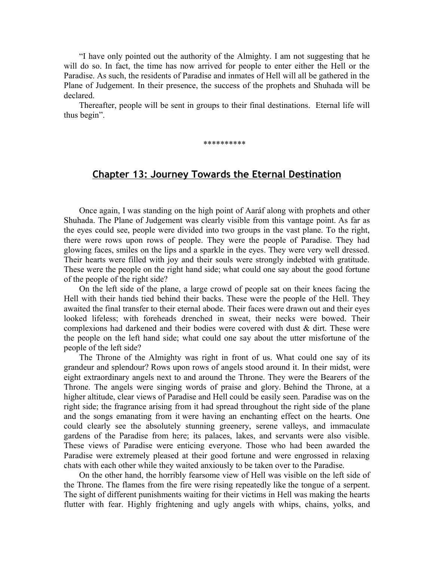"I have only pointed out the authority of the Almighty. I am not suggesting that he will do so. In fact, the time has now arrived for people to enter either the Hell or the Paradise. As such, the residents of Paradise and inmates of Hell will all be gathered in the Plane of Judgement. In their presence, the success of the prophets and Shuhada will be declared.

Thereafter, people will be sent in groups to their final destinations. Eternal life will thus begin".

#### \*\*\*\*\*\*\*\*\*\*

# **Chapter 13: Journey Towards the Eternal Destination**

Once again, I was standing on the high point of Aaráf along with prophets and other Shuhada. The Plane of Judgement was clearly visible from this vantage point. As far as the eyes could see, people were divided into two groups in the vast plane. To the right, there were rows upon rows of people. They were the people of Paradise. They had glowing faces, smiles on the lips and a sparkle in the eyes. They were very well dressed. Their hearts were filled with joy and their souls were strongly indebted with gratitude. These were the people on the right hand side; what could one say about the good fortune of the people of the right side?

On the left side of the plane, a large crowd of people sat on their knees facing the Hell with their hands tied behind their backs. These were the people of the Hell. They awaited the final transfer to their eternal abode. Their faces were drawn out and their eyes looked lifeless; with foreheads drenched in sweat, their necks were bowed. Their complexions had darkened and their bodies were covered with dust & dirt. These were the people on the left hand side; what could one say about the utter misfortune of the people of the left side?

The Throne of the Almighty was right in front of us. What could one say of its grandeur and splendour? Rows upon rows of angels stood around it. In their midst, were eight extraordinary angels next to and around the Throne. They were the Bearers of the Throne. The angels were singing words of praise and glory. Behind the Throne, at a higher altitude, clear views of Paradise and Hell could be easily seen. Paradise was on the right side; the fragrance arising from it had spread throughout the right side of the plane and the songs emanating from it were having an enchanting effect on the hearts. One could clearly see the absolutely stunning greenery, serene valleys, and immaculate gardens of the Paradise from here; its palaces, lakes, and servants were also visible. These views of Paradise were enticing everyone. Those who had been awarded the Paradise were extremely pleased at their good fortune and were engrossed in relaxing chats with each other while they waited anxiously to be taken over to the Paradise.

On the other hand, the horribly fearsome view of Hell was visible on the left side of the Throne. The flames from the fire were rising repeatedly like the tongue of a serpent. The sight of different punishments waiting for their victims in Hell was making the hearts flutter with fear. Highly frightening and ugly angels with whips, chains, yolks, and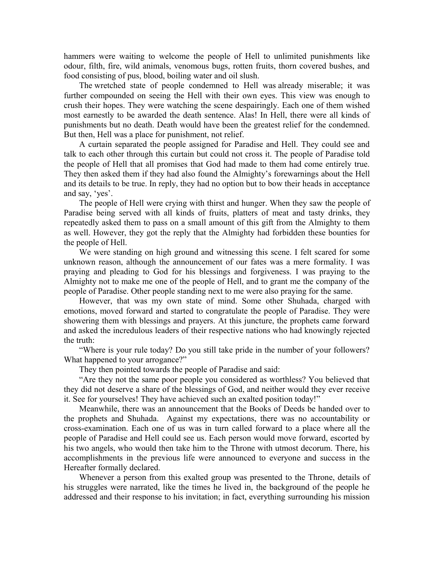hammers were waiting to welcome the people of Hell to unlimited punishments like odour, filth, fire, wild animals, venomous bugs, rotten fruits, thorn covered bushes, and food consisting of pus, blood, boiling water and oil slush.

The wretched state of people condemned to Hell was already miserable; it was further compounded on seeing the Hell with their own eyes. This view was enough to crush their hopes. They were watching the scene despairingly. Each one of them wished most earnestly to be awarded the death sentence. Alas! In Hell, there were all kinds of punishments but no death. Death would have been the greatest relief for the condemned. But then, Hell was a place for punishment, not relief.

A curtain separated the people assigned for Paradise and Hell. They could see and talk to each other through this curtain but could not cross it. The people of Paradise told the people of Hell that all promises that God had made to them had come entirely true. They then asked them if they had also found the Almighty's forewarnings about the Hell and its details to be true. In reply, they had no option but to bow their heads in acceptance and say, 'yes'.

The people of Hell were crying with thirst and hunger. When they saw the people of Paradise being served with all kinds of fruits, platters of meat and tasty drinks, they repeatedly asked them to pass on a small amount of this gift from the Almighty to them as well. However, they got the reply that the Almighty had forbidden these bounties for the people of Hell.

We were standing on high ground and witnessing this scene. I felt scared for some unknown reason, although the announcement of our fates was a mere formality. I was praying and pleading to God for his blessings and forgiveness. I was praying to the Almighty not to make me one of the people of Hell, and to grant me the company of the people of Paradise. Other people standing next to me were also praying for the same.

However, that was my own state of mind. Some other Shuhada, charged with emotions, moved forward and started to congratulate the people of Paradise. They were showering them with blessings and prayers. At this juncture, the prophets came forward and asked the incredulous leaders of their respective nations who had knowingly rejected the truth:

"Where is your rule today? Do you still take pride in the number of your followers? What happened to your arrogance?"

They then pointed towards the people of Paradise and said:

"Are they not the same poor people you considered as worthless? You believed that they did not deserve a share of the blessings of God, and neither would they ever receive it. See for yourselves! They have achieved such an exalted position today!"

Meanwhile, there was an announcement that the Books of Deeds be handed over to the prophets and Shuhada. Against my expectations, there was no accountability or cross-examination. Each one of us was in turn called forward to a place where all the people of Paradise and Hell could see us. Each person would move forward, escorted by his two angels, who would then take him to the Throne with utmost decorum. There, his accomplishments in the previous life were announced to everyone and success in the Hereafter formally declared.

Whenever a person from this exalted group was presented to the Throne, details of his struggles were narrated, like the times he lived in, the background of the people he addressed and their response to his invitation; in fact, everything surrounding his mission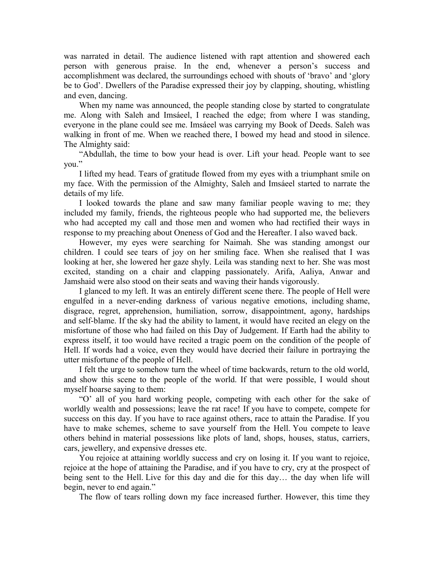was narrated in detail. The audience listened with rapt attention and showered each person with generous praise. In the end, whenever a person's success and accomplishment was declared, the surroundings echoed with shouts of 'bravo' and 'glory be to God'. Dwellers of the Paradise expressed their joy by clapping, shouting, whistling and even, dancing.

When my name was announced, the people standing close by started to congratulate me. Along with Saleh and Imsáeel, I reached the edge; from where I was standing, everyone in the plane could see me. Imsáeel was carrying my Book of Deeds. Saleh was walking in front of me. When we reached there, I bowed my head and stood in silence. The Almighty said:

"Abdullah, the time to bow your head is over. Lift your head. People want to see you."

I lifted my head. Tears of gratitude flowed from my eyes with a triumphant smile on my face. With the permission of the Almighty, Saleh and Imsáeel started to narrate the details of my life.

I looked towards the plane and saw many familiar people waving to me; they included my family, friends, the righteous people who had supported me, the believers who had accepted my call and those men and women who had rectified their ways in response to my preaching about Oneness of God and the Hereafter. I also waved back.

However, my eyes were searching for Naimah. She was standing amongst our children. I could see tears of joy on her smiling face. When she realised that I was looking at her, she lowered her gaze shyly. Leila was standing next to her. She was most excited, standing on a chair and clapping passionately. Arifa, Aaliya, Anwar and Jamshaid were also stood on their seats and waving their hands vigorously.

I glanced to my left. It was an entirely different scene there. The people of Hell were engulfed in a never-ending darkness of various negative emotions, including shame, disgrace, regret, apprehension, humiliation, sorrow, disappointment, agony, hardships and self-blame. If the sky had the ability to lament, it would have recited an elegy on the misfortune of those who had failed on this Day of Judgement. If Earth had the ability to express itself, it too would have recited a tragic poem on the condition of the people of Hell. If words had a voice, even they would have decried their failure in portraying the utter misfortune of the people of Hell.

I felt the urge to somehow turn the wheel of time backwards, return to the old world, and show this scene to the people of the world. If that were possible, I would shout myself hoarse saying to them:

"O' all of you hard working people, competing with each other for the sake of worldly wealth and possessions; leave the rat race! If you have to compete, compete for success on this day. If you have to race against others, race to attain the Paradise. If you have to make schemes, scheme to save yourself from the Hell. You compete to leave others behind in material possessions like plots of land, shops, houses, status, carriers, cars, jewellery, and expensive dresses etc.

You rejoice at attaining worldly success and cry on losing it. If you want to rejoice, rejoice at the hope of attaining the Paradise, and if you have to cry, cry at the prospect of being sent to the Hell. Live for this day and die for this day… the day when life will begin, never to end again."

The flow of tears rolling down my face increased further. However, this time they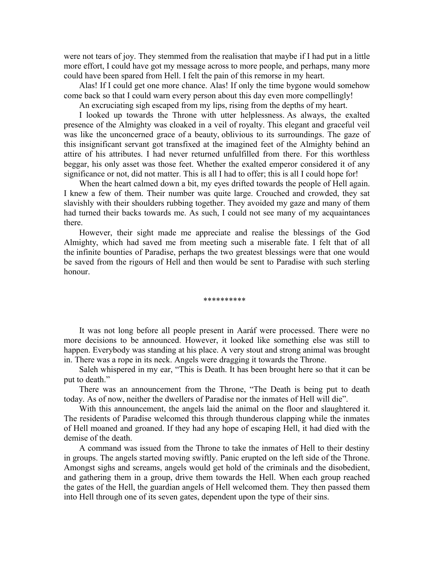were not tears of joy. They stemmed from the realisation that maybe if I had put in a little more effort, I could have got my message across to more people, and perhaps, many more could have been spared from Hell. I felt the pain of this remorse in my heart.

Alas! If I could get one more chance. Alas! If only the time bygone would somehow come back so that I could warn every person about this day even more compellingly!

An excruciating sigh escaped from my lips, rising from the depths of my heart.

I looked up towards the Throne with utter helplessness. As always, the exalted presence of the Almighty was cloaked in a veil of royalty. This elegant and graceful veil was like the unconcerned grace of a beauty, oblivious to its surroundings. The gaze of this insignificant servant got transfixed at the imagined feet of the Almighty behind an attire of his attributes. I had never returned unfulfilled from there. For this worthless beggar, his only asset was those feet. Whether the exalted emperor considered it of any significance or not, did not matter. This is all I had to offer; this is all I could hope for!

When the heart calmed down a bit, my eyes drifted towards the people of Hell again. I knew a few of them. Their number was quite large. Crouched and crowded, they sat slavishly with their shoulders rubbing together. They avoided my gaze and many of them had turned their backs towards me. As such, I could not see many of my acquaintances there.

However, their sight made me appreciate and realise the blessings of the God Almighty, which had saved me from meeting such a miserable fate. I felt that of all the infinite bounties of Paradise, perhaps the two greatest blessings were that one would be saved from the rigours of Hell and then would be sent to Paradise with such sterling honour.

\*\*\*\*\*\*\*\*\*\*

It was not long before all people present in Aaráf were processed. There were no more decisions to be announced. However, it looked like something else was still to happen. Everybody was standing at his place. A very stout and strong animal was brought in. There was a rope in its neck. Angels were dragging it towards the Throne.

Saleh whispered in my ear, "This is Death. It has been brought here so that it can be put to death."

There was an announcement from the Throne, "The Death is being put to death today. As of now, neither the dwellers of Paradise nor the inmates of Hell will die".

With this announcement, the angels laid the animal on the floor and slaughtered it. The residents of Paradise welcomed this through thunderous clapping while the inmates of Hell moaned and groaned. If they had any hope of escaping Hell, it had died with the demise of the death.

A command was issued from the Throne to take the inmates of Hell to their destiny in groups. The angels started moving swiftly. Panic erupted on the left side of the Throne. Amongst sighs and screams, angels would get hold of the criminals and the disobedient, and gathering them in a group, drive them towards the Hell. When each group reached the gates of the Hell, the guardian angels of Hell welcomed them. They then passed them into Hell through one of its seven gates, dependent upon the type of their sins.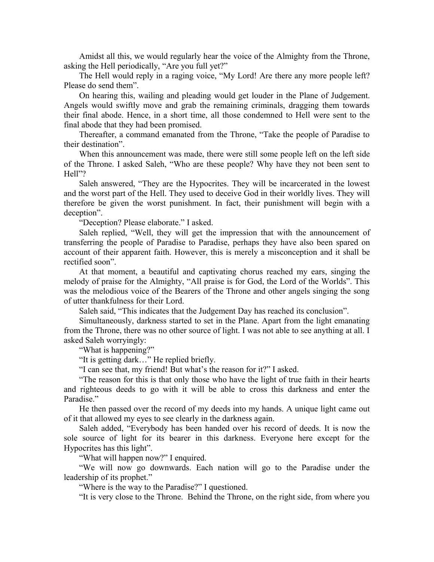Amidst all this, we would regularly hear the voice of the Almighty from the Throne, asking the Hell periodically, "Are you full yet?"

The Hell would reply in a raging voice, "My Lord! Are there any more people left? Please do send them".

On hearing this, wailing and pleading would get louder in the Plane of Judgement. Angels would swiftly move and grab the remaining criminals, dragging them towards their final abode. Hence, in a short time, all those condemned to Hell were sent to the final abode that they had been promised.

Thereafter, a command emanated from the Throne, "Take the people of Paradise to their destination".

When this announcement was made, there were still some people left on the left side of the Throne. I asked Saleh, "Who are these people? Why have they not been sent to Hell"?

Saleh answered, "They are the Hypocrites. They will be incarcerated in the lowest and the worst part of the Hell. They used to deceive God in their worldly lives. They will therefore be given the worst punishment. In fact, their punishment will begin with a deception".

"Deception? Please elaborate." I asked.

Saleh replied, "Well, they will get the impression that with the announcement of transferring the people of Paradise to Paradise, perhaps they have also been spared on account of their apparent faith. However, this is merely a misconception and it shall be rectified soon".

At that moment, a beautiful and captivating chorus reached my ears, singing the melody of praise for the Almighty, "All praise is for God, the Lord of the Worlds". This was the melodious voice of the Bearers of the Throne and other angels singing the song of utter thankfulness for their Lord.

Saleh said, "This indicates that the Judgement Day has reached its conclusion".

Simultaneously, darkness started to set in the Plane. Apart from the light emanating from the Throne, there was no other source of light. I was not able to see anything at all. I asked Saleh worryingly:

"What is happening?"

"It is getting dark…" He replied briefly.

"I can see that, my friend! But what's the reason for it?" I asked.

"The reason for this is that only those who have the light of true faith in their hearts and righteous deeds to go with it will be able to cross this darkness and enter the Paradise."

He then passed over the record of my deeds into my hands. A unique light came out of it that allowed my eyes to see clearly in the darkness again.

Saleh added, "Everybody has been handed over his record of deeds. It is now the sole source of light for its bearer in this darkness. Everyone here except for the Hypocrites has this light".

"What will happen now?" I enquired.

"We will now go downwards. Each nation will go to the Paradise under the leadership of its prophet."

"Where is the way to the Paradise?" I questioned.

"It is very close to the Throne. Behind the Throne, on the right side, from where you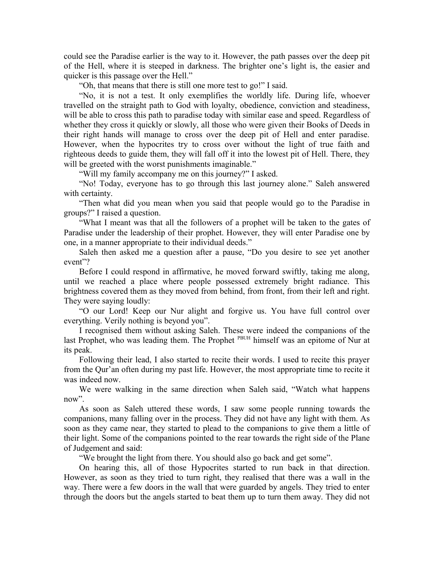could see the Paradise earlier is the way to it. However, the path passes over the deep pit of the Hell, where it is steeped in darkness. The brighter one's light is, the easier and quicker is this passage over the Hell."

"Oh, that means that there is still one more test to go!" I said.

"No, it is not a test. It only exemplifies the worldly life. During life, whoever travelled on the straight path to God with loyalty, obedience, conviction and steadiness, will be able to cross this path to paradise today with similar ease and speed. Regardless of whether they cross it quickly or slowly, all those who were given their Books of Deeds in their right hands will manage to cross over the deep pit of Hell and enter paradise. However, when the hypocrites try to cross over without the light of true faith and righteous deeds to guide them, they will fall off it into the lowest pit of Hell. There, they will be greeted with the worst punishments imaginable."

"Will my family accompany me on this journey?" I asked.

"No! Today, everyone has to go through this last journey alone." Saleh answered with certainty.

"Then what did you mean when you said that people would go to the Paradise in groups?" I raised a question.

"What I meant was that all the followers of a prophet will be taken to the gates of Paradise under the leadership of their prophet. However, they will enter Paradise one by one, in a manner appropriate to their individual deeds."

Saleh then asked me a question after a pause, "Do you desire to see yet another event"?

Before I could respond in affirmative, he moved forward swiftly, taking me along, until we reached a place where people possessed extremely bright radiance. This brightness covered them as they moved from behind, from front, from their left and right. They were saying loudly:

"O our Lord! Keep our Nur alight and forgive us. You have full control over everything. Verily nothing is beyond you".

I recognised them without asking Saleh. These were indeed the companions of the last Prophet, who was leading them. The Prophet PBUH himself was an epitome of Nur at its peak.

Following their lead, I also started to recite their words. I used to recite this prayer from the Qur'an often during my past life. However, the most appropriate time to recite it was indeed now.

We were walking in the same direction when Saleh said, "Watch what happens now".

As soon as Saleh uttered these words, I saw some people running towards the companions, many falling over in the process. They did not have any light with them. As soon as they came near, they started to plead to the companions to give them a little of their light. Some of the companions pointed to the rear towards the right side of the Plane of Judgement and said:

"We brought the light from there. You should also go back and get some".

On hearing this, all of those Hypocrites started to run back in that direction. However, as soon as they tried to turn right, they realised that there was a wall in the way. There were a few doors in the wall that were guarded by angels. They tried to enter through the doors but the angels started to beat them up to turn them away. They did not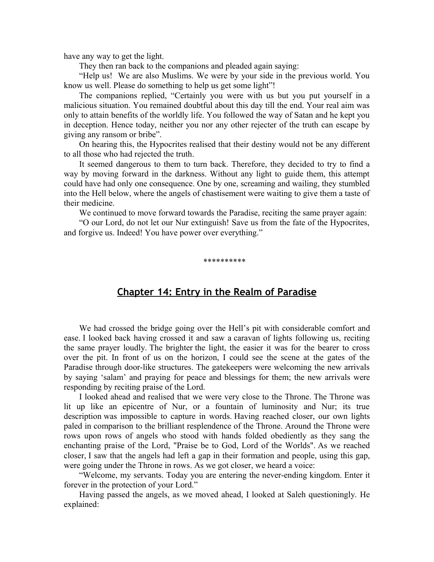have any way to get the light.

They then ran back to the companions and pleaded again saying:

"Help us! We are also Muslims. We were by your side in the previous world. You know us well. Please do something to help us get some light"!

The companions replied, "Certainly you were with us but you put yourself in a malicious situation. You remained doubtful about this day till the end. Your real aim was only to attain benefits of the worldly life. You followed the way of Satan and he kept you in deception. Hence today, neither you nor any other rejecter of the truth can escape by giving any ransom or bribe".

On hearing this, the Hypocrites realised that their destiny would not be any different to all those who had rejected the truth.

It seemed dangerous to them to turn back. Therefore, they decided to try to find a way by moving forward in the darkness. Without any light to guide them, this attempt could have had only one consequence. One by one, screaming and wailing, they stumbled into the Hell below, where the angels of chastisement were waiting to give them a taste of their medicine.

We continued to move forward towards the Paradise, reciting the same prayer again:

"O our Lord, do not let our Nur extinguish! Save us from the fate of the Hypocrites, and forgive us. Indeed! You have power over everything."

\*\*\*\*\*\*\*\*\*\*

## **Chapter 14: Entry in the Realm of Paradise**

We had crossed the bridge going over the Hell's pit with considerable comfort and ease. I looked back having crossed it and saw a caravan of lights following us, reciting the same prayer loudly. The brighter the light, the easier it was for the bearer to cross over the pit. In front of us on the horizon, I could see the scene at the gates of the Paradise through door-like structures. The gatekeepers were welcoming the new arrivals by saying 'salam' and praying for peace and blessings for them; the new arrivals were responding by reciting praise of the Lord.

I looked ahead and realised that we were very close to the Throne. The Throne was lit up like an epicentre of Nur, or a fountain of luminosity and Nur; its true description was impossible to capture in words. Having reached closer, our own lights paled in comparison to the brilliant resplendence of the Throne. Around the Throne were rows upon rows of angels who stood with hands folded obediently as they sang the enchanting praise of the Lord, "Praise be to God, Lord of the Worlds". As we reached closer, I saw that the angels had left a gap in their formation and people, using this gap, were going under the Throne in rows. As we got closer, we heard a voice:

"Welcome, my servants. Today you are entering the never-ending kingdom. Enter it forever in the protection of your Lord."

Having passed the angels, as we moved ahead, I looked at Saleh questioningly. He explained: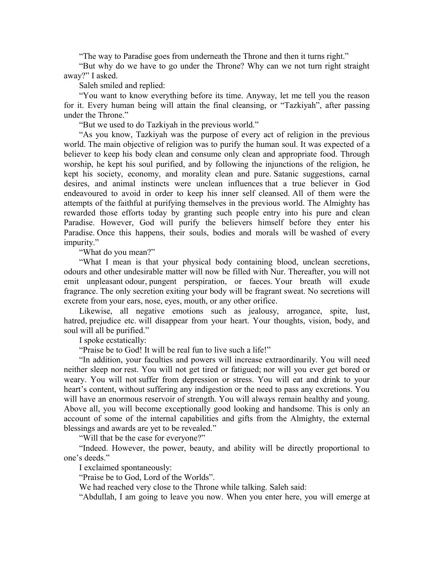"The way to Paradise goes from underneath the Throne and then it turns right."

"But why do we have to go under the Throne? Why can we not turn right straight away?" I asked.

Saleh smiled and replied:

"You want to know everything before its time. Anyway, let me tell you the reason for it. Every human being will attain the final cleansing, or "Tazkiyah", after passing under the Throne."

"But we used to do Tazkiyah in the previous world."

"As you know, Tazkiyah was the purpose of every act of religion in the previous world. The main objective of religion was to purify the human soul. It was expected of a believer to keep his body clean and consume only clean and appropriate food. Through worship, he kept his soul purified, and by following the injunctions of the religion, he kept his society, economy, and morality clean and pure. Satanic suggestions, carnal desires, and animal instincts were unclean influences that a true believer in God endeavoured to avoid in order to keep his inner self cleansed. All of them were the attempts of the faithful at purifying themselves in the previous world. The Almighty has rewarded those efforts today by granting such people entry into his pure and clean Paradise. However, God will purify the believers himself before they enter his Paradise. Once this happens, their souls, bodies and morals will be washed of every impurity."

"What do you mean?"

"What I mean is that your physical body containing blood, unclean secretions, odours and other undesirable matter will now be filled with Nur. Thereafter, you will not emit unpleasant odour, pungent perspiration, or faeces. Your breath will exude fragrance. The only secretion exiting your body will be fragrant sweat. No secretions will excrete from your ears, nose, eyes, mouth, or any other orifice.

Likewise, all negative emotions such as jealousy, arrogance, spite, lust, hatred, prejudice etc. will disappear from your heart. Your thoughts, vision, body, and soul will all be purified."

I spoke ecstatically:

"Praise be to God! It will be real fun to live such a life!"

"In addition, your faculties and powers will increase extraordinarily. You will need neither sleep nor rest. You will not get tired or fatigued; nor will you ever get bored or weary. You will not suffer from depression or stress. You will eat and drink to your heart's content, without suffering any indigestion or the need to pass any excretions. You will have an enormous reservoir of strength. You will always remain healthy and young. Above all, you will become exceptionally good looking and handsome. This is only an account of some of the internal capabilities and gifts from the Almighty, the external blessings and awards are yet to be revealed."

"Will that be the case for everyone?"

"Indeed. However, the power, beauty, and ability will be directly proportional to one's deeds."

I exclaimed spontaneously:

"Praise be to God, Lord of the Worlds".

We had reached very close to the Throne while talking. Saleh said:

"Abdullah, I am going to leave you now. When you enter here, you will emerge at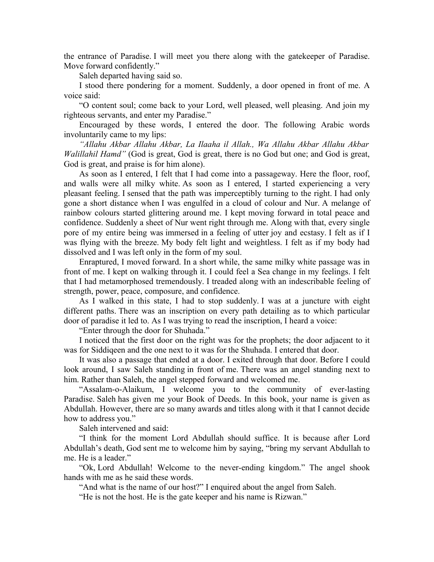the entrance of Paradise. I will meet you there along with the gatekeeper of Paradise. Move forward confidently."

Saleh departed having said so.

I stood there pondering for a moment. Suddenly, a door opened in front of me. A voice said:

"O content soul; come back to your Lord, well pleased, well pleasing. And join my righteous servants, and enter my Paradise."

Encouraged by these words, I entered the door. The following Arabic words involuntarily came to my lips:

*"Allahu Akbar Allahu Akbar, La Ilaaha il Allah., Wa Allahu Akbar Allahu Akbar Walillahil Hamd"* (God is great, God is great, there is no God but one; and God is great, God is great, and praise is for him alone).

As soon as I entered, I felt that I had come into a passageway. Here the floor, roof, and walls were all milky white. As soon as I entered, I started experiencing a very pleasant feeling. I sensed that the path was imperceptibly turning to the right. I had only gone a short distance when I was engulfed in a cloud of colour and Nur. A melange of rainbow colours started glittering around me. I kept moving forward in total peace and confidence. Suddenly a sheet of Nur went right through me. Along with that, every single pore of my entire being was immersed in a feeling of utter joy and ecstasy. I felt as if I was flying with the breeze. My body felt light and weightless. I felt as if my body had dissolved and I was left only in the form of my soul.

Enraptured, I moved forward. In a short while, the same milky white passage was in front of me. I kept on walking through it. I could feel a Sea change in my feelings. I felt that I had metamorphosed tremendously. I treaded along with an indescribable feeling of strength, power, peace, composure, and confidence.

As I walked in this state, I had to stop suddenly. I was at a juncture with eight different paths. There was an inscription on every path detailing as to which particular door of paradise it led to. As I was trying to read the inscription, I heard a voice:

"Enter through the door for Shuhada."

I noticed that the first door on the right was for the prophets; the door adjacent to it was for Siddiqeen and the one next to it was for the Shuhada. I entered that door.

It was also a passage that ended at a door. I exited through that door. Before I could look around, I saw Saleh standing in front of me. There was an angel standing next to him. Rather than Saleh, the angel stepped forward and welcomed me.

"Assalam-o-Alaikum, I welcome you to the community of ever-lasting Paradise. Saleh has given me your Book of Deeds. In this book, your name is given as Abdullah. However, there are so many awards and titles along with it that I cannot decide how to address you."

Saleh intervened and said:

"I think for the moment Lord Abdullah should suffice. It is because after Lord Abdullah's death, God sent me to welcome him by saying, "bring my servant Abdullah to me. He is a leader."

"Ok, Lord Abdullah! Welcome to the never-ending kingdom." The angel shook hands with me as he said these words.

"And what is the name of our host?" I enquired about the angel from Saleh.

"He is not the host. He is the gate keeper and his name is Rizwan."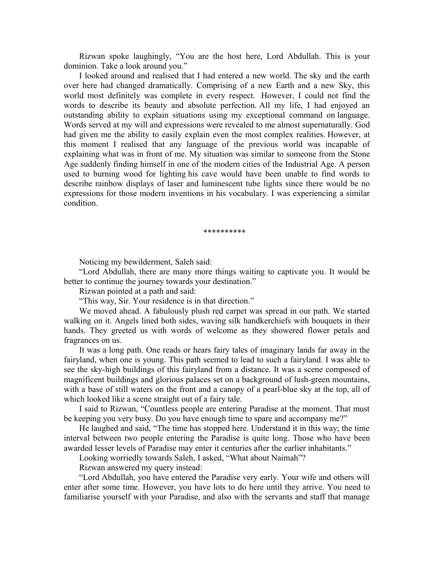Rizwan spoke laughingly, "You are the host here, Lord Abdullah. This is your dominion. Take a look around you."

I looked around and realised that I had entered a new world. The sky and the earth over here had changed dramatically. Comprising of a new Earth and a new Sky, this world most definitely was complete in every respect. However, I could not find the words to describe its beauty and absolute perfection. All my life, I had enjoyed an outstanding ability to explain situations using my exceptional command on language. Words served at my will and expressions were revealed to me almost supernaturally. God had given me the ability to easily explain even the most complex realities. However, at this moment I realised that any language of the previous world was incapable of explaining what was in front of me. My situation was similar to someone from the Stone Age suddenly finding himself in one of the modern cities of the Industrial Age. A person used to burning wood for lighting his cave would have been unable to find words to describe rainbow displays of laser and luminescent tube lights since there would be no expressions for those modern inventions in his vocabulary. I was experiencing a similar condition.

\*\*\*\*\*\*\*\*\*\*

Noticing my bewilderment, Saleh said:

"Lord Abdullah, there are many more things waiting to captivate you. It would be better to continue the journey towards your destination."

Rizwan pointed at a path and said:

"This way, Sir. Your residence is in that direction."

We moved ahead. A fabulously plush red carpet was spread in our path. We started walking on it. Angels lined both sides, waving silk handkerchiefs with bouquets in their hands. They greeted us with words of welcome as they showered flower petals and fragrances on us.

It was a long path. One reads or hears fairy tales of imaginary lands far away in the fairyland, when one is young. This path seemed to lead to such a fairyland. I was able to see the sky-high buildings of this fairyland from a distance. It was a scene composed of magnificent buildings and glorious palaces set on a background of lush-green mountains, with a base of still waters on the front and a canopy of a pearl-blue sky at the top, all of which looked like a scene straight out of a fairy tale.

I said to Rizwan, "Countless people are entering Paradise at the moment. That must be keeping you very busy. Do you have enough time to spare and accompany me?"

He laughed and said, "The time has stopped here. Understand it in this way; the time interval between two people entering the Paradise is quite long. Those who have been awarded lesser levels of Paradise may enter it centuries after the earlier inhabitants."

Looking worriedly towards Saleh, I asked, "What about Naimah"?

Rizwan answered my query instead:

"Lord Abdullah, you have entered the Paradise very early. Your wife and others will enter after some time. However, you have lots to do here until they arrive. You need to familiarise yourself with your Paradise, and also with the servants and staff that manage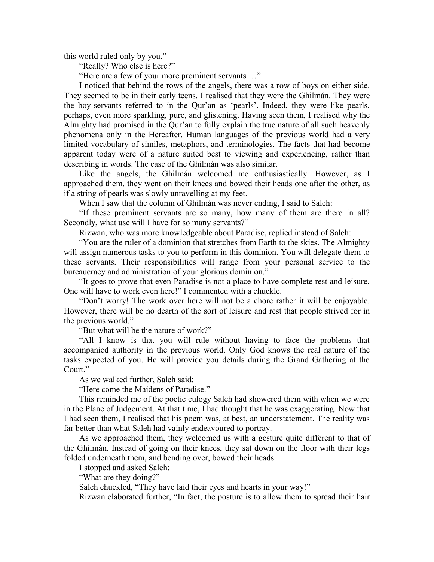this world ruled only by you."

"Really? Who else is here?"

"Here are a few of your more prominent servants …"

I noticed that behind the rows of the angels, there was a row of boys on either side. They seemed to be in their early teens. I realised that they were the Ghilmán. They were the boy-servants referred to in the Qur'an as 'pearls'. Indeed, they were like pearls, perhaps, even more sparkling, pure, and glistening. Having seen them, I realised why the Almighty had promised in the Qur'an to fully explain the true nature of all such heavenly phenomena only in the Hereafter. Human languages of the previous world had a very limited vocabulary of similes, metaphors, and terminologies. The facts that had become apparent today were of a nature suited best to viewing and experiencing, rather than describing in words. The case of the Ghilmán was also similar.

Like the angels, the Ghilmán welcomed me enthusiastically. However, as I approached them, they went on their knees and bowed their heads one after the other, as if a string of pearls was slowly unravelling at my feet.

When I saw that the column of Ghilmán was never ending, I said to Saleh:

"If these prominent servants are so many, how many of them are there in all? Secondly, what use will I have for so many servants?"

Rizwan, who was more knowledgeable about Paradise, replied instead of Saleh:

"You are the ruler of a dominion that stretches from Earth to the skies. The Almighty will assign numerous tasks to you to perform in this dominion. You will delegate them to these servants. Their responsibilities will range from your personal service to the bureaucracy and administration of your glorious dominion."

"It goes to prove that even Paradise is not a place to have complete rest and leisure. One will have to work even here!" I commented with a chuckle.

"Don't worry! The work over here will not be a chore rather it will be enjoyable. However, there will be no dearth of the sort of leisure and rest that people strived for in the previous world."

"But what will be the nature of work?"

"All I know is that you will rule without having to face the problems that accompanied authority in the previous world. Only God knows the real nature of the tasks expected of you. He will provide you details during the Grand Gathering at the Court."

As we walked further, Saleh said:

"Here come the Maidens of Paradise."

This reminded me of the poetic eulogy Saleh had showered them with when we were in the Plane of Judgement. At that time, I had thought that he was exaggerating. Now that I had seen them, I realised that his poem was, at best, an understatement. The reality was far better than what Saleh had vainly endeavoured to portray.

As we approached them, they welcomed us with a gesture quite different to that of the Ghilmán. Instead of going on their knees, they sat down on the floor with their legs folded underneath them, and bending over, bowed their heads.

I stopped and asked Saleh:

"What are they doing?"

Saleh chuckled, "They have laid their eyes and hearts in your way!"

Rizwan elaborated further, "In fact, the posture is to allow them to spread their hair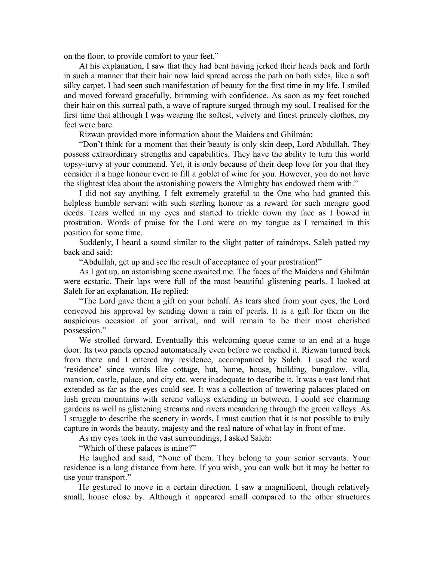on the floor, to provide comfort to your feet."

At his explanation, I saw that they had bent having jerked their heads back and forth in such a manner that their hair now laid spread across the path on both sides, like a soft silky carpet. I had seen such manifestation of beauty for the first time in my life. I smiled and moved forward gracefully, brimming with confidence. As soon as my feet touched their hair on this surreal path, a wave of rapture surged through my soul. I realised for the first time that although I was wearing the softest, velvety and finest princely clothes, my feet were bare.

Rizwan provided more information about the Maidens and Ghilmán:

"Don't think for a moment that their beauty is only skin deep, Lord Abdullah. They possess extraordinary strengths and capabilities. They have the ability to turn this world topsy-turvy at your command. Yet, it is only because of their deep love for you that they consider it a huge honour even to fill a goblet of wine for you. However, you do not have the slightest idea about the astonishing powers the Almighty has endowed them with."

I did not say anything. I felt extremely grateful to the One who had granted this helpless humble servant with such sterling honour as a reward for such meagre good deeds. Tears welled in my eyes and started to trickle down my face as I bowed in prostration. Words of praise for the Lord were on my tongue as I remained in this position for some time.

Suddenly, I heard a sound similar to the slight patter of raindrops. Saleh patted my back and said:

"Abdullah, get up and see the result of acceptance of your prostration!"

As I got up, an astonishing scene awaited me. The faces of the Maidens and Ghilmán were ecstatic. Their laps were full of the most beautiful glistening pearls. I looked at Saleh for an explanation. He replied:

"The Lord gave them a gift on your behalf. As tears shed from your eyes, the Lord conveyed his approval by sending down a rain of pearls. It is a gift for them on the auspicious occasion of your arrival, and will remain to be their most cherished possession."

We strolled forward. Eventually this welcoming queue came to an end at a huge door. Its two panels opened automatically even before we reached it. Rizwan turned back from there and I entered my residence, accompanied by Saleh. I used the word 'residence' since words like cottage, hut, home, house, building, bungalow, villa, mansion, castle, palace, and city etc. were inadequate to describe it. It was a vast land that extended as far as the eyes could see. It was a collection of towering palaces placed on lush green mountains with serene valleys extending in between. I could see charming gardens as well as glistening streams and rivers meandering through the green valleys. As I struggle to describe the scenery in words, I must caution that it is not possible to truly capture in words the beauty, majesty and the real nature of what lay in front of me.

As my eyes took in the vast surroundings, I asked Saleh:

"Which of these palaces is mine?"

He laughed and said, "None of them. They belong to your senior servants. Your residence is a long distance from here. If you wish, you can walk but it may be better to use your transport."

He gestured to move in a certain direction. I saw a magnificent, though relatively small, house close by. Although it appeared small compared to the other structures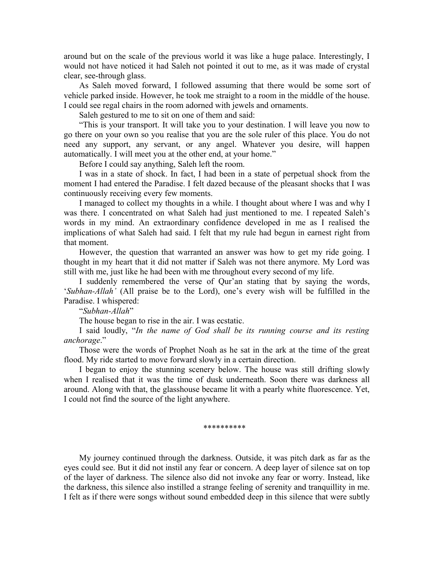around but on the scale of the previous world it was like a huge palace. Interestingly, I would not have noticed it had Saleh not pointed it out to me, as it was made of crystal clear, see-through glass.

As Saleh moved forward, I followed assuming that there would be some sort of vehicle parked inside. However, he took me straight to a room in the middle of the house. I could see regal chairs in the room adorned with jewels and ornaments.

Saleh gestured to me to sit on one of them and said:

"This is your transport. It will take you to your destination. I will leave you now to go there on your own so you realise that you are the sole ruler of this place. You do not need any support, any servant, or any angel. Whatever you desire, will happen automatically. I will meet you at the other end, at your home."

Before I could say anything, Saleh left the room.

I was in a state of shock. In fact, I had been in a state of perpetual shock from the moment I had entered the Paradise. I felt dazed because of the pleasant shocks that I was continuously receiving every few moments.

I managed to collect my thoughts in a while. I thought about where I was and why I was there. I concentrated on what Saleh had just mentioned to me. I repeated Saleh's words in my mind. An extraordinary confidence developed in me as I realised the implications of what Saleh had said. I felt that my rule had begun in earnest right from that moment.

However, the question that warranted an answer was how to get my ride going. I thought in my heart that it did not matter if Saleh was not there anymore. My Lord was still with me, just like he had been with me throughout every second of my life.

I suddenly remembered the verse of Qur'an stating that by saying the words, '*Subhan-Allah'* (All praise be to the Lord), one's every wish will be fulfilled in the Paradise. I whispered:

"*Subhan-Allah*"

The house began to rise in the air. I was ecstatic.

I said loudly, "*In the name of God shall be its running course and its resting anchorage*."

Those were the words of Prophet Noah as he sat in the ark at the time of the great flood. My ride started to move forward slowly in a certain direction.

I began to enjoy the stunning scenery below. The house was still drifting slowly when I realised that it was the time of dusk underneath. Soon there was darkness all around. Along with that, the glasshouse became lit with a pearly white fluorescence. Yet, I could not find the source of the light anywhere.

\*\*\*\*\*\*\*\*\*

My journey continued through the darkness. Outside, it was pitch dark as far as the eyes could see. But it did not instil any fear or concern. A deep layer of silence sat on top of the layer of darkness. The silence also did not invoke any fear or worry. Instead, like the darkness, this silence also instilled a strange feeling of serenity and tranquillity in me. I felt as if there were songs without sound embedded deep in this silence that were subtly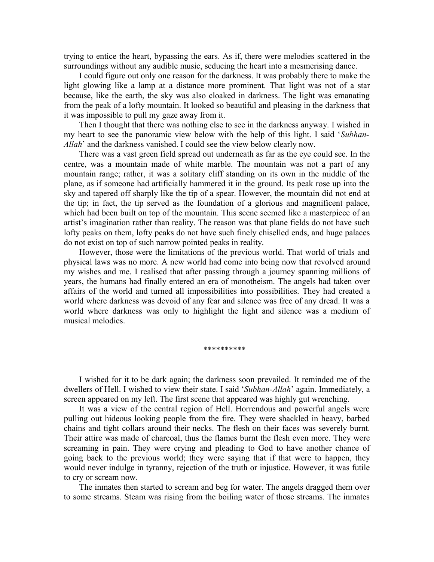trying to entice the heart, bypassing the ears. As if, there were melodies scattered in the surroundings without any audible music, seducing the heart into a mesmerising dance.

I could figure out only one reason for the darkness. It was probably there to make the light glowing like a lamp at a distance more prominent. That light was not of a star because, like the earth, the sky was also cloaked in darkness. The light was emanating from the peak of a lofty mountain. It looked so beautiful and pleasing in the darkness that it was impossible to pull my gaze away from it.

Then I thought that there was nothing else to see in the darkness anyway. I wished in my heart to see the panoramic view below with the help of this light. I said '*Subhan-Allah*' and the darkness vanished. I could see the view below clearly now.

There was a vast green field spread out underneath as far as the eye could see. In the centre, was a mountain made of white marble. The mountain was not a part of any mountain range; rather, it was a solitary cliff standing on its own in the middle of the plane, as if someone had artificially hammered it in the ground. Its peak rose up into the sky and tapered off sharply like the tip of a spear. However, the mountain did not end at the tip; in fact, the tip served as the foundation of a glorious and magnificent palace, which had been built on top of the mountain. This scene seemed like a masterpiece of an artist's imagination rather than reality. The reason was that plane fields do not have such lofty peaks on them, lofty peaks do not have such finely chiselled ends, and huge palaces do not exist on top of such narrow pointed peaks in reality.

However, those were the limitations of the previous world. That world of trials and physical laws was no more. A new world had come into being now that revolved around my wishes and me. I realised that after passing through a journey spanning millions of years, the humans had finally entered an era of monotheism. The angels had taken over affairs of the world and turned all impossibilities into possibilities. They had created a world where darkness was devoid of any fear and silence was free of any dread. It was a world where darkness was only to highlight the light and silence was a medium of musical melodies.

\*\*\*\*\*\*\*\*\*\*

I wished for it to be dark again; the darkness soon prevailed. It reminded me of the dwellers of Hell. I wished to view their state. I said '*Subhan-Allah*' again. Immediately, a screen appeared on my left. The first scene that appeared was highly gut wrenching.

It was a view of the central region of Hell. Horrendous and powerful angels were pulling out hideous looking people from the fire. They were shackled in heavy, barbed chains and tight collars around their necks. The flesh on their faces was severely burnt. Their attire was made of charcoal, thus the flames burnt the flesh even more. They were screaming in pain. They were crying and pleading to God to have another chance of going back to the previous world; they were saying that if that were to happen, they would never indulge in tyranny, rejection of the truth or injustice. However, it was futile to cry or scream now.

The inmates then started to scream and beg for water. The angels dragged them over to some streams. Steam was rising from the boiling water of those streams. The inmates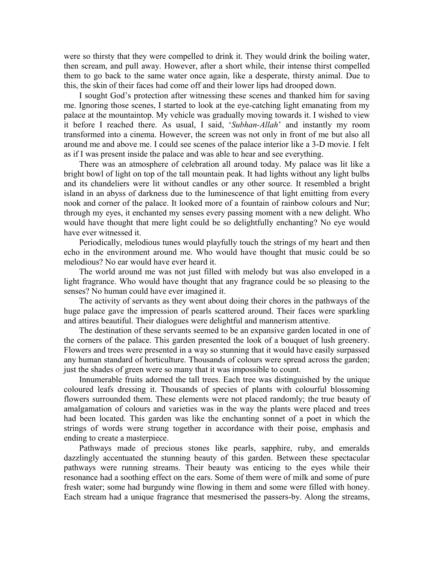were so thirsty that they were compelled to drink it. They would drink the boiling water, then scream, and pull away. However, after a short while, their intense thirst compelled them to go back to the same water once again, like a desperate, thirsty animal. Due to this, the skin of their faces had come off and their lower lips had drooped down.

I sought God's protection after witnessing these scenes and thanked him for saving me. Ignoring those scenes, I started to look at the eye-catching light emanating from my palace at the mountaintop. My vehicle was gradually moving towards it. I wished to view it before I reached there. As usual, I said, '*Subhan-Allah*' and instantly my room transformed into a cinema. However, the screen was not only in front of me but also all around me and above me. I could see scenes of the palace interior like a 3-D movie. I felt as if I was present inside the palace and was able to hear and see everything.

There was an atmosphere of celebration all around today. My palace was lit like a bright bowl of light on top of the tall mountain peak. It had lights without any light bulbs and its chandeliers were lit without candles or any other source. It resembled a bright island in an abyss of darkness due to the luminescence of that light emitting from every nook and corner of the palace. It looked more of a fountain of rainbow colours and Nur; through my eyes, it enchanted my senses every passing moment with a new delight. Who would have thought that mere light could be so delightfully enchanting? No eye would have ever witnessed it.

Periodically, melodious tunes would playfully touch the strings of my heart and then echo in the environment around me. Who would have thought that music could be so melodious? No ear would have ever heard it.

The world around me was not just filled with melody but was also enveloped in a light fragrance. Who would have thought that any fragrance could be so pleasing to the senses? No human could have ever imagined it.

The activity of servants as they went about doing their chores in the pathways of the huge palace gave the impression of pearls scattered around. Their faces were sparkling and attires beautiful. Their dialogues were delightful and mannerism attentive.

The destination of these servants seemed to be an expansive garden located in one of the corners of the palace. This garden presented the look of a bouquet of lush greenery. Flowers and trees were presented in a way so stunning that it would have easily surpassed any human standard of horticulture. Thousands of colours were spread across the garden; just the shades of green were so many that it was impossible to count.

Innumerable fruits adorned the tall trees. Each tree was distinguished by the unique coloured leafs dressing it. Thousands of species of plants with colourful blossoming flowers surrounded them. These elements were not placed randomly; the true beauty of amalgamation of colours and varieties was in the way the plants were placed and trees had been located. This garden was like the enchanting sonnet of a poet in which the strings of words were strung together in accordance with their poise, emphasis and ending to create a masterpiece.

Pathways made of precious stones like pearls, sapphire, ruby, and emeralds dazzlingly accentuated the stunning beauty of this garden. Between these spectacular pathways were running streams. Their beauty was enticing to the eyes while their resonance had a soothing effect on the ears. Some of them were of milk and some of pure fresh water; some had burgundy wine flowing in them and some were filled with honey. Each stream had a unique fragrance that mesmerised the passers-by. Along the streams,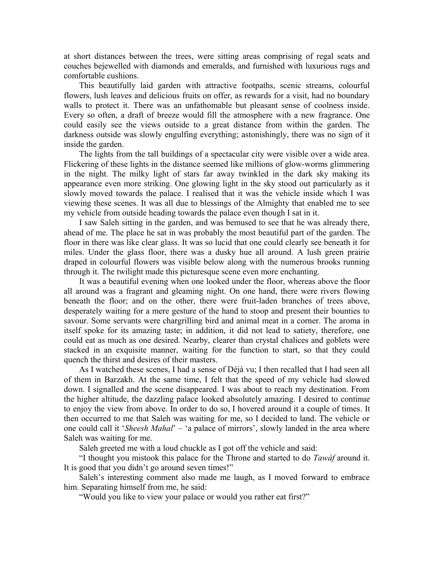at short distances between the trees, were sitting areas comprising of regal seats and couches bejewelled with diamonds and emeralds, and furnished with luxurious rugs and comfortable cushions.

This beautifully laid garden with attractive footpaths, scenic streams, colourful flowers, lush leaves and delicious fruits on offer, as rewards for a visit, had no boundary walls to protect it. There was an unfathomable but pleasant sense of coolness inside. Every so often, a draft of breeze would fill the atmosphere with a new fragrance. One could easily see the views outside to a great distance from within the garden. The darkness outside was slowly engulfing everything; astonishingly, there was no sign of it inside the garden.

The lights from the tall buildings of a spectacular city were visible over a wide area. Flickering of these lights in the distance seemed like millions of glow-worms glimmering in the night. The milky light of stars far away twinkled in the dark sky making its appearance even more striking. One glowing light in the sky stood out particularly as it slowly moved towards the palace. I realised that it was the vehicle inside which I was viewing these scenes. It was all due to blessings of the Almighty that enabled me to see my vehicle from outside heading towards the palace even though I sat in it.

I saw Saleh sitting in the garden, and was bemused to see that he was already there, ahead of me. The place he sat in was probably the most beautiful part of the garden. The floor in there was like clear glass. It was so lucid that one could clearly see beneath it for miles. Under the glass floor, there was a dusky hue all around. A lush green prairie draped in colourful flowers was visible below along with the numerous brooks running through it. The twilight made this picturesque scene even more enchanting.

It was a beautiful evening when one looked under the floor, whereas above the floor all around was a fragrant and gleaming night. On one hand, there were rivers flowing beneath the floor; and on the other, there were fruit-laden branches of trees above, desperately waiting for a mere gesture of the hand to stoop and present their bounties to savour. Some servants were chargrilling bird and animal meat in a corner. The aroma in itself spoke for its amazing taste; in addition, it did not lead to satiety, therefore, one could eat as much as one desired. Nearby, clearer than crystal chalices and goblets were stacked in an exquisite manner, waiting for the function to start, so that they could quench the thirst and desires of their masters.

As I watched these scenes, I had a sense of Déjà vu; I then recalled that I had seen all of them in Barzakh. At the same time, I felt that the speed of my vehicle had slowed down. I signalled and the scene disappeared. I was about to reach my destination. From the higher altitude, the dazzling palace looked absolutely amazing. I desired to continue to enjoy the view from above. In order to do so, I hovered around it a couple of times. It then occurred to me that Saleh was waiting for me, so I decided to land. The vehicle or one could call it '*Sheesh Mahal*' – 'a palace of mirrors', slowly landed in the area where Saleh was waiting for me.

Saleh greeted me with a loud chuckle as I got off the vehicle and said:

"I thought you mistook this palace for the Throne and started to do *Tawáf* around it. It is good that you didn't go around seven times!"

Saleh's interesting comment also made me laugh, as I moved forward to embrace him. Separating himself from me, he said:

"Would you like to view your palace or would you rather eat first?"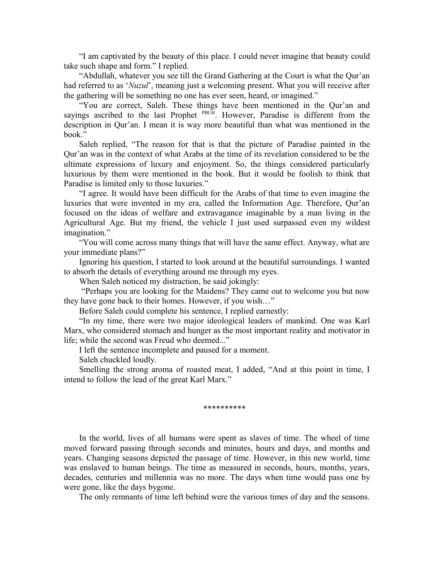"I am captivated by the beauty of this place. I could never imagine that beauty could take such shape and form." I replied.

"Abdullah, whatever you see till the Grand Gathering at the Court is what the Qur'an had referred to as '*Nuzul*', meaning just a welcoming present. What you will receive after the gathering will be something no one has ever seen, heard, or imagined."

"You are correct, Saleh. These things have been mentioned in the Qur'an and sayings ascribed to the last Prophet PBUH. However, Paradise is different from the description in Qur'an. I mean it is way more beautiful than what was mentioned in the book."

Saleh replied, "The reason for that is that the picture of Paradise painted in the Qur'an was in the context of what Arabs at the time of its revelation considered to be the ultimate expressions of luxury and enjoyment. So, the things considered particularly luxurious by them were mentioned in the book. But it would be foolish to think that Paradise is limited only to those luxuries."

"I agree. It would have been difficult for the Arabs of that time to even imagine the luxuries that were invented in my era, called the Information Age. Therefore, Qur'an focused on the ideas of welfare and extravagance imaginable by a man living in the Agricultural Age. But my friend, the vehicle I just used surpassed even my wildest imagination."

"You will come across many things that will have the same effect. Anyway, what are your immediate plans?"

Ignoring his question, I started to look around at the beautiful surroundings. I wanted to absorb the details of everything around me through my eyes.

When Saleh noticed my distraction, he said jokingly:

 "Perhaps you are looking for the Maidens? They came out to welcome you but now they have gone back to their homes. However, if you wish…"

Before Saleh could complete his sentence, I replied earnestly:

"In my time, there were two major ideological leaders of mankind. One was Karl Marx, who considered stomach and hunger as the most important reality and motivator in life; while the second was Freud who deemed..."

I left the sentence incomplete and paused for a moment.

Saleh chuckled loudly.

Smelling the strong aroma of roasted meat, I added, "And at this point in time, I intend to follow the lead of the great Karl Marx."

#### \*\*\*\*\*\*\*\*\*\*

In the world, lives of all humans were spent as slaves of time. The wheel of time moved forward passing through seconds and minutes, hours and days, and months and years. Changing seasons depicted the passage of time. However, in this new world, time was enslaved to human beings. The time as measured in seconds, hours, months, years, decades, centuries and millennia was no more. The days when time would pass one by were gone, like the days bygone.

The only remnants of time left behind were the various times of day and the seasons.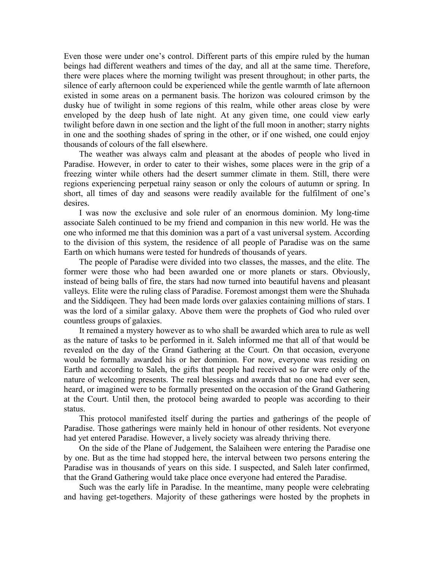Even those were under one's control. Different parts of this empire ruled by the human beings had different weathers and times of the day, and all at the same time. Therefore, there were places where the morning twilight was present throughout; in other parts, the silence of early afternoon could be experienced while the gentle warmth of late afternoon existed in some areas on a permanent basis. The horizon was coloured crimson by the dusky hue of twilight in some regions of this realm, while other areas close by were enveloped by the deep hush of late night. At any given time, one could view early twilight before dawn in one section and the light of the full moon in another; starry nights in one and the soothing shades of spring in the other, or if one wished, one could enjoy thousands of colours of the fall elsewhere.

The weather was always calm and pleasant at the abodes of people who lived in Paradise. However, in order to cater to their wishes, some places were in the grip of a freezing winter while others had the desert summer climate in them. Still, there were regions experiencing perpetual rainy season or only the colours of autumn or spring. In short, all times of day and seasons were readily available for the fulfilment of one's desires.

I was now the exclusive and sole ruler of an enormous dominion. My long-time associate Saleh continued to be my friend and companion in this new world. He was the one who informed me that this dominion was a part of a vast universal system. According to the division of this system, the residence of all people of Paradise was on the same Earth on which humans were tested for hundreds of thousands of years.

The people of Paradise were divided into two classes, the masses, and the elite. The former were those who had been awarded one or more planets or stars. Obviously, instead of being balls of fire, the stars had now turned into beautiful havens and pleasant valleys. Elite were the ruling class of Paradise. Foremost amongst them were the Shuhada and the Siddiqeen. They had been made lords over galaxies containing millions of stars. I was the lord of a similar galaxy. Above them were the prophets of God who ruled over countless groups of galaxies.

It remained a mystery however as to who shall be awarded which area to rule as well as the nature of tasks to be performed in it. Saleh informed me that all of that would be revealed on the day of the Grand Gathering at the Court. On that occasion, everyone would be formally awarded his or her dominion. For now, everyone was residing on Earth and according to Saleh, the gifts that people had received so far were only of the nature of welcoming presents. The real blessings and awards that no one had ever seen, heard, or imagined were to be formally presented on the occasion of the Grand Gathering at the Court. Until then, the protocol being awarded to people was according to their status.

This protocol manifested itself during the parties and gatherings of the people of Paradise. Those gatherings were mainly held in honour of other residents. Not everyone had yet entered Paradise. However, a lively society was already thriving there.

On the side of the Plane of Judgement, the Salaiheen were entering the Paradise one by one. But as the time had stopped here, the interval between two persons entering the Paradise was in thousands of years on this side. I suspected, and Saleh later confirmed, that the Grand Gathering would take place once everyone had entered the Paradise.

Such was the early life in Paradise. In the meantime, many people were celebrating and having get-togethers. Majority of these gatherings were hosted by the prophets in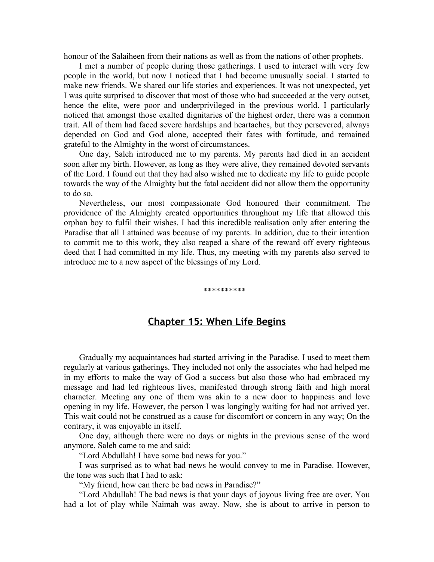honour of the Salaiheen from their nations as well as from the nations of other prophets.

I met a number of people during those gatherings. I used to interact with very few people in the world, but now I noticed that I had become unusually social. I started to make new friends. We shared our life stories and experiences. It was not unexpected, yet I was quite surprised to discover that most of those who had succeeded at the very outset, hence the elite, were poor and underprivileged in the previous world. I particularly noticed that amongst those exalted dignitaries of the highest order, there was a common trait. All of them had faced severe hardships and heartaches, but they persevered, always depended on God and God alone, accepted their fates with fortitude, and remained grateful to the Almighty in the worst of circumstances.

One day, Saleh introduced me to my parents. My parents had died in an accident soon after my birth. However, as long as they were alive, they remained devoted servants of the Lord. I found out that they had also wished me to dedicate my life to guide people towards the way of the Almighty but the fatal accident did not allow them the opportunity to do so.

Nevertheless, our most compassionate God honoured their commitment. The providence of the Almighty created opportunities throughout my life that allowed this orphan boy to fulfil their wishes. I had this incredible realisation only after entering the Paradise that all I attained was because of my parents. In addition, due to their intention to commit me to this work, they also reaped a share of the reward off every righteous deed that I had committed in my life. Thus, my meeting with my parents also served to introduce me to a new aspect of the blessings of my Lord.

#### \*\*\*\*\*\*\*\*\*\*

# **Chapter 15: When Life Begins**

Gradually my acquaintances had started arriving in the Paradise. I used to meet them regularly at various gatherings. They included not only the associates who had helped me in my efforts to make the way of God a success but also those who had embraced my message and had led righteous lives, manifested through strong faith and high moral character. Meeting any one of them was akin to a new door to happiness and love opening in my life. However, the person I was longingly waiting for had not arrived yet. This wait could not be construed as a cause for discomfort or concern in any way; On the contrary, it was enjoyable in itself.

One day, although there were no days or nights in the previous sense of the word anymore, Saleh came to me and said:

"Lord Abdullah! I have some bad news for you."

I was surprised as to what bad news he would convey to me in Paradise. However, the tone was such that I had to ask:

"My friend, how can there be bad news in Paradise?"

"Lord Abdullah! The bad news is that your days of joyous living free are over. You had a lot of play while Naimah was away. Now, she is about to arrive in person to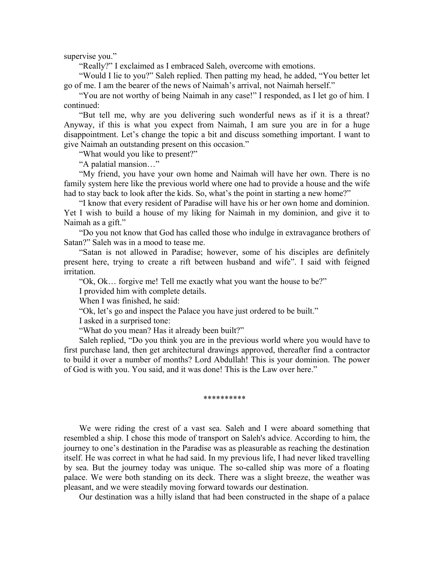supervise you."

"Really?" I exclaimed as I embraced Saleh, overcome with emotions.

"Would I lie to you?" Saleh replied. Then patting my head, he added, "You better let go of me. I am the bearer of the news of Naimah's arrival, not Naimah herself."

"You are not worthy of being Naimah in any case!" I responded, as I let go of him. I continued:

"But tell me, why are you delivering such wonderful news as if it is a threat? Anyway, if this is what you expect from Naimah, I am sure you are in for a huge disappointment. Let's change the topic a bit and discuss something important. I want to give Naimah an outstanding present on this occasion."

"What would you like to present?"

"A palatial mansion…"

"My friend, you have your own home and Naimah will have her own. There is no family system here like the previous world where one had to provide a house and the wife had to stay back to look after the kids. So, what's the point in starting a new home?"

"I know that every resident of Paradise will have his or her own home and dominion. Yet I wish to build a house of my liking for Naimah in my dominion, and give it to Naimah as a gift."

"Do you not know that God has called those who indulge in extravagance brothers of Satan?" Saleh was in a mood to tease me.

"Satan is not allowed in Paradise; however, some of his disciples are definitely present here, trying to create a rift between husband and wife". I said with feigned irritation.

"Ok, Ok… forgive me! Tell me exactly what you want the house to be?"

I provided him with complete details.

When I was finished, he said:

"Ok, let's go and inspect the Palace you have just ordered to be built."

I asked in a surprised tone:

"What do you mean? Has it already been built?"

Saleh replied, "Do you think you are in the previous world where you would have to first purchase land, then get architectural drawings approved, thereafter find a contractor to build it over a number of months? Lord Abdullah! This is your dominion. The power of God is with you. You said, and it was done! This is the Law over here."

\*\*\*\*\*\*\*\*\*\*

We were riding the crest of a vast sea. Saleh and I were aboard something that resembled a ship. I chose this mode of transport on Saleh's advice. According to him, the journey to one's destination in the Paradise was as pleasurable as reaching the destination itself. He was correct in what he had said. In my previous life, I had never liked travelling by sea. But the journey today was unique. The so-called ship was more of a floating palace. We were both standing on its deck. There was a slight breeze, the weather was pleasant, and we were steadily moving forward towards our destination.

Our destination was a hilly island that had been constructed in the shape of a palace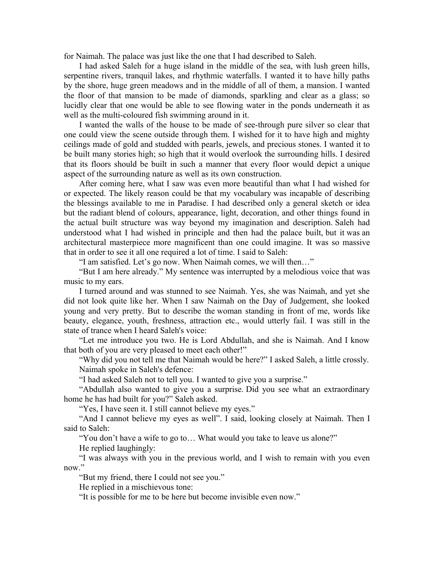for Naimah. The palace was just like the one that I had described to Saleh.

I had asked Saleh for a huge island in the middle of the sea, with lush green hills, serpentine rivers, tranquil lakes, and rhythmic waterfalls. I wanted it to have hilly paths by the shore, huge green meadows and in the middle of all of them, a mansion. I wanted the floor of that mansion to be made of diamonds, sparkling and clear as a glass; so lucidly clear that one would be able to see flowing water in the ponds underneath it as well as the multi-coloured fish swimming around in it.

I wanted the walls of the house to be made of see-through pure silver so clear that one could view the scene outside through them. I wished for it to have high and mighty ceilings made of gold and studded with pearls, jewels, and precious stones. I wanted it to be built many stories high; so high that it would overlook the surrounding hills. I desired that its floors should be built in such a manner that every floor would depict a unique aspect of the surrounding nature as well as its own construction.

After coming here, what I saw was even more beautiful than what I had wished for or expected. The likely reason could be that my vocabulary was incapable of describing the blessings available to me in Paradise. I had described only a general sketch or idea but the radiant blend of colours, appearance, light, decoration, and other things found in the actual built structure was way beyond my imagination and description. Saleh had understood what I had wished in principle and then had the palace built, but it was an architectural masterpiece more magnificent than one could imagine. It was so massive that in order to see it all one required a lot of time. I said to Saleh:

"I am satisfied. Let's go now. When Naimah comes, we will then…"

"But I am here already." My sentence was interrupted by a melodious voice that was music to my ears.

I turned around and was stunned to see Naimah. Yes, she was Naimah, and yet she did not look quite like her. When I saw Naimah on the Day of Judgement, she looked young and very pretty. But to describe the woman standing in front of me, words like beauty, elegance, youth, freshness, attraction etc., would utterly fail. I was still in the state of trance when I heard Saleh's voice:

"Let me introduce you two. He is Lord Abdullah, and she is Naimah. And I know that both of you are very pleased to meet each other!"

"Why did you not tell me that Naimah would be here?" I asked Saleh, a little crossly. Naimah spoke in Saleh's defence:

"I had asked Saleh not to tell you. I wanted to give you a surprise."

"Abdullah also wanted to give you a surprise. Did you see what an extraordinary home he has had built for you?" Saleh asked.

"Yes, I have seen it. I still cannot believe my eyes."

"And I cannot believe my eyes as well". I said, looking closely at Naimah. Then I said to Saleh:

"You don't have a wife to go to… What would you take to leave us alone?"

He replied laughingly:

"I was always with you in the previous world, and I wish to remain with you even now."

"But my friend, there I could not see you."

He replied in a mischievous tone:

"It is possible for me to be here but become invisible even now."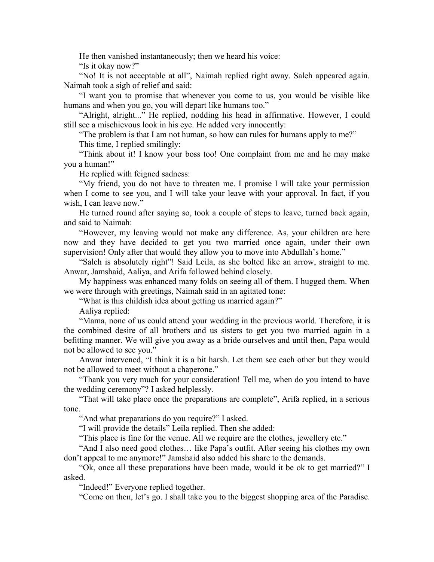He then vanished instantaneously; then we heard his voice:

"Is it okay now?"

"No! It is not acceptable at all", Naimah replied right away. Saleh appeared again. Naimah took a sigh of relief and said:

"I want you to promise that whenever you come to us, you would be visible like humans and when you go, you will depart like humans too."

"Alright, alright..." He replied, nodding his head in affirmative. However, I could still see a mischievous look in his eye. He added very innocently:

"The problem is that I am not human, so how can rules for humans apply to me?"

This time, I replied smilingly:

"Think about it! I know your boss too! One complaint from me and he may make you a human!"

He replied with feigned sadness:

"My friend, you do not have to threaten me. I promise I will take your permission when I come to see you, and I will take your leave with your approval. In fact, if you wish, I can leave now."

He turned round after saying so, took a couple of steps to leave, turned back again, and said to Naimah:

"However, my leaving would not make any difference. As, your children are here now and they have decided to get you two married once again, under their own supervision! Only after that would they allow you to move into Abdullah's home."

"Saleh is absolutely right"! Said Leila, as she bolted like an arrow, straight to me. Anwar, Jamshaid, Aaliya, and Arifa followed behind closely.

My happiness was enhanced many folds on seeing all of them. I hugged them. When we were through with greetings, Naimah said in an agitated tone:

"What is this childish idea about getting us married again?"

Aaliya replied:

"Mama, none of us could attend your wedding in the previous world. Therefore, it is the combined desire of all brothers and us sisters to get you two married again in a befitting manner. We will give you away as a bride ourselves and until then, Papa would not be allowed to see you."

Anwar intervened, "I think it is a bit harsh. Let them see each other but they would not be allowed to meet without a chaperone."

"Thank you very much for your consideration! Tell me, when do you intend to have the wedding ceremony"? I asked helplessly.

"That will take place once the preparations are complete", Arifa replied, in a serious tone.

"And what preparations do you require?" I asked.

"I will provide the details" Leila replied. Then she added:

"This place is fine for the venue. All we require are the clothes, jewellery etc."

"And I also need good clothes… like Papa's outfit. After seeing his clothes my own don't appeal to me anymore!" Jamshaid also added his share to the demands.

"Ok, once all these preparations have been made, would it be ok to get married?" I asked.

"Indeed!" Everyone replied together.

"Come on then, let's go. I shall take you to the biggest shopping area of the Paradise.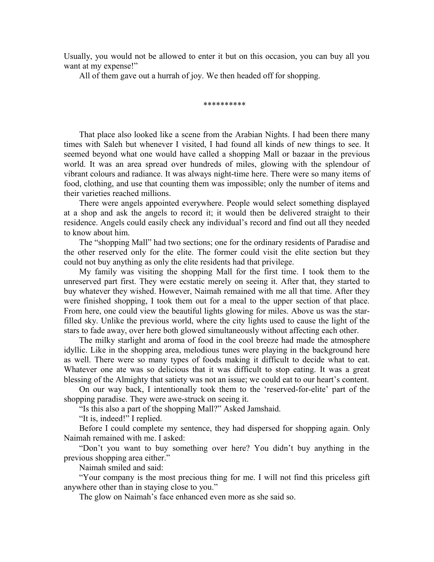Usually, you would not be allowed to enter it but on this occasion, you can buy all you want at my expense!"

All of them gave out a hurrah of joy. We then headed off for shopping.

\*\*\*\*\*\*\*\*\*\*

That place also looked like a scene from the Arabian Nights. I had been there many times with Saleh but whenever I visited, I had found all kinds of new things to see. It seemed beyond what one would have called a shopping Mall or bazaar in the previous world. It was an area spread over hundreds of miles, glowing with the splendour of vibrant colours and radiance. It was always night-time here. There were so many items of food, clothing, and use that counting them was impossible; only the number of items and their varieties reached millions.

There were angels appointed everywhere. People would select something displayed at a shop and ask the angels to record it; it would then be delivered straight to their residence. Angels could easily check any individual's record and find out all they needed to know about him.

The "shopping Mall" had two sections; one for the ordinary residents of Paradise and the other reserved only for the elite. The former could visit the elite section but they could not buy anything as only the elite residents had that privilege.

My family was visiting the shopping Mall for the first time. I took them to the unreserved part first. They were ecstatic merely on seeing it. After that, they started to buy whatever they wished. However, Naimah remained with me all that time. After they were finished shopping, I took them out for a meal to the upper section of that place. From here, one could view the beautiful lights glowing for miles. Above us was the starfilled sky. Unlike the previous world, where the city lights used to cause the light of the stars to fade away, over here both glowed simultaneously without affecting each other.

The milky starlight and aroma of food in the cool breeze had made the atmosphere idyllic. Like in the shopping area, melodious tunes were playing in the background here as well. There were so many types of foods making it difficult to decide what to eat. Whatever one ate was so delicious that it was difficult to stop eating. It was a great blessing of the Almighty that satiety was not an issue; we could eat to our heart's content.

On our way back, I intentionally took them to the 'reserved-for-elite' part of the shopping paradise. They were awe-struck on seeing it.

"Is this also a part of the shopping Mall?" Asked Jamshaid.

"It is, indeed!" I replied.

Before I could complete my sentence, they had dispersed for shopping again. Only Naimah remained with me. I asked:

"Don't you want to buy something over here? You didn't buy anything in the previous shopping area either."

Naimah smiled and said:

"Your company is the most precious thing for me. I will not find this priceless gift anywhere other than in staying close to you."

The glow on Naimah's face enhanced even more as she said so.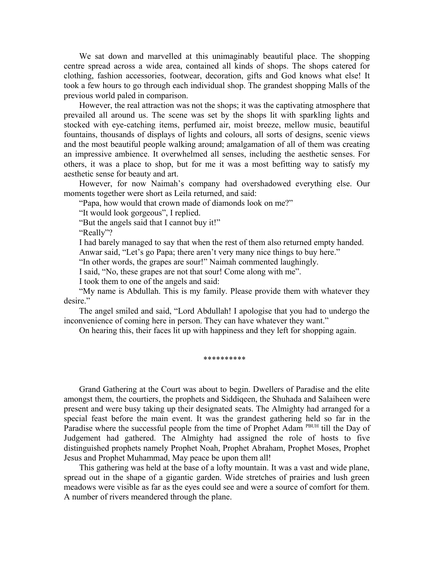We sat down and marvelled at this unimaginably beautiful place. The shopping centre spread across a wide area, contained all kinds of shops. The shops catered for clothing, fashion accessories, footwear, decoration, gifts and God knows what else! It took a few hours to go through each individual shop. The grandest shopping Malls of the previous world paled in comparison.

However, the real attraction was not the shops; it was the captivating atmosphere that prevailed all around us. The scene was set by the shops lit with sparkling lights and stocked with eye-catching items, perfumed air, moist breeze, mellow music, beautiful fountains, thousands of displays of lights and colours, all sorts of designs, scenic views and the most beautiful people walking around; amalgamation of all of them was creating an impressive ambience. It overwhelmed all senses, including the aesthetic senses. For others, it was a place to shop, but for me it was a most befitting way to satisfy my aesthetic sense for beauty and art.

However, for now Naimah's company had overshadowed everything else. Our moments together were short as Leila returned, and said:

"Papa, how would that crown made of diamonds look on me?"

"It would look gorgeous", I replied.

"But the angels said that I cannot buy it!"

"Really"?

I had barely managed to say that when the rest of them also returned empty handed.

Anwar said, "Let's go Papa; there aren't very many nice things to buy here."

"In other words, the grapes are sour!" Naimah commented laughingly.

I said, "No, these grapes are not that sour! Come along with me".

I took them to one of the angels and said:

"My name is Abdullah. This is my family. Please provide them with whatever they desire."

The angel smiled and said, "Lord Abdullah! I apologise that you had to undergo the inconvenience of coming here in person. They can have whatever they want."

On hearing this, their faces lit up with happiness and they left for shopping again.

### \*\*\*\*\*\*\*\*\*\*

Grand Gathering at the Court was about to begin. Dwellers of Paradise and the elite amongst them, the courtiers, the prophets and Siddiqeen, the Shuhada and Salaiheen were present and were busy taking up their designated seats. The Almighty had arranged for a special feast before the main event. It was the grandest gathering held so far in the Paradise where the successful people from the time of Prophet Adam PBUH till the Day of Judgement had gathered. The Almighty had assigned the role of hosts to five distinguished prophets namely Prophet Noah, Prophet Abraham, Prophet Moses, Prophet Jesus and Prophet Muhammad, May peace be upon them all!

This gathering was held at the base of a lofty mountain. It was a vast and wide plane, spread out in the shape of a gigantic garden. Wide stretches of prairies and lush green meadows were visible as far as the eyes could see and were a source of comfort for them. A number of rivers meandered through the plane.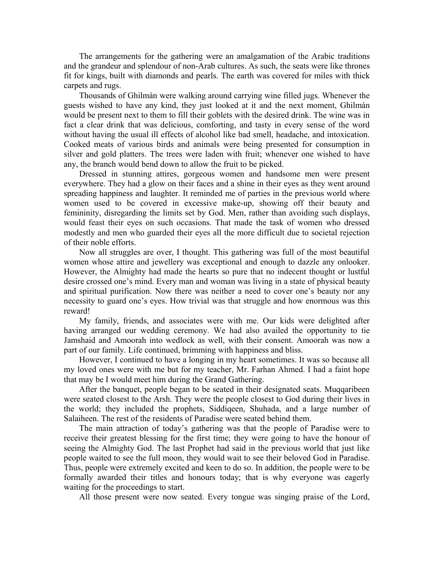The arrangements for the gathering were an amalgamation of the Arabic traditions and the grandeur and splendour of non-Arab cultures. As such, the seats were like thrones fit for kings, built with diamonds and pearls. The earth was covered for miles with thick carpets and rugs.

Thousands of Ghilmán were walking around carrying wine filled jugs. Whenever the guests wished to have any kind, they just looked at it and the next moment, Ghilmán would be present next to them to fill their goblets with the desired drink. The wine was in fact a clear drink that was delicious, comforting, and tasty in every sense of the word without having the usual ill effects of alcohol like bad smell, headache, and intoxication. Cooked meats of various birds and animals were being presented for consumption in silver and gold platters. The trees were laden with fruit; whenever one wished to have any, the branch would bend down to allow the fruit to be picked.

Dressed in stunning attires, gorgeous women and handsome men were present everywhere. They had a glow on their faces and a shine in their eyes as they went around spreading happiness and laughter. It reminded me of parties in the previous world where women used to be covered in excessive make-up, showing off their beauty and femininity, disregarding the limits set by God. Men, rather than avoiding such displays, would feast their eyes on such occasions. That made the task of women who dressed modestly and men who guarded their eyes all the more difficult due to societal rejection of their noble efforts.

Now all struggles are over, I thought. This gathering was full of the most beautiful women whose attire and jewellery was exceptional and enough to dazzle any onlooker. However, the Almighty had made the hearts so pure that no indecent thought or lustful desire crossed one's mind. Every man and woman was living in a state of physical beauty and spiritual purification. Now there was neither a need to cover one's beauty nor any necessity to guard one's eyes. How trivial was that struggle and how enormous was this reward!

My family, friends, and associates were with me. Our kids were delighted after having arranged our wedding ceremony. We had also availed the opportunity to tie Jamshaid and Amoorah into wedlock as well, with their consent. Amoorah was now a part of our family. Life continued, brimming with happiness and bliss.

However, I continued to have a longing in my heart sometimes. It was so because all my loved ones were with me but for my teacher, Mr. Farhan Ahmed. I had a faint hope that may be I would meet him during the Grand Gathering.

After the banquet, people began to be seated in their designated seats. Muqqaribeen were seated closest to the Arsh. They were the people closest to God during their lives in the world; they included the prophets, Siddiqeen, Shuhada, and a large number of Salaiheen. The rest of the residents of Paradise were seated behind them.

The main attraction of today's gathering was that the people of Paradise were to receive their greatest blessing for the first time; they were going to have the honour of seeing the Almighty God. The last Prophet had said in the previous world that just like people waited to see the full moon, they would wait to see their beloved God in Paradise. Thus, people were extremely excited and keen to do so. In addition, the people were to be formally awarded their titles and honours today; that is why everyone was eagerly waiting for the proceedings to start.

All those present were now seated. Every tongue was singing praise of the Lord,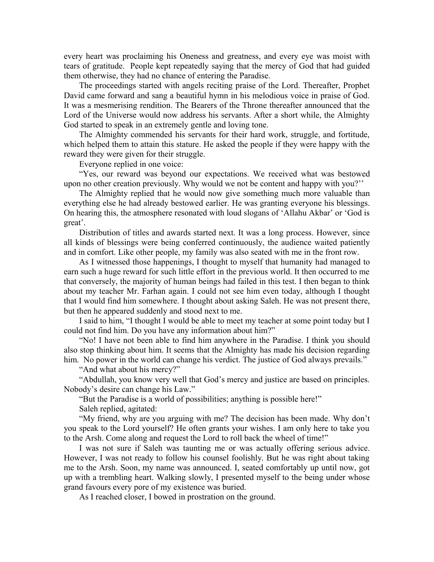every heart was proclaiming his Oneness and greatness, and every eye was moist with tears of gratitude. People kept repeatedly saying that the mercy of God that had guided them otherwise, they had no chance of entering the Paradise.

The proceedings started with angels reciting praise of the Lord. Thereafter, Prophet David came forward and sang a beautiful hymn in his melodious voice in praise of God. It was a mesmerising rendition. The Bearers of the Throne thereafter announced that the Lord of the Universe would now address his servants. After a short while, the Almighty God started to speak in an extremely gentle and loving tone.

The Almighty commended his servants for their hard work, struggle, and fortitude, which helped them to attain this stature. He asked the people if they were happy with the reward they were given for their struggle.

Everyone replied in one voice:

"Yes, our reward was beyond our expectations. We received what was bestowed upon no other creation previously. Why would we not be content and happy with you?''

The Almighty replied that he would now give something much more valuable than everything else he had already bestowed earlier. He was granting everyone his blessings. On hearing this, the atmosphere resonated with loud slogans of 'Allahu Akbar' or 'God is great'.

Distribution of titles and awards started next. It was a long process. However, since all kinds of blessings were being conferred continuously, the audience waited patiently and in comfort. Like other people, my family was also seated with me in the front row.

As I witnessed those happenings, I thought to myself that humanity had managed to earn such a huge reward for such little effort in the previous world. It then occurred to me that conversely, the majority of human beings had failed in this test. I then began to think about my teacher Mr. Farhan again. I could not see him even today, although I thought that I would find him somewhere. I thought about asking Saleh. He was not present there, but then he appeared suddenly and stood next to me.

I said to him, "I thought I would be able to meet my teacher at some point today but I could not find him. Do you have any information about him?"

"No! I have not been able to find him anywhere in the Paradise. I think you should also stop thinking about him. It seems that the Almighty has made his decision regarding him. No power in the world can change his verdict. The justice of God always prevails."

"And what about his mercy?"

"Abdullah, you know very well that God's mercy and justice are based on principles. Nobody's desire can change his Law."

"But the Paradise is a world of possibilities; anything is possible here!"

Saleh replied, agitated:

"My friend, why are you arguing with me? The decision has been made. Why don't you speak to the Lord yourself? He often grants your wishes. I am only here to take you to the Arsh. Come along and request the Lord to roll back the wheel of time!"

I was not sure if Saleh was taunting me or was actually offering serious advice. However, I was not ready to follow his counsel foolishly. But he was right about taking me to the Arsh. Soon, my name was announced. I, seated comfortably up until now, got up with a trembling heart. Walking slowly, I presented myself to the being under whose grand favours every pore of my existence was buried.

As I reached closer, I bowed in prostration on the ground.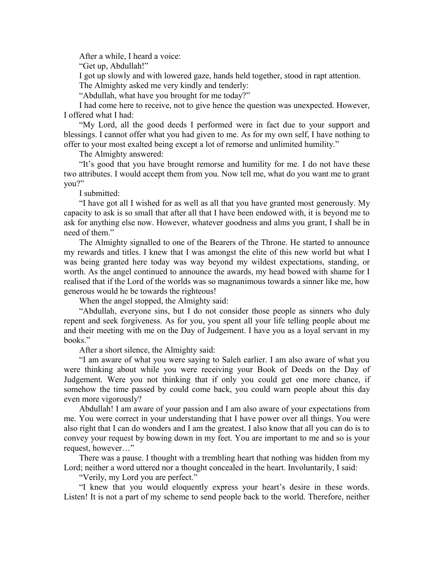After a while, I heard a voice:

"Get up, Abdullah!"

I got up slowly and with lowered gaze, hands held together, stood in rapt attention.

The Almighty asked me very kindly and tenderly:

"Abdullah, what have you brought for me today?"

I had come here to receive, not to give hence the question was unexpected. However, I offered what I had:

"My Lord, all the good deeds I performed were in fact due to your support and blessings. I cannot offer what you had given to me. As for my own self, I have nothing to offer to your most exalted being except a lot of remorse and unlimited humility."

The Almighty answered:

"It's good that you have brought remorse and humility for me. I do not have these two attributes. I would accept them from you. Now tell me, what do you want me to grant you?"

I submitted:

"I have got all I wished for as well as all that you have granted most generously. My capacity to ask is so small that after all that I have been endowed with, it is beyond me to ask for anything else now. However, whatever goodness and alms you grant, I shall be in need of them."

The Almighty signalled to one of the Bearers of the Throne. He started to announce my rewards and titles. I knew that I was amongst the elite of this new world but what I was being granted here today was way beyond my wildest expectations, standing, or worth. As the angel continued to announce the awards, my head bowed with shame for I realised that if the Lord of the worlds was so magnanimous towards a sinner like me, how generous would he be towards the righteous!

When the angel stopped, the Almighty said:

"Abdullah, everyone sins, but I do not consider those people as sinners who duly repent and seek forgiveness. As for you, you spent all your life telling people about me and their meeting with me on the Day of Judgement. I have you as a loyal servant in my books."

After a short silence, the Almighty said:

"I am aware of what you were saying to Saleh earlier. I am also aware of what you were thinking about while you were receiving your Book of Deeds on the Day of Judgement. Were you not thinking that if only you could get one more chance, if somehow the time passed by could come back, you could warn people about this day even more vigorously?

Abdullah! I am aware of your passion and I am also aware of your expectations from me. You were correct in your understanding that I have power over all things. You were also right that I can do wonders and I am the greatest. I also know that all you can do is to convey your request by bowing down in my feet. You are important to me and so is your request, however…"

There was a pause. I thought with a trembling heart that nothing was hidden from my Lord; neither a word uttered nor a thought concealed in the heart. Involuntarily, I said:

"Verily, my Lord you are perfect."

"I knew that you would eloquently express your heart's desire in these words. Listen! It is not a part of my scheme to send people back to the world. Therefore, neither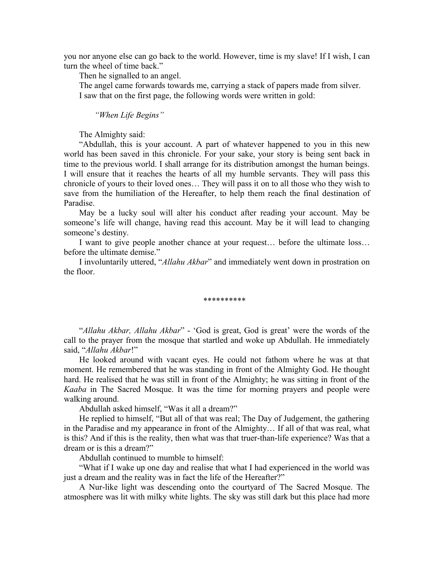you nor anyone else can go back to the world. However, time is my slave! If I wish, I can turn the wheel of time back."

Then he signalled to an angel.

The angel came forwards towards me, carrying a stack of papers made from silver. I saw that on the first page, the following words were written in gold:

*"When Life Begins"*

The Almighty said:

"Abdullah, this is your account. A part of whatever happened to you in this new world has been saved in this chronicle. For your sake, your story is being sent back in time to the previous world. I shall arrange for its distribution amongst the human beings. I will ensure that it reaches the hearts of all my humble servants. They will pass this chronicle of yours to their loved ones… They will pass it on to all those who they wish to save from the humiliation of the Hereafter, to help them reach the final destination of Paradise.

May be a lucky soul will alter his conduct after reading your account. May be someone's life will change, having read this account. May be it will lead to changing someone's destiny.

I want to give people another chance at your request… before the ultimate loss… before the ultimate demise."

I involuntarily uttered, "*Allahu Akbar*" and immediately went down in prostration on the floor.

\*\*\*\*\*\*\*\*\*\*

"*Allahu Akbar, Allahu Akbar*" - 'God is great, God is great' were the words of the call to the prayer from the mosque that startled and woke up Abdullah. He immediately said, "*Allahu Akbar*!"

He looked around with vacant eyes. He could not fathom where he was at that moment. He remembered that he was standing in front of the Almighty God. He thought hard. He realised that he was still in front of the Almighty; he was sitting in front of the *Kaaba* in The Sacred Mosque. It was the time for morning prayers and people were walking around.

Abdullah asked himself, "Was it all a dream?"

He replied to himself, "But all of that was real; The Day of Judgement, the gathering in the Paradise and my appearance in front of the Almighty… If all of that was real, what is this? And if this is the reality, then what was that truer-than-life experience? Was that a dream or is this a dream?"

Abdullah continued to mumble to himself:

"What if I wake up one day and realise that what I had experienced in the world was just a dream and the reality was in fact the life of the Hereafter?"

A Nur-like light was descending onto the courtyard of The Sacred Mosque. The atmosphere was lit with milky white lights. The sky was still dark but this place had more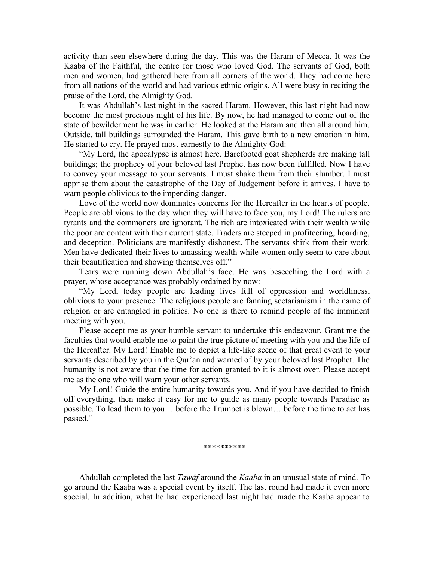activity than seen elsewhere during the day. This was the Haram of Mecca. It was the Kaaba of the Faithful, the centre for those who loved God. The servants of God, both men and women, had gathered here from all corners of the world. They had come here from all nations of the world and had various ethnic origins. All were busy in reciting the praise of the Lord, the Almighty God.

It was Abdullah's last night in the sacred Haram. However, this last night had now become the most precious night of his life. By now, he had managed to come out of the state of bewilderment he was in earlier. He looked at the Haram and then all around him. Outside, tall buildings surrounded the Haram. This gave birth to a new emotion in him. He started to cry. He prayed most earnestly to the Almighty God:

"My Lord, the apocalypse is almost here. Barefooted goat shepherds are making tall buildings; the prophecy of your beloved last Prophet has now been fulfilled. Now I have to convey your message to your servants. I must shake them from their slumber. I must apprise them about the catastrophe of the Day of Judgement before it arrives. I have to warn people oblivious to the impending danger.

Love of the world now dominates concerns for the Hereafter in the hearts of people. People are oblivious to the day when they will have to face you, my Lord! The rulers are tyrants and the commoners are ignorant. The rich are intoxicated with their wealth while the poor are content with their current state. Traders are steeped in profiteering, hoarding, and deception. Politicians are manifestly dishonest. The servants shirk from their work. Men have dedicated their lives to amassing wealth while women only seem to care about their beautification and showing themselves off."

Tears were running down Abdullah's face. He was beseeching the Lord with a prayer, whose acceptance was probably ordained by now:

"My Lord, today people are leading lives full of oppression and worldliness, oblivious to your presence. The religious people are fanning sectarianism in the name of religion or are entangled in politics. No one is there to remind people of the imminent meeting with you.

Please accept me as your humble servant to undertake this endeavour. Grant me the faculties that would enable me to paint the true picture of meeting with you and the life of the Hereafter. My Lord! Enable me to depict a life-like scene of that great event to your servants described by you in the Qur'an and warned of by your beloved last Prophet. The humanity is not aware that the time for action granted to it is almost over. Please accept me as the one who will warn your other servants.

My Lord! Guide the entire humanity towards you. And if you have decided to finish off everything, then make it easy for me to guide as many people towards Paradise as possible. To lead them to you… before the Trumpet is blown… before the time to act has passed."

### \*\*\*\*\*\*\*\*\*\*

Abdullah completed the last *Tawáf* around the *Kaaba* in an unusual state of mind. To go around the Kaaba was a special event by itself. The last round had made it even more special. In addition, what he had experienced last night had made the Kaaba appear to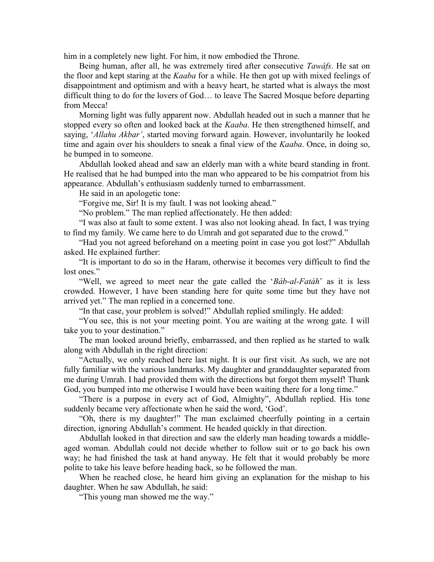him in a completely new light. For him, it now embodied the Throne.

Being human, after all, he was extremely tired after consecutive *Tawáfs*. He sat on the floor and kept staring at the *Kaaba* for a while. He then got up with mixed feelings of disappointment and optimism and with a heavy heart, he started what is always the most difficult thing to do for the lovers of God… to leave The Sacred Mosque before departing from Mecca!

Morning light was fully apparent now. Abdullah headed out in such a manner that he stopped every so often and looked back at the *Kaaba*. He then strengthened himself, and saying, '*Allahu Akbar'*, started moving forward again. However, involuntarily he looked time and again over his shoulders to sneak a final view of the *Kaaba*. Once, in doing so, he bumped in to someone.

Abdullah looked ahead and saw an elderly man with a white beard standing in front. He realised that he had bumped into the man who appeared to be his compatriot from his appearance. Abdullah's enthusiasm suddenly turned to embarrassment.

He said in an apologetic tone:

"Forgive me, Sir! It is my fault. I was not looking ahead."

"No problem." The man replied affectionately. He then added:

"I was also at fault to some extent. I was also not looking ahead. In fact, I was trying to find my family. We came here to do Umrah and got separated due to the crowd."

"Had you not agreed beforehand on a meeting point in case you got lost?" Abdullah asked. He explained further:

"It is important to do so in the Haram, otherwise it becomes very difficult to find the lost ones."

"Well, we agreed to meet near the gate called the '*Báb-al-Fatáh*' as it is less crowded. However, I have been standing here for quite some time but they have not arrived yet." The man replied in a concerned tone.

"In that case, your problem is solved!" Abdullah replied smilingly. He added:

"You see, this is not your meeting point. You are waiting at the wrong gate. I will take you to your destination."

The man looked around briefly, embarrassed, and then replied as he started to walk along with Abdullah in the right direction:

"Actually, we only reached here last night. It is our first visit. As such, we are not fully familiar with the various landmarks. My daughter and granddaughter separated from me during Umrah. I had provided them with the directions but forgot them myself! Thank God, you bumped into me otherwise I would have been waiting there for a long time."

"There is a purpose in every act of God, Almighty", Abdullah replied. His tone suddenly became very affectionate when he said the word, 'God'.

"Oh, there is my daughter!" The man exclaimed cheerfully pointing in a certain direction, ignoring Abdullah's comment. He headed quickly in that direction.

Abdullah looked in that direction and saw the elderly man heading towards a middleaged woman. Abdullah could not decide whether to follow suit or to go back his own way; he had finished the task at hand anyway. He felt that it would probably be more polite to take his leave before heading back, so he followed the man.

When he reached close, he heard him giving an explanation for the mishap to his daughter. When he saw Abdullah, he said:

"This young man showed me the way."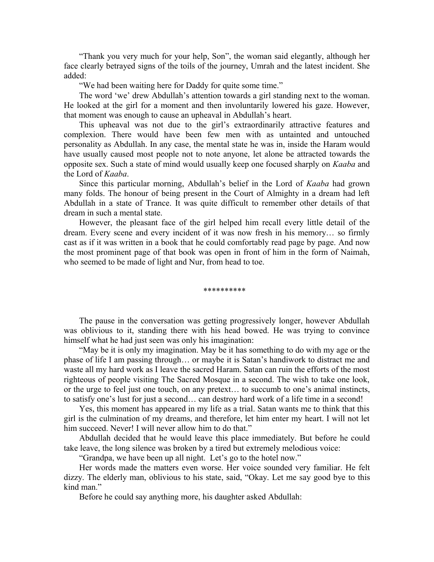"Thank you very much for your help, Son", the woman said elegantly, although her face clearly betrayed signs of the toils of the journey, Umrah and the latest incident. She added:

"We had been waiting here for Daddy for quite some time."

The word 'we' drew Abdullah's attention towards a girl standing next to the woman. He looked at the girl for a moment and then involuntarily lowered his gaze. However, that moment was enough to cause an upheaval in Abdullah's heart.

This upheaval was not due to the girl's extraordinarily attractive features and complexion. There would have been few men with as untainted and untouched personality as Abdullah. In any case, the mental state he was in, inside the Haram would have usually caused most people not to note anyone, let alone be attracted towards the opposite sex. Such a state of mind would usually keep one focused sharply on *Kaaba* and the Lord of *Kaaba*.

Since this particular morning, Abdullah's belief in the Lord of *Kaaba* had grown many folds. The honour of being present in the Court of Almighty in a dream had left Abdullah in a state of Trance. It was quite difficult to remember other details of that dream in such a mental state.

However, the pleasant face of the girl helped him recall every little detail of the dream. Every scene and every incident of it was now fresh in his memory… so firmly cast as if it was written in a book that he could comfortably read page by page. And now the most prominent page of that book was open in front of him in the form of Naimah, who seemed to be made of light and Nur, from head to toe.

\*\*\*\*\*\*\*\*\*\*

The pause in the conversation was getting progressively longer, however Abdullah was oblivious to it, standing there with his head bowed. He was trying to convince himself what he had just seen was only his imagination:

"May be it is only my imagination. May be it has something to do with my age or the phase of life I am passing through… or maybe it is Satan's handiwork to distract me and waste all my hard work as I leave the sacred Haram. Satan can ruin the efforts of the most righteous of people visiting The Sacred Mosque in a second. The wish to take one look, or the urge to feel just one touch, on any pretext… to succumb to one's animal instincts, to satisfy one's lust for just a second… can destroy hard work of a life time in a second!

Yes, this moment has appeared in my life as a trial. Satan wants me to think that this girl is the culmination of my dreams, and therefore, let him enter my heart. I will not let him succeed. Never! I will never allow him to do that."

Abdullah decided that he would leave this place immediately. But before he could take leave, the long silence was broken by a tired but extremely melodious voice:

"Grandpa, we have been up all night. Let's go to the hotel now."

Her words made the matters even worse. Her voice sounded very familiar. He felt dizzy. The elderly man, oblivious to his state, said, "Okay. Let me say good bye to this kind man."

Before he could say anything more, his daughter asked Abdullah: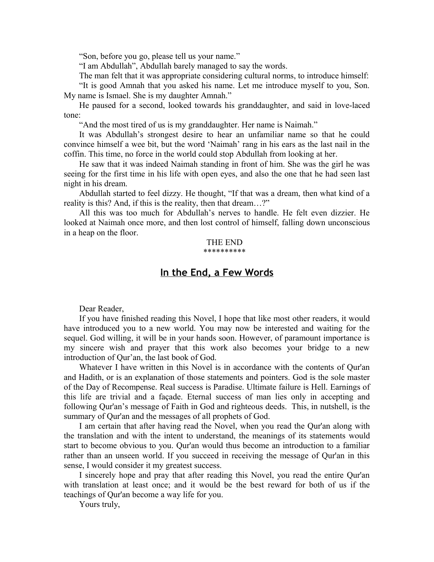"Son, before you go, please tell us your name."

"I am Abdullah", Abdullah barely managed to say the words.

The man felt that it was appropriate considering cultural norms, to introduce himself:

"It is good Amnah that you asked his name. Let me introduce myself to you, Son. My name is Ismael. She is my daughter Amnah."

He paused for a second, looked towards his granddaughter, and said in love-laced tone:

"And the most tired of us is my granddaughter. Her name is Naimah."

It was Abdullah's strongest desire to hear an unfamiliar name so that he could convince himself a wee bit, but the word 'Naimah' rang in his ears as the last nail in the coffin. This time, no force in the world could stop Abdullah from looking at her.

He saw that it was indeed Naimah standing in front of him. She was the girl he was seeing for the first time in his life with open eyes, and also the one that he had seen last night in his dream.

Abdullah started to feel dizzy. He thought, "If that was a dream, then what kind of a reality is this? And, if this is the reality, then that dream…?"

All this was too much for Abdullah's nerves to handle. He felt even dizzier. He looked at Naimah once more, and then lost control of himself, falling down unconscious in a heap on the floor.

#### THE END \*\*\*\*\*\*\*\*\*

## **In the End, a Few Words**

Dear Reader,

If you have finished reading this Novel, I hope that like most other readers, it would have introduced you to a new world. You may now be interested and waiting for the sequel. God willing, it will be in your hands soon. However, of paramount importance is my sincere wish and prayer that this work also becomes your bridge to a new introduction of Qur'an, the last book of God.

Whatever I have written in this Novel is in accordance with the contents of Qur'an and Hadith, or is an explanation of those statements and pointers. God is the sole master of the Day of Recompense. Real success is Paradise. Ultimate failure is Hell. Earnings of this life are trivial and a façade. Eternal success of man lies only in accepting and following Qur'an's message of Faith in God and righteous deeds. This, in nutshell, is the summary of Qur'an and the messages of all prophets of God.

I am certain that after having read the Novel, when you read the Qur'an along with the translation and with the intent to understand, the meanings of its statements would start to become obvious to you. Qur'an would thus become an introduction to a familiar rather than an unseen world. If you succeed in receiving the message of Qur'an in this sense, I would consider it my greatest success.

I sincerely hope and pray that after reading this Novel, you read the entire Qur'an with translation at least once; and it would be the best reward for both of us if the teachings of Qur'an become a way life for you.

Yours truly,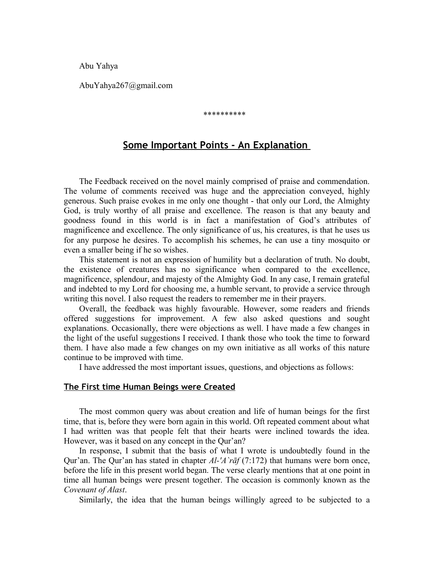Abu Yahya

AbuYahya267@gmail.com

\*\*\*\*\*\*\*\*\*\*

## **Some Important Points - An Explanation**

The Feedback received on the novel mainly comprised of praise and commendation. The volume of comments received was huge and the appreciation conveyed, highly generous. Such praise evokes in me only one thought - that only our Lord, the Almighty God, is truly worthy of all praise and excellence. The reason is that any beauty and goodness found in this world is in fact a manifestation of God's attributes of magnificence and excellence. The only significance of us, his creatures, is that he uses us for any purpose he desires. To accomplish his schemes, he can use a tiny mosquito or even a smaller being if he so wishes.

This statement is not an expression of humility but a declaration of truth. No doubt, the existence of creatures has no significance when compared to the excellence, magnificence, splendour, and majesty of the Almighty God. In any case, I remain grateful and indebted to my Lord for choosing me, a humble servant, to provide a service through writing this novel. I also request the readers to remember me in their prayers.

Overall, the feedback was highly favourable. However, some readers and friends offered suggestions for improvement. A few also asked questions and sought explanations. Occasionally, there were objections as well. I have made a few changes in the light of the useful suggestions I received. I thank those who took the time to forward them. I have also made a few changes on my own initiative as all works of this nature continue to be improved with time.

I have addressed the most important issues, questions, and objections as follows:

### **The First time Human Beings were Created**

The most common query was about creation and life of human beings for the first time, that is, before they were born again in this world. Oft repeated comment about what I had written was that people felt that their hearts were inclined towards the idea. However, was it based on any concept in the Qur'an?

In response, I submit that the basis of what I wrote is undoubtedly found in the Qur'an. The Qur'an has stated in chapter *Al-'A`rāf* (7:172) that humans were born once, before the life in this present world began. The verse clearly mentions that at one point in time all human beings were present together. The occasion is commonly known as the *Covenant of Alast*.

Similarly, the idea that the human beings willingly agreed to be subjected to a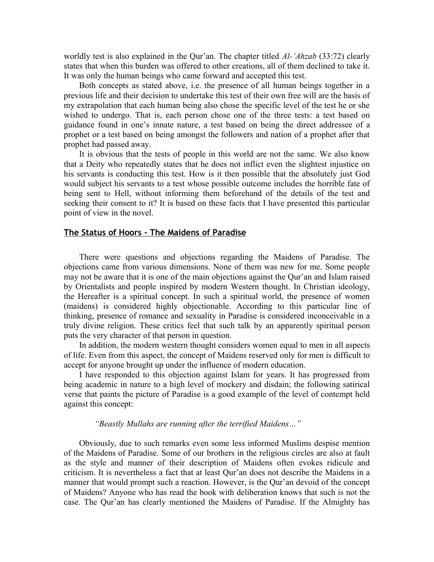worldly test is also explained in the Qur'an. The chapter titled *Al-'Ahzab* (33:72) clearly states that when this burden was offered to other creations, all of them declined to take it. It was only the human beings who came forward and accepted this test.

Both concepts as stated above, i.e. the presence of all human beings together in a previous life and their decision to undertake this test of their own free will are the basis of my extrapolation that each human being also chose the specific level of the test he or she wished to undergo. That is, each person chose one of the three tests: a test based on guidance found in one's innate nature, a test based on being the direct addressee of a prophet or a test based on being amongst the followers and nation of a prophet after that prophet had passed away.

It is obvious that the tests of people in this world are not the same. We also know that a Deity who repeatedly states that he does not inflict even the slightest injustice on his servants is conducting this test. How is it then possible that the absolutely just God would subject his servants to a test whose possible outcome includes the horrible fate of being sent to Hell, without informing them beforehand of the details of the test and seeking their consent to it? It is based on these facts that I have presented this particular point of view in the novel.

## **The Status of Hoors - The Maidens of Paradise**

There were questions and objections regarding the Maidens of Paradise. The objections came from various dimensions. None of them was new for me. Some people may not be aware that it is one of the main objections against the Qur'an and Islam raised by Orientalists and people inspired by modern Western thought. In Christian ideology, the Hereafter is a spiritual concept. In such a spiritual world, the presence of women (maidens) is considered highly objectionable. According to this particular line of thinking, presence of romance and sexuality in Paradise is considered inconceivable in a truly divine religion. These critics feel that such talk by an apparently spiritual person puts the very character of that person in question.

In addition, the modern western thought considers women equal to men in all aspects of life. Even from this aspect, the concept of Maidens reserved only for men is difficult to accept for anyone brought up under the influence of modern education.

I have responded to this objection against Islam for years. It has progressed from being academic in nature to a high level of mockery and disdain; the following satirical verse that paints the picture of Paradise is a good example of the level of contempt held against this concept:

#### *"Beastly Mullahs are running after the terrified Maidens…"*

Obviously, due to such remarks even some less informed Muslims despise mention of the Maidens of Paradise. Some of our brothers in the religious circles are also at fault as the style and manner of their description of Maidens often evokes ridicule and criticism. It is nevertheless a fact that at least Qur'an does not describe the Maidens in a manner that would prompt such a reaction. However, is the Qur'an devoid of the concept of Maidens? Anyone who has read the book with deliberation knows that such is not the case. The Qur'an has clearly mentioned the Maidens of Paradise. If the Almighty has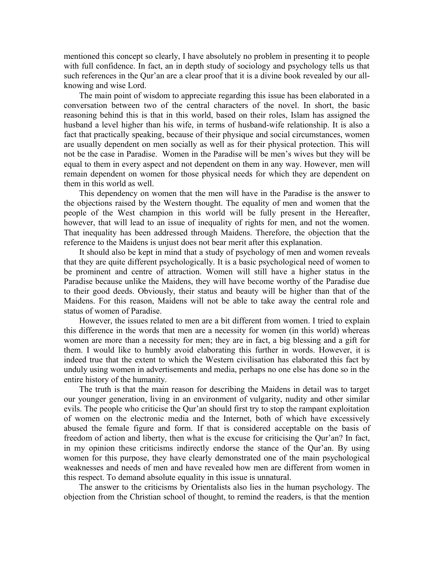mentioned this concept so clearly, I have absolutely no problem in presenting it to people with full confidence. In fact, an in depth study of sociology and psychology tells us that such references in the Qur'an are a clear proof that it is a divine book revealed by our allknowing and wise Lord.

The main point of wisdom to appreciate regarding this issue has been elaborated in a conversation between two of the central characters of the novel. In short, the basic reasoning behind this is that in this world, based on their roles, Islam has assigned the husband a level higher than his wife, in terms of husband-wife relationship. It is also a fact that practically speaking, because of their physique and social circumstances, women are usually dependent on men socially as well as for their physical protection. This will not be the case in Paradise. Women in the Paradise will be men's wives but they will be equal to them in every aspect and not dependent on them in any way. However, men will remain dependent on women for those physical needs for which they are dependent on them in this world as well.

This dependency on women that the men will have in the Paradise is the answer to the objections raised by the Western thought. The equality of men and women that the people of the West champion in this world will be fully present in the Hereafter, however, that will lead to an issue of inequality of rights for men, and not the women. That inequality has been addressed through Maidens. Therefore, the objection that the reference to the Maidens is unjust does not bear merit after this explanation.

It should also be kept in mind that a study of psychology of men and women reveals that they are quite different psychologically. It is a basic psychological need of women to be prominent and centre of attraction. Women will still have a higher status in the Paradise because unlike the Maidens, they will have become worthy of the Paradise due to their good deeds. Obviously, their status and beauty will be higher than that of the Maidens. For this reason, Maidens will not be able to take away the central role and status of women of Paradise.

However, the issues related to men are a bit different from women. I tried to explain this difference in the words that men are a necessity for women (in this world) whereas women are more than a necessity for men; they are in fact, a big blessing and a gift for them. I would like to humbly avoid elaborating this further in words. However, it is indeed true that the extent to which the Western civilisation has elaborated this fact by unduly using women in advertisements and media, perhaps no one else has done so in the entire history of the humanity.

The truth is that the main reason for describing the Maidens in detail was to target our younger generation, living in an environment of vulgarity, nudity and other similar evils. The people who criticise the Qur'an should first try to stop the rampant exploitation of women on the electronic media and the Internet, both of which have excessively abused the female figure and form. If that is considered acceptable on the basis of freedom of action and liberty, then what is the excuse for criticising the Qur'an? In fact, in my opinion these criticisms indirectly endorse the stance of the Qur'an. By using women for this purpose, they have clearly demonstrated one of the main psychological weaknesses and needs of men and have revealed how men are different from women in this respect. To demand absolute equality in this issue is unnatural.

The answer to the criticisms by Orientalists also lies in the human psychology. The objection from the Christian school of thought, to remind the readers, is that the mention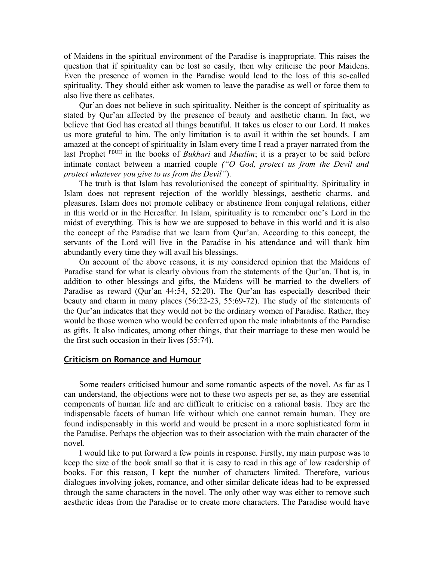of Maidens in the spiritual environment of the Paradise is inappropriate. This raises the question that if spirituality can be lost so easily, then why criticise the poor Maidens. Even the presence of women in the Paradise would lead to the loss of this so-called spirituality. They should either ask women to leave the paradise as well or force them to also live there as celibates.

Qur'an does not believe in such spirituality. Neither is the concept of spirituality as stated by Qur'an affected by the presence of beauty and aesthetic charm. In fact, we believe that God has created all things beautiful. It takes us closer to our Lord. It makes us more grateful to him. The only limitation is to avail it within the set bounds. I am amazed at the concept of spirituality in Islam every time I read a prayer narrated from the last Prophet <sup>PBUH</sup> in the books of *Bukhari* and *Muslim*; it is a prayer to be said before intimate contact between a married couple *("O God, protect us from the Devil and protect whatever you give to us from the Devil"*).

The truth is that Islam has revolutionised the concept of spirituality. Spirituality in Islam does not represent rejection of the worldly blessings, aesthetic charms, and pleasures. Islam does not promote celibacy or abstinence from conjugal relations, either in this world or in the Hereafter. In Islam, spirituality is to remember one's Lord in the midst of everything. This is how we are supposed to behave in this world and it is also the concept of the Paradise that we learn from Qur'an. According to this concept, the servants of the Lord will live in the Paradise in his attendance and will thank him abundantly every time they will avail his blessings.

On account of the above reasons, it is my considered opinion that the Maidens of Paradise stand for what is clearly obvious from the statements of the Qur'an. That is, in addition to other blessings and gifts, the Maidens will be married to the dwellers of Paradise as reward (Qur'an 44:54, 52:20). The Qur'an has especially described their beauty and charm in many places (56:22-23, 55:69-72). The study of the statements of the Qur'an indicates that they would not be the ordinary women of Paradise. Rather, they would be those women who would be conferred upon the male inhabitants of the Paradise as gifts. It also indicates, among other things, that their marriage to these men would be the first such occasion in their lives (55:74).

#### **Criticism on Romance and Humour**

Some readers criticised humour and some romantic aspects of the novel. As far as I can understand, the objections were not to these two aspects per se, as they are essential components of human life and are difficult to criticise on a rational basis. They are the indispensable facets of human life without which one cannot remain human. They are found indispensably in this world and would be present in a more sophisticated form in the Paradise. Perhaps the objection was to their association with the main character of the novel.

I would like to put forward a few points in response. Firstly, my main purpose was to keep the size of the book small so that it is easy to read in this age of low readership of books. For this reason, I kept the number of characters limited. Therefore, various dialogues involving jokes, romance, and other similar delicate ideas had to be expressed through the same characters in the novel. The only other way was either to remove such aesthetic ideas from the Paradise or to create more characters. The Paradise would have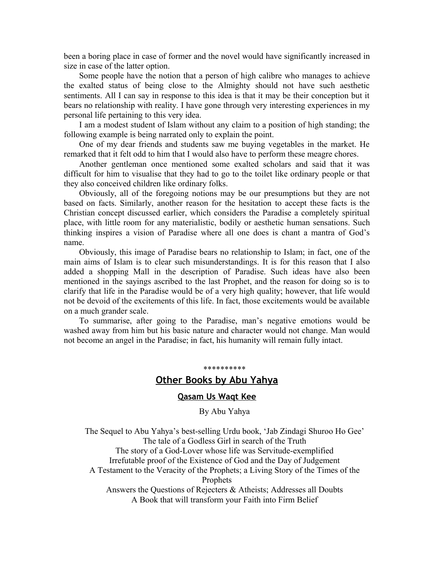been a boring place in case of former and the novel would have significantly increased in size in case of the latter option.

Some people have the notion that a person of high calibre who manages to achieve the exalted status of being close to the Almighty should not have such aesthetic sentiments. All I can say in response to this idea is that it may be their conception but it bears no relationship with reality. I have gone through very interesting experiences in my personal life pertaining to this very idea.

I am a modest student of Islam without any claim to a position of high standing; the following example is being narrated only to explain the point.

One of my dear friends and students saw me buying vegetables in the market. He remarked that it felt odd to him that I would also have to perform these meagre chores.

Another gentleman once mentioned some exalted scholars and said that it was difficult for him to visualise that they had to go to the toilet like ordinary people or that they also conceived children like ordinary folks.

Obviously, all of the foregoing notions may be our presumptions but they are not based on facts. Similarly, another reason for the hesitation to accept these facts is the Christian concept discussed earlier, which considers the Paradise a completely spiritual place, with little room for any materialistic, bodily or aesthetic human sensations. Such thinking inspires a vision of Paradise where all one does is chant a mantra of God's name.

Obviously, this image of Paradise bears no relationship to Islam; in fact, one of the main aims of Islam is to clear such misunderstandings. It is for this reason that I also added a shopping Mall in the description of Paradise. Such ideas have also been mentioned in the sayings ascribed to the last Prophet, and the reason for doing so is to clarify that life in the Paradise would be of a very high quality; however, that life would not be devoid of the excitements of this life. In fact, those excitements would be available on a much grander scale.

To summarise, after going to the Paradise, man's negative emotions would be washed away from him but his basic nature and character would not change. Man would not become an angel in the Paradise; in fact, his humanity will remain fully intact.

# **Other Books by Abu Yahya**

#### **Qasam Us Waqt Kee**

By Abu Yahya

\*\*\*\*\*\*\*\*\*\*

The Sequel to Abu Yahya's best-selling Urdu book, 'Jab Zindagi Shuroo Ho Gee' The tale of a Godless Girl in search of the Truth The story of a God-Lover whose life was Servitude-exemplified Irrefutable proof of the Existence of God and the Day of Judgement A Testament to the Veracity of the Prophets; a Living Story of the Times of the Prophets Answers the Questions of Rejecters & Atheists; Addresses all Doubts A Book that will transform your Faith into Firm Belief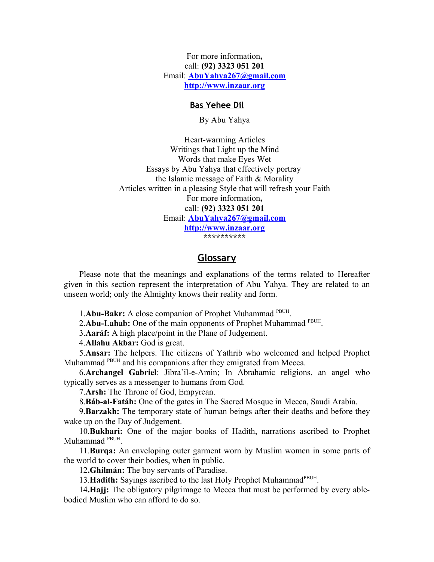For more information**,** call: **(92) 3323 051 201** Email: **[AbuYahya267@gmail.com](mailto:AbuYahya267@gmail.com) [http://www.inzaar.org](http://www.inzaar.org/)**

#### **Bas Yehee Dil**

By Abu Yahya

Heart-warming Articles Writings that Light up the Mind Words that make Eyes Wet Essays by Abu Yahya that effectively portray the Islamic message of Faith & Morality Articles written in a pleasing Style that will refresh your Faith For more information**,** call: **(92) 3323 051 201** Email: **[AbuYahya267@gmail.com](mailto:AbuYahya267@gmail.com) [http://www.inzaar.org](http://www.inzaar.org/) \*\*\*\*\*\*\*\*\*\***

## **Glossary**

Please note that the meanings and explanations of the terms related to Hereafter given in this section represent the interpretation of Abu Yahya. They are related to an unseen world; only the Almighty knows their reality and form.

1. Abu-Bakr: A close companion of Prophet Muhammad PBUH.

2. Abu-Lahab: One of the main opponents of Prophet Muhammad <sup>PBUH</sup>.

3.**Aaráf:** A high place/point in the Plane of Judgement.

4.**Allahu Akbar:** God is great.

5.**Ansar:** The helpers. The citizens of Yathrib who welcomed and helped Prophet Muhammad <sup>PBUH</sup> and his companions after they emigrated from Mecca.

6.**Archangel Gabriel**: Jibra'il-e-Amin; In Abrahamic religions, an angel who typically serves as a messenger to humans from God.

7.**Arsh:** The Throne of God, Empyrean.

8.**Báb-al-Fatáh:** One of the gates in The Sacred Mosque in Mecca, Saudi Arabia.

9.**Barzakh:** The temporary state of human beings after their deaths and before they wake up on the Day of Judgement.

10.**Bukhari:** One of the major books of Hadith, narrations ascribed to Prophet Muhammad<sup>PBUH</sup>.

11.**Burqa:** An enveloping outer garment worn by Muslim women in some parts of the world to cover their bodies, when in public.

12**.Ghilmán:** The boy servants of Paradise.

13. Hadith: Sayings ascribed to the last Holy Prophet Muhammad<sup>PBUH</sup>.

14**.Hajj:** The obligatory pilgrimage to Mecca that must be performed by every ablebodied Muslim who can afford to do so.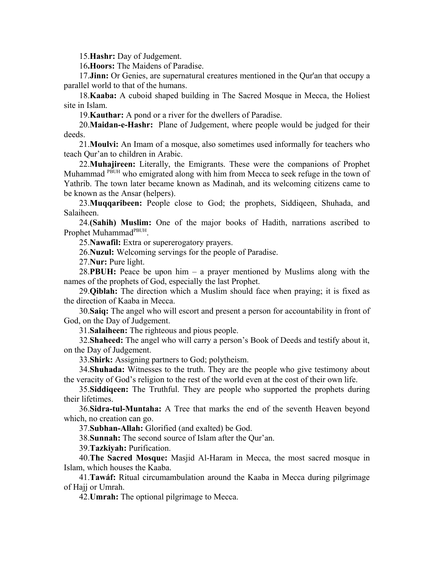15.**Hashr:** Day of Judgement.

16**.Hoors:** The Maidens of Paradise.

17.**Jinn:** Or Genies, are supernatural creatures mentioned in the Qur'an that occupy a parallel world to that of the humans.

18.**Kaaba:** A cuboid shaped building in The Sacred Mosque in Mecca, the Holiest site in Islam.

19.**Kauthar:** A pond or a river for the dwellers of Paradise.

20.**Maidan-e-Hashr:** Plane of Judgement, where people would be judged for their deeds.

21.**Moulvi:** An Imam of a mosque, also sometimes used informally for teachers who teach Qur'an to children in Arabic.

22.**Muhajireen:** Literally, the Emigrants. These were the companions of Prophet Muhammad <sup>PBUH</sup> who emigrated along with him from Mecca to seek refuge in the town of Yathrib. The town later became known as Madinah, and its welcoming citizens came to be known as the Ansar (helpers).

23.**Muqqaribeen:** People close to God; the prophets, Siddiqeen, Shuhada, and Salaiheen.

24.**(Sahih) Muslim:** One of the major books of Hadith, narrations ascribed to Prophet Muhammad<sup>PBUH</sup>.

25.**Nawafil:** Extra or supererogatory prayers.

26.**Nuzul:** Welcoming servings for the people of Paradise.

27.**Nur:** Pure light.

28.**PBUH:** Peace be upon him – a prayer mentioned by Muslims along with the names of the prophets of God, especially the last Prophet.

29.**Qiblah:** The direction which a Muslim should face when praying; it is fixed as the direction of Kaaba in Mecca.

30.**Saiq:** The angel who will escort and present a person for accountability in front of God, on the Day of Judgement.

31.**Salaiheen:** The righteous and pious people.

32.**Shaheed:** The angel who will carry a person's Book of Deeds and testify about it, on the Day of Judgement.

33.**Shirk:** Assigning partners to God; polytheism.

34.**Shuhada:** Witnesses to the truth. They are the people who give testimony about the veracity of God's religion to the rest of the world even at the cost of their own life.

35.**Siddiqeen:** The Truthful. They are people who supported the prophets during their lifetimes.

36.**Sidra-tul-Muntaha:** A Tree that marks the end of the seventh Heaven beyond which, no creation can go.

37.**Subhan-Allah:** Glorified (and exalted) be God.

38.**Sunnah:** The second source of Islam after the Qur'an.

39.**Tazkiyah:** Purification.

40.**The Sacred Mosque:** Masjid Al-Haram in Mecca, the most sacred mosque in Islam, which houses the Kaaba.

41.**Tawáf:** Ritual circumambulation around the Kaaba in Mecca during pilgrimage of Hajj or Umrah.

42.**Umrah:** The optional pilgrimage to Mecca.